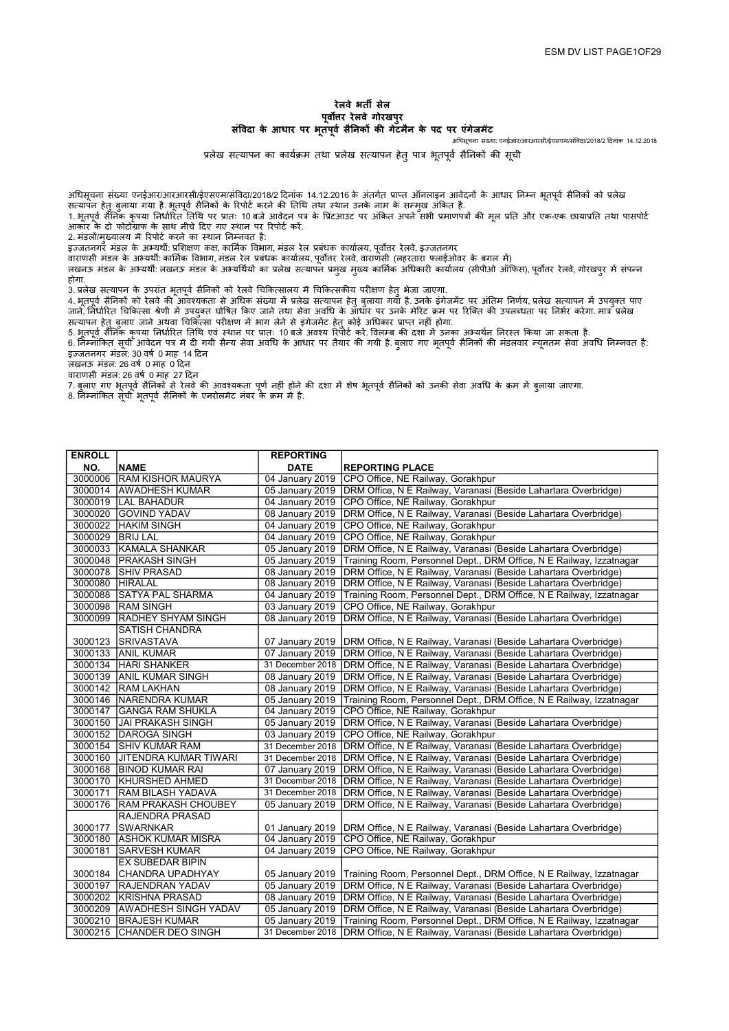## रेलवे भतȸ सेल पर्वोत्तर रेलवे गोरखपर संविदा के आधार पर भूतपूर्व सैनिकों की गेटमैन के पद पर एंगेजमेंट

अधिसूचना संख्या: एनईआर/आरआरसी/ईएसएम/संविदा/2018/2 दिनांक 14.12.2018

प्रलेख सत्यापन का कार्यक्रम तथा प्रलेख सत्यापन हेतु पात्र भूतपूर्व सैनिकों की सूची

अधिसूचना संख्या एनईआर/आरआरसी/ईएसएम/संविदा/2018/2 दिनांक 14.12.2016 के अंतर्गत प्राप्त ऑनलाइन आवेदनों के आधार निम्न भूतपूर्व सैनिकों को प्रलेख सत्यापन हेतु बुलाया गया है. भूतपूर्व सैनिकों के रिपोर्ट करने की तिथि तथा स्थान उनके नाम के सम्मुख अंकित है.

1. भूतपूर्व सैनिक कृपया निर्धारित तिथि पर प्रातः 10 बजे आवेदन पत्र के प्रिंटआउट पर अंकित अपने सभी प्रमाणपत्रों की मूल प्रति और एक-एक छायाप्रति तथा पासपोर्ट आकार के दो फोटोग्राफ के साथ नीचे दिए गए स्थान पर रिपोर्ट करें.

2. मंडलों/मुख्यालय में रिपोर्ट करने का स्थान निम्नवत है:

इज्जतनगर मंडल के अभ्यर्थी: प्रशिक्षण कक्ष, कार्मिक विभाग, मंडल रेल प्रबंधक कार्यालय, पर्वोत्तर रेलवे, इज्जतनगर

.<br>वाराणसी मंडल के अभ्यर्थी: कार्मिक विभाग, मंडल रेल प्रबंधक कार्यालय, पर्वोत्तर रेलवे, वाराणसी (लहरतारा फ्लाईओवर के बगल में)

लखनऊ मंडल के अभ्यर्थी: लखनऊ मंडल के अभ्यर्थियों का प्रलेख सत्यापन प्रमुख मुख्य कार्मिक अधिकारी कार्यालय (सीपीओ ऑफिस), पूर्वोतर रेलवे, गोरखपुर में संपन्न होगा.

3. प्रलेख सत्यापन के उपरांत भूतपूर्व सैनिकों को रेलवे चिकित्सालय में चिकित्सकीय परीक्षण हेतु भेजा जाएगा.

4. भूतपूर्व सैनिकों को रेलवे की आवश्यकता से अधिक संख्या में भलेख सत्यापन हेतु बुलाया गया है. उनके इंगेजमेंट पर अंतिम निर्णय, प्रलेख सत्यापन में उपयुक्त पाए जाने, निर्धारित चिकित्सा श्रेणी में उपयुक्त घोषित किए जाने तथा सेवा अवधि के ऑधार पर उनके मेरिट क्रम पर रिस्कित पर जिभर करेगा. मात्र प्रलेख सत्यापन हेतु बुलाए जाने अथवा चिकित्सा परीक्षण में भाग लेने से इंगेजमेंट हेतु कोई अधिकार प्राप्त नहीं होगा.

5. भूतपूवे सैंनिक कृपया निर्धारित तिथि एवं स्थान पर प्रातः 10 बजे अवश्य रिपोर्ट करें. विलम्ब की दशा में उनका अभ्यथेन निरस्त किया जा सकता है. 6. जिेम्नोंकित सूची आवेदन पत्र में दी गयी सैन्य सेवा अवधि के आधार पर तैयार की गयी है. बुलाए गए भूतपूर्व सैनिकों की मंडलवार न्यूनतम सेवा अवधि निम्नवत है:

इंज्जतनगर मंडल: 30 वर्ष 0 माह 14 दिन

लखनऊ मंडल: 26 वर्ष 0 माह 0 दिन

वाराणसी मंडल: 26 वर्ष 0 माह 27 दिन

7. बुलाए गए भूतपूर्व सैनिकों से रेलवे की आवश्यकता पूर्ण नहीं होने की दशा में शेष भूतपर्व सैनिकों को उनकी सेवा अवधि के क्रम में बुलाया जाएगा.

8. निम्नांकित सूची भूतपूर्व सैनिकों के एनरोलमेंट नंबर के क्रम में है.

| <b>REPORTING</b><br><b>ENROLL</b><br><b>NAME</b><br>NO.<br><b>DATE</b><br><b>REPORTING PLACE</b><br>CPO Office, NE Railway, Gorakhpur<br>3000006<br><b>RAM KISHOR MAURYA</b><br>04 January 2019 |  |
|-------------------------------------------------------------------------------------------------------------------------------------------------------------------------------------------------|--|
|                                                                                                                                                                                                 |  |
|                                                                                                                                                                                                 |  |
| 3000014<br>DRM Office, N E Railway, Varanasi (Beside Lahartara Overbridge)<br><b>AWADHESH KUMAR</b><br>05 January 2019                                                                          |  |
| 3000019  LAL BAHADUR<br>04 January 2019<br>CPO Office, NE Railway, Gorakhpur                                                                                                                    |  |
| 3000020<br><b>GOVIND YADAV</b><br>08 January 2019<br>DRM Office, N E Railway, Varanasi (Beside Lahartara Overbridge)                                                                            |  |
| 3000022<br><b>HAKIM SINGH</b><br>04 January 2019<br>CPO Office, NE Railway, Gorakhpur                                                                                                           |  |
| 3000029<br><b>BRIJ LAL</b><br>04 January 2019<br>CPO Office, NE Railway, Gorakhpur                                                                                                              |  |
| 05 January 2019<br>3000033<br>KAMALA SHANKAR<br>DRM Office, N E Railway, Varanasi (Beside Lahartara Overbridge)                                                                                 |  |
| 3000048<br>05 January 2019<br>Training Room, Personnel Dept., DRM Office, N E Railway, Izzatnagar<br><b>PRAKASH SINGH</b>                                                                       |  |
| 3000078 SHIV PRASAD<br>08 January 2019<br>DRM Office, N E Railway, Varanasi (Beside Lahartara Overbridge)                                                                                       |  |
| 3000080<br>08 January 2019<br>DRM Office, N E Railway, Varanasi (Beside Lahartara Overbridge)<br><b>HIRALAL</b>                                                                                 |  |
| 04 January 2019<br>3000088<br><b>SATYA PAL SHARMA</b><br>Training Room, Personnel Dept., DRM Office, N E Railway, Izzatnagar                                                                    |  |
| 3000098<br><b>RAM SINGH</b><br>03 January 2019                                                                                                                                                  |  |
| CPO Office, NE Railway, Gorakhpur                                                                                                                                                               |  |
| 3000099<br>08 January 2019<br><b>RADHEY SHYAM SINGH</b><br>DRM Office, N E Railway, Varanasi (Beside Lahartara Overbridge)                                                                      |  |
| <b>SATISH CHANDRA</b>                                                                                                                                                                           |  |
| 3000123<br><b>SRIVASTAVA</b><br>07 January 2019<br>DRM Office, N E Railway, Varanasi (Beside Lahartara Overbridge)                                                                              |  |
| DRM Office, N E Railway, Varanasi (Beside Lahartara Overbridge)<br>3000133 ANIL KUMAR<br>07 January 2019                                                                                        |  |
| DRM Office, N E Railway, Varanasi (Beside Lahartara Overbridge)<br>3000134 HARI SHANKER<br>31 December 2018                                                                                     |  |
| 3000139 ANIL KUMAR SINGH<br>08 January 2019<br>DRM Office, N E Railway, Varanasi (Beside Lahartara Overbridge)                                                                                  |  |
| 3000142 RAM LAKHAN<br>08 January 2019<br>DRM Office, N E Railway, Varanasi (Beside Lahartara Overbridge)                                                                                        |  |
| 3000146 NARENDRA KUMAR<br>05 January 2019<br>Training Room, Personnel Dept., DRM Office, N E Railway, Izzatnagar                                                                                |  |
| 3000147 GANGA RAM SHUKLA<br>04 January 2019<br>CPO Office, NE Railway, Gorakhpur                                                                                                                |  |
| 3000150 JAI PRAKASH SINGH<br>DRM Office, N E Railway, Varanasi (Beside Lahartara Overbridge)<br>05 January 2019                                                                                 |  |
| 3000152 DAROGA SINGH<br>03 January 2019<br>CPO Office, NE Railway, Gorakhpur                                                                                                                    |  |
| 3000154 SHIV KUMAR RAM<br>DRM Office, N E Railway, Varanasi (Beside Lahartara Overbridge)<br>31 December 2018                                                                                   |  |
| 3000160 JJITENDRA KUMAR TIWARI<br>DRM Office, N E Railway, Varanasi (Beside Lahartara Overbridge)<br>31 December 2018                                                                           |  |
| 3000168 BINOD KUMAR RAI<br>07 January 2019<br>DRM Office, N E Railway, Varanasi (Beside Lahartara Overbridge)                                                                                   |  |
| 3000170 KHURSHED AHMED<br>31 December 2018<br>DRM Office, N E Railway, Varanasi (Beside Lahartara Overbridge)                                                                                   |  |
| 3000171<br><b>RAM BILASH YADAVA</b><br>31 December 2018<br>DRM Office, N E Railway, Varanasi (Beside Lahartara Overbridge)                                                                      |  |
| 3000176<br><b>RAM PRAKASH CHOUBEY</b><br>05 January 2019<br>DRM Office, N E Railway, Varanasi (Beside Lahartara Overbridge)                                                                     |  |
| RAJENDRA PRASAD                                                                                                                                                                                 |  |
| 3000177<br><b>SWARNKAR</b><br>01 January 2019<br>DRM Office, N E Railway, Varanasi (Beside Lahartara Overbridge)                                                                                |  |
| 04 January 2019<br>CPO Office, NE Railway, Gorakhpur<br>3000180<br><b>ASHOK KUMAR MISRA</b>                                                                                                     |  |
| 04 January 2019<br>3000181<br><b>SARVESH KUMAR</b><br>CPO Office, NE Railway, Gorakhpur                                                                                                         |  |
| EX SUBEDAR BIPIN                                                                                                                                                                                |  |
| Training Room, Personnel Dept., DRM Office, N E Railway, Izzatnagar<br>3000184<br> CHANDRA UPADHYAY<br>05 January 2019                                                                          |  |
| <b>RAJENDRAN YADAV</b><br>05 January 2019<br>DRM Office, N E Railway, Varanasi (Beside Lahartara Overbridge)<br>3000197                                                                         |  |
| 3000202 KRISHNA PRASAD<br>08 January 2019<br>DRM Office, N E Railway, Varanasi (Beside Lahartara Overbridge)                                                                                    |  |
| 3000209 AWADHESH SINGH YADAV<br>05 January 2019<br>DRM Office, N E Railway, Varanasi (Beside Lahartara Overbridge)                                                                              |  |
| 3000210 BRAJESH KUMAR<br>05 January 2019<br>Training Room, Personnel Dept., DRM Office, N E Railway, Izzatnagar                                                                                 |  |
| 3000215<br>DRM Office, N E Railway, Varanasi (Beside Lahartara Overbridge)<br><b>CHANDER DEO SINGH</b><br>31 December 2018                                                                      |  |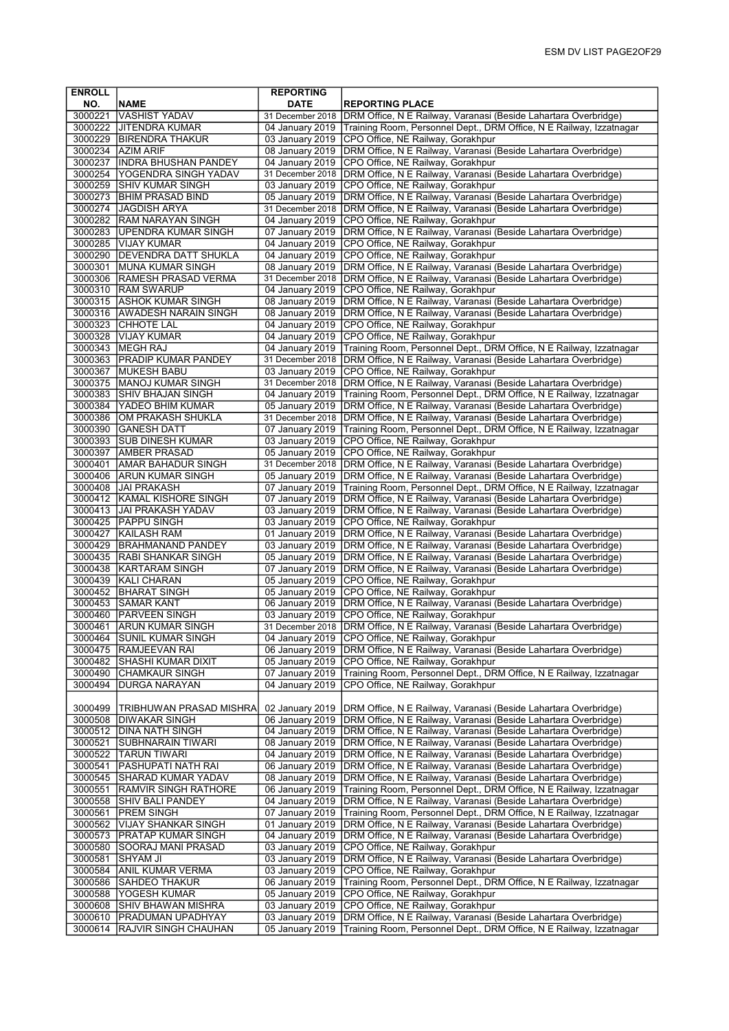| <b>ENROLL</b>      |                                                           | <b>REPORTING</b>                    |                                                                                                                                    |
|--------------------|-----------------------------------------------------------|-------------------------------------|------------------------------------------------------------------------------------------------------------------------------------|
| NO.                | <b>NAME</b>                                               | <b>DATE</b>                         | <b>REPORTING PLACE</b>                                                                                                             |
| 3000221            | VASHIST YADAV                                             | 31 December 2018                    | DRM Office, N E Railway, Varanasi (Beside Lahartara Overbridge)                                                                    |
|                    | 3000222 JJITENDRA KUMAR                                   |                                     | 04 January 2019 Training Room, Personnel Dept., DRM Office, N E Railway, Izzatnagar                                                |
|                    | 3000229   BIRENDRA THAKUR                                 | 03 January 2019                     | CPO Office, NE Railway, Gorakhpur                                                                                                  |
| 3000234            | <b>AZIM ARIF</b>                                          | 08 January 2019                     | DRM Office, N E Railway, Varanasi (Beside Lahartara Overbridge)                                                                    |
| 3000237            | INDRA BHUSHAN PANDEY                                      | 04 January 2019                     | CPO Office, NE Railway, Gorakhpur                                                                                                  |
| 3000254            | <b>YOGENDRA SINGH YADAV</b>                               | 31 December 2018                    | DRM Office, N E Railway, Varanasi (Beside Lahartara Overbridge)                                                                    |
| 3000259            | <b>SHIV KUMAR SINGH</b><br>3000273 BHIM PRASAD BIND       | 03 January 2019<br>05 January 2019  | CPO Office, NE Railway, Gorakhpur<br>DRM Office, N E Railway, Varanasi (Beside Lahartara Overbridge)                               |
|                    | 3000274 JJAGDISH ARYA                                     | 31 December 2018                    | DRM Office, N E Railway, Varanasi (Beside Lahartara Overbridge)                                                                    |
|                    | 3000282 RAM NARAYAN SINGH                                 | 04 January 2019                     | CPO Office, NE Railway, Gorakhpur                                                                                                  |
|                    | 3000283 UPENDRA KUMAR SINGH                               | 07 January 2019                     | DRM Office, N E Railway, Varanasi (Beside Lahartara Overbridge)                                                                    |
|                    | 3000285   VIJAY KUMAR                                     | 04 January 2019                     | CPO Office, NE Railway, Gorakhpur                                                                                                  |
|                    | 3000290 DEVENDRA DATT SHUKLA                              | 04 January 2019                     | CPO Office, NE Railway, Gorakhpur                                                                                                  |
| 3000301            | <b>MUNA KUMAR SINGH</b>                                   | 08 January 2019                     | DRM Office, N E Railway, Varanasi (Beside Lahartara Overbridge)                                                                    |
|                    | 3000306 RAMESH PRASAD VERMA                               | 31 December 2018                    | DRM Office, N E Railway, Varanasi (Beside Lahartara Overbridge)                                                                    |
|                    | 3000310 RAM SWARUP                                        | 04 January 2019                     | CPO Office, NE Railway, Gorakhpur                                                                                                  |
|                    | 3000315 ASHOK KUMAR SINGH                                 | 08 January 2019                     | DRM Office, N E Railway, Varanasi (Beside Lahartara Overbridge)                                                                    |
|                    | 3000316 AWADESH NARAIN SINGH                              | 08 January 2019                     | DRM Office, N E Railway, Varanasi (Beside Lahartara Overbridge)                                                                    |
|                    | 3000323 CHHOTE LAL                                        | 04 January 2019                     | CPO Office, NE Railway, Gorakhpur                                                                                                  |
|                    | 3000328 VIJAY KUMAR                                       | 04 January 2019                     | CPO Office, NE Railway, Gorakhpur                                                                                                  |
|                    | 3000343   MEGH RAJ                                        | 04 January 2019                     | Training Room, Personnel Dept., DRM Office, N E Railway, Izzatnagar                                                                |
| 3000363<br>3000367 | <b>PRADIP KUMAR PANDEY</b><br><b>MUKESH BABU</b>          | 31 December 2018<br>03 January 2019 | DRM Office, N E Railway, Varanasi (Beside Lahartara Overbridge)<br>CPO Office, NE Railway, Gorakhpur                               |
|                    | 3000375   MANOJ KUMAR SINGH                               | 31 December 2018                    | DRM Office, N E Railway, Varanasi (Beside Lahartara Overbridge)                                                                    |
| 3000383            | <b>SHIV BHAJAN SINGH</b>                                  | 04 January 2019                     | Training Room, Personnel Dept., DRM Office, N E Railway, Izzatnagar                                                                |
| 3000384            | <b>YADEO BHIM KUMAR</b>                                   | 05 January 2019                     | DRM Office, N E Railway, Varanasi (Beside Lahartara Overbridge)                                                                    |
|                    | 3000386 OM PRAKASH SHUKLA                                 | 31 December 2018                    | DRM Office, N E Railway, Varanasi (Beside Lahartara Overbridge)                                                                    |
| 3000390            | <b>GANESH DATT</b>                                        | 07 January 2019                     | Training Room, Personnel Dept., DRM Office, N E Railway, Izzatnagar                                                                |
| 3000393            | <b>SUB DINESH KUMAR</b>                                   | 03 January 2019                     | CPO Office, NE Railway, Gorakhpur                                                                                                  |
|                    | 3000397   AMBER PRASAD                                    | 05 January 2019                     | CPO Office, NE Railway, Gorakhpur                                                                                                  |
| 3000401            | <b>AMAR BAHADUR SINGH</b>                                 | 31 December 2018                    | DRM Office, N E Railway, Varanasi (Beside Lahartara Overbridge)                                                                    |
| 3000406            | <b>ARUN KUMAR SINGH</b>                                   | 05 January 2019                     | DRM Office, N E Railway, Varanasi (Beside Lahartara Overbridge)                                                                    |
|                    | 3000408 JJAI PRAKASH                                      | 07 January 2019                     | Training Room, Personnel Dept., DRM Office, N E Railway, Izzatnagar                                                                |
|                    | 3000412 KAMAL KISHORE SINGH<br>3000413 JJAI PRAKASH YADAV | 07 January 2019<br>03 January 2019  | DRM Office, N E Railway, Varanasi (Beside Lahartara Overbridge)<br>DRM Office, N E Railway, Varanasi (Beside Lahartara Overbridge) |
| 3000425            | <b>PAPPU SINGH</b>                                        | 03 January 2019                     | CPO Office, NE Railway, Gorakhpur                                                                                                  |
| 3000427            | <b>KAILASH RAM</b>                                        | 01 January 2019                     | DRM Office, N E Railway, Varanasi (Beside Lahartara Overbridge)                                                                    |
| 3000429            | BRAHMANAND PANDEY                                         | 03 January 2019                     | DRM Office, N E Railway, Varanasi (Beside Lahartara Overbridge)                                                                    |
|                    | 3000435 RABI SHANKAR SINGH                                | 05 January 2019                     | DRM Office, N E Railway, Varanasi (Beside Lahartara Overbridge)                                                                    |
|                    | 3000438 KARTARAM SINGH                                    | 07 January 2019                     | DRM Office, N E Railway, Varanasi (Beside Lahartara Overbridge)                                                                    |
| 3000439            | KALI CHARAN                                               | 05 January 2019                     | CPO Office, NE Railway, Gorakhpur                                                                                                  |
| 3000452            | <b>BHARAT SINGH</b>                                       | 05 January 2019                     | CPO Office, NE Railway, Gorakhpur                                                                                                  |
| 3000453            | SAMAR KANT                                                | 06 January 2019                     | DRM Office, N E Railway, Varanasi (Beside Lahartara Overbridge)                                                                    |
| 3000460<br>3000461 | <b>PARVEEN SINGH</b><br>IARUN KUMAR SINGH                 | 03 January 2019<br>31 December 2018 | CPO Office, NE Railway, Gorakhpur<br>DRM Office, N E Railway, Varanasi (Beside Lahartara Overbridge)                               |
|                    | 3000464   SUNIL KUMAR SINGH                               |                                     | 04 January 2019   CPO Office, NE Railway, Gorakhpur                                                                                |
| 3000475            | <b>RAMJEEVAN RAI</b>                                      |                                     | 06 January 2019   DRM Office, N E Railway, Varanasi (Beside Lahartara Overbridge)                                                  |
| 3000482            | SHASHI KUMAR DIXIT                                        | 05 January 2019                     | CPO Office, NE Railway, Gorakhpur                                                                                                  |
| 3000490            | CHAMKAUR SINGH                                            | 07 January 2019                     | Training Room, Personnel Dept., DRM Office, N E Railway, Izzatnagar                                                                |
| 3000494            | <b>DURGA NARAYAN</b>                                      | 04 January 2019                     | CPO Office, NE Railway, Gorakhpur                                                                                                  |
|                    |                                                           |                                     |                                                                                                                                    |
| 3000499            | TRIBHUWAN PRASAD MISHRA                                   | 02 January 2019                     | DRM Office, N E Railway, Varanasi (Beside Lahartara Overbridge)                                                                    |
| 3000508            | <b>DIWAKAR SINGH</b>                                      | 06 January 2019                     | DRM Office, N E Railway, Varanasi (Beside Lahartara Overbridge)                                                                    |
| 3000512<br>3000521 | <b>JDINA NATH SINGH</b><br><b>SUBHNARAIN TIWARI</b>       | 04 January 2019<br>08 January 2019  | DRM Office, N E Railway, Varanasi (Beside Lahartara Overbridge)<br>DRM Office, N E Railway, Varanasi (Beside Lahartara Overbridge) |
|                    | 3000522 TARUN TIWARI                                      | 04 January 2019                     | DRM Office, N E Railway, Varanasi (Beside Lahartara Overbridge)                                                                    |
| 3000541            | PASHUPATI NATH RAI                                        | 06 January 2019                     | DRM Office, N E Railway, Varanasi (Beside Lahartara Overbridge)                                                                    |
| 3000545            | SHARAD KUMAR YADAV                                        | 08 January 2019                     | DRM Office, N E Railway, Varanasi (Beside Lahartara Overbridge)                                                                    |
| 3000551            | RAMVIR SINGH RATHORE                                      | 06 January 2019                     | Training Room, Personnel Dept., DRM Office, N E Railway, Izzatnagar                                                                |
| 3000558            | <b>SHIV BALI PANDEY</b>                                   | 04 January 2019                     | DRM Office, N E Railway, Varanasi (Beside Lahartara Overbridge)                                                                    |
| 3000561            | <b>PREM SINGH</b>                                         | 07 January 2019                     | Training Room, Personnel Dept., DRM Office, N E Railway, Izzatnagar                                                                |
| 3000562            | VIJAY SHANKAR SINGH                                       | 01 January 2019                     | DRM Office, N E Railway, Varanasi (Beside Lahartara Overbridge)                                                                    |
| 3000573            | <b>PRATAP KUMAR SINGH</b>                                 | 04 January 2019                     | DRM Office, N E Railway, Varanasi (Beside Lahartara Overbridge)                                                                    |
| 3000580            | SOORAJ MANI PRASAD                                        | 03 January 2019                     | CPO Office, NE Railway, Gorakhpur                                                                                                  |
| 3000581<br>3000584 | SHYAM JI<br><b>JANIL KUMAR VERMA</b>                      | 03 January 2019<br>03 January 2019  | DRM Office, N E Railway, Varanasi (Beside Lahartara Overbridge)<br>CPO Office, NE Railway, Gorakhpur                               |
| 3000586            | SAHDEO THAKUR                                             | 06 January 2019                     | Training Room, Personnel Dept., DRM Office, N E Railway, Izzatnagar                                                                |
| 3000588            | <b>YOGESH KUMAR</b>                                       | 05 January 2019                     | CPO Office, NE Railway, Gorakhpur                                                                                                  |
| 3000608            | SHIV BHAWAN MISHRA                                        | 03 January 2019                     | CPO Office, NE Railway, Gorakhpur                                                                                                  |
| 3000610            | <b>PRADUMAN UPADHYAY</b>                                  | 03 January 2019                     | DRM Office, N E Railway, Varanasi (Beside Lahartara Overbridge)                                                                    |
| 3000614            | <b>RAJVIR SINGH CHAUHAN</b>                               | 05 January 2019                     | Training Room, Personnel Dept., DRM Office, N E Railway, Izzatnagar                                                                |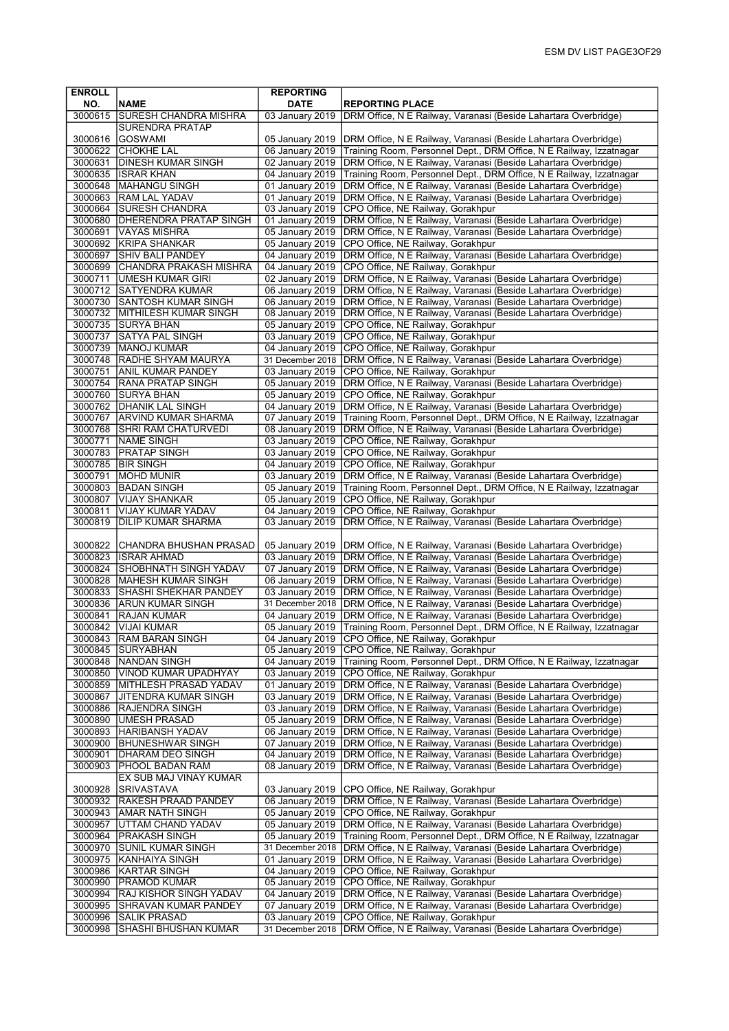| <b>ENROLL</b>      |                                                              | <b>REPORTING</b>                    |                                                                                                                                                          |
|--------------------|--------------------------------------------------------------|-------------------------------------|----------------------------------------------------------------------------------------------------------------------------------------------------------|
| NO.                | <b>NAME</b>                                                  | <b>DATE</b>                         | <b>REPORTING PLACE</b>                                                                                                                                   |
|                    | 3000615 SURESH CHANDRA MISHRA                                | 03 January 2019                     | DRM Office, N E Railway, Varanasi (Beside Lahartara Overbridge)                                                                                          |
|                    | <b>SURENDRA PRATAP</b>                                       |                                     |                                                                                                                                                          |
| 3000616            | GOSWAMI                                                      | 05 January 2019                     | DRM Office, N E Railway, Varanasi (Beside Lahartara Overbridge)                                                                                          |
| 3000622            | <b>CHOKHE LAL</b>                                            | 06 January 2019                     | Training Room, Personnel Dept., DRM Office, N E Railway, Izzatnagar                                                                                      |
|                    | 3000631 DINESH KUMAR SINGH                                   | 02 January 2019                     | DRM Office, N E Railway, Varanasi (Beside Lahartara Overbridge)                                                                                          |
|                    | 3000635 ISRAR KHAN                                           | 04 January 2019                     | Training Room, Personnel Dept., DRM Office, N E Railway, Izzatnagar                                                                                      |
|                    | 3000648   MAHANGU SINGH<br>3000663 RAM LAL YADAV             | 01 January 2019<br>01 January 2019  | DRM Office, N E Railway, Varanasi (Beside Lahartara Overbridge)                                                                                          |
| 3000664            | <b>SURESH CHANDRA</b>                                        |                                     | DRM Office, N E Railway, Varanasi (Beside Lahartara Overbridge)<br>CPO Office, NE Railway, Gorakhpur                                                     |
|                    | 3000680 DHERENDRA PRATAP SINGH                               | 03 January 2019<br>01 January 2019  | DRM Office, N E Railway, Varanasi (Beside Lahartara Overbridge)                                                                                          |
|                    | 3000691 VAYAS MISHRA                                         | 05 January 2019                     | DRM Office, N E Railway, Varanasi (Beside Lahartara Overbridge)                                                                                          |
|                    | 3000692 KRIPA SHANKAR                                        | 05 January 2019                     | CPO Office, NE Railway, Gorakhpur                                                                                                                        |
|                    | 3000697 SHIV BALI PANDEY                                     | 04 January 2019                     | DRM Office, N E Railway, Varanasi (Beside Lahartara Overbridge)                                                                                          |
|                    | 3000699 CHANDRA PRAKASH MISHRA                               | 04 January 2019                     | CPO Office, NE Railway, Gorakhpur                                                                                                                        |
|                    | 3000711 UMESH KUMAR GIRI                                     |                                     | 02 January 2019   DRM Office, N E Railway, Varanasi (Beside Lahartara Overbridge)                                                                        |
|                    | 3000712 SATYENDRA KUMAR                                      | 06 January 2019                     | DRM Office, N E Railway, Varanasi (Beside Lahartara Overbridge)                                                                                          |
|                    | 3000730 SANTOSH KUMAR SINGH                                  | 06 January 2019                     | DRM Office, N E Railway, Varanasi (Beside Lahartara Overbridge)                                                                                          |
|                    | 3000732 MITHILESH KUMAR SINGH                                | 08 January 2019                     | DRM Office, N E Railway, Varanasi (Beside Lahartara Overbridge)                                                                                          |
|                    | 3000735 SURYA BHAN                                           | 05 January 2019                     | CPO Office, NE Railway, Gorakhpur                                                                                                                        |
|                    | 3000737 SATYA PAL SINGH                                      | 03 January 2019                     | CPO Office, NE Railway, Gorakhpur                                                                                                                        |
|                    | 3000739   MANOJ KUMAR                                        | 04 January 2019                     | CPO Office, NE Railway, Gorakhpur                                                                                                                        |
|                    | 3000748 RADHE SHYAM MAURYA                                   | 31 December 2018                    | DRM Office, N E Railway, Varanasi (Beside Lahartara Overbridge)                                                                                          |
|                    | 3000751 ANIL KUMAR PANDEY                                    | 03 January 2019                     | CPO Office, NE Railway, Gorakhpur                                                                                                                        |
|                    | 3000754 RANA PRATAP SINGH                                    | 05 January 2019<br>05 January 2019  | DRM Office, N E Railway, Varanasi (Beside Lahartara Overbridge)                                                                                          |
|                    | 3000760 SURYA BHAN                                           |                                     | CPO Office, NE Railway, Gorakhpur                                                                                                                        |
|                    | 3000762 DHANIK LAL SINGH<br>3000767 ARVIND KUMAR SHARMA      | 04 January 2019                     | DRM Office, N E Railway, Varanasi (Beside Lahartara Overbridge)<br>07 January 2019   Training Room, Personnel Dept., DRM Office, N E Railway, Izzatnagar |
|                    | 3000768 SHRI RAM CHATURVEDI                                  | 08 January 2019                     | DRM Office, N E Railway, Varanasi (Beside Lahartara Overbridge)                                                                                          |
|                    | 3000771 NAME SINGH                                           |                                     | 03 January 2019 CPO Office, NE Railway, Gorakhpur                                                                                                        |
|                    | 3000783 PRATAP SINGH                                         | 03 January 2019                     | CPO Office, NE Railway, Gorakhpur                                                                                                                        |
|                    | 3000785 BIR SINGH                                            | 04 January 2019                     | CPO Office, NE Railway, Gorakhpur                                                                                                                        |
|                    | 3000791 MOHD MUNIR                                           |                                     | 03 January 2019   DRM Office, N E Railway, Varanasi (Beside Lahartara Overbridge)                                                                        |
|                    | 3000803 BADAN SINGH                                          |                                     | 05 January 2019   Training Room, Personnel Dept., DRM Office, N E Railway, Izzatnagar                                                                    |
| 3000807            | <b>VIJAY SHANKAR</b>                                         | 05 January 2019                     | CPO Office, NE Railway, Gorakhpur                                                                                                                        |
| 3000811            | VIJAY KUMAR YADAV                                            | 04 January 2019                     | CPO Office, NE Railway, Gorakhpur                                                                                                                        |
| 3000819            | <b>DILIP KUMAR SHARMA</b>                                    | 03 January 2019                     | DRM Office, N E Railway, Varanasi (Beside Lahartara Overbridge)                                                                                          |
|                    |                                                              |                                     |                                                                                                                                                          |
|                    | 3000822 CHANDRA BHUSHAN PRASAD                               | 05 January 2019                     | DRM Office, N E Railway, Varanasi (Beside Lahartara Overbridge)                                                                                          |
|                    | 3000823 ISRAR AHMAD                                          | 03 January 2019                     | DRM Office, N E Railway, Varanasi (Beside Lahartara Overbridge)                                                                                          |
|                    | 3000824 SHOBHNATH SINGH YADAV                                | 07 January 2019                     | DRM Office, N E Railway, Varanasi (Beside Lahartara Overbridge)                                                                                          |
| 3000833            | 3000828   MAHESH KUMAR SINGH<br><b>SHASHI SHEKHAR PANDEY</b> | 06 January 2019                     | DRM Office, N E Railway, Varanasi (Beside Lahartara Overbridge)                                                                                          |
| 3000836            | <b>ARUN KUMAR SINGH</b>                                      | 03 January 2019<br>31 December 2018 | DRM Office, N E Railway, Varanasi (Beside Lahartara Overbridge)<br>DRM Office, N E Railway, Varanasi (Beside Lahartara Overbridge)                       |
| 3000841            | <b>RAJAN KUMAR</b>                                           | 04 January 2019                     | DRM Office, N E Railway, Varanasi (Beside Lahartara Overbridge)                                                                                          |
| 3000842            | <b>VIJAI KUMAR</b>                                           | 05 January 2019                     | Training Room, Personnel Dept., DRM Office, N E Railway, Izzatnagar                                                                                      |
|                    | 3000843  IRAM BARAN SINGH                                    |                                     | 04 January 2019  CPO Office, NE Railway, Gorakhpur                                                                                                       |
|                    | 3000845 SURYABHAN                                            |                                     | 05 January 2019 CPO Office, NE Railway, Gorakhpur                                                                                                        |
| 3000848            | NANDAN SINGH                                                 | 04 January 2019                     | Training Room, Personnel Dept., DRM Office, N E Railway, Izzatnagar                                                                                      |
| 3000850            | <b>VINOD KUMAR UPADHYAY</b>                                  | 03 January 2019                     | CPO Office, NE Railway, Gorakhpur                                                                                                                        |
|                    | 3000859  MITHLESH PRASAD YADAV                               | 01 January 2019                     | DRM Office, N E Railway, Varanasi (Beside Lahartara Overbridge)                                                                                          |
| 3000867            | JITENDRA KUMAR SINGH                                         | 03 January 2019                     | DRM Office, N E Railway, Varanasi (Beside Lahartara Overbridge)                                                                                          |
| 3000886            | <b>RAJENDRA SINGH</b>                                        | 03 January 2019                     | DRM Office, N E Railway, Varanasi (Beside Lahartara Overbridge)                                                                                          |
| 3000890            | UMESH PRASAD                                                 | 05 January 2019                     | DRM Office, N E Railway, Varanasi (Beside Lahartara Overbridge)                                                                                          |
| 3000893            | HARIBANSH YADAV                                              | 06 January 2019                     | DRM Office, N E Railway, Varanasi (Beside Lahartara Overbridge)                                                                                          |
| 3000900<br>3000901 | <b>BHUNESHWAR SINGH</b><br>DHARAM DEO SINGH                  | 07 January 2019<br>04 January 2019  | DRM Office, N E Railway, Varanasi (Beside Lahartara Overbridge)<br>DRM Office, N E Railway, Varanasi (Beside Lahartara Overbridge)                       |
| 3000903            | PHOOL BADAN RAM                                              | 08 January 2019                     | DRM Office, N E Railway, Varanasi (Beside Lahartara Overbridge)                                                                                          |
|                    | EX SUB MAJ VINAY KUMAR                                       |                                     |                                                                                                                                                          |
| 3000928            | SRIVASTAVA                                                   | 03 January 2019                     | CPO Office, NE Railway, Gorakhpur                                                                                                                        |
| 3000932            | <b>RAKESH PRAAD PANDEY</b>                                   | 06 January 2019                     | DRM Office, N E Railway, Varanasi (Beside Lahartara Overbridge)                                                                                          |
| 3000943            | AMAR NATH SINGH                                              | 05 January 2019                     | CPO Office, NE Railway, Gorakhpur                                                                                                                        |
| 3000957            | UTTAM CHAND YADAV                                            | 05 January 2019                     | DRM Office, N E Railway, Varanasi (Beside Lahartara Overbridge)                                                                                          |
|                    | 3000964   PRAKASH SINGH                                      | 05 January 2019                     | Training Room, Personnel Dept., DRM Office, N E Railway, Izzatnagar                                                                                      |
| 3000970            | SUNIL KUMAR SINGH                                            | 31 December 2018                    | DRM Office, N E Railway, Varanasi (Beside Lahartara Overbridge)                                                                                          |
| 3000975            | KANHAIYA SINGH                                               | 01 January 2019                     | DRM Office, N E Railway, Varanasi (Beside Lahartara Overbridge)                                                                                          |
| 3000986            | KARTAR SINGH                                                 | 04 January 2019                     | CPO Office, NE Railway, Gorakhpur                                                                                                                        |
| 3000990            | PRAMOD KUMAR                                                 | 05 January 2019                     | CPO Office, NE Railway, Gorakhpur                                                                                                                        |
| 3000994            | RAJ KISHOR SINGH YADAV                                       | 04 January 2019                     | DRM Office, N E Railway, Varanasi (Beside Lahartara Overbridge)                                                                                          |
| 3000995            | SHRAVAN KUMAR PANDEY                                         | 07 January 2019                     | DRM Office, N E Railway, Varanasi (Beside Lahartara Overbridge)                                                                                          |
| 3000996            | SALIK PRASAD                                                 | 03 January 2019                     | CPO Office, NE Railway, Gorakhpur                                                                                                                        |
| 3000998            | <b>SHASHI BHUSHAN KUMAR</b>                                  | 31 December 2018                    | DRM Office, N E Railway, Varanasi (Beside Lahartara Overbridge)                                                                                          |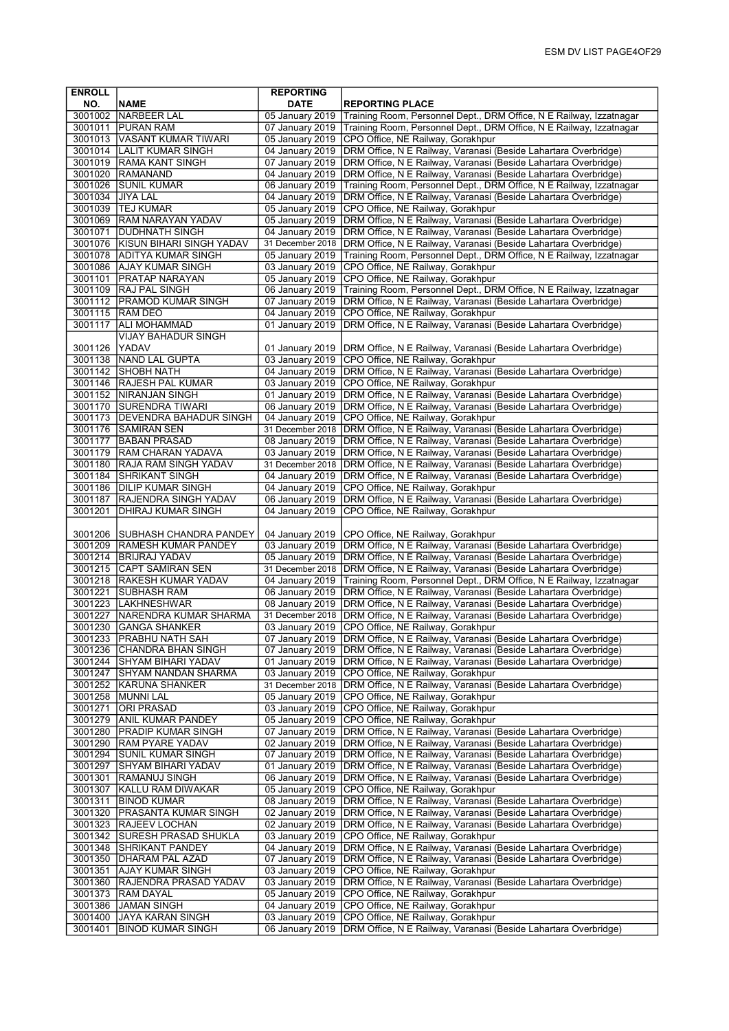| <b>ENROLL</b> |                                  | <b>REPORTING</b> |                                                                                   |
|---------------|----------------------------------|------------------|-----------------------------------------------------------------------------------|
| NO.           | <b>NAME</b>                      | <b>DATE</b>      | <b>REPORTING PLACE</b>                                                            |
|               | 3001002 NARBEER LAL              | 05 January 2019  | Training Room, Personnel Dept., DRM Office, N E Railway, Izzatnagar               |
|               | 3001011 PURAN RAM                | 07 January 2019  | Training Room, Personnel Dept., DRM Office, N E Railway, Izzatnagar               |
|               | 3001013   VASANT KUMAR TIWARI    | 05 January 2019  | CPO Office, NE Railway, Gorakhpur                                                 |
|               | 3001014   LALIT KUMAR SINGH      | 04 January 2019  | DRM Office, N E Railway, Varanasi (Beside Lahartara Overbridge)                   |
|               | 3001019 RAMA KANT SINGH          | 07 January 2019  | DRM Office, N E Railway, Varanasi (Beside Lahartara Overbridge)                   |
|               | 3001020 RAMANAND                 | 04 January 2019  | DRM Office, N E Railway, Varanasi (Beside Lahartara Overbridge)                   |
| 3001026       | <b>SUNIL KUMAR</b>               | 06 January 2019  | Training Room, Personnel Dept., DRM Office, N E Railway, Izzatnagar               |
| 3001034       | <b>JIYA LAL</b>                  | 04 January 2019  | DRM Office, N E Railway, Varanasi (Beside Lahartara Overbridge)                   |
|               | 3001039 TEJ KUMAR                | 05 January 2019  | CPO Office, NE Railway, Gorakhpur                                                 |
|               | 3001069 RAM NARAYAN YADAV        | 05 January 2019  | DRM Office, N E Railway, Varanasi (Beside Lahartara Overbridge)                   |
| 3001071       | <b>DUDHNATH SINGH</b>            | 04 January 2019  | DRM Office, N E Railway, Varanasi (Beside Lahartara Overbridge)                   |
|               | 3001076 KISUN BIHARI SINGH YADAV | 31 December 2018 | DRM Office, N E Railway, Varanasi (Beside Lahartara Overbridge)                   |
| 3001078       | <b>ADITYA KUMAR SINGH</b>        | 05 January 2019  | Training Room, Personnel Dept., DRM Office, N E Railway, Izzatnagar               |
| 3001086       | <b>AJAY KUMAR SINGH</b>          | 03 January 2019  | CPO Office, NE Railway, Gorakhpur                                                 |
|               | 3001101 PRATAP NARAYAN           | 05 January 2019  | CPO Office, NE Railway, Gorakhpur                                                 |
|               | 3001109 RAJ PAL SINGH            | 06 January 2019  | Training Room, Personnel Dept., DRM Office, N E Railway, Izzatnagar               |
|               | 3001112   PRAMOD KUMAR SINGH     | 07 January 2019  | DRM Office, N E Railway, Varanasi (Beside Lahartara Overbridge)                   |
|               | 3001115 RAM DEO                  | 04 January 2019  | CPO Office, NE Railway, Gorakhpur                                                 |
| 3001117       | ALI MOHAMMAD                     | 01 January 2019  | DRM Office, N E Railway, Varanasi (Beside Lahartara Overbridge)                   |
|               | <b>VIJAY BAHADUR SINGH</b>       |                  |                                                                                   |
| 3001126       | YADAV                            | 01 January 2019  | DRM Office, N E Railway, Varanasi (Beside Lahartara Overbridge)                   |
| 3001138       | NAND LAL GUPTA                   | 03 January 2019  | CPO Office, NE Railway, Gorakhpur                                                 |
| 3001142       | <b>SHOBH NATH</b>                | 04 January 2019  | DRM Office, N E Railway, Varanasi (Beside Lahartara Overbridge)                   |
|               | 3001146   RAJESH PAL KUMAR       | 03 January 2019  | CPO Office, NE Railway, Gorakhpur                                                 |
|               | 3001152 NIRANJAN SINGH           | 01 January 2019  | DRM Office, N E Railway, Varanasi (Beside Lahartara Overbridge)                   |
| 3001170       | <b>SURENDRA TIWARI</b>           | 06 January 2019  | DRM Office, N E Railway, Varanasi (Beside Lahartara Overbridge)                   |
|               | 3001173 DEVENDRA BAHADUR SINGH   | 04 January 2019  | CPO Office, NE Railway, Gorakhpur                                                 |
|               | 3001176 SAMIRAN SEN              | 31 December 2018 | DRM Office, N E Railway, Varanasi (Beside Lahartara Overbridge)                   |
| 3001177       | <b>BABAN PRASAD</b>              | 08 January 2019  | DRM Office, N E Railway, Varanasi (Beside Lahartara Overbridge)                   |
|               | 3001179 RAM CHARAN YADAVA        | 03 January 2019  | DRM Office, N E Railway, Varanasi (Beside Lahartara Overbridge)                   |
| 3001180       | <b>RAJA RAM SINGH YADAV</b>      | 31 December 2018 | DRM Office, N E Railway, Varanasi (Beside Lahartara Overbridge)                   |
| 3001184       | <b>SHRIKANT SINGH</b>            | 04 January 2019  | DRM Office, N E Railway, Varanasi (Beside Lahartara Overbridge)                   |
| 3001186       | <b>DILIP KUMAR SINGH</b>         | 04 January 2019  | CPO Office, NE Railway, Gorakhpur                                                 |
| 3001187       | RAJENDRA SINGH YADAV             | 06 January 2019  | DRM Office, N E Railway, Varanasi (Beside Lahartara Overbridge)                   |
| 3001201       | <b>DHIRAJ KUMAR SINGH</b>        | 04 January 2019  | CPO Office, NE Railway, Gorakhpur                                                 |
|               |                                  |                  |                                                                                   |
| 3001206       | <b>SUBHASH CHANDRA PANDEY</b>    | 04 January 2019  | CPO Office, NE Railway, Gorakhpur                                                 |
|               | 3001209   RAMESH KUMAR PANDEY    | 03 January 2019  | DRM Office, N E Railway, Varanasi (Beside Lahartara Overbridge)                   |
|               | 3001214   BRIJRAJ YADAV          | 05 January 2019  | DRM Office, N E Railway, Varanasi (Beside Lahartara Overbridge)                   |
|               | 3001215 CAPT SAMIRAN SEN         | 31 December 2018 | DRM Office, N E Railway, Varanasi (Beside Lahartara Overbridge)                   |
| 3001218       | <b>RAKESH KUMAR YADAV</b>        | 04 January 2019  | Training Room, Personnel Dept., DRM Office, N E Railway, Izzatnagar               |
| 3001221       | SUBHASH RAM                      | 06 January 2019  | DRM Office, N E Railway, Varanasi (Beside Lahartara Overbridge)                   |
|               | 3001223 LAKHNESHWAR              | 08 January 2019  | DRM Office, N E Railway, Varanasi (Beside Lahartara Overbridge)                   |
| 3001227       | <b>NARENDRA KUMAR SHARMA</b>     | 31 December 2018 | DRM Office, N E Railway, Varanasi (Beside Lahartara Overbridge)                   |
| 3001230       | <b>GANGA SHANKER</b>             | 03 January 2019  | CPO Office, NE Railway, Gorakhpur                                                 |
|               | 3001233 PRABHU NATH SAH          |                  | 07 January 2019   DRM Office, N E Railway, Varanasi (Beside Lahartara Overbridge) |
| 3001236       | <b>CHANDRA BHAN SINGH</b>        | 07 January 2019  | DRM Office, N E Railway, Varanasi (Beside Lahartara Overbridge)                   |
| 3001244       | <b>SHYAM BIHARI YADAV</b>        | 01 January 2019  | DRM Office, N E Railway, Varanasi (Beside Lahartara Overbridge)                   |
|               | 3001247 SHYAM NANDAN SHARMA      | 03 January 2019  | CPO Office, NE Railway, Gorakhpur                                                 |
|               | 3001252 KARUNA SHANKER           | 31 December 2018 | DRM Office, N E Railway, Varanasi (Beside Lahartara Overbridge)                   |
|               | 3001258 MUNNI LAL                | 05 January 2019  | CPO Office, NE Railway, Gorakhpur                                                 |
| 3001271       | <b>ORI PRASAD</b>                | 03 January 2019  | CPO Office, NE Railway, Gorakhpur                                                 |
| 3001279       | <b>ANIL KUMAR PANDEY</b>         | 05 January 2019  | CPO Office, NE Railway, Gorakhpur                                                 |
| 3001280       | PRADIP KUMAR SINGH               | 07 January 2019  | DRM Office, N E Railway, Varanasi (Beside Lahartara Overbridge)                   |
|               | 3001290   RAM PYARE YADAV        | 02 January 2019  | DRM Office, N E Railway, Varanasi (Beside Lahartara Overbridge)                   |
| 3001294       | <b>SUNIL KUMAR SINGH</b>         | 07 January 2019  | DRM Office, N E Railway, Varanasi (Beside Lahartara Overbridge)                   |
| 3001297       | SHYAM BIHARI YADAV               | 01 January 2019  | DRM Office, N E Railway, Varanasi (Beside Lahartara Overbridge)                   |
| 3001301       | <b>RAMANUJ SINGH</b>             | 06 January 2019  | DRM Office, N E Railway, Varanasi (Beside Lahartara Overbridge)                   |
| 3001307       | <b>KALLU RAM DIWAKAR</b>         | 05 January 2019  | CPO Office, NE Railway, Gorakhpur                                                 |
| 3001311       | <b>BINOD KUMAR</b>               | 08 January 2019  | DRM Office, N E Railway, Varanasi (Beside Lahartara Overbridge)                   |
|               | 3001320 PRASANTA KUMAR SINGH     | 02 January 2019  | DRM Office, N E Railway, Varanasi (Beside Lahartara Overbridge)                   |
| 3001323       | <b>RAJEEV LOCHAN</b>             | 02 January 2019  | DRM Office, N E Railway, Varanasi (Beside Lahartara Overbridge)                   |
| 3001342       | SURESH PRASAD SHUKLA             | 03 January 2019  | CPO Office, NE Railway, Gorakhpur                                                 |
|               | 3001348 SHRIKANT PANDEY          | 04 January 2019  | DRM Office, N E Railway, Varanasi (Beside Lahartara Overbridge)                   |
|               | 3001350   DHARAM PAL AZAD        | 07 January 2019  | DRM Office, N E Railway, Varanasi (Beside Lahartara Overbridge)                   |
| 3001351       | <b>AJAY KUMAR SINGH</b>          | 03 January 2019  | CPO Office, NE Railway, Gorakhpur                                                 |
|               | 3001360 RAJENDRA PRASAD YADAV    | 03 January 2019  | DRM Office, N E Railway, Varanasi (Beside Lahartara Overbridge)                   |
| 3001373       | RAM DAYAL                        | 05 January 2019  | CPO Office, NE Railway, Gorakhpur                                                 |
| 3001386       | JAMAN SINGH                      | 04 January 2019  | CPO Office, NE Railway, Gorakhpur                                                 |
| 3001400       | JAYA KARAN SINGH                 | 03 January 2019  | CPO Office, NE Railway, Gorakhpur                                                 |
| 3001401       | <b>BINOD KUMAR SINGH</b>         | 06 January 2019  | DRM Office, N E Railway, Varanasi (Beside Lahartara Overbridge)                   |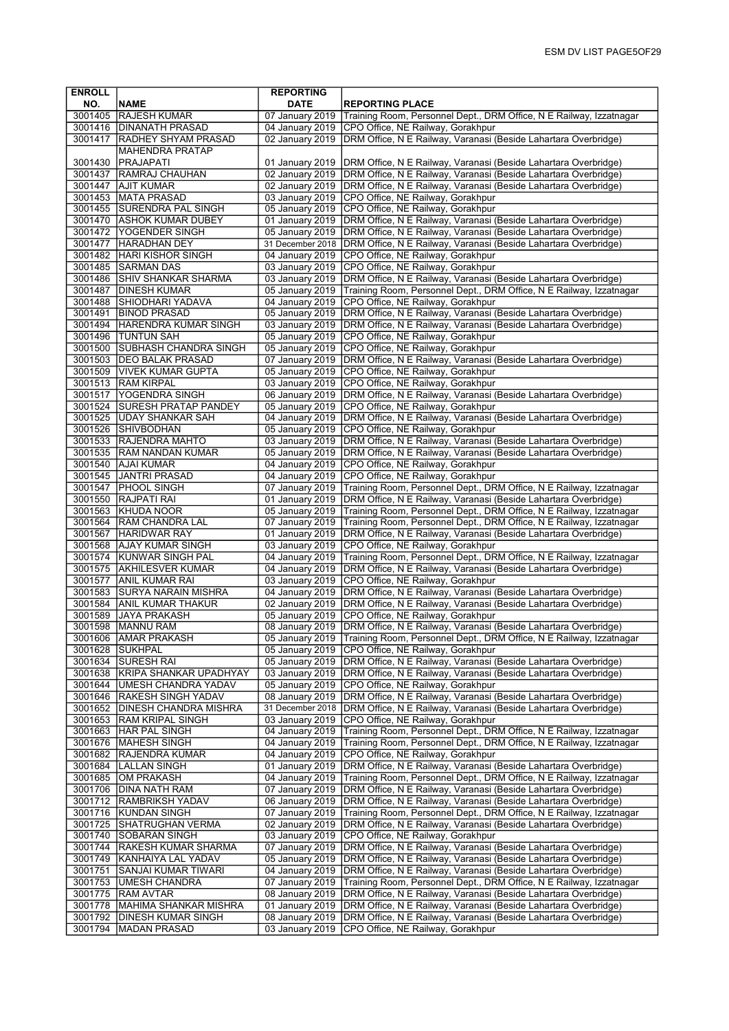| <b>ENROLL</b>      |                                                         | <b>REPORTING</b>                   |                                                                                                                                        |
|--------------------|---------------------------------------------------------|------------------------------------|----------------------------------------------------------------------------------------------------------------------------------------|
| NO.<br>3001405     | <b>NAME</b><br><b>RAJESH KUMAR</b>                      | <b>DATE</b><br>07 January 2019     | <b>REPORTING PLACE</b><br>Training Room, Personnel Dept., DRM Office, N E Railway, Izzatnagar                                          |
|                    | 3001416 DINANATH PRASAD                                 | 04 January 2019                    | CPO Office, NE Railway, Gorakhpur                                                                                                      |
|                    | 3001417   RADHEY SHYAM PRASAD                           | 02 January 2019                    | DRM Office, N E Railway, Varanasi (Beside Lahartara Overbridge)                                                                        |
|                    | <b>MAHENDRA PRATAP</b>                                  |                                    |                                                                                                                                        |
| 3001430            | <b>PRAJAPATI</b>                                        | 01 January 2019                    | DRM Office, N E Railway, Varanasi (Beside Lahartara Overbridge)                                                                        |
| 3001437            | <b>RAMRAJ CHAUHAN</b>                                   | 02 January 2019                    | DRM Office, N E Railway, Varanasi (Beside Lahartara Overbridge)                                                                        |
| 3001447            | <b>AJIT KUMAR</b>                                       | 02 January 2019                    | DRM Office, N E Railway, Varanasi (Beside Lahartara Overbridge)                                                                        |
|                    | 3001453 MATA PRASAD                                     | 03 January 2019                    | CPO Office, NE Railway, Gorakhpur                                                                                                      |
|                    | 3001455 SURENDRA PAL SINGH<br>3001470 ASHOK KUMAR DUBEY | 05 January 2019<br>01 January 2019 | CPO Office, NE Railway, Gorakhpur<br>DRM Office, N E Railway, Varanasi (Beside Lahartara Overbridge)                                   |
|                    | 3001472   YOGENDER SINGH                                | 05 January 2019                    | DRM Office, N E Railway, Varanasi (Beside Lahartara Overbridge)                                                                        |
| 3001477            | <b>HARADHAN DEY</b>                                     | 31 December 2018                   | DRM Office, N E Railway, Varanasi (Beside Lahartara Overbridge)                                                                        |
| 3001482            | <b>HARI KISHOR SINGH</b>                                | 04 January 2019                    | CPO Office, NE Railway, Gorakhpur                                                                                                      |
|                    | 3001485 SARMAN DAS                                      | 03 January 2019                    | CPO Office, NE Railway, Gorakhpur                                                                                                      |
|                    | 3001486 SHIV SHANKAR SHARMA                             | 03 January 2019                    | DRM Office, N E Railway, Varanasi (Beside Lahartara Overbridge)                                                                        |
|                    | 3001487   DINESH KUMAR                                  | 05 January 2019                    | Training Room, Personnel Dept., DRM Office, N E Railway, Izzatnagar                                                                    |
| 3001491            | 3001488 SHIODHARI YADAVA<br><b>BINOD PRASAD</b>         | 04 January 2019<br>05 January 2019 | CPO Office, NE Railway, Gorakhpur<br>DRM Office, N E Railway, Varanasi (Beside Lahartara Overbridge)                                   |
|                    | 3001494 HARENDRA KUMAR SINGH                            | 03 January 2019                    | DRM Office, N E Railway, Varanasi (Beside Lahartara Overbridge)                                                                        |
|                    | 3001496  TUNTUN SAH                                     | 05 January 2019                    | CPO Office, NE Railway, Gorakhpur                                                                                                      |
|                    | 3001500 SUBHASH CHANDRA SINGH                           | 05 January 2019                    | CPO Office, NE Railway, Gorakhpur                                                                                                      |
|                    | 3001503 DEO BALAK PRASAD                                | 07 January 2019                    | DRM Office, N E Railway, Varanasi (Beside Lahartara Overbridge)                                                                        |
|                    | 3001509   VIVEK KUMAR GUPTA                             | 05 January 2019                    | CPO Office, NE Railway, Gorakhpur                                                                                                      |
| 3001513            | <b>RAM KIRPAL</b>                                       | 03 January 2019                    | CPO Office, NE Railway, Gorakhpur                                                                                                      |
|                    | 3001517 YOGENDRA SINGH<br>3001524 SURESH PRATAP PANDEY  | 06 January 2019<br>05 January 2019 | DRM Office, N E Railway, Varanasi (Beside Lahartara Overbridge)<br>CPO Office, NE Railway, Gorakhpur                                   |
|                    | 3001525 UDAY SHANKAR SAH                                | 04 January 2019                    | DRM Office, N E Railway, Varanasi (Beside Lahartara Overbridge)                                                                        |
|                    | 3001526 SHIVBODHAN                                      | 05 January 2019                    | CPO Office, NE Railway, Gorakhpur                                                                                                      |
|                    | 3001533 RAJENDRA MAHTO                                  | 03 January 2019                    | DRM Office, N E Railway, Varanasi (Beside Lahartara Overbridge)                                                                        |
|                    | 3001535 RAM NANDAN KUMAR                                | 05 January 2019                    | DRM Office, N E Railway, Varanasi (Beside Lahartara Overbridge)                                                                        |
|                    | 3001540 AJAI KUMAR                                      | 04 January 2019                    | CPO Office, NE Railway, Gorakhpur                                                                                                      |
|                    | 3001545 JANTRI PRASAD                                   | 04 January 2019                    | CPO Office, NE Railway, Gorakhpur                                                                                                      |
|                    | 3001547   PHOOL SINGH<br>3001550 RAJPATI RAI            | 07 January 2019                    | Training Room, Personnel Dept., DRM Office, N E Railway, Izzatnagar                                                                    |
|                    | 3001563 KHUDA NOOR                                      | 01 January 2019<br>05 January 2019 | DRM Office, N E Railway, Varanasi (Beside Lahartara Overbridge)<br>Training Room, Personnel Dept., DRM Office, N E Railway, Izzatnagar |
|                    | 3001564   RAM CHANDRA LAL                               | 07 January 2019                    | Training Room, Personnel Dept., DRM Office, N E Railway, Izzatnagar                                                                    |
| 3001567            | <b>HARIDWAR RAY</b>                                     | 01 January 2019                    | DRM Office, N E Railway, Varanasi (Beside Lahartara Overbridge)                                                                        |
|                    | 3001568 AJAY KUMAR SINGH                                | 03 January 2019                    | CPO Office, NE Railway, Gorakhpur                                                                                                      |
|                    | 3001574 KUNWAR SINGH PAL                                | 04 January 2019                    | Training Room, Personnel Dept., DRM Office, N E Railway, Izzatnagar                                                                    |
|                    | 3001575 AKHILESVER KUMAR<br>3001577 ANIL KUMAR RAI      | 04 January 2019<br>03 January 2019 | DRM Office, N E Railway, Varanasi (Beside Lahartara Overbridge)<br>CPO Office, NE Railway, Gorakhpur                                   |
|                    | 3001583 SURYA NARAIN MISHRA                             | 04 January 2019                    | DRM Office, N E Railway, Varanasi (Beside Lahartara Overbridge)                                                                        |
|                    | 3001584 ANIL KUMAR THAKUR                               | 02 January 2019                    | DRM Office, N E Railway, Varanasi (Beside Lahartara Overbridge)                                                                        |
| 3001589            | <b>JAYA PRAKASH</b>                                     | 05 January 2019                    | CPO Office, NE Railway, Gorakhpur                                                                                                      |
| 3001598            | MANNU RAM                                               | 08 January 2019                    | DRM Office, N E Railway, Varanasi (Beside Lahartara Overbridge)                                                                        |
|                    | 3001606 AMAR PRAKASH                                    | 05 January 2019                    | Training Room, Personnel Dept., DRM Office, N E Railway, Izzatnagar                                                                    |
| 3001628            | <b>SUKHPAL</b>                                          | 05 January 2019                    | CPO Office, NE Railway, Gorakhpur<br>DRM Office, N E Railway, Varanasi (Beside Lahartara Overbridge)                                   |
| 3001634<br>3001638 | <b>SURESH RAI</b><br>KRIPA SHANKAR UPADHYAY             | 05 January 2019<br>03 January 2019 | DRM Office, N E Railway, Varanasi (Beside Lahartara Overbridge)                                                                        |
| 3001644            | UMESH CHANDRA YADAV                                     | 05 January 2019                    | CPO Office, NE Railway, Gorakhpur                                                                                                      |
|                    | 3001646 RAKESH SINGH YADAV                              | 08 January 2019                    | DRM Office, N E Railway, Varanasi (Beside Lahartara Overbridge)                                                                        |
|                    | 3001652 DINESH CHANDRA MISHRA                           | 31 December 2018                   | DRM Office, N E Railway, Varanasi (Beside Lahartara Overbridge)                                                                        |
| 3001653            | RAM KRIPAL SINGH                                        | 03 January 2019                    | CPO Office, NE Railway, Gorakhpur                                                                                                      |
| 3001663            | HAR PAL SINGH                                           | 04 January 2019                    | Training Room, Personnel Dept., DRM Office, N E Railway, Izzatnagar                                                                    |
| 3001676            | MAHESH SINGH                                            | 04 January 2019                    | Training Room, Personnel Dept., DRM Office, N E Railway, Izzatnagar                                                                    |
| 3001682            | <b>RAJENDRA KUMAR</b><br>3001684   LALLAN SINGH         | 04 January 2019<br>01 January 2019 | CPO Office, NE Railway, Gorakhpur<br>DRM Office, N E Railway, Varanasi (Beside Lahartara Overbridge)                                   |
| 3001685            | OM PRAKASH                                              | 04 January 2019                    | Training Room, Personnel Dept., DRM Office, N E Railway, Izzatnagar                                                                    |
| 3001706            | DINA NATH RAM                                           | 07 January 2019                    | DRM Office, N E Railway, Varanasi (Beside Lahartara Overbridge)                                                                        |
| 3001712            | <b>RAMBRIKSH YADAV</b>                                  | 06 January 2019                    | DRM Office, N E Railway, Varanasi (Beside Lahartara Overbridge)                                                                        |
|                    | 3001716 KUNDAN SINGH                                    | 07 January 2019                    | Training Room, Personnel Dept., DRM Office, N E Railway, Izzatnagar                                                                    |
| 3001725            | SHATRUGHAN VERMA                                        | 02 January 2019                    | DRM Office, N E Railway, Varanasi (Beside Lahartara Overbridge)                                                                        |
| 3001740<br>3001744 | <b>SOBARAN SINGH</b><br><b>RAKESH KUMAR SHARMA</b>      | 03 January 2019<br>07 January 2019 | CPO Office, NE Railway, Gorakhpur<br>DRM Office, N E Railway, Varanasi (Beside Lahartara Overbridge)                                   |
| 3001749            | KANHAIYA LAL YADAV                                      | 05 January 2019                    | DRM Office, N E Railway, Varanasi (Beside Lahartara Overbridge)                                                                        |
| 3001751            | SANJAI KUMAR TIWARI                                     | 04 January 2019                    | DRM Office, N E Railway, Varanasi (Beside Lahartara Overbridge)                                                                        |
| 3001753            | UMESH CHANDRA                                           | 07 January 2019                    | Training Room, Personnel Dept., DRM Office, N E Railway, Izzatnagar                                                                    |
| 3001775            | <b>RAM AVTAR</b>                                        | 08 January 2019                    | DRM Office, N E Railway, Varanasi (Beside Lahartara Overbridge)                                                                        |
| 3001778            | MAHIMA SHANKAR MISHRA                                   | 01 January 2019                    | DRM Office, N E Railway, Varanasi (Beside Lahartara Overbridge)                                                                        |
|                    | 3001792 DINESH KUMAR SINGH                              | 08 January 2019                    | DRM Office, N E Railway, Varanasi (Beside Lahartara Overbridge)                                                                        |
| 3001794            | MADAN PRASAD                                            | 03 January 2019                    | CPO Office, NE Railway, Gorakhpur                                                                                                      |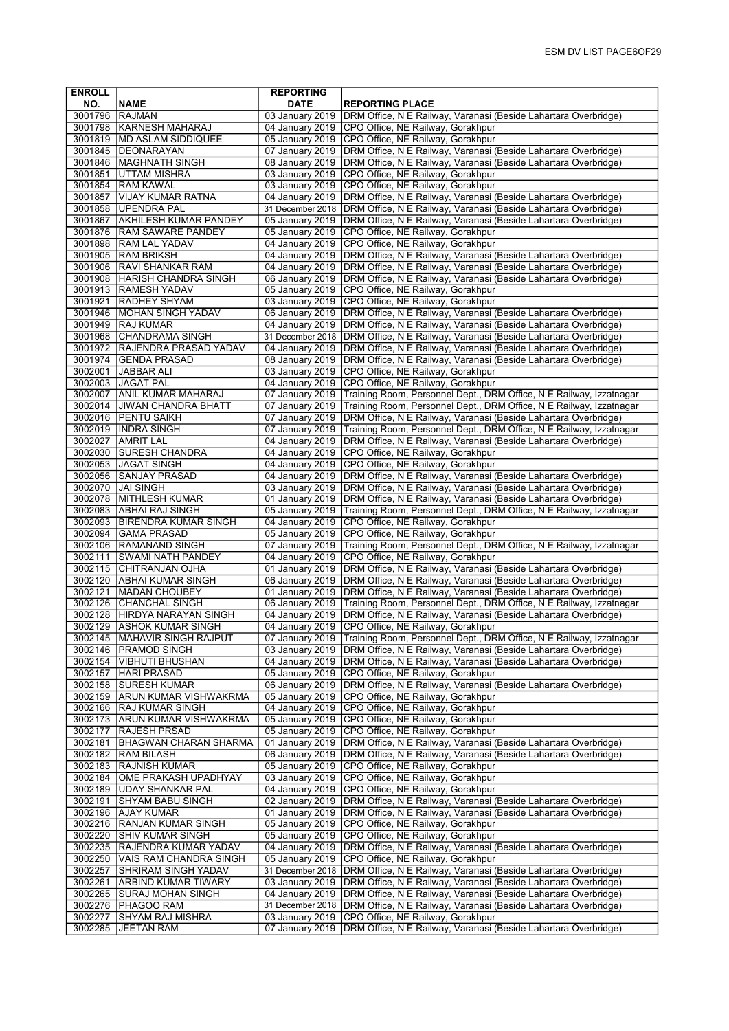| <b>ENROLL</b>      |                                                           | <b>REPORTING</b>                    |                                                                                                                                        |
|--------------------|-----------------------------------------------------------|-------------------------------------|----------------------------------------------------------------------------------------------------------------------------------------|
| NO.                | <b>NAME</b>                                               | <b>DATE</b>                         | <b>REPORTING PLACE</b>                                                                                                                 |
| 3001796            | <b>RAJMAN</b>                                             | 03 January 2019                     | DRM Office, N E Railway, Varanasi (Beside Lahartara Overbridge)                                                                        |
|                    | 3001798 KARNESH MAHARAJ                                   | 04 January 2019                     | CPO Office, NE Railway, Gorakhpur                                                                                                      |
|                    | 3001819   MD ASLAM SIDDIQUEE                              | 05 January 2019                     | CPO Office, NE Railway, Gorakhpur                                                                                                      |
| 3001845            | <b>DEONARAYAN</b>                                         | 07 January 2019                     | DRM Office, N E Railway, Varanasi (Beside Lahartara Overbridge)                                                                        |
| 3001846            | <b>IMAGHNATH SINGH</b>                                    | 08 January 2019                     | DRM Office, N E Railway, Varanasi (Beside Lahartara Overbridge)                                                                        |
| 3001851            | <b>JUTTAM MISHRA</b>                                      | 03 January 2019                     | CPO Office, NE Railway, Gorakhpur                                                                                                      |
| 3001854            | <b>RAM KAWAL</b>                                          | 03 January 2019                     | CPO Office, NE Railway, Gorakhpur                                                                                                      |
| 3001857            | VIJAY KUMAR RATNA                                         | 04 January 2019                     | DRM Office, N E Railway, Varanasi (Beside Lahartara Overbridge)                                                                        |
|                    | 3001858 UPENDRA PAL                                       | 31 December 2018<br>05 January 2019 | DRM Office, N E Railway, Varanasi (Beside Lahartara Overbridge)                                                                        |
| 3001867            | <b>AKHILESH KUMAR PANDEY</b><br>3001876 RAM SAWARE PANDEY | 05 January 2019                     | DRM Office, N E Railway, Varanasi (Beside Lahartara Overbridge)<br>CPO Office, NE Railway, Gorakhpur                                   |
| 3001898            | <b>RAM LAL YADAV</b>                                      | 04 January 2019                     | CPO Office, NE Railway, Gorakhpur                                                                                                      |
| 3001905            | <b>RAM BRIKSH</b>                                         | 04 January 2019                     | DRM Office, N E Railway, Varanasi (Beside Lahartara Overbridge)                                                                        |
|                    | 3001906 RAVI SHANKAR RAM                                  | 04 January 2019                     | DRM Office, N E Railway, Varanasi (Beside Lahartara Overbridge)                                                                        |
|                    | 3001908 HARISH CHANDRA SINGH                              | 06 January 2019                     | DRM Office, N E Railway, Varanasi (Beside Lahartara Overbridge)                                                                        |
|                    | 3001913 RAMESH YADAV                                      | 05 January 2019                     | CPO Office, NE Railway, Gorakhpur                                                                                                      |
| 3001921            | <b>RADHEY SHYAM</b>                                       | 03 January 2019                     | CPO Office, NE Railway, Gorakhpur                                                                                                      |
| 3001946            | MOHAN SINGH YADAV                                         | 06 January 2019                     | DRM Office, N E Railway, Varanasi (Beside Lahartara Overbridge)                                                                        |
| 3001949            | <b>RAJ KUMAR</b>                                          | 04 January 2019                     | DRM Office, N E Railway, Varanasi (Beside Lahartara Overbridge)                                                                        |
| 3001968            | <b>CHANDRAMA SINGH</b>                                    | 31 December 2018                    | DRM Office, N E Railway, Varanasi (Beside Lahartara Overbridge)                                                                        |
|                    | 3001972 RAJENDRA PRASAD YADAV                             | 04 January 2019                     | DRM Office, N E Railway, Varanasi (Beside Lahartara Overbridge)                                                                        |
|                    | 3001974 GENDA PRASAD                                      | 08 January 2019                     | DRM Office, N E Railway, Varanasi (Beside Lahartara Overbridge)                                                                        |
| 3002001            | <b>JABBAR ALI</b>                                         | 03 January 2019                     | CPO Office, NE Railway, Gorakhpur                                                                                                      |
| 3002003            | JAGAT PAL                                                 | 04 January 2019                     | CPO Office, NE Railway, Gorakhpur                                                                                                      |
| 3002007            | <b>ANIL KUMAR MAHARAJ</b>                                 | 07 January 2019                     | Training Room, Personnel Dept., DRM Office, N E Railway, Izzatnagar                                                                    |
| 3002014            | <b>JIWAN CHANDRA BHATT</b>                                | 07 January 2019                     | Training Room, Personnel Dept., DRM Office, N E Railway, Izzatnagar                                                                    |
| 3002019            | 3002016   PENTU SAIKH<br><b>INDRA SINGH</b>               | 07 January 2019<br>07 January 2019  | DRM Office, N E Railway, Varanasi (Beside Lahartara Overbridge)                                                                        |
| 3002027            | <b>AMRIT LAL</b>                                          | 04 January 2019                     | Training Room, Personnel Dept., DRM Office, N E Railway, Izzatnagar<br>DRM Office, N E Railway, Varanasi (Beside Lahartara Overbridge) |
|                    | 3002030 SURESH CHANDRA                                    | 04 January 2019                     | CPO Office, NE Railway, Gorakhpur                                                                                                      |
|                    | 3002053 JAGAT SINGH                                       | 04 January 2019                     | CPO Office, NE Railway, Gorakhpur                                                                                                      |
| 3002056            | <b>SANJAY PRASAD</b>                                      | 04 January 2019                     | DRM Office, N E Railway, Varanasi (Beside Lahartara Overbridge)                                                                        |
|                    | 3002070 JJAI SINGH                                        | 03 January 2019                     | DRM Office, N E Railway, Varanasi (Beside Lahartara Overbridge)                                                                        |
|                    | 3002078 MITHLESH KUMAR                                    | 01 January 2019                     | DRM Office, N E Railway, Varanasi (Beside Lahartara Overbridge)                                                                        |
|                    | 3002083 ABHAI RAJ SINGH                                   | 05 January 2019                     | Training Room, Personnel Dept., DRM Office, N E Railway, Izzatnagar                                                                    |
| 3002093            | <b>BIRENDRA KUMAR SINGH</b>                               | 04 January 2019                     | CPO Office, NE Railway, Gorakhpur                                                                                                      |
| 3002094            | <b>GAMA PRASAD</b>                                        | 05 January 2019                     | CPO Office, NE Railway, Gorakhpur                                                                                                      |
| 3002106            | <b>RAMANAND SINGH</b>                                     | 07 January 2019                     | Training Room, Personnel Dept., DRM Office, N E Railway, Izzatnagar                                                                    |
| 3002111            | <b>SWAMI NATH PANDEY</b>                                  | 04 January 2019                     | CPO Office, NE Railway, Gorakhpur                                                                                                      |
|                    | 3002115 CHITRANJAN OJHA                                   | 01 January 2019                     | DRM Office, N E Railway, Varanasi (Beside Lahartara Overbridge)                                                                        |
|                    | 3002120 ABHAI KUMAR SINGH                                 | 06 January 2019                     | DRM Office, N E Railway, Varanasi (Beside Lahartara Overbridge)                                                                        |
|                    | 3002121 MADAN CHOUBEY                                     | 01 January 2019                     | DRM Office, N E Railway, Varanasi (Beside Lahartara Overbridge)                                                                        |
| 3002128            | 3002126 CHANCHAL SINGH<br><b>HIRDYA NARAYAN SINGH</b>     | 06 January 2019<br>04 January 2019  | Training Room, Personnel Dept., DRM Office, N E Railway, Izzatnagar<br>DRM Office, N E Railway, Varanasi (Beside Lahartara Overbridge) |
| 3002129            | <b>ASHOK KUMAR SINGH</b>                                  | 04 January 2019                     | CPO Office, NE Railway, Gorakhpur                                                                                                      |
|                    | 3002145   MAHAVIR SINGH RAJPUT                            | 07 January 2019                     | Training Room, Personnel Dept., DRM Office, N E Railway, Izzatnagar                                                                    |
| 3002146            | <b>PRAMOD SINGH</b>                                       | 03 January 2019                     | DRM Office, N E Railway, Varanasi (Beside Lahartara Overbridge)                                                                        |
|                    | 3002154   VIBHUTI BHUSHAN                                 | 04 January 2019                     | DRM Office, N E Railway, Varanasi (Beside Lahartara Overbridge)                                                                        |
| 3002157            | HARI PRASAD                                               | 05 January 2019                     | CPO Office, NE Railway, Gorakhpur                                                                                                      |
|                    | 3002158 SURESH KUMAR                                      | 06 January 2019                     | DRM Office, N E Railway, Varanasi (Beside Lahartara Overbridge)                                                                        |
|                    | 3002159 ARUN KUMAR VISHWAKRMA                             | 05 January 2019                     | CPO Office, NE Railway, Gorakhpur                                                                                                      |
|                    | 3002166 RAJ KUMAR SINGH                                   | 04 January 2019                     | CPO Office, NE Railway, Gorakhpur                                                                                                      |
| 3002173            | <b>ARUN KUMAR VISHWAKRMA</b>                              | 05 January 2019                     | CPO Office, NE Railway, Gorakhpur                                                                                                      |
| 3002177            | <b>RAJESH PRSAD</b>                                       | 05 January 2019                     | CPO Office, NE Railway, Gorakhpur                                                                                                      |
| 3002181            | BHAGWAN CHARAN SHARMA                                     | 01 January 2019                     | DRM Office, N E Railway, Varanasi (Beside Lahartara Overbridge)                                                                        |
|                    | 3002182  RAM BILASH                                       | 06 January 2019                     | DRM Office, N E Railway, Varanasi (Beside Lahartara Overbridge)                                                                        |
| 3002183<br>3002184 | RAJNISH KUMAR<br>OME PRAKASH UPADHYAY                     | 05 January 2019<br>03 January 2019  | CPO Office, NE Railway, Gorakhpur<br>CPO Office, NE Railway, Gorakhpur                                                                 |
| 3002189            | <b>JUDAY SHANKAR PAL</b>                                  | 04 January 2019                     | CPO Office, NE Railway, Gorakhpur                                                                                                      |
| 3002191            | SHYAM BABU SINGH                                          | 02 January 2019                     | DRM Office, N E Railway, Varanasi (Beside Lahartara Overbridge)                                                                        |
|                    | 3002196   AJAY KUMAR                                      | 01 January 2019                     | DRM Office, N E Railway, Varanasi (Beside Lahartara Overbridge)                                                                        |
| 3002216            | <b>RANJAN KUMAR SINGH</b>                                 | 05 January 2019                     | CPO Office, NE Railway, Gorakhpur                                                                                                      |
| 3002220            | SHIV KUMAR SINGH                                          | 05 January 2019                     | CPO Office, NE Railway, Gorakhpur                                                                                                      |
| 3002235            | RAJENDRA KUMAR YADAV                                      | 04 January 2019                     | DRM Office, N E Railway, Varanasi (Beside Lahartara Overbridge)                                                                        |
| 3002250            | VAIS RAM CHANDRA SINGH                                    | 05 January 2019                     | CPO Office, NE Railway, Gorakhpur                                                                                                      |
| 3002257            | SHRIRAM SINGH YADAV                                       | 31 December 2018                    | DRM Office, N E Railway, Varanasi (Beside Lahartara Overbridge)                                                                        |
| 3002261            | ARBIND KUMAR TIWARY                                       | 03 January 2019                     | DRM Office, N E Railway, Varanasi (Beside Lahartara Overbridge)                                                                        |
| 3002265            | SURAJ MOHAN SINGH                                         | 04 January 2019                     | DRM Office, N E Railway, Varanasi (Beside Lahartara Overbridge)                                                                        |
| 3002276            | <b>PHAGOO RAM</b>                                         | 31 December 2018                    | DRM Office, N E Railway, Varanasi (Beside Lahartara Overbridge)                                                                        |
| 3002277            | SHYAM RAJ MISHRA                                          | 03 January 2019                     | CPO Office, NE Railway, Gorakhpur                                                                                                      |
| 3002285            | <b>JEETAN RAM</b>                                         | 07 January 2019                     | DRM Office, N E Railway, Varanasi (Beside Lahartara Overbridge)                                                                        |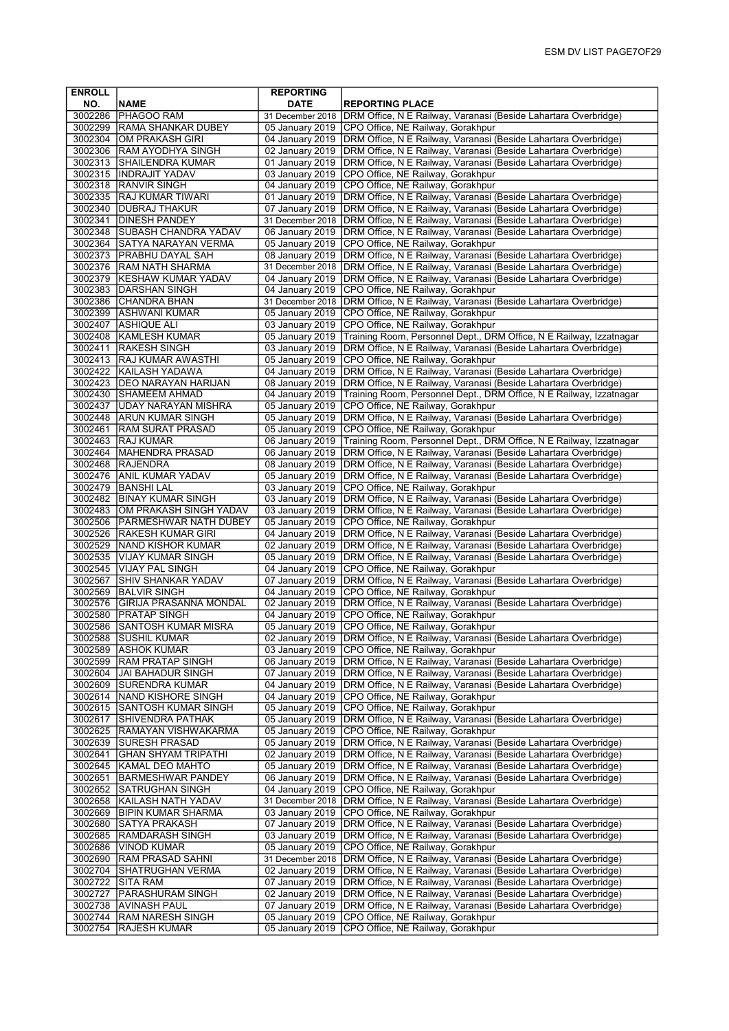| <b>ENROLL</b>      |                                                     | <b>REPORTING</b>                   |                                                                                                                                    |
|--------------------|-----------------------------------------------------|------------------------------------|------------------------------------------------------------------------------------------------------------------------------------|
| NO.                | <b>NAME</b>                                         | <b>DATE</b>                        | <b>REPORTING PLACE</b>                                                                                                             |
| 3002286            | <b>PHAGOO RAM</b>                                   | 31 December 2018                   | DRM Office, N E Railway, Varanasi (Beside Lahartara Overbridge)                                                                    |
|                    | 3002299 RAMA SHANKAR DUBEY                          | 05 January 2019                    | CPO Office, NE Railway, Gorakhpur                                                                                                  |
|                    | 3002304 OM PRAKASH GIRI                             | 04 January 2019                    | DRM Office, N E Railway, Varanasi (Beside Lahartara Overbridge)                                                                    |
| 3002306            | <b>RAM AYODHYA SINGH</b>                            | 02 January 2019                    | DRM Office, N E Railway, Varanasi (Beside Lahartara Overbridge)                                                                    |
|                    | 3002313 SHAILENDRA KUMAR                            | 01 January 2019                    | DRM Office, N E Railway, Varanasi (Beside Lahartara Overbridge)                                                                    |
|                    | 3002315  INDRAJIT YADAV                             | 03 January 2019                    | CPO Office, NE Railway, Gorakhpur                                                                                                  |
|                    | 3002318 RANVIR SINGH                                | 04 January 2019                    | CPO Office, NE Railway, Gorakhpur                                                                                                  |
|                    | 3002335 RAJ KUMAR TIWARI                            | 01 January 2019                    | DRM Office, N E Railway, Varanasi (Beside Lahartara Overbridge)                                                                    |
|                    | 3002340 DUBRAJ THAKUR                               | 07 January 2019                    | DRM Office, N E Railway, Varanasi (Beside Lahartara Overbridge)                                                                    |
| 3002341            | <b>DINESH PANDEY</b>                                | 31 December 2018                   | DRM Office, N E Railway, Varanasi (Beside Lahartara Overbridge)                                                                    |
|                    | 3002348 SUBASH CHANDRA YADAV                        | 06 January 2019                    | DRM Office, N E Railway, Varanasi (Beside Lahartara Overbridge)                                                                    |
| 3002364            | <b>SATYA NARAYAN VERMA</b>                          | 05 January 2019                    | CPO Office, NE Railway, Gorakhpur                                                                                                  |
| 3002373            | <b>PRABHU DAYAL SAH</b>                             | 08 January 2019                    | DRM Office, N E Railway, Varanasi (Beside Lahartara Overbridge)                                                                    |
|                    | 3002376 RAM NATH SHARMA                             | 31 December 2018                   | DRM Office, N E Railway, Varanasi (Beside Lahartara Overbridge)                                                                    |
|                    | 3002379 KESHAW KUMAR YADAV                          | 04 January 2019                    | DRM Office, N E Railway, Varanasi (Beside Lahartara Overbridge)                                                                    |
|                    | 3002383 DARSHAN SINGH                               | 04 January 2019                    | CPO Office, NE Railway, Gorakhpur                                                                                                  |
|                    | 3002386 CHANDRA BHAN                                | 31 December 2018                   | DRM Office, N E Railway, Varanasi (Beside Lahartara Overbridge)                                                                    |
| 3002399            | <b>ASHWANI KUMAR</b>                                | 05 January 2019                    | CPO Office, NE Railway, Gorakhpur                                                                                                  |
| 3002407            | <b>ASHIQUE ALI</b>                                  | 03 January 2019                    | CPO Office, NE Railway, Gorakhpur                                                                                                  |
|                    | 3002408 KAMLESH KUMAR                               | 05 January 2019                    | Training Room, Personnel Dept., DRM Office, N E Railway, Izzatnagar                                                                |
|                    | 3002411 RAKESH SINGH                                | 03 January 2019                    | DRM Office, N E Railway, Varanasi (Beside Lahartara Overbridge)                                                                    |
|                    | 3002413   RAJ KUMAR AWASTHI                         | 05 January 2019                    | CPO Office, NE Railway, Gorakhpur                                                                                                  |
| 3002422            | <b>KAILASH YADAWA</b>                               | 04 January 2019                    | DRM Office, N E Railway, Varanasi (Beside Lahartara Overbridge)                                                                    |
|                    | 3002423   DEO NARAYAN HARIJAN                       | 08 January 2019                    | DRM Office, N E Railway, Varanasi (Beside Lahartara Overbridge)                                                                    |
| 3002430            | <b>SHAMEEM AHMAD</b>                                | 04 January 2019                    | Training Room, Personnel Dept., DRM Office, N E Railway, Izzatnagar                                                                |
| 3002437            | UDAY NARAYAN MISHRA                                 | 05 January 2019                    | CPO Office, NE Railway, Gorakhpur                                                                                                  |
|                    | 3002448 ARUN KUMAR SINGH                            | 05 January 2019                    | DRM Office, N E Railway, Varanasi (Beside Lahartara Overbridge)                                                                    |
| 3002461            | <b>RAM SURAT PRASAD</b>                             | 05 January 2019                    | CPO Office, NE Railway, Gorakhpur                                                                                                  |
| 3002463            | <b>RAJ KUMAR</b>                                    | 06 January 2019                    | Training Room, Personnel Dept., DRM Office, N E Railway, Izzatnagar                                                                |
|                    | 3002464 MAHENDRA PRASAD                             | 06 January 2019                    | DRM Office, N E Railway, Varanasi (Beside Lahartara Overbridge)                                                                    |
|                    | 3002468 RAJENDRA                                    | 08 January 2019                    | DRM Office, N E Railway, Varanasi (Beside Lahartara Overbridge)                                                                    |
| 3002476            | <b>ANIL KUMAR YADAV</b>                             | 05 January 2019                    | DRM Office, N E Railway, Varanasi (Beside Lahartara Overbridge)                                                                    |
|                    | 3002479   BANSHI LAL                                | 03 January 2019                    | CPO Office, NE Railway, Gorakhpur                                                                                                  |
|                    | 3002482 BINAY KUMAR SINGH                           | 03 January 2019                    | DRM Office, N E Railway, Varanasi (Beside Lahartara Overbridge)                                                                    |
|                    | 3002483 OM PRAKASH SINGH YADAV                      | 03 January 2019                    | DRM Office, N E Railway, Varanasi (Beside Lahartara Overbridge)                                                                    |
| 3002506            | <b>PARMESHWAR NATH DUBEY</b>                        | 05 January 2019                    | CPO Office, NE Railway, Gorakhpur                                                                                                  |
| 3002526            | <b>RAKESH KUMAR GIRI</b>                            | 04 January 2019                    | DRM Office, N E Railway, Varanasi (Beside Lahartara Overbridge)                                                                    |
| 3002529            | <b>NAND KISHOR KUMAR</b>                            | 02 January 2019                    | DRM Office, N E Railway, Varanasi (Beside Lahartara Overbridge)                                                                    |
|                    | 3002535 VIJAY KUMAR SINGH                           | 05 January 2019                    | DRM Office, N E Railway, Varanasi (Beside Lahartara Overbridge)                                                                    |
|                    | 3002545 VIJAY PAL SINGH                             | 04 January 2019                    | CPO Office, NE Railway, Gorakhpur                                                                                                  |
| 3002567            | SHIV SHANKAR YADAV                                  | 07 January 2019                    | DRM Office, N E Railway, Varanasi (Beside Lahartara Overbridge)                                                                    |
| 3002569            | <b>BALVIR SINGH</b>                                 | 04 January 2019                    | CPO Office, NE Railway, Gorakhpur                                                                                                  |
| 3002576            | <b>GIRIJA PRASANNA MONDAL</b>                       | 02 January 2019                    | DRM Office, N E Railway, Varanasi (Beside Lahartara Overbridge)                                                                    |
| 3002580            | <b>PRATAP SINGH</b>                                 | 04 January 2019                    | CPO Office, NE Railway, Gorakhpur                                                                                                  |
| 3002586            | <b>SANTOSH KUMAR MISRA</b>                          | 05 January 2019                    | CPO Office, NE Railway, Gorakhpur                                                                                                  |
| 3002589            | 3002588  SUSHIL KUMAR<br><b>ASHOK KUMAR</b>         | 02 January 2019                    | DRM Office, N E Railway, Varanasi (Beside Lahartara Overbridge)<br>CPO Office, NE Railway, Gorakhpur                               |
|                    |                                                     | 03 January 2019                    |                                                                                                                                    |
| 3002599<br>3002604 | <b>RAM PRATAP SINGH</b><br><b>JAI BAHADUR SINGH</b> | 06 January 2019<br>07 January 2019 | DRM Office, N E Railway, Varanasi (Beside Lahartara Overbridge)<br>DRM Office, N E Railway, Varanasi (Beside Lahartara Overbridge) |
|                    | 3002609 SURENDRA KUMAR                              | 04 January 2019                    | DRM Office, N E Railway, Varanasi (Beside Lahartara Overbridge)                                                                    |
| 3002614            | <b>NAND KISHORE SINGH</b>                           | 04 January 2019                    | CPO Office, NE Railway, Gorakhpur                                                                                                  |
|                    | 3002615 SANTOSH KUMAR SINGH                         | 05 January 2019                    | CPO Office, NE Railway, Gorakhpur                                                                                                  |
| 3002617            | SHIVENDRA PATHAK                                    | 05 January 2019                    | DRM Office, N E Railway, Varanasi (Beside Lahartara Overbridge)                                                                    |
| 3002625            | RAMAYAN VISHWAKARMA                                 | 05 January 2019                    | CPO Office, NE Railway, Gorakhpur                                                                                                  |
| 3002639            | <b>SURESH PRASAD</b>                                | 05 January 2019                    | DRM Office, N E Railway, Varanasi (Beside Lahartara Overbridge)                                                                    |
| 3002641            | GHAN SHYAM TRIPATHI                                 | 02 January 2019                    | DRM Office, N E Railway, Varanasi (Beside Lahartara Overbridge)                                                                    |
| 3002645            | KAMAL DEO MAHTO                                     | 05 January 2019                    | DRM Office, N E Railway, Varanasi (Beside Lahartara Overbridge)                                                                    |
| 3002651            | <b>BARMESHWAR PANDEY</b>                            | 06 January 2019                    | DRM Office, N E Railway, Varanasi (Beside Lahartara Overbridge)                                                                    |
| 3002652            | <b>SATRUGHAN SINGH</b>                              | 04 January 2019                    | CPO Office, NE Railway, Gorakhpur                                                                                                  |
| 3002658            | KAILASH NATH YADAV                                  | 31 December 2018                   | DRM Office, N E Railway, Varanasi (Beside Lahartara Overbridge)                                                                    |
| 3002669            | <b>BIPIN KUMAR SHARMA</b>                           | 03 January 2019                    | CPO Office, NE Railway, Gorakhpur                                                                                                  |
| 3002680            | SATYA PRAKASH                                       | 07 January 2019                    | DRM Office, N E Railway, Varanasi (Beside Lahartara Overbridge)                                                                    |
| 3002685            | <b>RAMDARASH SINGH</b>                              | 03 January 2019                    | DRM Office, N E Railway, Varanasi (Beside Lahartara Overbridge)                                                                    |
| 3002686            | VINOD KUMAR                                         | 05 January 2019                    | CPO Office, NE Railway, Gorakhpur                                                                                                  |
| 3002690            | <b>RAM PRASAD SAHNI</b>                             | 31 December 2018                   | DRM Office, N E Railway, Varanasi (Beside Lahartara Overbridge)                                                                    |
| 3002704            | SHATRUGHAN VERMA                                    | 02 January 2019                    | DRM Office, N E Railway, Varanasi (Beside Lahartara Overbridge)                                                                    |
| 3002722            | SITA RAM                                            | 07 January 2019                    | DRM Office, N E Railway, Varanasi (Beside Lahartara Overbridge)                                                                    |
| 3002727            | <b>PARASHURAM SINGH</b>                             | 02 January 2019                    | DRM Office, N E Railway, Varanasi (Beside Lahartara Overbridge)                                                                    |
| 3002738            | AVINASH PAUL                                        | 07 January 2019                    | DRM Office, N E Railway, Varanasi (Beside Lahartara Overbridge)                                                                    |
| 3002744            | <b>RAM NARESH SINGH</b>                             | 05 January 2019                    | CPO Office, NE Railway, Gorakhpur                                                                                                  |
| 3002754            | <b>RAJESH KUMAR</b>                                 | 05 January 2019                    | CPO Office, NE Railway, Gorakhpur                                                                                                  |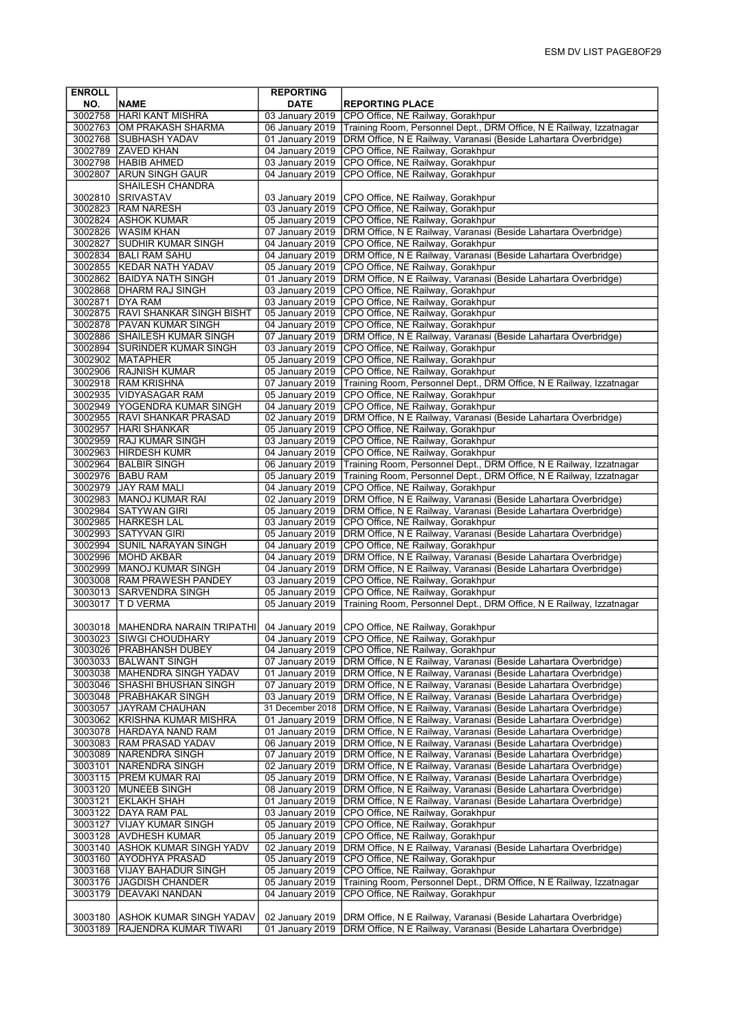| <b>ENROLL</b> |                                                   | <b>REPORTING</b>                    |                                                                                                                                                                      |
|---------------|---------------------------------------------------|-------------------------------------|----------------------------------------------------------------------------------------------------------------------------------------------------------------------|
| NO.           | <b>NAME</b>                                       | <b>DATE</b>                         | <b>REPORTING PLACE</b>                                                                                                                                               |
|               | 3002758 HARI KANT MISHRA                          |                                     | 03 January 2019 CPO Office, NE Railway, Gorakhpur                                                                                                                    |
|               | 3002763 OM PRAKASH SHARMA                         |                                     | 06 January 2019 Training Room, Personnel Dept., DRM Office, N E Railway, Izzatnagar                                                                                  |
|               | 3002768 SUBHASH YADAV                             |                                     | 01 January 2019   DRM Office, N E Railway, Varanasi (Beside Lahartara Overbridge)                                                                                    |
|               | 3002789 ZAVED KHAN                                |                                     | 04 January 2019 CPO Office, NE Railway, Gorakhpur                                                                                                                    |
|               | 3002798 HABIB AHMED                               | 03 January 2019                     | CPO Office, NE Railway, Gorakhpur                                                                                                                                    |
| 3002807       | <b>ARUN SINGH GAUR</b><br><b>SHAILESH CHANDRA</b> | 04 January 2019                     | CPO Office, NE Railway, Gorakhpur                                                                                                                                    |
| 3002810       | SRIVASTAV                                         | 03 January 2019                     | CPO Office, NE Railway, Gorakhpur                                                                                                                                    |
|               | 3002823 RAM NARESH                                | 03 January 2019                     | CPO Office, NE Railway, Gorakhpur                                                                                                                                    |
|               | 3002824 ASHOK KUMAR                               |                                     | 05 January 2019 CPO Office, NE Railway, Gorakhpur                                                                                                                    |
| 3002826       | <b>WASIM KHAN</b>                                 |                                     | 07 January 2019   DRM Office, N E Railway, Varanasi (Beside Lahartara Overbridge)                                                                                    |
| 3002827       | <b>SUDHIR KUMAR SINGH</b>                         |                                     | 04 January 2019 CPO Office, NE Railway, Gorakhpur                                                                                                                    |
|               | 3002834 BALI RAM SAHU                             |                                     | 04 January 2019   DRM Office, N E Railway, Varanasi (Beside Lahartara Overbridge)                                                                                    |
|               | 3002855 KEDAR NATH YADAV                          |                                     | 05 January 2019 CPO Office, NE Railway, Gorakhpur                                                                                                                    |
|               | 3002862 BAIDYA NATH SINGH                         |                                     | 01 January 2019   DRM Office, N E Railway, Varanasi (Beside Lahartara Overbridge)                                                                                    |
|               | 3002868   DHARM RAJ SINGH                         |                                     | 03 January 2019 CPO Office, NE Railway, Gorakhpur                                                                                                                    |
|               | 3002871 DYA RAM                                   |                                     | 03 January 2019 CPO Office, NE Railway, Gorakhpur                                                                                                                    |
|               | 3002875 RAVI SHANKAR SINGH BISHT                  |                                     | 05 January 2019 CPO Office, NE Railway, Gorakhpur                                                                                                                    |
|               | 3002878 PAVAN KUMAR SINGH                         |                                     | 04 January 2019 CPO Office, NE Railway, Gorakhpur                                                                                                                    |
|               | 3002886 SHAILESH KUMAR SINGH                      |                                     | 07 January 2019 DRM Office, N E Railway, Varanasi (Beside Lahartara Overbridge)                                                                                      |
|               | 3002894 SURINDER KUMAR SINGH                      |                                     | 03 January 2019 CPO Office, NE Railway, Gorakhpur                                                                                                                    |
|               | 3002902 MATAPHER                                  |                                     | 05 January 2019 CPO Office, NE Railway, Gorakhpur                                                                                                                    |
|               | 3002906 RAJNISH KUMAR<br>3002918 RAM KRISHNA      | 07 January 2019                     | 05 January 2019 CPO Office, NE Railway, Gorakhpur<br>Training Room, Personnel Dept., DRM Office, N E Railway, Izzatnagar                                             |
|               | 3002935 VIDYASAGAR RAM                            | 05 January 2019                     | CPO Office, NE Railway, Gorakhpur                                                                                                                                    |
|               | 3002949 YOGENDRA KUMAR SINGH                      |                                     | 04 January 2019 CPO Office, NE Railway, Gorakhpur                                                                                                                    |
|               | 3002955 RAVI SHANKAR PRASAD                       |                                     | 02 January 2019   DRM Office, N E Railway, Varanasi (Beside Lahartara Overbridge)                                                                                    |
| 3002957       | <b>HARI SHANKAR</b>                               |                                     | 05 January 2019 CPO Office, NE Railway, Gorakhpur                                                                                                                    |
|               | 3002959 RAJ KUMAR SINGH                           |                                     | 03 January 2019 CPO Office, NE Railway, Gorakhpur                                                                                                                    |
|               | 3002963 HIRDESH KUMR                              |                                     | 04 January 2019 CPO Office, NE Railway, Gorakhpur                                                                                                                    |
|               | 3002964 BALBIR SINGH                              | 06 January 2019                     | Training Room, Personnel Dept., DRM Office, N E Railway, Izzatnagar                                                                                                  |
|               | 3002976 BABU RAM                                  |                                     | 05 January 2019   Training Room, Personnel Dept., DRM Office, N E Railway, Izzatnagar                                                                                |
|               | 3002979 JAY RAM MALI                              |                                     | 04 January 2019 CPO Office, NE Railway, Gorakhpur                                                                                                                    |
|               | 3002983  MANOJ KUMAR RAI                          |                                     | 02 January 2019   DRM Office, N E Railway, Varanasi (Beside Lahartara Overbridge)                                                                                    |
|               | 3002984 SATYWAN GIRI                              |                                     | 05 January 2019   DRM Office, N E Railway, Varanasi (Beside Lahartara Overbridge)                                                                                    |
|               | 3002985 HARKESH LAL                               | 03 January 2019                     | CPO Office, NE Railway, Gorakhpur                                                                                                                                    |
| 3002993       | <b>SATYVAN GIRI</b>                               | 05 January 2019                     | DRM Office, N E Railway, Varanasi (Beside Lahartara Overbridge)                                                                                                      |
|               | 3002994 SUNIL NARAYAN SINGH                       | 04 January 2019                     | CPO Office, NE Railway, Gorakhpur                                                                                                                                    |
|               | 3002996 MOHD AKBAR<br>3002999   MANOJ KUMAR SINGH |                                     | 04 January 2019   DRM Office, N E Railway, Varanasi (Beside Lahartara Overbridge)<br>04 January 2019 DRM Office, N E Railway, Varanasi (Beside Lahartara Overbridge) |
|               | 3003008   RAM PRAWESH PANDEY                      | 03 January 2019                     | CPO Office, NE Railway, Gorakhpur                                                                                                                                    |
| 3003013       | <b>SARVENDRA SINGH</b>                            | 05 January 2019                     | CPO Office, NE Railway, Gorakhpur                                                                                                                                    |
| 3003017       | <b>T D VERMA</b>                                  | 05 January 2019                     | Training Room, Personnel Dept., DRM Office, N E Railway, Izzatnagar                                                                                                  |
|               |                                                   |                                     |                                                                                                                                                                      |
|               | 3003018   MAHENDRA NARAIN TRIPATHI                |                                     | 04 January 2019 CPO Office, NE Railway, Gorakhpur                                                                                                                    |
|               | 3003023  SIWGI CHOUDHARY                          |                                     | 04 January 2019  CPO Office, NE Railway, Gorakhpur                                                                                                                   |
|               | 3003026 PRABHANSH DUBEY                           |                                     | 04 January 2019 CPO Office, NE Railway, Gorakhpur                                                                                                                    |
| 3003033       | BALWANT SINGH                                     | 07 January 2019                     | DRM Office, N E Railway, Varanasi (Beside Lahartara Overbridge)                                                                                                      |
|               | 3003038   MAHENDRA SINGH YADAV                    | 01 January 2019                     | DRM Office, N E Railway, Varanasi (Beside Lahartara Overbridge)                                                                                                      |
|               | 3003046 SHASHI BHUSHAN SINGH                      | 07 January 2019                     | DRM Office, N E Railway, Varanasi (Beside Lahartara Overbridge)                                                                                                      |
|               | 3003048   PRABHAKAR SINGH                         | 03 January 2019                     | DRM Office, N E Railway, Varanasi (Beside Lahartara Overbridge)                                                                                                      |
| 3003057       | <b>JAYRAM CHAUHAN</b>                             | 31 December 2018<br>01 January 2019 | DRM Office, N E Railway, Varanasi (Beside Lahartara Overbridge)<br>DRM Office, N E Railway, Varanasi (Beside Lahartara Overbridge)                                   |
| 3003078       | 3003062 KRISHNA KUMAR MISHRA<br>HARDAYA NAND RAM  | 01 January 2019                     | DRM Office, N E Railway, Varanasi (Beside Lahartara Overbridge)                                                                                                      |
|               | 3003083 RAM PRASAD YADAV                          | 06 January 2019                     | DRM Office, N E Railway, Varanasi (Beside Lahartara Overbridge)                                                                                                      |
|               | 3003089 NARENDRA SINGH                            | 07 January 2019                     | DRM Office, N E Railway, Varanasi (Beside Lahartara Overbridge)                                                                                                      |
|               | 3003101 NARENDRA SINGH                            | 02 January 2019                     | DRM Office, N E Railway, Varanasi (Beside Lahartara Overbridge)                                                                                                      |
|               | 3003115   PREM KUMAR RAI                          | 05 January 2019                     | DRM Office, N E Railway, Varanasi (Beside Lahartara Overbridge)                                                                                                      |
|               | 3003120 MUNEEB SINGH                              | 08 January 2019                     | DRM Office, N E Railway, Varanasi (Beside Lahartara Overbridge)                                                                                                      |
| 3003121       | <b>EKLAKH SHAH</b>                                | 01 January 2019                     | DRM Office, N E Railway, Varanasi (Beside Lahartara Overbridge)                                                                                                      |
|               | 3003122 DAYA RAM PAL                              | 03 January 2019                     | CPO Office, NE Railway, Gorakhpur                                                                                                                                    |
| 3003127       | <b>VIJAY KUMAR SINGH</b>                          | 05 January 2019                     | CPO Office, NE Railway, Gorakhpur                                                                                                                                    |
|               | 3003128 AVDHESH KUMAR                             | 05 January 2019                     | CPO Office, NE Railway, Gorakhpur                                                                                                                                    |
| 3003140       | ASHOK KUMAR SINGH YADV                            | 02 January 2019                     | DRM Office, N E Railway, Varanasi (Beside Lahartara Overbridge)                                                                                                      |
| 3003160       | <b>AYODHYA PRASAD</b>                             | 05 January 2019                     | CPO Office, NE Railway, Gorakhpur                                                                                                                                    |
| 3003168       | VIJAY BAHADUR SINGH                               | 05 January 2019                     | CPO Office, NE Railway, Gorakhpur                                                                                                                                    |
| 3003176       | <b>JAGDISH CHANDER</b>                            | 05 January 2019                     | Training Room, Personnel Dept., DRM Office, N E Railway, Izzatnagar                                                                                                  |
| 3003179       | <b>DEAVAKI NANDAN</b>                             | 04 January 2019                     | CPO Office, NE Railway, Gorakhpur                                                                                                                                    |
| 3003180       | ASHOK KUMAR SINGH YADAV                           | 02 January 2019                     | DRM Office, N E Railway, Varanasi (Beside Lahartara Overbridge)                                                                                                      |
| 3003189       | RAJENDRA KUMAR TIWARI                             | 01 January 2019                     | DRM Office, N E Railway, Varanasi (Beside Lahartara Overbridge)                                                                                                      |
|               |                                                   |                                     |                                                                                                                                                                      |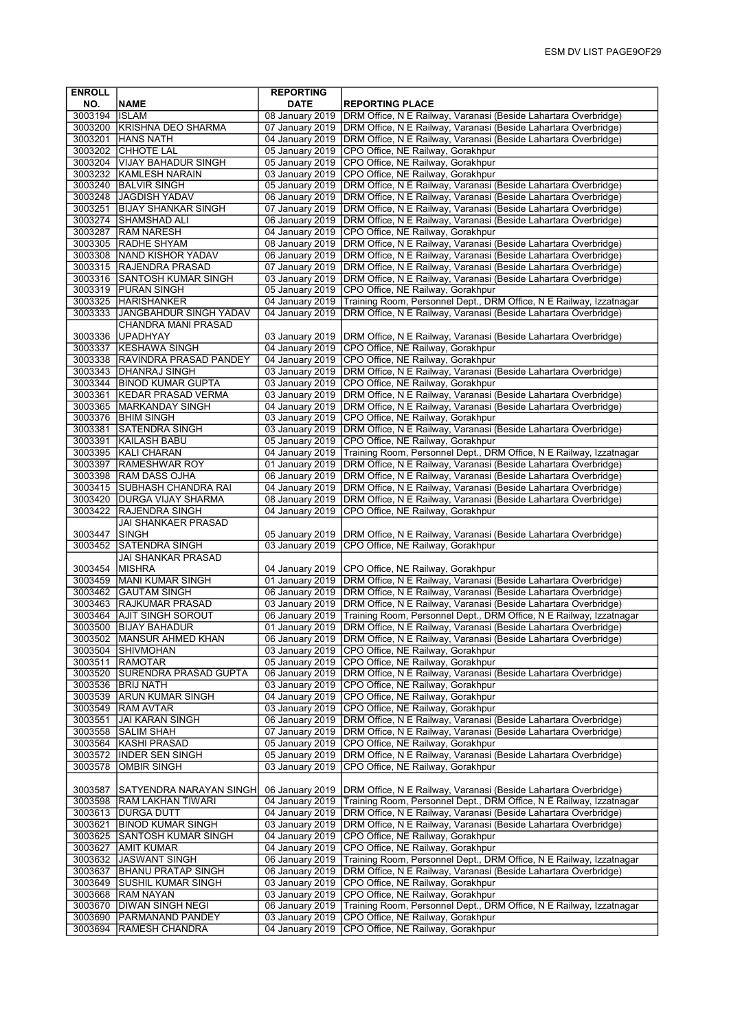| <b>ENROLL</b> |                                     | <b>REPORTING</b> |                                                                     |
|---------------|-------------------------------------|------------------|---------------------------------------------------------------------|
| NO.           | <b>NAME</b>                         | <b>DATE</b>      | <b>REPORTING PLACE</b>                                              |
| 3003194 ISLAM |                                     | 08 January 2019  | DRM Office, N E Railway, Varanasi (Beside Lahartara Overbridge)     |
|               | 3003200 KRISHNA DEO SHARMA          | 07 January 2019  | DRM Office, N E Railway, Varanasi (Beside Lahartara Overbridge)     |
| 3003201       | <b>HANS NATH</b>                    | 04 January 2019  | DRM Office, N E Railway, Varanasi (Beside Lahartara Overbridge)     |
| 3003202       | <b>CHHOTE LAL</b>                   | 05 January 2019  | CPO Office, NE Railway, Gorakhpur                                   |
| 3003204       | VIJAY BAHADUR SINGH                 | 05 January 2019  | CPO Office, NE Railway, Gorakhpur                                   |
|               | 3003232 KAMLESH NARAIN              | 03 January 2019  | CPO Office, NE Railway, Gorakhpur                                   |
|               | 3003240 BALVIR SINGH                | 05 January 2019  | DRM Office, N E Railway, Varanasi (Beside Lahartara Overbridge)     |
| 3003248       | JAGDISH YADAV                       | 06 January 2019  | DRM Office, N E Railway, Varanasi (Beside Lahartara Overbridge)     |
| 3003251       | <b>BIJAY SHANKAR SINGH</b>          | 07 January 2019  | DRM Office, N E Railway, Varanasi (Beside Lahartara Overbridge)     |
|               | 3003274 SHAMSHAD ALI                | 06 January 2019  | DRM Office, N E Railway, Varanasi (Beside Lahartara Overbridge)     |
|               | 3003287   RAM NARESH                | 04 January 2019  | CPO Office, NE Railway, Gorakhpur                                   |
|               | 3003305 RADHE SHYAM                 | 08 January 2019  | DRM Office, N E Railway, Varanasi (Beside Lahartara Overbridge)     |
|               | 3003308 NAND KISHOR YADAV           | 06 January 2019  | DRM Office, N E Railway, Varanasi (Beside Lahartara Overbridge)     |
|               | 3003315 RAJENDRA PRASAD             | 07 January 2019  | DRM Office, N E Railway, Varanasi (Beside Lahartara Overbridge)     |
|               | 3003316 SANTOSH KUMAR SINGH         | 03 January 2019  | DRM Office, N E Railway, Varanasi (Beside Lahartara Overbridge)     |
|               | 3003319 PURAN SINGH                 | 05 January 2019  | CPO Office, NE Railway, Gorakhpur                                   |
| 3003325       | <b>HARISHANKER</b>                  | 04 January 2019  | Training Room, Personnel Dept., DRM Office, N E Railway, Izzatnagar |
| 3003333       | JANGBAHDUR SINGH YADAV              | 04 January 2019  | DRM Office, N E Railway, Varanasi (Beside Lahartara Overbridge)     |
|               | CHANDRA MANI PRASAD                 |                  |                                                                     |
| 3003336       | UPADHYAY                            | 03 January 2019  | DRM Office, N E Railway, Varanasi (Beside Lahartara Overbridge)     |
| 3003337       | <b>KESHAWA SINGH</b>                | 04 January 2019  | CPO Office, NE Railway, Gorakhpur                                   |
|               | 3003338 RAVINDRA PRASAD PANDEY      | 04 January 2019  | CPO Office, NE Railway, Gorakhpur                                   |
|               | 3003343 DHANRAJ SINGH               | 03 January 2019  | DRM Office, N E Railway, Varanasi (Beside Lahartara Overbridge)     |
| 3003344       | <b>BINOD KUMAR GUPTA</b>            | 03 January 2019  | CPO Office, NE Railway, Gorakhpur                                   |
| 3003361       | <b>KEDAR PRASAD VERMA</b>           | 03 January 2019  | DRM Office, N E Railway, Varanasi (Beside Lahartara Overbridge)     |
|               | 3003365  MARKANDAY SINGH            | 04 January 2019  | DRM Office, N E Railway, Varanasi (Beside Lahartara Overbridge)     |
|               | 3003376   BHIM SINGH                | 03 January 2019  | CPO Office, NE Railway, Gorakhpur                                   |
| 3003381       | SATENDRA SINGH                      | 03 January 2019  | DRM Office, N E Railway, Varanasi (Beside Lahartara Overbridge)     |
| 3003391       | KAILASH BABU                        | 05 January 2019  | CPO Office, NE Railway, Gorakhpur                                   |
| 3003395       | KALI CHARAN                         | 04 January 2019  | Training Room, Personnel Dept., DRM Office, N E Railway, Izzatnagar |
| 3003397       | <b>RAMESHWAR ROY</b>                | 01 January 2019  | DRM Office, N E Railway, Varanasi (Beside Lahartara Overbridge)     |
|               | 3003398 RAM DASS OJHA               | 06 January 2019  | DRM Office, N E Railway, Varanasi (Beside Lahartara Overbridge)     |
|               | 3003415 SUBHASH CHANDRA RAI         | 04 January 2019  | DRM Office, N E Railway, Varanasi (Beside Lahartara Overbridge)     |
| 3003420       | <b>IDURGA VIJAY SHARMA</b>          | 08 January 2019  | DRM Office, N E Railway, Varanasi (Beside Lahartara Overbridge)     |
| 3003422       | RAJENDRA SINGH                      | 04 January 2019  | CPO Office, NE Railway, Gorakhpur                                   |
| 3003447       | JAI SHANKAER PRASAD<br><b>SINGH</b> | 05 January 2019  | DRM Office, N E Railway, Varanasi (Beside Lahartara Overbridge)     |
| 3003452       | <b>SATENDRA SINGH</b>               | 03 January 2019  | CPO Office, NE Railway, Gorakhpur                                   |
|               | JAI SHANKAR PRASAD                  |                  |                                                                     |
| 3003454       | MISHRA                              | 04 January 2019  | CPO Office, NE Railway, Gorakhpur                                   |
| 3003459       | <b>MANI KUMAR SINGH</b>             | 01 January 2019  | DRM Office, N E Railway, Varanasi (Beside Lahartara Overbridge)     |
| 3003462       | <b>GAUTAM SINGH</b>                 | 06 January 2019  | DRM Office, N E Railway, Varanasi (Beside Lahartara Overbridge)     |
| 3003463       | RAJKUMAR PRASAD                     | 03 January 2019  | DRM Office, N E Railway, Varanasi (Beside Lahartara Overbridge)     |
| 3003464       | AJIT SINGH SOROUT                   | 06 January 2019  | Training Room, Personnel Dept., DRM Office, N E Railway, Izzatnagar |
| 3003500       | <b>BIJAY BAHADUR</b>                | 01 January 2019  | DRM Office, N E Railway, Varanasi (Beside Lahartara Overbridge)     |
|               | 3003502  MANSUR AHMED KHAN          | 06 January 2019  | (DRM Office, N E Railway, Varanasi (Beside Lahartara Overbridge)    |
|               | 3003504 SHIVMOHAN                   | 03 January 2019  | CPO Office, NE Railway, Gorakhpur                                   |
| 3003511       | <b>RAMOTAR</b>                      | 05 January 2019  | CPO Office, NE Railway, Gorakhpur                                   |
| 3003520       | <b>SURENDRA PRASAD GUPTA</b>        | 06 January 2019  | DRM Office, N E Railway, Varanasi (Beside Lahartara Overbridge)     |
|               | 3003536 BRIJ NATH                   | 03 January 2019  | CPO Office, NE Railway, Gorakhpur                                   |
|               | 3003539 ARUN KUMAR SINGH            | 04 January 2019  | CPO Office, NE Railway, Gorakhpur                                   |
| 3003549       | <b>RAM AVTAR</b>                    | 03 January 2019  | CPO Office, NE Railway, Gorakhpur                                   |
| 3003551       | <b>JAI KARAN SINGH</b>              | 06 January 2019  | DRM Office, N E Railway, Varanasi (Beside Lahartara Overbridge)     |
| 3003558       | <b>SALIM SHAH</b>                   | 07 January 2019  | DRM Office, N E Railway, Varanasi (Beside Lahartara Overbridge)     |
| 3003564       | <b>KASHI PRASAD</b>                 | 05 January 2019  | CPO Office, NE Railway, Gorakhpur                                   |
| 3003572       | <b>INDER SEN SINGH</b>              | 05 January 2019  | DRM Office, N E Railway, Varanasi (Beside Lahartara Overbridge)     |
| 3003578       | OMBIR SINGH                         | 03 January 2019  | CPO Office, NE Railway, Gorakhpur                                   |
|               |                                     |                  |                                                                     |
| 3003587       | SATYENDRA NARAYAN SINGH             | 06 January 2019  | DRM Office, N E Railway, Varanasi (Beside Lahartara Overbridge)     |
| 3003598       | RAM LAKHAN TIWARI                   | 04 January 2019  | Training Room, Personnel Dept., DRM Office, N E Railway, Izzatnagar |
|               | 3003613  DURGA DUTT                 | 04 January 2019  | DRM Office, N E Railway, Varanasi (Beside Lahartara Overbridge)     |
| 3003621       | <b>BINOD KUMAR SINGH</b>            | 03 January 2019  | DRM Office, N E Railway, Varanasi (Beside Lahartara Overbridge)     |
| 3003625       | SANTOSH KUMAR SINGH                 | 04 January 2019  | CPO Office, NE Railway, Gorakhpur                                   |
| 3003627       | <b>AMIT KUMAR</b>                   | 04 January 2019  | CPO Office, NE Railway, Gorakhpur                                   |
| 3003632       | <b>JASWANT SINGH</b>                | 06 January 2019  | Training Room, Personnel Dept., DRM Office, N E Railway, Izzatnagar |
| 3003637       | <b>BHANU PRATAP SINGH</b>           | 06 January 2019  | DRM Office, N E Railway, Varanasi (Beside Lahartara Overbridge)     |
| 3003649       | <b>SUSHIL KUMAR SINGH</b>           | 03 January 2019  | CPO Office, NE Railway, Gorakhpur                                   |
| 3003668       | <b>RAM NAYAN</b>                    | 03 January 2019  | CPO Office, NE Railway, Gorakhpur                                   |
| 3003670       | DIWAN SINGH NEGI                    | 06 January 2019  | Training Room, Personnel Dept., DRM Office, N E Railway, Izzatnagar |
| 3003690       | PARMANAND PANDEY                    | 03 January 2019  | CPO Office, NE Railway, Gorakhpur                                   |
| 3003694       | RAMESH CHANDRA                      | 04 January 2019  | CPO Office, NE Railway, Gorakhpur                                   |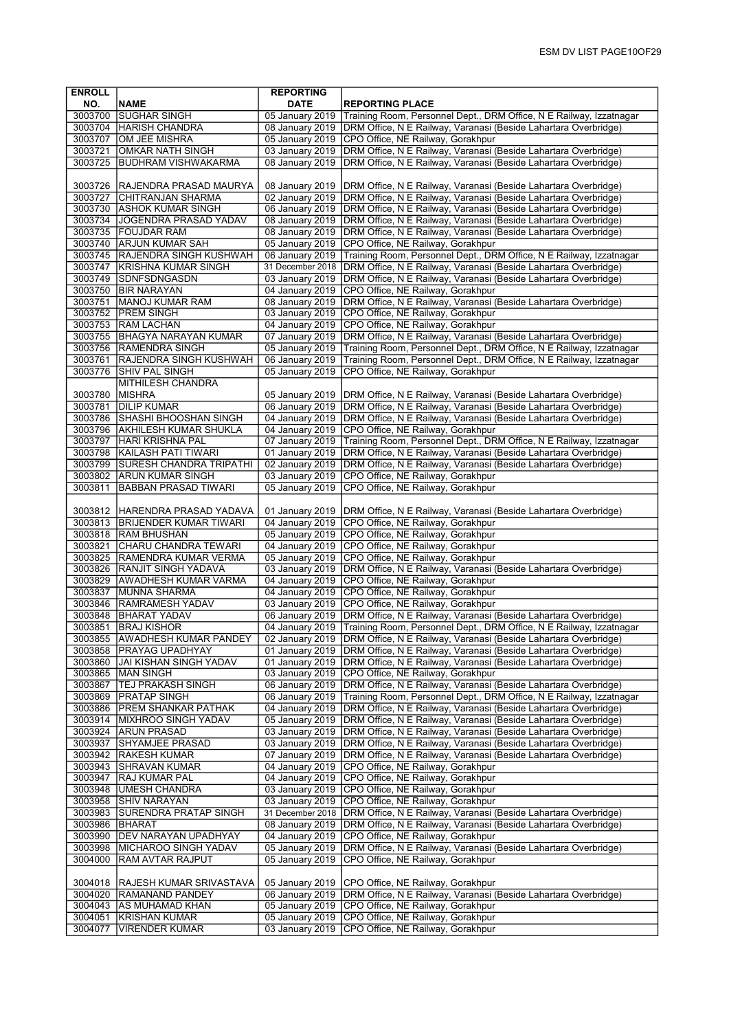| <b>ENROLL</b>      |                                                        | <b>REPORTING</b>                   |                                                                                                                                        |
|--------------------|--------------------------------------------------------|------------------------------------|----------------------------------------------------------------------------------------------------------------------------------------|
| NO.                | <b>NAME</b>                                            | <b>DATE</b>                        | <b>REPORTING PLACE</b>                                                                                                                 |
| 3003700            | <b>ISUGHAR SINGH</b>                                   | 05 January 2019                    | Training Room, Personnel Dept., DRM Office, N E Railway, Izzatnagar                                                                    |
|                    | 3003704 HARISH CHANDRA                                 | 08 January 2019                    | DRM Office, N E Railway, Varanasi (Beside Lahartara Overbridge)                                                                        |
| 3003707            | OM JEE MISHRA                                          | 05 January 2019                    | CPO Office, NE Railway, Gorakhpur                                                                                                      |
| 3003721            | OMKAR NATH SINGH                                       | 03 January 2019                    | DRM Office, N E Railway, Varanasi (Beside Lahartara Overbridge)                                                                        |
| 3003725            | <b>BUDHRAM VISHWAKARMA</b>                             | 08 January 2019                    | DRM Office, N E Railway, Varanasi (Beside Lahartara Overbridge)                                                                        |
|                    |                                                        |                                    |                                                                                                                                        |
| 3003726<br>3003727 | RAJENDRA PRASAD MAURYA<br><b>CHITRANJAN SHARMA</b>     | 08 January 2019<br>02 January 2019 | DRM Office, N E Railway, Varanasi (Beside Lahartara Overbridge)                                                                        |
|                    | 3003730 ASHOK KUMAR SINGH                              | 06 January 2019                    | DRM Office, N E Railway, Varanasi (Beside Lahartara Overbridge)<br>DRM Office, N E Railway, Varanasi (Beside Lahartara Overbridge)     |
|                    | 3003734 JJOGENDRA PRASAD YADAV                         | 08 January 2019                    | DRM Office, N E Railway, Varanasi (Beside Lahartara Overbridge)                                                                        |
|                    | 3003735 FOUJDAR RAM                                    | 08 January 2019                    | DRM Office, N E Railway, Varanasi (Beside Lahartara Overbridge)                                                                        |
| 3003740            | <b>ARJUN KUMAR SAH</b>                                 | 05 January 2019                    | CPO Office, NE Railway, Gorakhpur                                                                                                      |
|                    | 3003745 RAJENDRA SINGH KUSHWAH                         | 06 January 2019                    | Training Room, Personnel Dept., DRM Office, N E Railway, Izzatnagar                                                                    |
| 3003747            | KRISHNA KUMAR SINGH                                    | 31 December 2018                   | DRM Office, N E Railway, Varanasi (Beside Lahartara Overbridge)                                                                        |
| 3003749            | SDNFSDNGASDN                                           | 03 January 2019                    | DRM Office, N E Railway, Varanasi (Beside Lahartara Overbridge)                                                                        |
|                    | 3003750 BIR NARAYAN                                    | 04 January 2019                    | CPO Office, NE Railway, Gorakhpur                                                                                                      |
| 3003751            | <b>MANOJ KUMAR RAM</b>                                 | 08 January 2019                    | DRM Office, N E Railway, Varanasi (Beside Lahartara Overbridge)                                                                        |
|                    | 3003752 PREM SINGH                                     | 03 January 2019                    | CPO Office, NE Railway, Gorakhpur                                                                                                      |
|                    | 3003753 RAM LACHAN                                     | 04 January 2019                    | CPO Office, NE Railway, Gorakhpur                                                                                                      |
|                    | 3003755 BHAGYA NARAYAN KUMAR<br>3003756 RAMENDRA SINGH | 07 January 2019<br>05 January 2019 | DRM Office, N E Railway, Varanasi (Beside Lahartara Overbridge)<br>Training Room, Personnel Dept., DRM Office, N E Railway, Izzatnagar |
| 3003761            | <b>RAJENDRA SINGH KUSHWAH</b>                          | 06 January 2019                    | Training Room, Personnel Dept., DRM Office, N E Railway, Izzatnagar                                                                    |
| 3003776            | SHIV PAL SINGH                                         | 05 January 2019                    | CPO Office, NE Railway, Gorakhpur                                                                                                      |
|                    | MITHILESH CHANDRA                                      |                                    |                                                                                                                                        |
| 3003780            | MISHRA                                                 | 05 January 2019                    | DRM Office, N E Railway, Varanasi (Beside Lahartara Overbridge)                                                                        |
| 3003781            | <b>DILIP KUMAR</b>                                     | 06 January 2019                    | DRM Office, N E Railway, Varanasi (Beside Lahartara Overbridge)                                                                        |
|                    | 3003786 SHASHI BHOOSHAN SINGH                          | 04 January 2019                    | DRM Office, N E Railway, Varanasi (Beside Lahartara Overbridge)                                                                        |
|                    | 3003796 AKHILESH KUMAR SHUKLA                          | 04 January 2019                    | CPO Office, NE Railway, Gorakhpur                                                                                                      |
| 3003797            | <b>HARI KRISHNA PAL</b>                                | 07 January 2019                    | Training Room, Personnel Dept., DRM Office, N E Railway, Izzatnagar                                                                    |
|                    | 3003798 KAILASH PATI TIWARI                            | 01 January 2019                    | DRM Office, N E Railway, Varanasi (Beside Lahartara Overbridge)                                                                        |
| 3003799            | <b>SURESH CHANDRA TRIPATHI</b>                         | 02 January 2019                    | DRM Office, N E Railway, Varanasi (Beside Lahartara Overbridge)                                                                        |
| 3003802<br>3003811 | <b>ARUN KUMAR SINGH</b><br><b>BABBAN PRASAD TIWARI</b> | 03 January 2019<br>05 January 2019 | CPO Office, NE Railway, Gorakhpur<br>CPO Office, NE Railway, Gorakhpur                                                                 |
|                    |                                                        |                                    |                                                                                                                                        |
|                    | 3003812 HARENDRA PRASAD YADAVA                         | 01 January 2019                    | DRM Office, N E Railway, Varanasi (Beside Lahartara Overbridge)                                                                        |
|                    | 3003813 BRIJENDER KUMAR TIWARI                         | 04 January 2019                    | CPO Office, NE Railway, Gorakhpur                                                                                                      |
|                    | 3003818 RAM BHUSHAN                                    | 05 January 2019                    | CPO Office, NE Railway, Gorakhpur                                                                                                      |
| 3003821            | CHARU CHANDRA TEWARI                                   | 04 January 2019                    | CPO Office, NE Railway, Gorakhpur                                                                                                      |
|                    | 3003825 RAMENDRA KUMAR VERMA                           | 05 January 2019                    | CPO Office, NE Railway, Gorakhpur                                                                                                      |
| 3003826            | <b>RANJIT SINGH YADAVA</b>                             | 03 January 2019                    | DRM Office, N E Railway, Varanasi (Beside Lahartara Overbridge)                                                                        |
| 3003829<br>3003837 | <b>AWADHESH KUMAR VARMA</b><br>MUNNA SHARMA            | 04 January 2019<br>04 January 2019 | CPO Office, NE Railway, Gorakhpur<br>CPO Office, NE Railway, Gorakhpur                                                                 |
| 3003846            | RAMRAMESH YADAV                                        | 03 January 2019                    | CPO Office, NE Railway, Gorakhpur                                                                                                      |
| 3003848            | <b>BHARAT YADAV</b>                                    | 06 January 2019                    | DRM Office, N E Railway, Varanasi (Beside Lahartara Overbridge)                                                                        |
| 3003851            | <b>BRAJ KISHOR</b>                                     | 04 January 2019                    | Training Room, Personnel Dept., DRM Office, N E Railway, Izzatnagar                                                                    |
|                    | 3003855  AWADHESH KUMAR PANDEY                         | 02 January 2019                    | DRM Office, N E Railway, Varanasi (Beside Lahartara Overbridge)                                                                        |
| 3003858            | <b>PRAYAG UPADHYAY</b>                                 | 01 January 2019                    | DRM Office, N E Railway, Varanasi (Beside Lahartara Overbridge)                                                                        |
| 3003860            | JAI KISHAN SINGH YADAV                                 | 01 January 2019                    | DRM Office, N E Railway, Varanasi (Beside Lahartara Overbridge)                                                                        |
| 3003865<br>3003867 | <b>MAN SINGH</b><br> TEJ PRAKASH SINGH                 | 03 January 2019<br>06 January 2019 | CPO Office, NE Railway, Gorakhpur<br>DRM Office, N E Railway, Varanasi (Beside Lahartara Overbridge)                                   |
|                    | 3003869   PRATAP SINGH                                 | 06 January 2019                    | Training Room, Personnel Dept., DRM Office, N E Railway, Izzatnagar                                                                    |
| 3003886            | <b>PREM SHANKAR PATHAK</b>                             | 04 January 2019                    | DRM Office, N E Railway, Varanasi (Beside Lahartara Overbridge)                                                                        |
| 3003914            | <b>MIXHROO SINGH YADAV</b>                             | 05 January 2019                    | DRM Office, N E Railway, Varanasi (Beside Lahartara Overbridge)                                                                        |
| 3003924            | <b>ARUN PRASAD</b>                                     | 03 January 2019                    | DRM Office, N E Railway, Varanasi (Beside Lahartara Overbridge)                                                                        |
| 3003937            | <b>SHYAMJEE PRASAD</b>                                 | 03 January 2019                    | DRM Office, N E Railway, Varanasi (Beside Lahartara Overbridge)                                                                        |
| 3003942            | <b>RAKESH KUMAR</b>                                    | 07 January 2019                    | DRM Office, N E Railway, Varanasi (Beside Lahartara Overbridge)                                                                        |
| 3003943            | <b>SHRAVAN KUMAR</b>                                   | 04 January 2019                    | CPO Office, NE Railway, Gorakhpur                                                                                                      |
| 3003947            | <b>RAJ KUMAR PAL</b>                                   | 04 January 2019                    | CPO Office, NE Railway, Gorakhpur<br>CPO Office, NE Railway, Gorakhpur                                                                 |
| 3003948<br>3003958 | UMESH CHANDRA<br> SHIV NARAYAN                         | 03 January 2019<br>03 January 2019 | CPO Office, NE Railway, Gorakhpur                                                                                                      |
| 3003983            | SURENDRA PRATAP SINGH                                  | 31 December 2018                   | DRM Office, N E Railway, Varanasi (Beside Lahartara Overbridge)                                                                        |
| 3003986            | BHARAT                                                 | 08 January 2019                    | DRM Office, N E Railway, Varanasi (Beside Lahartara Overbridge)                                                                        |
| 3003990            | <b>DEV NARAYAN UPADHYAY</b>                            | 04 January 2019                    | CPO Office, NE Railway, Gorakhpur                                                                                                      |
| 3003998            | MICHAROO SINGH YADAV                                   | 05 January 2019                    | DRM Office, N E Railway, Varanasi (Beside Lahartara Overbridge)                                                                        |
| 3004000            | <b>RAM AVTAR RAJPUT</b>                                | 05 January 2019                    | CPO Office, NE Railway, Gorakhpur                                                                                                      |
|                    |                                                        |                                    |                                                                                                                                        |
| 3004018            | <b>RAJESH KUMAR SRIVASTAVA</b>                         | 05 January 2019                    | CPO Office, NE Railway, Gorakhpur                                                                                                      |
| 3004020            | <b>RAMANAND PANDEY</b>                                 | 06 January 2019                    | DRM Office, N E Railway, Varanasi (Beside Lahartara Overbridge)                                                                        |
| 3004051            | 3004043 AS MUHAMAD KHAN<br>KRISHAN KUMAR               | 05 January 2019<br>05 January 2019 | CPO Office, NE Railway, Gorakhpur<br>CPO Office, NE Railway, Gorakhpur                                                                 |
| 3004077            | VIRENDER KUMAR                                         | 03 January 2019                    | CPO Office, NE Railway, Gorakhpur                                                                                                      |
|                    |                                                        |                                    |                                                                                                                                        |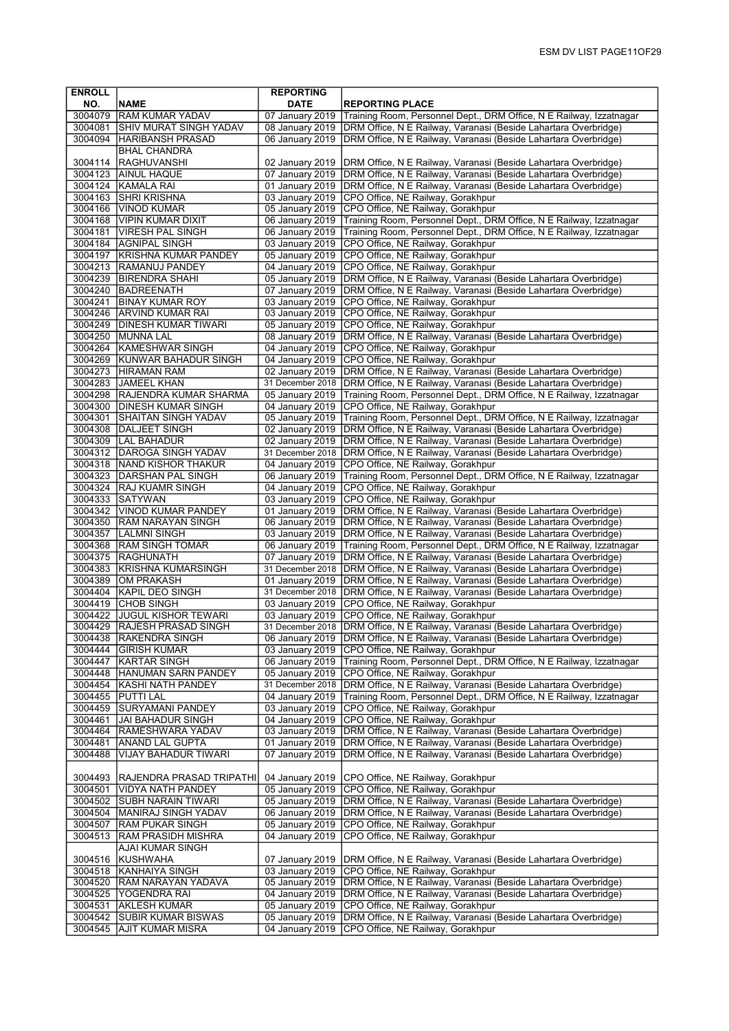| <b>ENROLL</b>      |                                                         | <b>REPORTING</b>                    |                                                                                                                                    |
|--------------------|---------------------------------------------------------|-------------------------------------|------------------------------------------------------------------------------------------------------------------------------------|
| NO.                | <b>NAME</b>                                             | <b>DATE</b>                         | <b>REPORTING PLACE</b>                                                                                                             |
|                    | 3004079 RAM KUMAR YADAV                                 | 07 January 2019                     | Training Room, Personnel Dept., DRM Office, N E Railway, Izzatnagar                                                                |
| 3004081            | <b>SHIV MURAT SINGH YADAV</b>                           | 08 January 2019                     | DRM Office, N E Railway, Varanasi (Beside Lahartara Overbridge)                                                                    |
| 3004094            | HARIBANSH PRASAD                                        | 06 January 2019                     | DRM Office, N E Railway, Varanasi (Beside Lahartara Overbridge)                                                                    |
|                    | <b>BHAL CHANDRA</b>                                     |                                     |                                                                                                                                    |
| 3004114            | RAGHUVANSHI                                             | 02 January 2019                     | DRM Office, N E Railway, Varanasi (Beside Lahartara Overbridge)                                                                    |
| 3004123            | AINUL HAQUE<br>3004124 KAMALA RAI                       | 07 January 2019<br>01 January 2019  | DRM Office, N E Railway, Varanasi (Beside Lahartara Overbridge)<br>DRM Office, N E Railway, Varanasi (Beside Lahartara Overbridge) |
|                    | 3004163 SHRI KRISHNA                                    | 03 January 2019                     | CPO Office, NE Railway, Gorakhpur                                                                                                  |
| 3004166            | VINOD KUMAR                                             | 05 January 2019                     | CPO Office, NE Railway, Gorakhpur                                                                                                  |
|                    | 3004168 VIPIN KUMAR DIXIT                               | 06 January 2019                     | Training Room, Personnel Dept., DRM Office, N E Railway, Izzatnagar                                                                |
| 3004181            | <b>VIRESH PAL SINGH</b>                                 | 06 January 2019                     | Training Room, Personnel Dept., DRM Office, N E Railway, Izzatnagar                                                                |
|                    | 3004184  AGNIPAL SINGH                                  | 03 January 2019                     | CPO Office, NE Railway, Gorakhpur                                                                                                  |
|                    | 3004197 KRISHNA KUMAR PANDEY                            | 05 January 2019                     | CPO Office, NE Railway, Gorakhpur                                                                                                  |
|                    | 3004213 RAMANUJ PANDEY                                  | 04 January 2019                     | CPO Office, NE Railway, Gorakhpur                                                                                                  |
|                    | 3004239 BIRENDRA SHAHI                                  | 05 January 2019                     | DRM Office, N E Railway, Varanasi (Beside Lahartara Overbridge)                                                                    |
|                    | 3004240 BADREENATH                                      | 07 January 2019                     | DRM Office, N E Railway, Varanasi (Beside Lahartara Overbridge)                                                                    |
|                    | 3004241 BINAY KUMAR ROY                                 | 03 January 2019                     | CPO Office, NE Railway, Gorakhpur                                                                                                  |
|                    | 3004246 ARVIND KUMAR RAI                                | 03 January 2019                     | CPO Office, NE Railway, Gorakhpur                                                                                                  |
|                    | 3004249   DINESH KUMAR TIWARI                           | 05 January 2019                     | CPO Office, NE Railway, Gorakhpur                                                                                                  |
|                    | 3004250 MUNNA LAL                                       | 08 January 2019                     | DRM Office, N E Railway, Varanasi (Beside Lahartara Overbridge)                                                                    |
|                    | 3004264 KAMESHWAR SINGH<br>3004269 KUNWAR BAHADUR SINGH | 04 January 2019<br>04 January 2019  | CPO Office, NE Railway, Gorakhpur<br>CPO Office, NE Railway, Gorakhpur                                                             |
|                    | 3004273 HIRAMAN RAM                                     | 02 January 2019                     | DRM Office, N E Railway, Varanasi (Beside Lahartara Overbridge)                                                                    |
| 3004283            | <b>JAMEEL KHAN</b>                                      | 31 December 2018                    | DRM Office, N E Railway, Varanasi (Beside Lahartara Overbridge)                                                                    |
|                    | 3004298 RAJENDRA KUMAR SHARMA                           | 05 January 2019                     | Training Room, Personnel Dept., DRM Office, N E Railway, Izzatnagar                                                                |
|                    | 3004300 DINESH KUMAR SINGH                              | 04 January 2019                     | CPO Office, NE Railway, Gorakhpur                                                                                                  |
| 3004301            | <b>SHAITAN SINGH YADAV</b>                              | 05 January 2019                     | Training Room, Personnel Dept., DRM Office, N E Railway, Izzatnagar                                                                |
| 3004308            | DALJEET SINGH                                           | 02 January 2019                     | DRM Office, N E Railway, Varanasi (Beside Lahartara Overbridge)                                                                    |
|                    | 3004309   LAL BAHADUR                                   | 02 January 2019                     | DRM Office, N E Railway, Varanasi (Beside Lahartara Overbridge)                                                                    |
|                    | 3004312   DAROGA SINGH YADAV                            | 31 December 2018                    | DRM Office, N E Railway, Varanasi (Beside Lahartara Overbridge)                                                                    |
|                    | 3004318 NAND KISHOR THAKUR                              | 04 January 2019                     | CPO Office, NE Railway, Gorakhpur                                                                                                  |
|                    | 3004323 DARSHAN PAL SINGH<br>3004324 RAJ KUAMR SINGH    | 06 January 2019                     | Training Room, Personnel Dept., DRM Office, N E Railway, Izzatnagar                                                                |
| 3004333            | <b>ISATYWAN</b>                                         | 04 January 2019<br>03 January 2019  | CPO Office, NE Railway, Gorakhpur<br>CPO Office, NE Railway, Gorakhpur                                                             |
| 3004342            | <b>VINOD KUMAR PANDEY</b>                               | 01 January 2019                     | DRM Office, N E Railway, Varanasi (Beside Lahartara Overbridge)                                                                    |
|                    | 3004350 RAM NARAYAN SINGH                               | 06 January 2019                     | DRM Office, N E Railway, Varanasi (Beside Lahartara Overbridge)                                                                    |
| 3004357            | LALMNI SINGH                                            | 03 January 2019                     | DRM Office, N E Railway, Varanasi (Beside Lahartara Overbridge)                                                                    |
|                    | 3004368 RAM SINGH TOMAR                                 | 06 January 2019                     | Training Room, Personnel Dept., DRM Office, N E Railway, Izzatnagar                                                                |
|                    | 3004375 RAGHUNATH                                       | 07 January 2019                     | DRM Office, N E Railway, Varanasi (Beside Lahartara Overbridge)                                                                    |
|                    | 3004383 KRISHNA KUMARSINGH                              | 31 December 2018                    | DRM Office, N E Railway, Varanasi (Beside Lahartara Overbridge)                                                                    |
| 3004389            | OM PRAKASH<br>3004404 KAPIL DEO SINGH                   | 01 January 2019<br>31 December 2018 | DRM Office, N E Railway, Varanasi (Beside Lahartara Overbridge)<br>DRM Office, N E Railway, Varanasi (Beside Lahartara Overbridge) |
|                    | 3004419 CHOB SINGH                                      | 03 January 2019                     | CPO Office, NE Railway, Gorakhpur                                                                                                  |
| 3004422            | JUGUL KISHOR TEWARI                                     | 03 January 2019                     | CPO Office, NE Railway, Gorakhpur                                                                                                  |
| 3004429            | RAJESH PRASAD SINGH                                     | 31 December 2018                    | DRM Office, N E Railway, Varanasi (Beside Lahartara Overbridge)                                                                    |
|                    | 3004438   RAKENDRA SINGH                                | 06 January 2019                     | (Beside Lahartara Overbridge) (DDRM Office, N E Rightare, N E Railway, Varanasi (Beside)                                           |
|                    | 3004444 GIRISH KUMAR                                    | 03 January 2019                     | CPO Office, NE Railway, Gorakhpur                                                                                                  |
| 3004447            | KARTAR SINGH                                            | 06 January 2019                     | Training Room, Personnel Dept., DRM Office, N E Railway, Izzatnagar                                                                |
| 3004448            | HANUMAN SARN PANDEY<br>3004454 KASHI NATH PANDEY        | 05 January 2019<br>31 December 2018 | CPO Office, NE Railway, Gorakhpur<br>DRM Office, N E Railway, Varanasi (Beside Lahartara Overbridge)                               |
|                    | 3004455   PUTTI LAL                                     | 04 January 2019                     | Training Room, Personnel Dept., DRM Office, N E Railway, Izzatnagar                                                                |
| 3004459            | <b>SURYAMANI PANDEY</b>                                 | 03 January 2019                     | CPO Office, NE Railway, Gorakhpur                                                                                                  |
| 3004461            | JAI BAHADUR SINGH                                       | 04 January 2019                     | CPO Office, NE Railway, Gorakhpur                                                                                                  |
| 3004464            | RAMESHWARA YADAV                                        | 03 January 2019                     | DRM Office, N E Railway, Varanasi (Beside Lahartara Overbridge)                                                                    |
| 3004481            | <b>ANAND LAL GUPTA</b>                                  | 01 January 2019                     | DRM Office, N E Railway, Varanasi (Beside Lahartara Overbridge)                                                                    |
| 3004488            | VIJAY BAHADUR TIWARI                                    | 07 January 2019                     | DRM Office, N E Railway, Varanasi (Beside Lahartara Overbridge)                                                                    |
|                    |                                                         |                                     |                                                                                                                                    |
| 3004493<br>3004501 | <b>RAJENDRA PRASAD TRIPATHI</b><br>VIDYA NATH PANDEY    | 04 January 2019<br>05 January 2019  | CPO Office, NE Railway, Gorakhpur<br>CPO Office, NE Railway, Gorakhpur                                                             |
| 3004502            | SUBH NARAIN TIWARI                                      | 05 January 2019                     | DRM Office, N E Railway, Varanasi (Beside Lahartara Overbridge)                                                                    |
| 3004504            | MANIRAJ SINGH YADAV                                     | 06 January 2019                     | DRM Office, N E Railway, Varanasi (Beside Lahartara Overbridge)                                                                    |
| 3004507            | <b>RAM PUKAR SINGH</b>                                  | 05 January 2019                     | CPO Office, NE Railway, Gorakhpur                                                                                                  |
| 3004513            | RAM PRASIDH MISHRA                                      | 04 January 2019                     | CPO Office, NE Railway, Gorakhpur                                                                                                  |
|                    | <b>AJAI KUMAR SINGH</b>                                 |                                     |                                                                                                                                    |
| 3004516            | KUSHWAHA                                                | 07 January 2019                     | DRM Office, N E Railway, Varanasi (Beside Lahartara Overbridge)                                                                    |
| 3004518            | KANHAIYA SINGH                                          | 03 January 2019                     | CPO Office, NE Railway, Gorakhpur                                                                                                  |
| 3004525            | 3004520 RAM NARAYAN YADAVA<br>YOGENDRA RAI              | 05 January 2019<br>04 January 2019  | DRM Office, N E Railway, Varanasi (Beside Lahartara Overbridge)<br>DRM Office, N E Railway, Varanasi (Beside Lahartara Overbridge) |
| 3004531            | <b>AKLESH KUMAR</b>                                     | 05 January 2019                     | CPO Office, NE Railway, Gorakhpur                                                                                                  |
| 3004542            | <b>SUBIR KUMAR BISWAS</b>                               | 05 January 2019                     | DRM Office, N E Railway, Varanasi (Beside Lahartara Overbridge)                                                                    |
| 3004545            | AJIT KUMAR MISRA                                        | 04 January 2019                     | CPO Office, NE Railway, Gorakhpur                                                                                                  |
|                    |                                                         |                                     |                                                                                                                                    |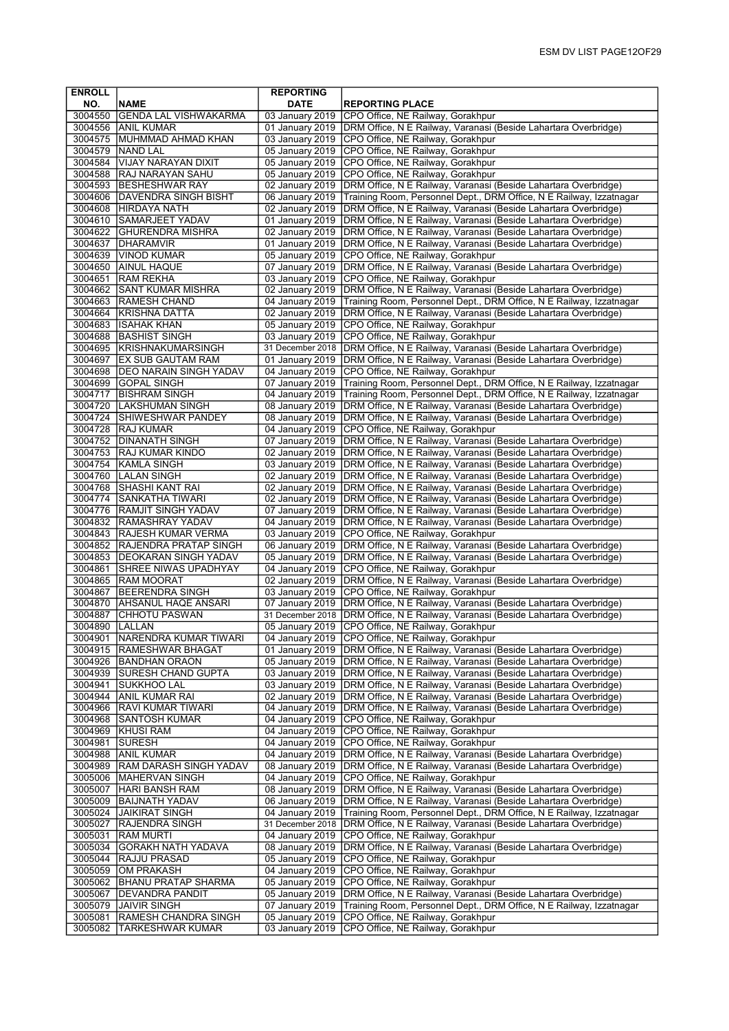| <b>ENROLL</b>      |                                                       | <b>REPORTING</b>                   |                                                                                                                                    |
|--------------------|-------------------------------------------------------|------------------------------------|------------------------------------------------------------------------------------------------------------------------------------|
| NO.                | <b>NAME</b>                                           | <b>DATE</b>                        | <b>REPORTING PLACE</b>                                                                                                             |
| 3004550            | <b>GENDA LAL VISHWAKARMA</b>                          | 03 January 2019                    | CPO Office, NE Railway, Gorakhpur                                                                                                  |
|                    | 3004556 ANIL KUMAR                                    | 01 January 2019                    | DRM Office, N E Railway, Varanasi (Beside Lahartara Overbridge)                                                                    |
|                    | 3004575   MUHMMAD AHMAD KHAN                          | 03 January 2019                    | CPO Office, NE Railway, Gorakhpur                                                                                                  |
| 3004579            | <b>INAND LAL</b>                                      | 05 January 2019                    | CPO Office, NE Railway, Gorakhpur                                                                                                  |
| 3004584            | VIJAY NARAYAN DIXIT                                   | 05 January 2019                    | CPO Office, NE Railway, Gorakhpur                                                                                                  |
|                    | 3004588 RAJ NARAYAN SAHU                              | 05 January 2019                    | CPO Office, NE Railway, Gorakhpur                                                                                                  |
|                    | 3004593 BESHESHWAR RAY                                | 02 January 2019                    | DRM Office, N E Railway, Varanasi (Beside Lahartara Overbridge)                                                                    |
|                    | 3004606 DAVENDRA SINGH BISHT                          | 06 January 2019                    | Training Room, Personnel Dept., DRM Office, N E Railway, Izzatnagar                                                                |
|                    | 3004608 HIRDAYA NATH                                  | 02 January 2019<br>01 January 2019 | DRM Office, N E Railway, Varanasi (Beside Lahartara Overbridge)                                                                    |
| 3004610            | <b>SAMARJEET YADAV</b><br>3004622 GHURENDRA MISHRA    | 02 January 2019                    | DRM Office, N E Railway, Varanasi (Beside Lahartara Overbridge)<br>DRM Office, N E Railway, Varanasi (Beside Lahartara Overbridge) |
| 3004637            | DHARAMVIR                                             | 01 January 2019                    | DRM Office, N E Railway, Varanasi (Beside Lahartara Overbridge)                                                                    |
|                    | 3004639 VINOD KUMAR                                   | 05 January 2019                    | CPO Office, NE Railway, Gorakhpur                                                                                                  |
| 3004650            | <b>AINUL HAQUE</b>                                    | 07 January 2019                    | DRM Office, N E Railway, Varanasi (Beside Lahartara Overbridge)                                                                    |
| 3004651            | <b>RAM REKHA</b>                                      | 03 January 2019                    | CPO Office, NE Railway, Gorakhpur                                                                                                  |
|                    | 3004662 SANT KUMAR MISHRA                             | 02 January 2019                    | DRM Office, N E Railway, Varanasi (Beside Lahartara Overbridge)                                                                    |
|                    | 3004663 RAMESH CHAND                                  | 04 January 2019                    | Training Room, Personnel Dept., DRM Office, N E Railway, Izzatnagar                                                                |
| 3004664            | KRISHNA DATTA                                         | 02 January 2019                    | DRM Office, N E Railway, Varanasi (Beside Lahartara Overbridge)                                                                    |
|                    | 3004683 ISAHAK KHAN                                   | 05 January 2019                    | CPO Office, NE Railway, Gorakhpur                                                                                                  |
|                    | 3004688 BASHIST SINGH                                 | 03 January 2019                    | CPO Office, NE Railway, Gorakhpur                                                                                                  |
|                    | 3004695 KRISHNAKUMARSINGH                             | 31 December 2018                   | DRM Office, N E Railway, Varanasi (Beside Lahartara Overbridge)                                                                    |
|                    | 3004697 EX SUB GAUTAM RAM                             | 01 January 2019                    | DRM Office, N E Railway, Varanasi (Beside Lahartara Overbridge)                                                                    |
|                    | 3004698   DEO NARAIN SINGH YADAV                      | 04 January 2019                    | CPO Office, NE Railway, Gorakhpur                                                                                                  |
|                    | 3004699 GOPAL SINGH                                   | 07 January 2019                    | Training Room, Personnel Dept., DRM Office, N E Railway, Izzatnagar                                                                |
| 3004717            | <b>IBISHRAM SINGH</b>                                 |                                    | 04 January 2019   Training Room, Personnel Dept., DRM Office, N E Railway, Izzatnagar                                              |
|                    | 3004720 LAKSHUMAN SINGH                               | 08 January 2019                    | DRM Office, N E Railway, Varanasi (Beside Lahartara Overbridge)                                                                    |
|                    | 3004724 SHIWESHWAR PANDEY                             | 08 January 2019                    | DRM Office, N E Railway, Varanasi (Beside Lahartara Overbridge)                                                                    |
|                    | 3004728 RAJ KUMAR                                     | 04 January 2019                    | CPO Office, NE Railway, Gorakhpur                                                                                                  |
| 3004752            | <b>DINANATH SINGH</b>                                 | 07 January 2019                    | DRM Office, N E Railway, Varanasi (Beside Lahartara Overbridge)                                                                    |
|                    | 3004753 RAJ KUMAR KINDO                               | 02 January 2019                    | DRM Office, N E Railway, Varanasi (Beside Lahartara Overbridge)                                                                    |
|                    | 3004754   KAMLA SINGH                                 | 03 January 2019                    | DRM Office, N E Railway, Varanasi (Beside Lahartara Overbridge)                                                                    |
|                    | 3004760   LALAN SINGH                                 | 02 January 2019                    | DRM Office, N E Railway, Varanasi (Beside Lahartara Overbridge)                                                                    |
|                    | 3004768 SHASHI KANT RAI                               | 02 January 2019                    | DRM Office, N E Railway, Varanasi (Beside Lahartara Overbridge)                                                                    |
|                    | 3004774 SANKATHA TIWARI                               | 02 January 2019                    | DRM Office, N E Railway, Varanasi (Beside Lahartara Overbridge)                                                                    |
|                    | 3004776 RAMJIT SINGH YADAV<br>3004832 RAMASHRAY YADAV | 07 January 2019<br>04 January 2019 | DRM Office, N E Railway, Varanasi (Beside Lahartara Overbridge)<br>DRM Office, N E Railway, Varanasi (Beside Lahartara Overbridge) |
|                    | 3004843 RAJESH KUMAR VERMA                            | 03 January 2019                    | CPO Office, NE Railway, Gorakhpur                                                                                                  |
|                    | 3004852 RAJENDRA PRATAP SINGH                         | 06 January 2019                    | DRM Office, N E Railway, Varanasi (Beside Lahartara Overbridge)                                                                    |
|                    | 3004853 DEOKARAN SINGH YADAV                          | 05 January 2019                    | DRM Office, N E Railway, Varanasi (Beside Lahartara Overbridge)                                                                    |
| 3004861            | <b>SHREE NIWAS UPADHYAY</b>                           | 04 January 2019                    | CPO Office, NE Railway, Gorakhpur                                                                                                  |
|                    | 3004865 RAM MOORAT                                    | 02 January 2019                    | DRM Office, N E Railway, Varanasi (Beside Lahartara Overbridge)                                                                    |
| 3004867            | <b>BEERENDRA SINGH</b>                                | 03 January 2019                    | CPO Office, NE Railway, Gorakhpur                                                                                                  |
| 3004870            | <b>AHSANUL HAQE ANSARI</b>                            | 07 January 2019                    | DRM Office, N E Railway, Varanasi (Beside Lahartara Overbridge)                                                                    |
| 3004887            | CHHOTU PASWAN                                         | 31 December 2018                   | DRM Office, N E Railway, Varanasi (Beside Lahartara Overbridge)                                                                    |
| 3004890            | <b>LALLAN</b>                                         | 05 January 2019                    | CPO Office, NE Railway, Gorakhpur                                                                                                  |
| 3004901            | INARENDRA KUMAR TIWARI                                |                                    | 04 January 2019   CPO Office, NE Railway, Gorakhpur                                                                                |
|                    | 3004915  RAMESHWAR BHAGAT                             | 01 January 2019                    | DRM Office, N E Railway, Varanasi (Beside Lahartara Overbridge)                                                                    |
| 3004926            | <b>BANDHAN ORAON</b>                                  | 05 January 2019                    | DRM Office, N E Railway, Varanasi (Beside Lahartara Overbridge)                                                                    |
| 3004939            | <b>SURESH CHAND GUPTA</b>                             | 03 January 2019                    | DRM Office, N E Railway, Varanasi (Beside Lahartara Overbridge)                                                                    |
| 3004941            | SUKKHOO LAL                                           | 03 January 2019                    | DRM Office, N E Railway, Varanasi (Beside Lahartara Overbridge)                                                                    |
|                    | 3004944 ANIL KUMAR RAI                                | 02 January 2019                    | DRM Office, N E Railway, Varanasi (Beside Lahartara Overbridge)                                                                    |
|                    | 3004966 RAVI KUMAR TIWARI                             | 04 January 2019                    | DRM Office, N E Railway, Varanasi (Beside Lahartara Overbridge)                                                                    |
| 3004968            | SANTOSH KUMAR                                         | 04 January 2019                    | CPO Office, NE Railway, Gorakhpur                                                                                                  |
| 3004969            | <b>KHUSI RAM</b>                                      | 04 January 2019                    | CPO Office, NE Railway, Gorakhpur                                                                                                  |
| 3004981            | <b>SURESH</b>                                         | 04 January 2019                    | CPO Office, NE Railway, Gorakhpur                                                                                                  |
| 3004988<br>3004989 | <b>ANIL KUMAR</b><br><b>RAM DARASH SINGH YADAV</b>    | 04 January 2019<br>08 January 2019 | DRM Office, N E Railway, Varanasi (Beside Lahartara Overbridge)<br>DRM Office, N E Railway, Varanasi (Beside Lahartara Overbridge) |
| 3005006            | <b>MAHERVAN SINGH</b>                                 | 04 January 2019                    | CPO Office, NE Railway, Gorakhpur                                                                                                  |
| 3005007            | HARI BANSH RAM                                        | 08 January 2019                    | DRM Office, N E Railway, Varanasi (Beside Lahartara Overbridge)                                                                    |
| 3005009            | <b>BAIJNATH YADAV</b>                                 | 06 January 2019                    | DRM Office, N E Railway, Varanasi (Beside Lahartara Overbridge)                                                                    |
| 3005024            | <b>JAIKIRAT SINGH</b>                                 | 04 January 2019                    | Training Room, Personnel Dept., DRM Office, N E Railway, Izzatnagar                                                                |
| 3005027            | RAJENDRA SINGH                                        | 31 December 2018                   | DRM Office, N E Railway, Varanasi (Beside Lahartara Overbridge)                                                                    |
| 3005031            | RAM MURTI                                             | 04 January 2019                    | CPO Office, NE Railway, Gorakhpur                                                                                                  |
| 3005034            | GORAKH NATH YADAVA                                    | 08 January 2019                    | DRM Office, N E Railway, Varanasi (Beside Lahartara Overbridge)                                                                    |
| 3005044            | <b>RAJJU PRASAD</b>                                   | 05 January 2019                    | CPO Office, NE Railway, Gorakhpur                                                                                                  |
| 3005059            | OM PRAKASH                                            | 04 January 2019                    | CPO Office, NE Railway, Gorakhpur                                                                                                  |
| 3005062            | <b>BHANU PRATAP SHARMA</b>                            | 05 January 2019                    | CPO Office, NE Railway, Gorakhpur                                                                                                  |
| 3005067            | <b>DEVANDRA PANDIT</b>                                | 05 January 2019                    | DRM Office, N E Railway, Varanasi (Beside Lahartara Overbridge)                                                                    |
| 3005079            | <b>JAIVIR SINGH</b>                                   | 07 January 2019                    | Training Room, Personnel Dept., DRM Office, N E Railway, Izzatnagar                                                                |
| 3005081            | <b>RAMESH CHANDRA SINGH</b>                           | 05 January 2019                    | CPO Office, NE Railway, Gorakhpur                                                                                                  |
| 3005082            | <b>TARKESHWAR KUMAR</b>                               | 03 January 2019                    | CPO Office, NE Railway, Gorakhpur                                                                                                  |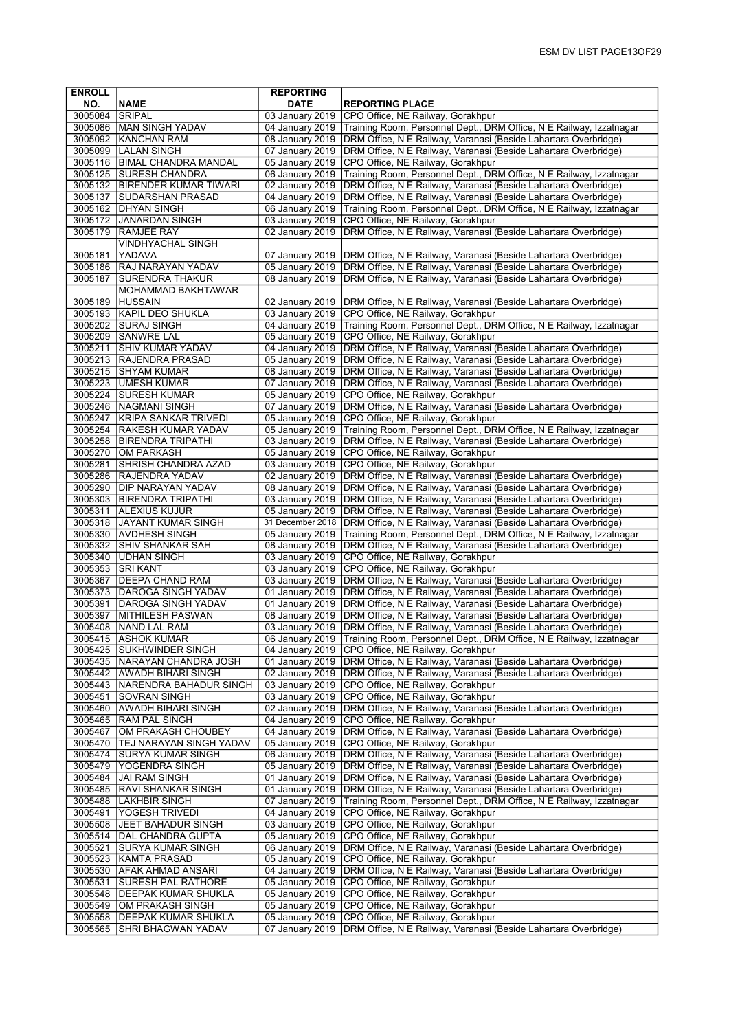| <b>ENROLL</b>      |                                                           | <b>REPORTING</b>                   |                                                                                                                                    |
|--------------------|-----------------------------------------------------------|------------------------------------|------------------------------------------------------------------------------------------------------------------------------------|
| NO.                | <b>NAME</b>                                               | <b>DATE</b>                        | <b>REPORTING PLACE</b>                                                                                                             |
| 3005084            | <b>SRIPAL</b>                                             | 03 January 2019                    | CPO Office, NE Railway, Gorakhpur                                                                                                  |
|                    | 3005086 MAN SINGH YADAV                                   | 04 January 2019                    | Training Room, Personnel Dept., DRM Office, N E Railway, Izzatnagar                                                                |
|                    | 3005092 KANCHAN RAM                                       | 08 January 2019                    | DRM Office, N E Railway, Varanasi (Beside Lahartara Overbridge)                                                                    |
|                    | 3005099   LALAN SINGH<br>3005116   BIMAL CHANDRA MANDAL   | 07 January 2019<br>05 January 2019 | DRM Office, N E Railway, Varanasi (Beside Lahartara Overbridge)<br>CPO Office, NE Railway, Gorakhpur                               |
|                    | 3005125 SURESH CHANDRA                                    | 06 January 2019                    | Training Room, Personnel Dept., DRM Office, N E Railway, Izzatnagar                                                                |
|                    | 3005132 BIRENDER KUMAR TIWARI                             | 02 January 2019                    | DRM Office, N E Railway, Varanasi (Beside Lahartara Overbridge)                                                                    |
|                    | 3005137 SUDARSHAN PRASAD                                  | 04 January 2019                    | DRM Office, N E Railway, Varanasi (Beside Lahartara Overbridge)                                                                    |
|                    | 3005162 DHYAN SINGH                                       | 06 January 2019                    | Training Room, Personnel Dept., DRM Office, N E Railway, Izzatnagar                                                                |
|                    | 3005172 JJANARDAN SINGH                                   | 03 January 2019                    | CPO Office, NE Railway, Gorakhpur                                                                                                  |
| 3005179            | <b>RAMJEE RAY</b>                                         | 02 January 2019                    | DRM Office, N E Railway, Varanasi (Beside Lahartara Overbridge)                                                                    |
|                    | <b>VINDHYACHAL SINGH</b>                                  |                                    |                                                                                                                                    |
| 3005181            | YADAVA                                                    | 07 January 2019                    | DRM Office, N E Railway, Varanasi (Beside Lahartara Overbridge)                                                                    |
| 3005186            | <b>RAJ NARAYAN YADAV</b>                                  | 05 January 2019                    | DRM Office, N E Railway, Varanasi (Beside Lahartara Overbridge)                                                                    |
| 3005187            | SURENDRA THAKUR<br>MOHAMMAD BAKHTAWAR                     | 08 January 2019                    | DRM Office, N E Railway, Varanasi (Beside Lahartara Overbridge)                                                                    |
| 3005189            | <b>HUSSAIN</b>                                            | 02 January 2019                    | DRM Office, N E Railway, Varanasi (Beside Lahartara Overbridge)                                                                    |
|                    | 3005193 KAPIL DEO SHUKLA                                  | 03 January 2019                    | CPO Office, NE Railway, Gorakhpur                                                                                                  |
|                    | 3005202 SURAJ SINGH                                       | 04 January 2019                    | Training Room, Personnel Dept., DRM Office, N E Railway, Izzatnagar                                                                |
|                    | 3005209 SANWRE LAL                                        | 05 January 2019                    | CPO Office, NE Railway, Gorakhpur                                                                                                  |
|                    | 3005211 SHIV KUMAR YADAV                                  | 04 January 2019                    | DRM Office, N E Railway, Varanasi (Beside Lahartara Overbridge)                                                                    |
|                    | 3005213 RAJENDRA PRASAD                                   | 05 January 2019                    | DRM Office, N E Railway, Varanasi (Beside Lahartara Overbridge)                                                                    |
| 3005215            | <b>SHYAM KUMAR</b>                                        | 08 January 2019                    | DRM Office, N E Railway, Varanasi (Beside Lahartara Overbridge)                                                                    |
|                    | 3005223 UMESH KUMAR                                       | 07 January 2019                    | DRM Office, N E Railway, Varanasi (Beside Lahartara Overbridge)                                                                    |
|                    | 3005224 SURESH KUMAR                                      | 05 January 2019                    | CPO Office, NE Railway, Gorakhpur                                                                                                  |
|                    | 3005246   NAGMANI SINGH<br>3005247 KRIPA SANKAR TRIVEDI   | 07 January 2019<br>05 January 2019 | DRM Office, N E Railway, Varanasi (Beside Lahartara Overbridge)<br>CPO Office, NE Railway, Gorakhpur                               |
|                    | 3005254 RAKESH KUMAR YADAV                                | 05 January 2019                    | Training Room, Personnel Dept., DRM Office, N E Railway, Izzatnagar                                                                |
|                    | 3005258 BIRENDRA TRIPATHI                                 | 03 January 2019                    | DRM Office, N E Railway, Varanasi (Beside Lahartara Overbridge)                                                                    |
|                    | 3005270 OM PARKASH                                        | 05 January 2019                    | CPO Office, NE Railway, Gorakhpur                                                                                                  |
| 3005281            | <b>SHRISH CHANDRA AZAD</b>                                | 03 January 2019                    | CPO Office, NE Railway, Gorakhpur                                                                                                  |
|                    | 3005286 RAJENDRA YADAV                                    | 02 January 2019                    | DRM Office, N E Railway, Varanasi (Beside Lahartara Overbridge)                                                                    |
| 3005290            | <b>JDIP NARAYAN YADAV</b>                                 | 08 January 2019                    | DRM Office, N E Railway, Varanasi (Beside Lahartara Overbridge)                                                                    |
|                    | 3005303   BIRENDRA TRIPATHI                               | 03 January 2019                    | DRM Office, N E Railway, Varanasi (Beside Lahartara Overbridge)                                                                    |
|                    | 3005311 ALEXIUS KUJUR                                     | 05 January 2019                    | DRM Office, N E Railway, Varanasi (Beside Lahartara Overbridge)                                                                    |
|                    | 3005318 JJAYANT KUMAR SINGH                               | 31 December 2018                   | DRM Office, N E Railway, Varanasi (Beside Lahartara Overbridge)                                                                    |
|                    | 3005330 AVDHESH SINGH<br>3005332 SHIV SHANKAR SAH         | 05 January 2019<br>08 January 2019 | Training Room, Personnel Dept., DRM Office, N E Railway, Izzatnagar                                                                |
|                    | 3005340 UDHAN SINGH                                       | 03 January 2019                    | DRM Office, N E Railway, Varanasi (Beside Lahartara Overbridge)<br>CPO Office, NE Railway, Gorakhpur                               |
|                    | 3005353 SRI KANT                                          | 03 January 2019                    | CPO Office, NE Railway, Gorakhpur                                                                                                  |
| 3005367            | <b>DEEPA CHAND RAM</b>                                    | 03 January 2019                    | DRM Office, N E Railway, Varanasi (Beside Lahartara Overbridge)                                                                    |
|                    | 3005373 DAROGA SINGH YADAV                                | 01 January 2019                    | DRM Office, N E Railway, Varanasi (Beside Lahartara Overbridge)                                                                    |
| 3005391            | <b>DAROGA SINGH YADAV</b>                                 | 01 January 2019                    | DRM Office, N E Railway, Varanasi (Beside Lahartara Overbridge)                                                                    |
| 3005397            | MITHILESH PASWAN                                          | 08 January 2019                    | DRM Office, N E Railway, Varanasi (Beside Lahartara Overbridge)                                                                    |
| 3005408            | <b>NAND LAL RAM</b>                                       | 03 January 2019                    | DRM Office, N E Railway, Varanasi (Beside Lahartara Overbridge)                                                                    |
|                    | 3005415  ASHOK KUMAR                                      | 06 January 2019                    | Training Room, Personnel Dept., DRM Office, N E Railway, Izzatnagar                                                                |
| 3005425            | <b>SUKHWINDER SINGH</b><br>3005435   NARAYAN CHANDRA JOSH | 04 January 2019<br>01 January 2019 | CPO Office, NE Railway, Gorakhpur<br>DRM Office, N E Railway, Varanasi (Beside Lahartara Overbridge)                               |
|                    | 3005442 AWADH BIHARI SINGH                                | 02 January 2019                    | DRM Office, N E Railway, Varanasi (Beside Lahartara Overbridge)                                                                    |
|                    | 3005443 NARENDRA BAHADUR SINGH                            | 03 January 2019                    | CPO Office, NE Railway, Gorakhpur                                                                                                  |
| 3005451            | <b>SOVRAN SINGH</b>                                       | 03 January 2019                    | CPO Office, NE Railway, Gorakhpur                                                                                                  |
|                    | 3005460 AWADH BIHARI SINGH                                | 02 January 2019                    | DRM Office, N E Railway, Varanasi (Beside Lahartara Overbridge)                                                                    |
| 3005465            | <b>RAM PAL SINGH</b>                                      | 04 January 2019                    | CPO Office, NE Railway, Gorakhpur                                                                                                  |
| 3005467            | OM PRAKASH CHOUBEY                                        | 04 January 2019                    | DRM Office, N E Railway, Varanasi (Beside Lahartara Overbridge)                                                                    |
|                    | 3005470 TEJ NARAYAN SINGH YADAV                           | 05 January 2019                    | CPO Office, NE Railway, Gorakhpur                                                                                                  |
|                    | 3005474 SURYA KUMAR SINGH                                 | 06 January 2019                    | DRM Office, N E Railway, Varanasi (Beside Lahartara Overbridge)                                                                    |
| 3005479            | <b>YOGENDRA SINGH</b>                                     | 05 January 2019<br>01 January 2019 | DRM Office, N E Railway, Varanasi (Beside Lahartara Overbridge)                                                                    |
| 3005484            | JAI RAM SINGH<br>3005485   RAVI SHANKAR SINGH             | 01 January 2019                    | DRM Office, N E Railway, Varanasi (Beside Lahartara Overbridge)<br>DRM Office, N E Railway, Varanasi (Beside Lahartara Overbridge) |
| 3005488            | <b>LAKHBIR SINGH</b>                                      | 07 January 2019                    | Training Room, Personnel Dept., DRM Office, N E Railway, Izzatnagar                                                                |
| 3005491            | YOGESH TRIVEDI                                            | 04 January 2019                    | CPO Office, NE Railway, Gorakhpur                                                                                                  |
|                    | 3005508 JEET BAHADUR SINGH                                | 03 January 2019                    | CPO Office, NE Railway, Gorakhpur                                                                                                  |
|                    | 3005514   DAL CHANDRA GUPTA                               | 05 January 2019                    | CPO Office, NE Railway, Gorakhpur                                                                                                  |
| 3005521            | SURYA KUMAR SINGH                                         | 06 January 2019                    | DRM Office, N E Railway, Varanasi (Beside Lahartara Overbridge)                                                                    |
| 3005523            | KAMTA PRASAD                                              | 05 January 2019                    | CPO Office, NE Railway, Gorakhpur                                                                                                  |
|                    | 3005530 AFAK AHMAD ANSARI                                 | 04 January 2019                    | DRM Office, N E Railway, Varanasi (Beside Lahartara Overbridge)                                                                    |
| 3005531            | SURESH PAL RATHORE                                        | 05 January 2019                    | CPO Office, NE Railway, Gorakhpur                                                                                                  |
| 3005548<br>3005549 | DEEPAK KUMAR SHUKLA<br> OM PRAKASH SINGH                  | 05 January 2019<br>05 January 2019 | CPO Office, NE Railway, Gorakhpur<br>CPO Office, NE Railway, Gorakhpur                                                             |
| 3005558            | DEEPAK KUMAR SHUKLA                                       | 05 January 2019                    | CPO Office, NE Railway, Gorakhpur                                                                                                  |
| 3005565            | SHRI BHAGWAN YADAV                                        | 07 January 2019                    | DRM Office, N E Railway, Varanasi (Beside Lahartara Overbridge)                                                                    |
|                    |                                                           |                                    |                                                                                                                                    |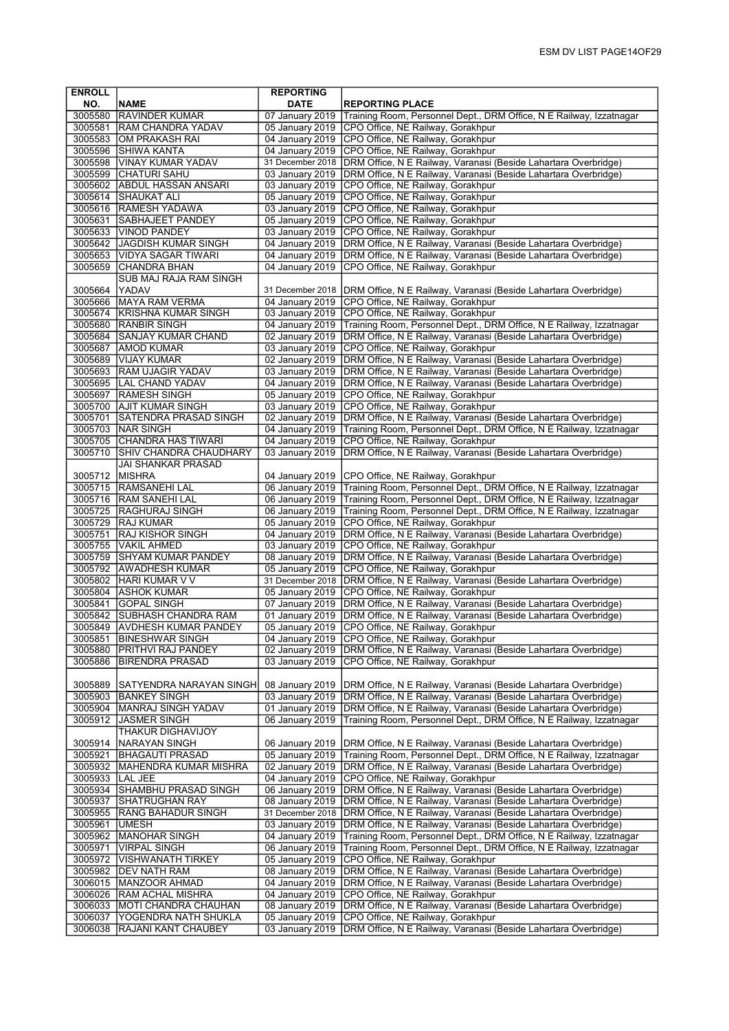| <b>ENROLL</b>      |                                                          | <b>REPORTING</b>                    |                                                                                                                                        |
|--------------------|----------------------------------------------------------|-------------------------------------|----------------------------------------------------------------------------------------------------------------------------------------|
| NO.                | <b>NAME</b>                                              | <b>DATE</b>                         | <b>REPORTING PLACE</b>                                                                                                                 |
| 3005580            | <b>RAVINDER KUMAR</b>                                    | 07 January 2019                     | Training Room, Personnel Dept., DRM Office, N E Railway, Izzatnagar                                                                    |
| 3005581            | <b>RAM CHANDRA YADAV</b>                                 | 05 January 2019                     | CPO Office, NE Railway, Gorakhpur                                                                                                      |
|                    | 3005583 OM PRAKASH RAI                                   | 04 January 2019                     | CPO Office, NE Railway, Gorakhpur                                                                                                      |
| 3005596            | <b>SHIWA KANTA</b>                                       | 04 January 2019                     | CPO Office, NE Railway, Gorakhpur                                                                                                      |
| 3005598            | <b>VINAY KUMAR YADAV</b>                                 | 31 December 2018                    | DRM Office, N E Railway, Varanasi (Beside Lahartara Overbridge)                                                                        |
| 3005599            | <b>CHATURI SAHU</b>                                      | 03 January 2019                     | DRM Office, N E Railway, Varanasi (Beside Lahartara Overbridge)                                                                        |
|                    | 3005602 ABDUL HASSAN ANSARI                              | 03 January 2019                     | CPO Office, NE Railway, Gorakhpur                                                                                                      |
|                    | 3005614 SHAUKAT ALI<br>3005616 RAMESH YADAWA             | 05 January 2019<br>03 January 2019  | CPO Office, NE Railway, Gorakhpur<br>CPO Office, NE Railway, Gorakhpur                                                                 |
| 3005631            | <b>SABHAJEET PANDEY</b>                                  | 05 January 2019                     | CPO Office, NE Railway, Gorakhpur                                                                                                      |
|                    | 3005633   VINOD PANDEY                                   | 03 January 2019                     | CPO Office, NE Railway, Gorakhpur                                                                                                      |
|                    | 3005642 JAGDISH KUMAR SINGH                              | 04 January 2019                     | DRM Office, N E Railway, Varanasi (Beside Lahartara Overbridge)                                                                        |
|                    | 3005653 VIDYA SAGAR TIWARI                               | 04 January 2019                     | DRM Office, N E Railway, Varanasi (Beside Lahartara Overbridge)                                                                        |
| 3005659            | <b>CHANDRA BHAN</b>                                      | 04 January 2019                     | CPO Office, NE Railway, Gorakhpur                                                                                                      |
|                    | SUB MAJ RAJA RAM SINGH                                   |                                     |                                                                                                                                        |
| 3005664            | YADAV                                                    | 31 December 2018                    | DRM Office, N E Railway, Varanasi (Beside Lahartara Overbridge)                                                                        |
| 3005666            | MAYA RAM VERMA                                           | 04 January 2019                     | CPO Office, NE Railway, Gorakhpur                                                                                                      |
| 3005674            | <b>KRISHNA KUMAR SINGH</b>                               | 03 January 2019                     | CPO Office, NE Railway, Gorakhpur                                                                                                      |
|                    | 3005680 RANBIR SINGH                                     | 04 January 2019                     | Training Room, Personnel Dept., DRM Office, N E Railway, Izzatnagar                                                                    |
|                    | 3005684 SANJAY KUMAR CHAND                               | 02 January 2019                     | DRM Office, N E Railway, Varanasi (Beside Lahartara Overbridge)                                                                        |
|                    | 3005687   AMOD KUMAR                                     | 03 January 2019                     | CPO Office, NE Railway, Gorakhpur                                                                                                      |
|                    | 3005689 VIJAY KUMAR                                      | 02 January 2019                     | DRM Office, N E Railway, Varanasi (Beside Lahartara Overbridge)                                                                        |
| 3005693            | <b>RAM UJAGIR YADAV</b>                                  | 03 January 2019                     | DRM Office, N E Railway, Varanasi (Beside Lahartara Overbridge)                                                                        |
|                    | 3005695  LAL CHAND YADAV                                 | 04 January 2019                     | DRM Office, N E Railway, Varanasi (Beside Lahartara Overbridge)                                                                        |
|                    | 3005697 RAMESH SINGH                                     | 05 January 2019                     | CPO Office, NE Railway, Gorakhpur                                                                                                      |
|                    | 3005700 AJIT KUMAR SINGH<br><b>SATENDRA PRASAD SINGH</b> | 03 January 2019                     | CPO Office, NE Railway, Gorakhpur                                                                                                      |
| 3005701            | 3005703   NAR SINGH                                      | 02 January 2019<br>04 January 2019  | DRM Office, N E Railway, Varanasi (Beside Lahartara Overbridge)<br>Training Room, Personnel Dept., DRM Office, N E Railway, Izzatnagar |
|                    | 3005705 CHANDRA HAS TIWARI                               | 04 January 2019                     | CPO Office, NE Railway, Gorakhpur                                                                                                      |
| 3005710            | SHIV CHANDRA CHAUDHARY                                   | 03 January 2019                     | DRM Office, N E Railway, Varanasi (Beside Lahartara Overbridge)                                                                        |
|                    | JAI SHANKAR PRASAD                                       |                                     |                                                                                                                                        |
| 3005712 MISHRA     |                                                          | 04 January 2019                     | CPO Office, NE Railway, Gorakhpur                                                                                                      |
| 3005715            | <b>RAMSANEHI LAL</b>                                     | 06 January 2019                     | Training Room, Personnel Dept., DRM Office, N E Railway, Izzatnagar                                                                    |
|                    | 3005716  RAM SANEHI LAL                                  | 06 January 2019                     | Training Room, Personnel Dept., DRM Office, N E Railway, Izzatnagar                                                                    |
|                    | 3005725 RAGHURAJ SINGH                                   | 06 January 2019                     | Training Room, Personnel Dept., DRM Office, N E Railway, Izzatnagar                                                                    |
|                    | 3005729 RAJ KUMAR                                        | 05 January 2019                     | CPO Office, NE Railway, Gorakhpur                                                                                                      |
| 3005751            | <b>RAJ KISHOR SINGH</b>                                  | 04 January 2019                     | DRM Office, N E Railway, Varanasi (Beside Lahartara Overbridge)                                                                        |
|                    | 3005755   VAKIL AHMED                                    | 03 January 2019                     | CPO Office, NE Railway, Gorakhpur                                                                                                      |
|                    | 3005759 SHYAM KUMAR PANDEY                               | 08 January 2019                     | DRM Office, N E Railway, Varanasi (Beside Lahartara Overbridge)                                                                        |
|                    | 3005792 AWADHESH KUMAR                                   | 05 January 2019                     | CPO Office, NE Railway, Gorakhpur                                                                                                      |
|                    | 3005802 HARI KUMAR V V                                   | 31 December 2018                    | DRM Office, N E Railway, Varanasi (Beside Lahartara Overbridge)                                                                        |
| 3005804            | <b>ASHOK KUMAR</b>                                       | 05 January 2019                     | CPO Office, NE Railway, Gorakhpur                                                                                                      |
| 3005841            | <b>GOPAL SINGH</b>                                       | 07 January 2019                     | DRM Office, N E Railway, Varanasi (Beside Lahartara Overbridge)                                                                        |
| 3005842            | <b>SUBHASH CHANDRA RAM</b>                               | 01 January 2019                     | DRM Office, N E Railway, Varanasi (Beside Lahartara Overbridge)                                                                        |
| 3005849            | <b>AVDHESH KUMAR PANDEY</b>                              | 05 January 2019                     | CPO Office, NE Railway, Gorakhpur                                                                                                      |
|                    | 3005851  BINESHWAR SINGH<br>3005880 PRITHVI RAJ PANDEY   | 04 January 2019<br>02 January 2019  | CPO Office, NE Railway, Gorakhpur<br>DRM Office, N E Railway, Varanasi (Beside Lahartara Overbridge)                                   |
| 3005886            | <b>BIRENDRA PRASAD</b>                                   | 03 January 2019                     | CPO Office, NE Railway, Gorakhpur                                                                                                      |
|                    |                                                          |                                     |                                                                                                                                        |
| 3005889            | SATYENDRA NARAYAN SINGH                                  | 08 January 2019                     | DRM Office, N E Railway, Varanasi (Beside Lahartara Overbridge)                                                                        |
| 3005903            | <b>BANKEY SINGH</b>                                      | 03 January 2019                     | DRM Office, N E Railway, Varanasi (Beside Lahartara Overbridge)                                                                        |
|                    | 3005904   MANRAJ SINGH YADAV                             | 01 January 2019                     | DRM Office, N E Railway, Varanasi (Beside Lahartara Overbridge)                                                                        |
| 3005912            | <b>JASMER SINGH</b>                                      | 06 January 2019                     | Training Room, Personnel Dept., DRM Office, N E Railway, Izzatnagar                                                                    |
|                    | THAKUR DIGHAVIJOY                                        |                                     |                                                                                                                                        |
| 3005914            | <b>INARAYAN SINGH</b>                                    | 06 January 2019                     | DRM Office, N E Railway, Varanasi (Beside Lahartara Overbridge)                                                                        |
| 3005921            | BHAGAUTI PRASAD                                          | 05 January 2019                     | Training Room, Personnel Dept., DRM Office, N E Railway, Izzatnagar                                                                    |
|                    | 3005932   MAHENDRA KUMAR MISHRA                          | 02 January 2019                     | DRM Office, N E Railway, Varanasi (Beside Lahartara Overbridge)                                                                        |
| 3005933  LAL JEE   |                                                          | 04 January 2019                     | CPO Office, NE Railway, Gorakhpur                                                                                                      |
| 3005934            | <b>SHAMBHU PRASAD SINGH</b>                              | 06 January 2019                     | DRM Office, N E Railway, Varanasi (Beside Lahartara Overbridge)                                                                        |
| 3005937            | SHATRUGHAN RAY                                           | 08 January 2019<br>31 December 2018 | DRM Office, N E Railway, Varanasi (Beside Lahartara Overbridge)                                                                        |
| 3005955<br>3005961 | <b>RANG BAHADUR SINGH</b><br><b>IUMESH</b>               | 03 January 2019                     | DRM Office, N E Railway, Varanasi (Beside Lahartara Overbridge)<br>DRM Office, N E Railway, Varanasi (Beside Lahartara Overbridge)     |
| 3005962            | MANOHAR SINGH                                            | 04 January 2019                     | Training Room, Personnel Dept., DRM Office, N E Railway, Izzatnagar                                                                    |
| 3005971            | <b>VIRPAL SINGH</b>                                      | 06 January 2019                     | Training Room, Personnel Dept., DRM Office, N E Railway, Izzatnagar                                                                    |
| 3005972            | <b>VISHWANATH TIRKEY</b>                                 | 05 January 2019                     | CPO Office, NE Railway, Gorakhpur                                                                                                      |
|                    | 3005982   DEV NATH RAM                                   | 08 January 2019                     | DRM Office, N E Railway, Varanasi (Beside Lahartara Overbridge)                                                                        |
|                    | 3006015  MANZOOR AHMAD                                   | 04 January 2019                     | DRM Office, N E Railway, Varanasi (Beside Lahartara Overbridge)                                                                        |
| 3006026            | <b>RAM ACHAL MISHRA</b>                                  | 04 January 2019                     | CPO Office, NE Railway, Gorakhpur                                                                                                      |
| 3006033            | MOTI CHANDRA CHAUHAN                                     | 08 January 2019                     | DRM Office, N E Railway, Varanasi (Beside Lahartara Overbridge)                                                                        |
| 3006037            | YOGENDRA NATH SHUKLA                                     | 05 January 2019                     | CPO Office, NE Railway, Gorakhpur                                                                                                      |
| 3006038            | <b>RAJANI KANT CHAUBEY</b>                               | 03 January 2019                     | DRM Office, N E Railway, Varanasi (Beside Lahartara Overbridge)                                                                        |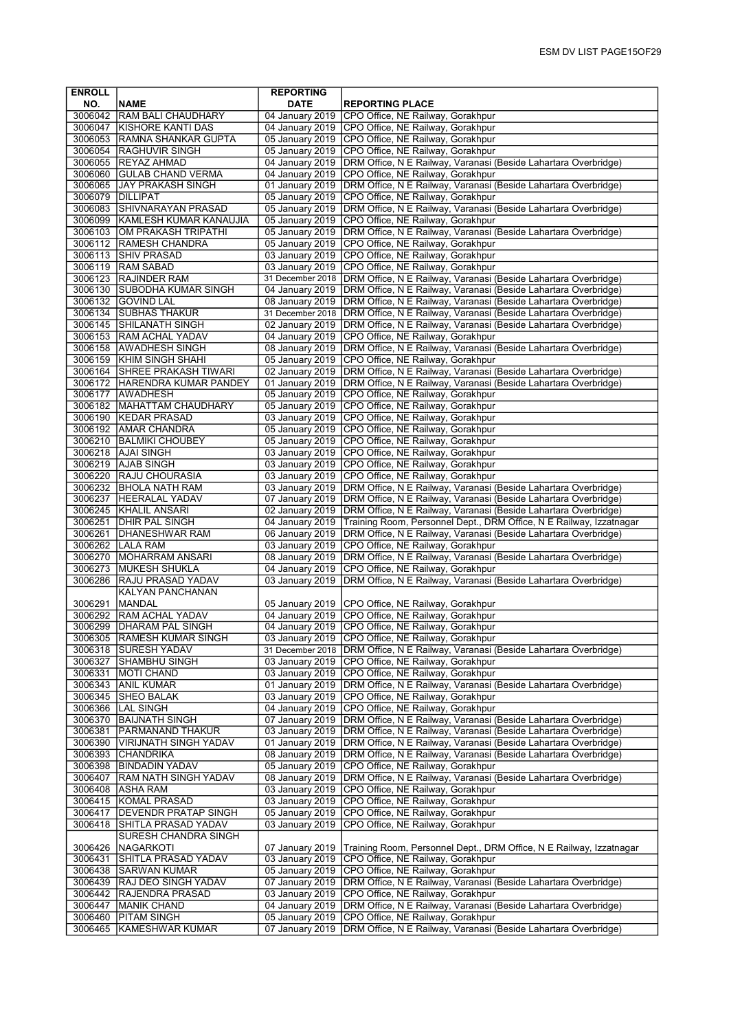| <b>ENROLL</b>      |                                                       | <b>REPORTING</b>                   |                                                                                                                                    |
|--------------------|-------------------------------------------------------|------------------------------------|------------------------------------------------------------------------------------------------------------------------------------|
| NO.                | <b>NAME</b>                                           | <b>DATE</b>                        | <b>REPORTING PLACE</b>                                                                                                             |
|                    | 3006042 RAM BALI CHAUDHARY                            | 04 January 2019                    | CPO Office, NE Railway, Gorakhpur                                                                                                  |
|                    | 3006047 KISHORE KANTI DAS                             | 04 January 2019                    | CPO Office, NE Railway, Gorakhpur                                                                                                  |
|                    | 3006053 RAMNA SHANKAR GUPTA                           |                                    | 05 January 2019 CPO Office, NE Railway, Gorakhpur                                                                                  |
| 3006054            | <b>RAGHUVIR SINGH</b>                                 | 05 January 2019                    | CPO Office, NE Railway, Gorakhpur                                                                                                  |
|                    | 3006055 REYAZ AHMAD                                   | 04 January 2019                    | DRM Office, N E Railway, Varanasi (Beside Lahartara Overbridge)                                                                    |
|                    | 3006060 GULAB CHAND VERMA                             | 04 January 2019                    | CPO Office, NE Railway, Gorakhpur                                                                                                  |
|                    | 3006065 JJAY PRAKASH SINGH                            |                                    | 01 January 2019   DRM Office, N E Railway, Varanasi (Beside Lahartara Overbridge)                                                  |
| 3006079 DILLIPAT   |                                                       | 05 January 2019                    | CPO Office, NE Railway, Gorakhpur                                                                                                  |
|                    | 3006083 SHIVNARAYAN PRASAD                            | 05 January 2019                    | DRM Office, N E Railway, Varanasi (Beside Lahartara Overbridge)                                                                    |
| 3006099            | <b>IKAMLESH KUMAR KANAUJIA</b>                        | 05 January 2019                    | CPO Office, NE Railway, Gorakhpur                                                                                                  |
|                    | 3006103 OM PRAKASH TRIPATHI<br>3006112 RAMESH CHANDRA | 05 January 2019<br>05 January 2019 | DRM Office, N E Railway, Varanasi (Beside Lahartara Overbridge)<br>CPO Office, NE Railway, Gorakhpur                               |
|                    | 3006113 SHIV PRASAD                                   | 03 January 2019                    | CPO Office, NE Railway, Gorakhpur                                                                                                  |
|                    | 3006119   RAM SABAD                                   | 03 January 2019                    | CPO Office, NE Railway, Gorakhpur                                                                                                  |
|                    | 3006123 RAJINDER RAM                                  | 31 December 2018                   | DRM Office, N E Railway, Varanasi (Beside Lahartara Overbridge)                                                                    |
|                    | 3006130 SUBODHA KUMAR SINGH                           |                                    | 04 January 2019   DRM Office, N E Railway, Varanasi (Beside Lahartara Overbridge)                                                  |
|                    | 3006132 GOVIND LAL                                    | 08 January 2019                    | DRM Office, N E Railway, Varanasi (Beside Lahartara Overbridge)                                                                    |
|                    | 3006134 SUBHAS THAKUR                                 | 31 December 2018                   | DRM Office, N E Railway, Varanasi (Beside Lahartara Overbridge)                                                                    |
|                    | 3006145 SHILANATH SINGH                               | 02 January 2019                    | DRM Office, N E Railway, Varanasi (Beside Lahartara Overbridge)                                                                    |
|                    | 3006153 RAM ACHAL YADAV                               | 04 January 2019                    | CPO Office, NE Railway, Gorakhpur                                                                                                  |
|                    | 3006158 AWADHESH SINGH                                |                                    | 08 January 2019 DRM Office, N E Railway, Varanasi (Beside Lahartara Overbridge)                                                    |
|                    | 3006159 KHIM SINGH SHAHI                              | 05 January 2019                    | CPO Office, NE Railway, Gorakhpur                                                                                                  |
|                    | 3006164 SHREE PRAKASH TIWARI                          | 02 January 2019                    | DRM Office, N E Railway, Varanasi (Beside Lahartara Overbridge)                                                                    |
|                    | 3006172 HARENDRA KUMAR PANDEY                         | 01 January 2019                    | DRM Office, N E Railway, Varanasi (Beside Lahartara Overbridge)                                                                    |
|                    | 3006177 AWADHESH                                      | 05 January 2019                    | CPO Office, NE Railway, Gorakhpur                                                                                                  |
|                    | 3006182   MAHATTAM CHAUDHARY                          | 05 January 2019                    | CPO Office, NE Railway, Gorakhpur                                                                                                  |
|                    | 3006190 KEDAR PRASAD                                  | 03 January 2019                    | CPO Office, NE Railway, Gorakhpur                                                                                                  |
|                    | 3006192 AMAR CHANDRA                                  | 05 January 2019                    | CPO Office, NE Railway, Gorakhpur                                                                                                  |
|                    | 3006210   BALMIKI CHOUBEY                             | 05 January 2019                    | CPO Office, NE Railway, Gorakhpur                                                                                                  |
|                    | 3006218 AJAI SINGH                                    | 03 January 2019                    | CPO Office, NE Railway, Gorakhpur                                                                                                  |
|                    | 3006219 AJAB SINGH                                    |                                    | 03 January 2019 CPO Office, NE Railway, Gorakhpur                                                                                  |
|                    | 3006220 RAJU CHOURASIA                                |                                    | 03 January 2019   CPO Office, NE Railway, Gorakhpur                                                                                |
|                    | 3006232 BHOLA NATH RAM                                | 03 January 2019                    | DRM Office, N E Railway, Varanasi (Beside Lahartara Overbridge)                                                                    |
|                    | 3006237 HEERALAL YADAV<br>3006245   KHALIL ANSARI     | 07 January 2019<br>02 January 2019 | DRM Office, N E Railway, Varanasi (Beside Lahartara Overbridge)<br>DRM Office, N E Railway, Varanasi (Beside Lahartara Overbridge) |
| 3006251            | <b>DHIR PAL SINGH</b>                                 | 04 January 2019                    | Training Room, Personnel Dept., DRM Office, N E Railway, Izzatnagar                                                                |
| 3006261            | <b>DHANESHWAR RAM</b>                                 | 06 January 2019                    | DRM Office, N E Railway, Varanasi (Beside Lahartara Overbridge)                                                                    |
|                    | 3006262   LALA RAM                                    | 03 January 2019                    | CPO Office, NE Railway, Gorakhpur                                                                                                  |
|                    | 3006270 MOHARRAM ANSARI                               | 08 January 2019                    | DRM Office, N E Railway, Varanasi (Beside Lahartara Overbridge)                                                                    |
|                    | 3006273 MUKESH SHUKLA                                 | 04 January 2019                    | CPO Office, NE Railway, Gorakhpur                                                                                                  |
| 3006286            | <b>RAJU PRASAD YADAV</b>                              | 03 January 2019                    | DRM Office, N E Railway, Varanasi (Beside Lahartara Overbridge)                                                                    |
|                    | KALYAN PANCHANAN                                      |                                    |                                                                                                                                    |
| 3006291            | <b>MANDAL</b>                                         | 05 January 2019                    | CPO Office, NE Railway, Gorakhpur                                                                                                  |
| 3006292            | <b>RAM ACHAL YADAV</b>                                |                                    | 04 January 2019 CPO Office, NE Railway, Gorakhpur                                                                                  |
| 3006299            | <b>DHARAM PAL SINGH</b>                               | 04 January 2019                    | CPO Office, NE Railway, Gorakhpur                                                                                                  |
|                    | 3006305   RAMESH KUMAR SINGH                          |                                    | 03 January 2019   CPO Office, NE Railway, Gorakhpur                                                                                |
| 3006318            | <b>SURESH YADAV</b>                                   |                                    | 31 December 2018 DRM Office, N E Railway, Varanasi (Beside Lahartara Overbridge)                                                   |
| 3006327            | SHAMBHU SINGH                                         |                                    | 03 January 2019 CPO Office, NE Railway, Gorakhpur                                                                                  |
| 3006331            | MOTI CHAND                                            |                                    | 03 January 2019 CPO Office, NE Railway, Gorakhpur                                                                                  |
|                    | 3006343 ANIL KUMAR                                    |                                    | 01 January 2019   DRM Office, N E Railway, Varanasi (Beside Lahartara Overbridge)                                                  |
|                    | 3006345 SHEO BALAK                                    | 03 January 2019                    | CPO Office, NE Railway, Gorakhpur                                                                                                  |
| 3006366<br>3006370 | LAL SINGH<br><b>BAIJNATH SINGH</b>                    | 04 January 2019<br>07 January 2019 | CPO Office, NE Railway, Gorakhpur<br>DRM Office, N E Railway, Varanasi (Beside Lahartara Overbridge)                               |
| 3006381            | PARMANAND THAKUR                                      | 03 January 2019                    | DRM Office, N E Railway, Varanasi (Beside Lahartara Overbridge)                                                                    |
|                    | 3006390   VIRIJNATH SINGH YADAV                       | 01 January 2019                    | DRM Office, N E Railway, Varanasi (Beside Lahartara Overbridge)                                                                    |
|                    | 3006393 CHANDRIKA                                     | 08 January 2019                    | DRM Office, N E Railway, Varanasi (Beside Lahartara Overbridge)                                                                    |
|                    | 3006398 BINDADIN YADAV                                | 05 January 2019                    | CPO Office, NE Railway, Gorakhpur                                                                                                  |
| 3006407            | RAM NATH SINGH YADAV                                  | 08 January 2019                    | DRM Office, N E Railway, Varanasi (Beside Lahartara Overbridge)                                                                    |
| 3006408            | <b>ASHA RAM</b>                                       | 03 January 2019                    | CPO Office, NE Railway, Gorakhpur                                                                                                  |
| 3006415            | KOMAL PRASAD                                          | 03 January 2019                    | CPO Office, NE Railway, Gorakhpur                                                                                                  |
| 3006417            | DEVENDR PRATAP SINGH                                  | 05 January 2019                    | CPO Office, NE Railway, Gorakhpur                                                                                                  |
| 3006418            | SHITLA PRASAD YADAV                                   | 03 January 2019                    | CPO Office, NE Railway, Gorakhpur                                                                                                  |
|                    | SURESH CHANDRA SINGH                                  |                                    |                                                                                                                                    |
| 3006426            | NAGARKOTI                                             | 07 January 2019                    | Training Room, Personnel Dept., DRM Office, N E Railway, Izzatnagar                                                                |
| 3006431            | SHITLA PRASAD YADAV                                   | 03 January 2019                    | CPO Office, NE Railway, Gorakhpur                                                                                                  |
| 3006438            | <b>SARWAN KUMAR</b>                                   | 05 January 2019                    | CPO Office, NE Railway, Gorakhpur                                                                                                  |
| 3006439            | <b>RAJ DEO SINGH YADAV</b>                            | 07 January 2019                    | DRM Office, N E Railway, Varanasi (Beside Lahartara Overbridge)                                                                    |
| 3006442            | RAJENDRA PRASAD                                       | 03 January 2019                    | CPO Office, NE Railway, Gorakhpur                                                                                                  |
| 3006447            | MANIK CHAND                                           | 04 January 2019                    | DRM Office, N E Railway, Varanasi (Beside Lahartara Overbridge)                                                                    |
| 3006460            | PITAM SINGH                                           | 05 January 2019                    | CPO Office, NE Railway, Gorakhpur                                                                                                  |
| 3006465            | KAMESHWAR KUMAR                                       | 07 January 2019                    | DRM Office, N E Railway, Varanasi (Beside Lahartara Overbridge)                                                                    |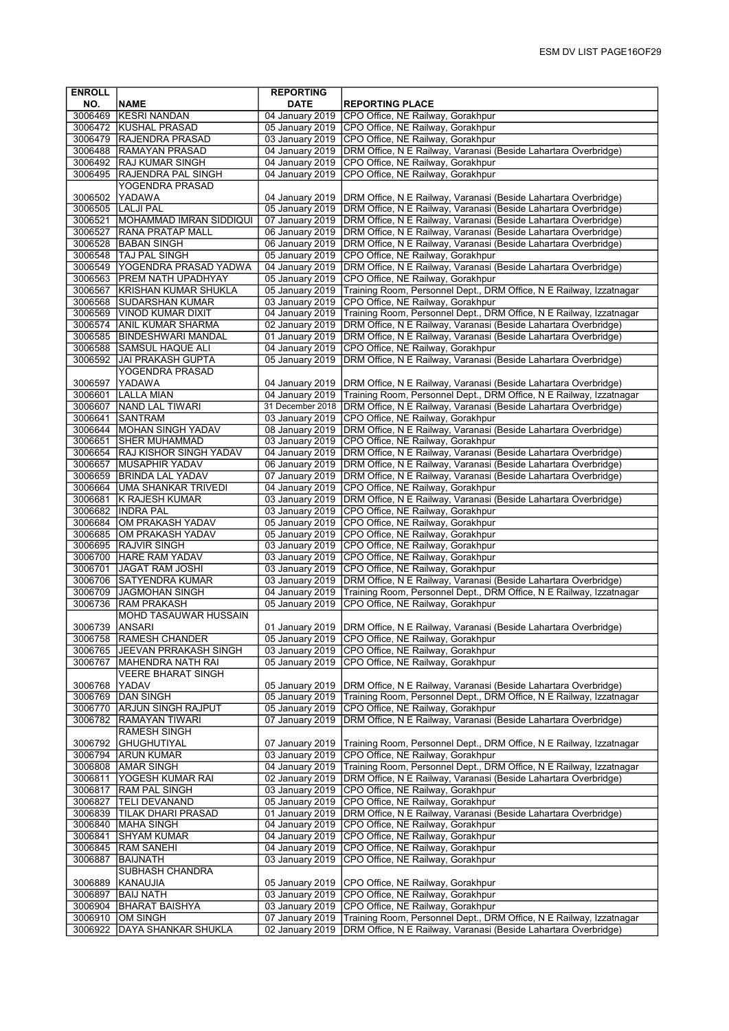| <b>ENROLL</b>      |                                                        | <b>REPORTING</b>                   |                                                                                                                                        |
|--------------------|--------------------------------------------------------|------------------------------------|----------------------------------------------------------------------------------------------------------------------------------------|
| NO.                | <b>NAME</b>                                            | <b>DATE</b>                        | <b>REPORTING PLACE</b>                                                                                                                 |
|                    | 3006469 KESRI NANDAN                                   | 04 January 2019                    | CPO Office, NE Railway, Gorakhpur                                                                                                      |
|                    | 3006472 KUSHAL PRASAD                                  | 05 January 2019                    | CPO Office, NE Railway, Gorakhpur                                                                                                      |
|                    | 3006479 RAJENDRA PRASAD                                | 03 January 2019                    | CPO Office, NE Railway, Gorakhpur                                                                                                      |
| 3006488            | <b>RAMAYAN PRASAD</b>                                  | 04 January 2019                    | DRM Office, N E Railway, Varanasi (Beside Lahartara Overbridge)                                                                        |
| 3006495            | 3006492 RAJ KUMAR SINGH<br>RAJENDRA PAL SINGH          | 04 January 2019<br>04 January 2019 | CPO Office, NE Railway, Gorakhpur<br>CPO Office, NE Railway, Gorakhpur                                                                 |
|                    | YOGENDRA PRASAD                                        |                                    |                                                                                                                                        |
| 3006502            | YADAWA                                                 | 04 January 2019                    | DRM Office, N E Railway, Varanasi (Beside Lahartara Overbridge)                                                                        |
|                    | 3006505 LALJI PAL                                      | 05 January 2019                    | DRM Office, N E Railway, Varanasi (Beside Lahartara Overbridge)                                                                        |
|                    | 3006521   MOHAMMAD IMRAN SIDDIQUI                      | 07 January 2019                    | DRM Office, N E Railway, Varanasi (Beside Lahartara Overbridge)                                                                        |
| 3006527            | <b>RANA PRATAP MALL</b>                                | 06 January 2019                    | DRM Office, N E Railway, Varanasi (Beside Lahartara Overbridge)                                                                        |
|                    | 3006528 BABAN SINGH                                    | 06 January 2019                    | DRM Office, N E Railway, Varanasi (Beside Lahartara Overbridge)                                                                        |
|                    | 3006548 TAJ PAL SINGH                                  | 05 January 2019                    | CPO Office, NE Railway, Gorakhpur                                                                                                      |
| 3006549            | <b>YOGENDRA PRASAD YADWA</b>                           | 04 January 2019                    | DRM Office, N E Railway, Varanasi (Beside Lahartara Overbridge)                                                                        |
|                    | 3006563 PREM NATH UPADHYAY                             | 05 January 2019                    | CPO Office, NE Railway, Gorakhpur                                                                                                      |
|                    | 3006567 KRISHAN KUMAR SHUKLA                           | 05 January 2019                    | Training Room, Personnel Dept., DRM Office, N E Railway, Izzatnagar                                                                    |
|                    | 3006568 SUDARSHAN KUMAR                                | 03 January 2019                    | CPO Office, NE Railway, Gorakhpur                                                                                                      |
|                    | 3006569 VINOD KUMAR DIXIT<br>3006574 ANIL KUMAR SHARMA | 04 January 2019<br>02 January 2019 | Training Room, Personnel Dept., DRM Office, N E Railway, Izzatnagar<br>DRM Office, N E Railway, Varanasi (Beside Lahartara Overbridge) |
|                    | 3006585 BINDESHWARI MANDAL                             | 01 January 2019                    | DRM Office, N E Railway, Varanasi (Beside Lahartara Overbridge)                                                                        |
| 3006588            | <b>SAMSUL HAQUE ALI</b>                                | 04 January 2019                    | CPO Office, NE Railway, Gorakhpur                                                                                                      |
| 3006592            | JAI PRAKASH GUPTA                                      | 05 January 2019                    | DRM Office, N E Railway, Varanasi (Beside Lahartara Overbridge)                                                                        |
|                    | YOGENDRA PRASAD                                        |                                    |                                                                                                                                        |
| 3006597            | <b>YADAWA</b>                                          | 04 January 2019                    | DRM Office, N E Railway, Varanasi (Beside Lahartara Overbridge)                                                                        |
| 3006601            | <b>LALLA MIAN</b>                                      | 04 January 2019                    | Training Room, Personnel Dept., DRM Office, N E Railway, Izzatnagar                                                                    |
|                    | 3006607 NAND LAL TIWARI                                | 31 December 2018                   | DRM Office, N E Railway, Varanasi (Beside Lahartara Overbridge)                                                                        |
| 3006641            | <b>SANTRAM</b>                                         | 03 January 2019                    | CPO Office, NE Railway, Gorakhpur                                                                                                      |
|                    | 3006644 MOHAN SINGH YADAV                              | 08 January 2019                    | DRM Office, N E Railway, Varanasi (Beside Lahartara Overbridge)                                                                        |
| 3006651            | <b>SHER MUHAMMAD</b>                                   | 03 January 2019                    | CPO Office, NE Railway, Gorakhpur                                                                                                      |
| 3006654            | <b>RAJ KISHOR SINGH YADAV</b>                          | 04 January 2019                    | DRM Office, N E Railway, Varanasi (Beside Lahartara Overbridge)                                                                        |
| 3006657<br>3006659 | <b>MUSAPHIR YADAV</b>                                  | 06 January 2019                    | DRM Office, N E Railway, Varanasi (Beside Lahartara Overbridge)                                                                        |
| 3006664            | <b>BRINDA LAL YADAV</b><br><b>UMA SHANKAR TRIVEDI</b>  | 07 January 2019<br>04 January 2019 | DRM Office, N E Railway, Varanasi (Beside Lahartara Overbridge)<br>CPO Office, NE Railway, Gorakhpur                                   |
| 3006681            | K RAJESH KUMAR                                         | 03 January 2019                    | DRM Office, N E Railway, Varanasi (Beside Lahartara Overbridge)                                                                        |
| 3006682            | <b>INDRA PAL</b>                                       | 03 January 2019                    | CPO Office, NE Railway, Gorakhpur                                                                                                      |
| 3006684            | OM PRAKASH YADAV                                       | 05 January 2019                    | CPO Office, NE Railway, Gorakhpur                                                                                                      |
| 3006685            | OM PRAKASH YADAV                                       | 05 January 2019                    | CPO Office, NE Railway, Gorakhpur                                                                                                      |
|                    | 3006695 RAJVIR SINGH                                   | 03 January 2019                    | CPO Office, NE Railway, Gorakhpur                                                                                                      |
| 3006700            | <b>HARE RAM YADAV</b>                                  | 03 January 2019                    | CPO Office, NE Railway, Gorakhpur                                                                                                      |
|                    | 3006701 JAGAT RAM JOSHI                                | 03 January 2019                    | CPO Office, NE Railway, Gorakhpur                                                                                                      |
| 3006706<br>3006709 | SATYENDRA KUMAR                                        | 03 January 2019<br>04 January 2019 | DRM Office, N E Railway, Varanasi (Beside Lahartara Overbridge)                                                                        |
| 3006736            | <b>JAGMOHAN SINGH</b><br><b>RAM PRAKASH</b>            | 05 January 2019                    | Training Room, Personnel Dept., DRM Office, N E Railway, Izzatnagar<br>CPO Office, NE Railway, Gorakhpur                               |
|                    | <b>MOHD TASAUWAR HUSSAIN</b>                           |                                    |                                                                                                                                        |
| 3006739            | <b>ANSARI</b>                                          | 01 January 2019                    | DRM Office, N E Railway, Varanasi (Beside Lahartara Overbridge)                                                                        |
| 3006758            | <b>RAMESH CHANDER</b>                                  | 05 January 2019                    | ICPO Office, NE Railway, Gorakhpur                                                                                                     |
| 3006765            | <b>JEEVAN PRRAKASH SINGH</b>                           | 03 January 2019                    | CPO Office, NE Railway, Gorakhpur                                                                                                      |
| 3006767            | MAHENDRA NATH RAI                                      | 05 January 2019                    | CPO Office, NE Railway, Gorakhpur                                                                                                      |
|                    | <b>VEERE BHARAT SINGH</b>                              |                                    |                                                                                                                                        |
| 3006768<br>3006769 | <b>YADAV</b>                                           | 05 January 2019<br>05 January 2019 | DRM Office, N E Railway, Varanasi (Beside Lahartara Overbridge)<br>Training Room, Personnel Dept., DRM Office, N E Railway, Izzatnagar |
| 3006770            | DAN SINGH<br><b>ARJUN SINGH RAJPUT</b>                 | 05 January 2019                    | CPO Office, NE Railway, Gorakhpur                                                                                                      |
| 3006782            | <b>RAMAYAN TIWARI</b>                                  | 07 January 2019                    | DRM Office, N E Railway, Varanasi (Beside Lahartara Overbridge)                                                                        |
|                    | <b>RAMESH SINGH</b>                                    |                                    |                                                                                                                                        |
| 3006792            | GHUGHUTIYAL                                            | 07 January 2019                    | Training Room, Personnel Dept., DRM Office, N E Railway, Izzatnagar                                                                    |
| 3006794            | <b>ARUN KUMAR</b>                                      | 03 January 2019                    | CPO Office, NE Railway, Gorakhpur                                                                                                      |
| 3006808            | <b>AMAR SINGH</b>                                      | 04 January 2019                    | Training Room, Personnel Dept., DRM Office, N E Railway, Izzatnagar                                                                    |
| 3006811            | YOGESH KUMAR RAI                                       | 02 January 2019                    | DRM Office, N E Railway, Varanasi (Beside Lahartara Overbridge)                                                                        |
| 3006817            | <b>RAM PAL SINGH</b>                                   | 03 January 2019                    | CPO Office, NE Railway, Gorakhpur                                                                                                      |
| 3006827            | <b>TELI DEVANAND</b>                                   | 05 January 2019                    | CPO Office, NE Railway, Gorakhpur                                                                                                      |
| 3006839            | <b>TILAK DHARI PRASAD</b><br>3006840 MAHA SINGH        | 01 January 2019<br>04 January 2019 | DRM Office, N E Railway, Varanasi (Beside Lahartara Overbridge)<br>CPO Office, NE Railway, Gorakhpur                                   |
| 3006841            | <b>SHYAM KUMAR</b>                                     | 04 January 2019                    | CPO Office, NE Railway, Gorakhpur                                                                                                      |
| 3006845            | <b>RAM SANEHI</b>                                      | 04 January 2019                    | CPO Office, NE Railway, Gorakhpur                                                                                                      |
| 3006887            | BAIJNATH                                               | 03 January 2019                    | CPO Office, NE Railway, Gorakhpur                                                                                                      |
|                    | SUBHASH CHANDRA                                        |                                    |                                                                                                                                        |
| 3006889            | KANAUJIA                                               | 05 January 2019                    | CPO Office, NE Railway, Gorakhpur                                                                                                      |
| 3006897            | <b>BAIJ NATH</b>                                       | 03 January 2019                    | CPO Office, NE Railway, Gorakhpur                                                                                                      |
| 3006904            | BHARAT BAISHYA                                         | 03 January 2019                    | CPO Office, NE Railway, Gorakhpur                                                                                                      |
| 3006910            | OM SINGH                                               | 07 January 2019                    | Training Room, Personnel Dept., DRM Office, N E Railway, Izzatnagar                                                                    |
| 3006922            | <b>DAYA SHANKAR SHUKLA</b>                             | 02 January 2019                    | DRM Office, N E Railway, Varanasi (Beside Lahartara Overbridge)                                                                        |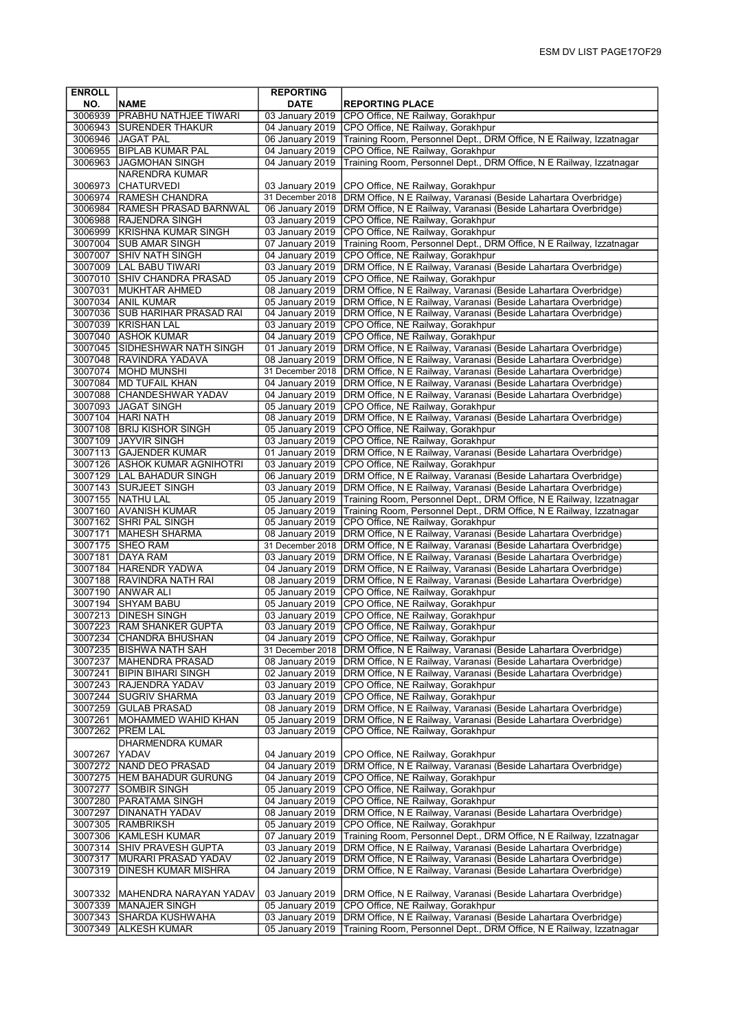| <b>ENROLL</b>      |                                                         | <b>REPORTING</b>                    |                                                                                                                                    |
|--------------------|---------------------------------------------------------|-------------------------------------|------------------------------------------------------------------------------------------------------------------------------------|
| NO.                | <b>NAME</b>                                             | <b>DATE</b>                         | <b>REPORTING PLACE</b>                                                                                                             |
| 3006939            | <b>PRABHU NATHJEE TIWARI</b>                            | 03 January 2019                     | CPO Office, NE Railway, Gorakhpur                                                                                                  |
| 3006943            | <b>SURENDER THAKUR</b>                                  | 04 January 2019                     | CPO Office, NE Railway, Gorakhpur                                                                                                  |
|                    | 3006946 JAGAT PAL                                       | 06 January 2019                     | Training Room, Personnel Dept., DRM Office, N E Railway, Izzatnagar                                                                |
| 3006955            | <b>BIPLAB KUMAR PAL</b>                                 | 04 January 2019                     | CPO Office, NE Railway, Gorakhpur                                                                                                  |
| 3006963            | <b>JAGMOHAN SINGH</b>                                   | 04 January 2019                     | Training Room, Personnel Dept., DRM Office, N E Railway, Izzatnagar                                                                |
|                    | <b>NARENDRA KUMAR</b>                                   |                                     |                                                                                                                                    |
| 3006973            | <b>CHATURVEDI</b>                                       | 03 January 2019                     | CPO Office, NE Railway, Gorakhpur                                                                                                  |
| 3006974            | <b>RAMESH CHANDRA</b>                                   | 31 December 2018                    | DRM Office, N E Railway, Varanasi (Beside Lahartara Overbridge)                                                                    |
|                    | 3006984 RAMESH PRASAD BARNWAL<br>3006988 RAJENDRA SINGH | 06 January 2019<br>03 January 2019  | DRM Office, N E Railway, Varanasi (Beside Lahartara Overbridge)<br>CPO Office, NE Railway, Gorakhpur                               |
| 3006999            | <b>KRISHNA KUMAR SINGH</b>                              | 03 January 2019                     | CPO Office, NE Railway, Gorakhpur                                                                                                  |
|                    | 3007004 SUB AMAR SINGH                                  | 07 January 2019                     | Training Room, Personnel Dept., DRM Office, N E Railway, Izzatnagar                                                                |
| 3007007            | <b>SHIV NATH SINGH</b>                                  | 04 January 2019                     | CPO Office, NE Railway, Gorakhpur                                                                                                  |
| 3007009            | <b>LAL BABU TIWARI</b>                                  | 03 January 2019                     | DRM Office, N E Railway, Varanasi (Beside Lahartara Overbridge)                                                                    |
|                    | 3007010 SHIV CHANDRA PRASAD                             | 05 January 2019                     | CPO Office, NE Railway, Gorakhpur                                                                                                  |
|                    | 3007031 MUKHTAR AHMED                                   | 08 January 2019                     | DRM Office, N E Railway, Varanasi (Beside Lahartara Overbridge)                                                                    |
| 3007034            | <b>ANIL KUMAR</b>                                       | 05 January 2019                     | DRM Office, N E Railway, Varanasi (Beside Lahartara Overbridge)                                                                    |
|                    | 3007036 SUB HARIHAR PRASAD RAI                          | 04 January 2019                     | DRM Office, N E Railway, Varanasi (Beside Lahartara Overbridge)                                                                    |
|                    | 3007039 KRISHAN LAL                                     | 03 January 2019                     | CPO Office, NE Railway, Gorakhpur                                                                                                  |
|                    | 3007040 ASHOK KUMAR                                     | 04 January 2019                     | CPO Office, NE Railway, Gorakhpur                                                                                                  |
|                    | 3007045 SIDHESHWAR NATH SINGH                           | 01 January 2019                     | DRM Office, N E Railway, Varanasi (Beside Lahartara Overbridge)                                                                    |
|                    | 3007048 RAVINDRA YADAVA                                 | 08 January 2019                     | DRM Office, N E Railway, Varanasi (Beside Lahartara Overbridge)                                                                    |
| 3007074            | MOHD MUNSHI                                             | 31 December 2018                    | DRM Office, N E Railway, Varanasi (Beside Lahartara Overbridge)                                                                    |
| 3007084            | <b>MD TUFAIL KHAN</b>                                   | 04 January 2019                     | DRM Office, N E Railway, Varanasi (Beside Lahartara Overbridge)                                                                    |
|                    | 3007088 CHANDESHWAR YADAV                               | 04 January 2019                     | DRM Office, N E Railway, Varanasi (Beside Lahartara Overbridge)                                                                    |
|                    | 3007093 JAGAT SINGH                                     | 05 January 2019                     | CPO Office, NE Railway, Gorakhpur                                                                                                  |
|                    | 3007104 HARI NATH                                       | 08 January 2019                     | DRM Office, N E Railway, Varanasi (Beside Lahartara Overbridge)                                                                    |
| 3007108<br>3007109 | <b>BRIJ KISHOR SINGH</b><br><b>JAYVIR SINGH</b>         | 05 January 2019<br>03 January 2019  | CPO Office, NE Railway, Gorakhpur                                                                                                  |
|                    | 3007113 GAJENDER KUMAR                                  | 01 January 2019                     | CPO Office, NE Railway, Gorakhpur                                                                                                  |
|                    | 3007126 ASHOK KUMAR AGNIHOTRI                           | 03 January 2019                     | DRM Office, N E Railway, Varanasi (Beside Lahartara Overbridge)<br>CPO Office, NE Railway, Gorakhpur                               |
|                    | 3007129   LAL BAHADUR SINGH                             | 06 January 2019                     | DRM Office, N E Railway, Varanasi (Beside Lahartara Overbridge)                                                                    |
|                    | 3007143 SURJEET SINGH                                   | 03 January 2019                     | DRM Office, N E Railway, Varanasi (Beside Lahartara Overbridge)                                                                    |
|                    | 3007155   NATHU LAL                                     | 05 January 2019                     | Training Room, Personnel Dept., DRM Office, N E Railway, Izzatnagar                                                                |
|                    | 3007160 AVANISH KUMAR                                   | 05 January 2019                     | Training Room, Personnel Dept., DRM Office, N E Railway, Izzatnagar                                                                |
|                    | 3007162 SHRI PAL SINGH                                  | 05 January 2019                     | CPO Office, NE Railway, Gorakhpur                                                                                                  |
| 3007171            | MAHESH SHARMA                                           | 08 January 2019                     | DRM Office, N E Railway, Varanasi (Beside Lahartara Overbridge)                                                                    |
| 3007175            | <b>SHEO RAM</b>                                         | 31 December 2018                    | DRM Office, N E Railway, Varanasi (Beside Lahartara Overbridge)                                                                    |
| 3007181            | <b>DAYA RAM</b>                                         | 03 January 2019                     | DRM Office, N E Railway, Varanasi (Beside Lahartara Overbridge)                                                                    |
|                    | 3007184 HARENDR YADWA                                   | 04 January 2019                     | DRM Office, N E Railway, Varanasi (Beside Lahartara Overbridge)                                                                    |
|                    | 3007188 RAVINDRA NATH RAI                               | 08 January 2019                     | DRM Office, N E Railway, Varanasi (Beside Lahartara Overbridge)                                                                    |
| 3007190            | <b>JANWAR ALI</b>                                       | 05 January 2019                     | CPO Office, NE Railway, Gorakhpur                                                                                                  |
|                    | 3007194 SHYAM BABU                                      | 05 January 2019                     | CPO Office, NE Railway, Gorakhpur                                                                                                  |
| 3007213            | <b>DINESH SINGH</b>                                     | 03 January 2019                     | CPO Office, NE Railway, Gorakhpur                                                                                                  |
| 3007223            | <b>RAM SHANKER GUPTA</b>                                | 03 January 2019                     | CPO Office, NE Railway, Gorakhpur                                                                                                  |
|                    | 3007234  CHANDRA BHUSHAN                                | 04 January 2019                     | CPO Office, NE Railway, Gorakhpur                                                                                                  |
| 3007235<br>3007237 | <b>BISHWA NATH SAH</b><br>MAHENDRA PRASAD               | 31 December 2018<br>08 January 2019 | DRM Office, N E Railway, Varanasi (Beside Lahartara Overbridge)<br>DRM Office, N E Railway, Varanasi (Beside Lahartara Overbridge) |
| 3007241            | <b>BIPIN BIHARI SINGH</b>                               | 02 January 2019                     | DRM Office, N E Railway, Varanasi (Beside Lahartara Overbridge)                                                                    |
|                    | 3007243 RAJENDRA YADAV                                  | 03 January 2019                     | CPO Office, NE Railway, Gorakhpur                                                                                                  |
| 3007244            | <b>SUGRIV SHARMA</b>                                    | 03 January 2019                     | CPO Office, NE Railway, Gorakhpur                                                                                                  |
| 3007259            | <b>GULAB PRASAD</b>                                     | 08 January 2019                     | DRM Office, N E Railway, Varanasi (Beside Lahartara Overbridge)                                                                    |
| 3007261            | MOHAMMED WAHID KHAN                                     | 05 January 2019                     | DRM Office, N E Railway, Varanasi (Beside Lahartara Overbridge)                                                                    |
| 3007262            | PREM LAL                                                | 03 January 2019                     | CPO Office, NE Railway, Gorakhpur                                                                                                  |
|                    | DHARMENDRA KUMAR                                        |                                     |                                                                                                                                    |
| 3007267            | <b>YADAV</b>                                            | 04 January 2019                     | CPO Office, NE Railway, Gorakhpur                                                                                                  |
| 3007272            | NAND DEO PRASAD                                         | 04 January 2019                     | DRM Office, N E Railway, Varanasi (Beside Lahartara Overbridge)                                                                    |
| 3007275            | <b>HEM BAHADUR GURUNG</b>                               | 04 January 2019                     | CPO Office, NE Railway, Gorakhpur                                                                                                  |
| 3007277            | <b>SOMBIR SINGH</b>                                     | 05 January 2019                     | CPO Office, NE Railway, Gorakhpur                                                                                                  |
| 3007280            | PARATAMA SINGH                                          | 04 January 2019                     | CPO Office, NE Railway, Gorakhpur                                                                                                  |
| 3007297            | <b>DINANATH YADAV</b>                                   | 08 January 2019                     | DRM Office, N E Railway, Varanasi (Beside Lahartara Overbridge)                                                                    |
|                    | 3007305 RAMBRIKSH                                       | 05 January 2019                     | CPO Office, NE Railway, Gorakhpur                                                                                                  |
| 3007306            | KAMLESH KUMAR                                           | 07 January 2019                     | Training Room, Personnel Dept., DRM Office, N E Railway, Izzatnagar                                                                |
| 3007314            | <b>SHIV PRAVESH GUPTA</b><br>MURARI PRASAD YADAV        | 03 January 2019<br>02 January 2019  | DRM Office, N E Railway, Varanasi (Beside Lahartara Overbridge)                                                                    |
| 3007317<br>3007319 | DINESH KUMAR MISHRA                                     | 04 January 2019                     | DRM Office, N E Railway, Varanasi (Beside Lahartara Overbridge)<br>DRM Office, N E Railway, Varanasi (Beside Lahartara Overbridge) |
|                    |                                                         |                                     |                                                                                                                                    |
|                    | 3007332  MAHENDRA NARAYAN YADAV                         | 03 January 2019                     | DRM Office, N E Railway, Varanasi (Beside Lahartara Overbridge)                                                                    |
| 3007339            | <b>IMANAJER SINGH</b>                                   | 05 January 2019                     | CPO Office, NE Railway, Gorakhpur                                                                                                  |
| 3007343            | <b>SHARDA KUSHWAHA</b>                                  | 03 January 2019                     | DRM Office, N E Railway, Varanasi (Beside Lahartara Overbridge)                                                                    |
| 3007349            | <b>ALKESH KUMAR</b>                                     | 05 January 2019                     | Training Room, Personnel Dept., DRM Office, N E Railway, Izzatnagar                                                                |
|                    |                                                         |                                     |                                                                                                                                    |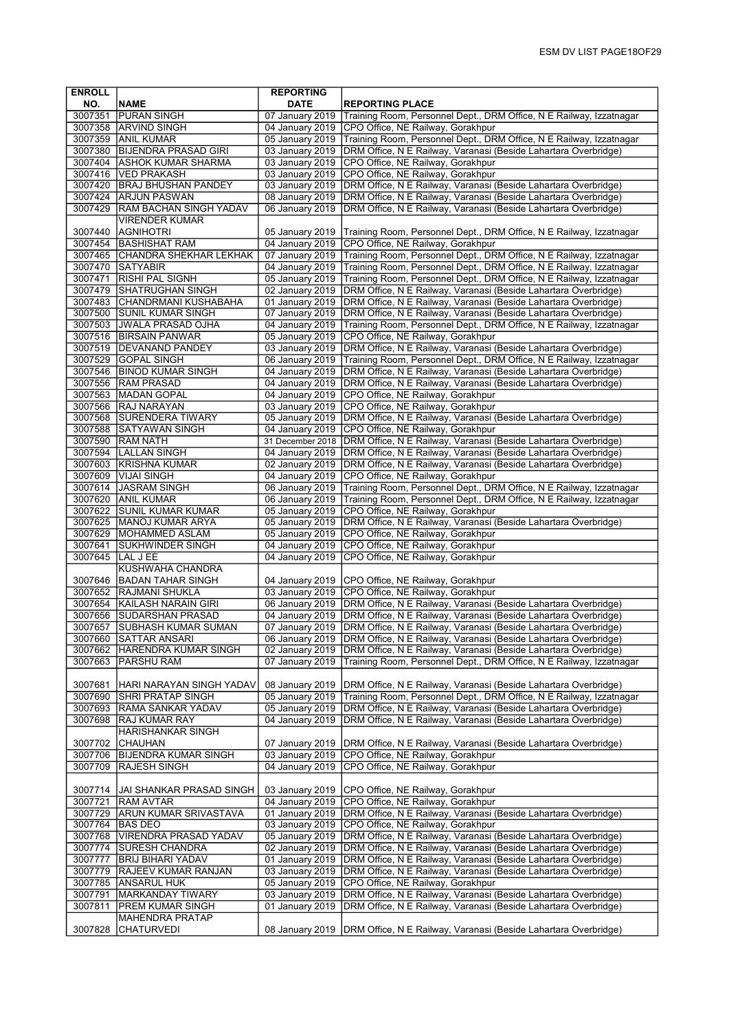| <b>ENROLL</b>      |                                                   | <b>REPORTING</b>                    |                                                                                                                                        |
|--------------------|---------------------------------------------------|-------------------------------------|----------------------------------------------------------------------------------------------------------------------------------------|
| NO.                | <b>NAME</b>                                       | <b>DATE</b>                         | <b>REPORTING PLACE</b>                                                                                                                 |
| 3007351            | <b>PURAN SINGH</b>                                | 07 January 2019                     | Training Room, Personnel Dept., DRM Office, N E Railway, Izzatnagar                                                                    |
|                    | 3007358 ARVIND SINGH                              | 04 January 2019                     | CPO Office, NE Railway, Gorakhpur                                                                                                      |
| 3007359            | <b>ANIL KUMAR</b>                                 | 05 January 2019                     | Training Room, Personnel Dept., DRM Office, N E Railway, Izzatnagar                                                                    |
| 3007380            | <b>BIJENDRA PRASAD GIRI</b>                       | 03 January 2019                     | DRM Office, N E Railway, Varanasi (Beside Lahartara Overbridge)                                                                        |
| 3007404            | <b>ASHOK KUMAR SHARMA</b><br>3007416 VED PRAKASH  | 03 January 2019<br>03 January 2019  | CPO Office, NE Railway, Gorakhpur                                                                                                      |
|                    | 3007420 BRAJ BHUSHAN PANDEY                       | 03 January 2019                     | CPO Office, NE Railway, Gorakhpur                                                                                                      |
| 3007424            | <b>ARJUN PASWAN</b>                               | 08 January 2019                     | DRM Office, N E Railway, Varanasi (Beside Lahartara Overbridge)<br>DRM Office, N E Railway, Varanasi (Beside Lahartara Overbridge)     |
| 3007429            | <b>RAM BACHAN SINGH YADAV</b>                     | 06 January 2019                     | DRM Office, N E Railway, Varanasi (Beside Lahartara Overbridge)                                                                        |
|                    | <b>VIRENDER KUMAR</b>                             |                                     |                                                                                                                                        |
| 3007440            | AGNIHOTRI                                         | 05 January 2019                     | Training Room, Personnel Dept., DRM Office, N E Railway, Izzatnagar                                                                    |
| 3007454            | BASHISHAT RAM                                     | 04 January 2019                     | CPO Office, NE Railway, Gorakhpur                                                                                                      |
|                    | 3007465 CHANDRA SHEKHAR LEKHAK                    | 07 January 2019                     | Training Room, Personnel Dept., DRM Office, N E Railway, Izzatnagar                                                                    |
|                    | 3007470 SATYABIR                                  | 04 January 2019                     | Training Room, Personnel Dept., DRM Office, N E Railway, Izzatnagar                                                                    |
| 3007471            | <b>RISHI PAL SIGNH</b>                            | 05 January 2019                     | Training Room, Personnel Dept., DRM Office, N E Railway, Izzatnagar                                                                    |
|                    | 3007479 SHATRUGHAN SINGH                          | 02 January 2019                     | DRM Office, N E Railway, Varanasi (Beside Lahartara Overbridge)                                                                        |
| 3007483            | CHANDRMANI KUSHABAHA<br>3007500 SUNIL KUMAR SINGH | 01 January 2019<br>07 January 2019  | DRM Office, N E Railway, Varanasi (Beside Lahartara Overbridge)                                                                        |
|                    | 3007503 JWALA PRASAD OJHA                         | 04 January 2019                     | DRM Office, N E Railway, Varanasi (Beside Lahartara Overbridge)<br>Training Room, Personnel Dept., DRM Office, N E Railway, Izzatnagar |
|                    | 3007516 BIRSAIN PANWAR                            | 05 January 2019                     | CPO Office, NE Railway, Gorakhpur                                                                                                      |
|                    | 3007519   DEVANAND PANDEY                         | 03 January 2019                     | DRM Office, N E Railway, Varanasi (Beside Lahartara Overbridge)                                                                        |
|                    | 3007529 GOPAL SINGH                               | 06 January 2019                     | Training Room, Personnel Dept., DRM Office, N E Railway, Izzatnagar                                                                    |
| 3007546            | <b>BINOD KUMAR SINGH</b>                          | 04 January 2019                     | DRM Office, N E Railway, Varanasi (Beside Lahartara Overbridge)                                                                        |
| 3007556            | <b>RAM PRASAD</b>                                 | 04 January 2019                     | DRM Office, N E Railway, Varanasi (Beside Lahartara Overbridge)                                                                        |
|                    | 3007563 MADAN GOPAL                               | 04 January 2019                     | CPO Office, NE Railway, Gorakhpur                                                                                                      |
| 3007566            | <b>RAJ NARAYAN</b>                                | 03 January 2019                     | CPO Office, NE Railway, Gorakhpur                                                                                                      |
| 3007568            | <b>SURENDERA TIWARY</b>                           | 05 January 2019                     | DRM Office, N E Railway, Varanasi (Beside Lahartara Overbridge)                                                                        |
| 3007588            | SATYAWAN SINGH                                    | 04 January 2019<br>31 December 2018 | CPO Office, NE Railway, Gorakhpur<br>DRM Office, N E Railway, Varanasi (Beside Lahartara Overbridge)                                   |
| 3007594            | 3007590 RAM NATH<br><b>LALLAN SINGH</b>           | 04 January 2019                     | DRM Office, N E Railway, Varanasi (Beside Lahartara Overbridge)                                                                        |
| 3007603            | <b>KRISHNA KUMAR</b>                              | 02 January 2019                     | DRM Office, N E Railway, Varanasi (Beside Lahartara Overbridge)                                                                        |
| 3007609            | VIJAI SINGH                                       | 04 January 2019                     | CPO Office, NE Railway, Gorakhpur                                                                                                      |
|                    | 3007614   JASRAM SINGH                            | 06 January 2019                     | Training Room, Personnel Dept., DRM Office, N E Railway, Izzatnagar                                                                    |
| 3007620            | <b>ANIL KUMAR</b>                                 | 06 January 2019                     | Training Room, Personnel Dept., DRM Office, N E Railway, Izzatnagar                                                                    |
| 3007622            | <b>SUNIL KUMAR KUMAR</b>                          | 05 January 2019                     | CPO Office, NE Railway, Gorakhpur                                                                                                      |
|                    | 3007625 MANOJ KUMAR ARYA                          | 05 January 2019                     | DRM Office, N E Railway, Varanasi (Beside Lahartara Overbridge)                                                                        |
|                    | 3007629   MOHAMMED ASLAM                          | 05 January 2019<br>04 January 2019  | CPO Office, NE Railway, Gorakhpur                                                                                                      |
| 3007641<br>3007645 | <b>SUKHWINDER SINGH</b><br>LAL J EE               | 04 January 2019                     | CPO Office, NE Railway, Gorakhpur<br>CPO Office, NE Railway, Gorakhpur                                                                 |
|                    | KUSHWAHA CHANDRA                                  |                                     |                                                                                                                                        |
| 3007646            | BADAN TAHAR SINGH                                 | 04 January 2019                     | CPO Office, NE Railway, Gorakhpur                                                                                                      |
|                    | 3007652 RAJMANI SHUKLA                            | 03 January 2019                     | CPO Office, NE Railway, Gorakhpur                                                                                                      |
| 3007654            | KAILASH NARAIN GIRI                               | 06 January 2019                     | DRM Office, N E Railway, Varanasi (Beside Lahartara Overbridge)                                                                        |
| 3007656            | SUDARSHAN PRASAD                                  | 04 January 2019                     | DRM Office, N E Railway, Varanasi (Beside Lahartara Overbridge)                                                                        |
| 3007657            | <b>SUBHASH KUMAR SUMAN</b>                        | 07 January 2019                     | DRM Office, N E Railway, Varanasi (Beside Lahartara Overbridge)                                                                        |
| 3007660            | <b>SATTAR ANSARI</b>                              | 06 January 2019                     | (DRM Office, N E Railway, Varanasi (Beside Lahartara Overbridge)                                                                       |
| 3007662<br>3007663 | HARENDRA KUMAR SINGH<br>PARSHU RAM                | 02 January 2019<br>07 January 2019  | DRM Office, N E Railway, Varanasi (Beside Lahartara Overbridge)<br>Training Room, Personnel Dept., DRM Office, N E Railway, Izzatnagar |
|                    |                                                   |                                     |                                                                                                                                        |
| 3007681            | HARI NARAYAN SINGH YADAV                          | 08 January 2019                     | DRM Office, N E Railway, Varanasi (Beside Lahartara Overbridge)                                                                        |
| 3007690            | <b>SHRI PRATAP SINGH</b>                          | 05 January 2019                     | Training Room, Personnel Dept., DRM Office, N E Railway, Izzatnagar                                                                    |
| 3007693            | <b>RAMA SANKAR YADAV</b>                          | 05 January 2019                     | DRM Office, N E Railway, Varanasi (Beside Lahartara Overbridge)                                                                        |
| 3007698            | <b>RAJ KUMAR RAY</b>                              | 04 January 2019                     | DRM Office, N E Railway, Varanasi (Beside Lahartara Overbridge)                                                                        |
|                    | <b>HARISHANKAR SINGH</b>                          |                                     |                                                                                                                                        |
| 3007702            | CHAUHAN                                           | 07 January 2019                     | DRM Office, N E Railway, Varanasi (Beside Lahartara Overbridge)                                                                        |
| 3007706<br>3007709 | <b>BIJENDRA KUMAR SINGH</b>                       | 03 January 2019<br>04 January 2019  | CPO Office, NE Railway, Gorakhpur<br>CPO Office, NE Railway, Gorakhpur                                                                 |
|                    | <b>RAJESH SINGH</b>                               |                                     |                                                                                                                                        |
|                    | 3007714  JAI SHANKAR PRASAD SINGH                 | 03 January 2019                     | CPO Office, NE Railway, Gorakhpur                                                                                                      |
| 3007721            | <b>RAM AVTAR</b>                                  | 04 January 2019                     | CPO Office, NE Railway, Gorakhpur                                                                                                      |
| 3007729            | <b>ARUN KUMAR SRIVASTAVA</b>                      | 01 January 2019                     | DRM Office, N E Railway, Varanasi (Beside Lahartara Overbridge)                                                                        |
|                    | 3007764 BAS DEO                                   | 03 January 2019                     | CPO Office, NE Railway, Gorakhpur                                                                                                      |
| 3007768            | VIRENDRA PRASAD YADAV                             | 05 January 2019                     | DRM Office, N E Railway, Varanasi (Beside Lahartara Overbridge)                                                                        |
| 3007774            | <b>SURESH CHANDRA</b>                             | 02 January 2019                     | DRM Office, N E Railway, Varanasi (Beside Lahartara Overbridge)                                                                        |
| 3007777            | <b>BRIJ BIHARI YADAV</b>                          | 01 January 2019                     | DRM Office, N E Railway, Varanasi (Beside Lahartara Overbridge)                                                                        |
| 3007785            | 3007779 RAJEEV KUMAR RANJAN                       | 03 January 2019<br>05 January 2019  | DRM Office, N E Railway, Varanasi (Beside Lahartara Overbridge)<br>CPO Office, NE Railway, Gorakhpur                                   |
| 3007791            | ANSARUL HUK<br>MARKANDAY TIWARY                   | 03 January 2019                     | DRM Office, N E Railway, Varanasi (Beside Lahartara Overbridge)                                                                        |
| 3007811            | PREM KUMAR SINGH                                  | 01 January 2019                     | DRM Office, N E Railway, Varanasi (Beside Lahartara Overbridge)                                                                        |
|                    | <b>MAHENDRA PRATAP</b>                            |                                     |                                                                                                                                        |
| 3007828            | <b>CHATURVEDI</b>                                 | 08 January 2019                     | DRM Office, N E Railway, Varanasi (Beside Lahartara Overbridge)                                                                        |
|                    |                                                   |                                     |                                                                                                                                        |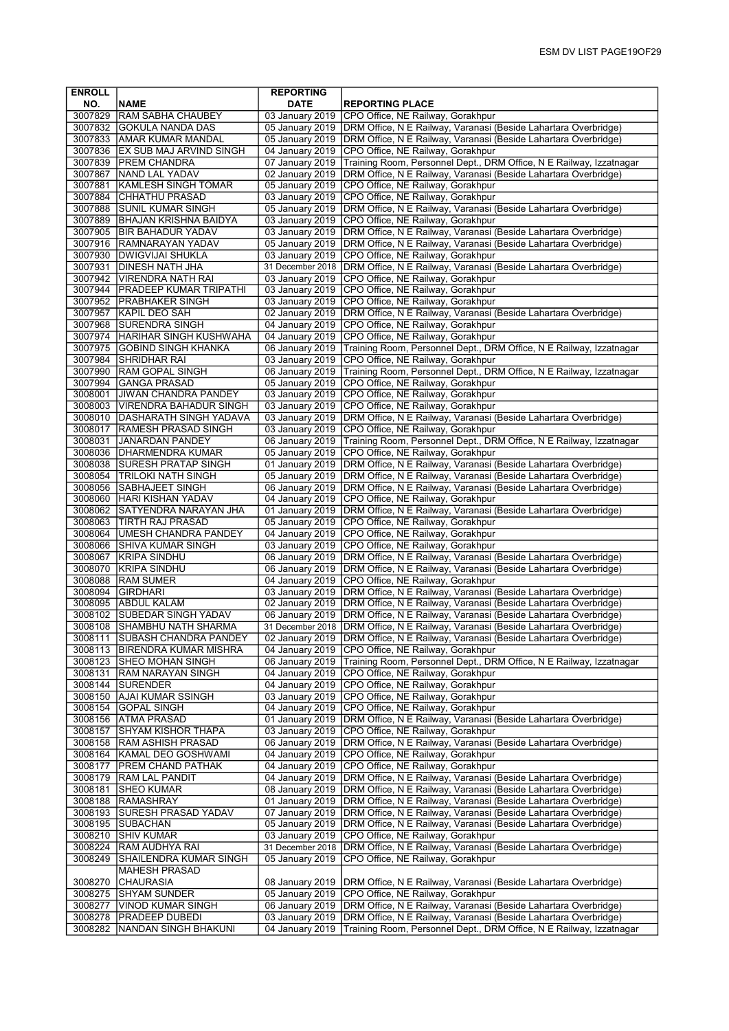| <b>ENROLL</b> |                                                | <b>REPORTING</b>                   |                                                                                                                                    |
|---------------|------------------------------------------------|------------------------------------|------------------------------------------------------------------------------------------------------------------------------------|
| NO.           | <b>NAME</b>                                    | <b>DATE</b>                        | <b>REPORTING PLACE</b>                                                                                                             |
| 3007829       | <b>RAM SABHA CHAUBEY</b>                       | 03 January 2019                    | CPO Office, NE Railway, Gorakhpur                                                                                                  |
| 3007832       | <b>GOKULA NANDA DAS</b>                        | 05 January 2019                    | DRM Office, N E Railway, Varanasi (Beside Lahartara Overbridge)                                                                    |
|               | 3007833 AMAR KUMAR MANDAL                      | 05 January 2019                    | DRM Office, N E Railway, Varanasi (Beside Lahartara Overbridge)                                                                    |
| 3007836       | <b>EX SUB MAJ ARVIND SINGH</b>                 | 04 January 2019                    | CPO Office, NE Railway, Gorakhpur                                                                                                  |
| 3007839       | <b>PREM CHANDRA</b>                            | 07 January 2019                    | Training Room, Personnel Dept., DRM Office, N E Railway, Izzatnagar                                                                |
| 3007867       | NAND LAL YADAV                                 | 02 January 2019                    | DRM Office, N E Railway, Varanasi (Beside Lahartara Overbridge)                                                                    |
| 3007881       | <b>KAMLESH SINGH TOMAR</b>                     | 05 January 2019                    | CPO Office, NE Railway, Gorakhpur                                                                                                  |
| 3007884       | <b>CHHATHU PRASAD</b>                          | 03 January 2019                    | CPO Office, NE Railway, Gorakhpur                                                                                                  |
| 3007888       | <b>SUNIL KUMAR SINGH</b>                       | 05 January 2019                    | DRM Office, N E Railway, Varanasi (Beside Lahartara Overbridge)                                                                    |
|               | 3007889 BHAJAN KRISHNA BAIDYA                  | 03 January 2019                    | CPO Office, NE Railway, Gorakhpur                                                                                                  |
|               | 3007905   BIR BAHADUR YADAV                    | 03 January 2019                    | DRM Office, N E Railway, Varanasi (Beside Lahartara Overbridge)                                                                    |
|               | 3007916 RAMNARAYAN YADAV                       | 05 January 2019                    | DRM Office, N E Railway, Varanasi (Beside Lahartara Overbridge)                                                                    |
|               | 3007930   DWIGVIJAI SHUKLA                     | 03 January 2019                    | CPO Office, NE Railway, Gorakhpur                                                                                                  |
| 3007931       | <b>DINESH NATH JHA</b>                         | 31 December 2018                   | DRM Office, N E Railway, Varanasi (Beside Lahartara Overbridge)                                                                    |
| 3007942       | <b>VIRENDRA NATH RAI</b>                       | 03 January 2019                    | CPO Office, NE Railway, Gorakhpur                                                                                                  |
|               | 3007944   PRADEEP KUMAR TRIPATHI               | 03 January 2019                    | CPO Office, NE Railway, Gorakhpur                                                                                                  |
|               | 3007952 PRABHAKER SINGH                        | 03 January 2019                    | CPO Office, NE Railway, Gorakhpur                                                                                                  |
| 3007957       | <b>KAPIL DEO SAH</b>                           | 02 January 2019                    | DRM Office, N E Railway, Varanasi (Beside Lahartara Overbridge)                                                                    |
|               | 3007968 SURENDRA SINGH                         | 04 January 2019                    | CPO Office, NE Railway, Gorakhpur                                                                                                  |
|               | 3007974 HARIHAR SINGH KUSHWAHA                 | 04 January 2019                    | CPO Office, NE Railway, Gorakhpur                                                                                                  |
|               | 3007975 GOBIND SINGH KHANKA                    | 06 January 2019                    | Training Room, Personnel Dept., DRM Office, N E Railway, Izzatnagar                                                                |
| 3007984       | SHRIDHAR RAI                                   | 03 January 2019                    | CPO Office, NE Railway, Gorakhpur                                                                                                  |
| 3007990       | <b>RAM GOPAL SINGH</b>                         | 06 January 2019                    | Training Room, Personnel Dept., DRM Office, N E Railway, Izzatnagar                                                                |
|               | 3007994 GANGA PRASAD                           | 05 January 2019                    | CPO Office, NE Railway, Gorakhpur                                                                                                  |
| 3008001       | <b>JIWAN CHANDRA PANDEY</b>                    | 03 January 2019                    | CPO Office, NE Railway, Gorakhpur                                                                                                  |
|               | 3008003   VIRENDRA BAHADUR SINGH               | 03 January 2019                    | CPO Office, NE Railway, Gorakhpur                                                                                                  |
|               | 3008010 DASHARATH SINGH YADAVA                 | 03 January 2019                    | DRM Office, N E Railway, Varanasi (Beside Lahartara Overbridge)                                                                    |
| 3008031       | 3008017 RAMESH PRASAD SINGH<br>JANARDAN PANDEY | 03 January 2019<br>06 January 2019 | CPO Office, NE Railway, Gorakhpur<br>Training Room, Personnel Dept., DRM Office, N E Railway, Izzatnagar                           |
|               | 3008036   DHARMENDRA KUMAR                     | 05 January 2019                    | CPO Office, NE Railway, Gorakhpur                                                                                                  |
|               | 3008038 SURESH PRATAP SINGH                    | 01 January 2019                    | DRM Office, N E Railway, Varanasi (Beside Lahartara Overbridge)                                                                    |
|               | 3008054   TRILOKI NATH SINGH                   | 05 January 2019                    | DRM Office, N E Railway, Varanasi (Beside Lahartara Overbridge)                                                                    |
| 3008056       | SABHAJEET SINGH                                | 06 January 2019                    | DRM Office, N E Railway, Varanasi (Beside Lahartara Overbridge)                                                                    |
|               | 3008060 HARI KISHAN YADAV                      | 04 January 2019                    | CPO Office, NE Railway, Gorakhpur                                                                                                  |
|               | 3008062 SATYENDRA NARAYAN JHA                  | 01 January 2019                    | DRM Office, N E Railway, Varanasi (Beside Lahartara Overbridge)                                                                    |
| 3008063       | TIRTH RAJ PRASAD                               | 05 January 2019                    | CPO Office, NE Railway, Gorakhpur                                                                                                  |
|               | 3008064 UMESH CHANDRA PANDEY                   | 04 January 2019                    | CPO Office, NE Railway, Gorakhpur                                                                                                  |
| 3008066       | <b>SHIVA KUMAR SINGH</b>                       | 03 January 2019                    | CPO Office, NE Railway, Gorakhpur                                                                                                  |
| 3008067       | KRIPA SINDHU                                   | 06 January 2019                    | DRM Office, N E Railway, Varanasi (Beside Lahartara Overbridge)                                                                    |
|               | 3008070 KRIPA SINDHU                           | 06 January 2019                    | DRM Office, N E Railway, Varanasi (Beside Lahartara Overbridge)                                                                    |
| 3008088       | <b>RAM SUMER</b>                               | 04 January 2019                    | CPO Office, NE Railway, Gorakhpur                                                                                                  |
| 3008094       | GIRDHARI                                       | 03 January 2019                    | DRM Office, N E Railway, Varanasi (Beside Lahartara Overbridge)                                                                    |
| 3008095       | <b>ABDUL KALAM</b>                             | 02 January 2019                    | DRM Office, N E Railway, Varanasi (Beside Lahartara Overbridge)                                                                    |
| 3008102       | <b>SUBEDAR SINGH YADAV</b>                     | 06 January 2019                    | DRM Office, N E Railway, Varanasi (Beside Lahartara Overbridge)                                                                    |
| 3008108       | <b>SHAMBHU NATH SHARMA</b>                     | 31 December 2018                   | DRM Office, N E Railway, Varanasi (Beside Lahartara Overbridge)                                                                    |
|               | 3008111   SUBASH CHANDRA PANDEY                | 02 January 2019                    | DRM Office, N E Railway, Varanasi (Beside Lahartara Overbridge)                                                                    |
|               | 3008113   BIRENDRA KUMAR MISHRA                | 04 January 2019                    | CPO Office, NE Railway, Gorakhpur                                                                                                  |
|               | 3008123 SHEO MOHAN SINGH                       | 06 January 2019                    | Training Room, Personnel Dept., DRM Office, N E Railway, Izzatnagar                                                                |
|               | 3008131 RAM NARAYAN SINGH                      | 04 January 2019                    | CPO Office, NE Railway, Gorakhpur                                                                                                  |
|               | 3008144 SURENDER                               | 04 January 2019                    | CPO Office, NE Railway, Gorakhpur                                                                                                  |
| 3008150       | <b>AJAI KUMAR SSINGH</b>                       | 03 January 2019                    | CPO Office, NE Railway, Gorakhpur                                                                                                  |
| 3008154       | <b>GOPAL SINGH</b>                             | 04 January 2019                    | CPO Office, NE Railway, Gorakhpur                                                                                                  |
| 3008156       | <b>ATMA PRASAD</b>                             | 01 January 2019                    | DRM Office, N E Railway, Varanasi (Beside Lahartara Overbridge)                                                                    |
| 3008157       | SHYAM KISHOR THAPA                             | 03 January 2019                    | CPO Office, NE Railway, Gorakhpur                                                                                                  |
| 3008158       | <b>RAM ASHISH PRASAD</b>                       | 06 January 2019                    | DRM Office, N E Railway, Varanasi (Beside Lahartara Overbridge)                                                                    |
|               | 3008164   KAMAL DEO GOSHWAMI                   | 04 January 2019                    | CPO Office, NE Railway, Gorakhpur                                                                                                  |
| 3008177       | PREM CHAND PATHAK                              | 04 January 2019                    | CPO Office, NE Railway, Gorakhpur                                                                                                  |
|               | 3008179  RAM LAL PANDIT                        | 04 January 2019                    | DRM Office, N E Railway, Varanasi (Beside Lahartara Overbridge)                                                                    |
| 3008181       | <b>SHEO KUMAR</b>                              | 08 January 2019                    | DRM Office, N E Railway, Varanasi (Beside Lahartara Overbridge)                                                                    |
| 3008188       | <b>RAMASHRAY</b>                               | 01 January 2019                    | DRM Office, N E Railway, Varanasi (Beside Lahartara Overbridge)                                                                    |
| 3008193       | <b>SURESH PRASAD YADAV</b>                     | 07 January 2019                    | DRM Office, N E Railway, Varanasi (Beside Lahartara Overbridge)                                                                    |
|               | 3008195 SUBACHAN                               | 05 January 2019                    | DRM Office, N E Railway, Varanasi (Beside Lahartara Overbridge)                                                                    |
| 3008210       | <b>SHIV KUMAR</b>                              | 03 January 2019                    | CPO Office, NE Railway, Gorakhpur                                                                                                  |
| 3008224       | RAM AUDHYA RAI                                 | 31 December 2018                   | DRM Office, N E Railway, Varanasi (Beside Lahartara Overbridge)                                                                    |
| 3008249       | SHAILENDRA KUMAR SINGH                         | 05 January 2019                    | CPO Office, NE Railway, Gorakhpur                                                                                                  |
|               | <b>MAHESH PRASAD</b>                           |                                    |                                                                                                                                    |
| 3008270       | <b>CHAURASIA</b>                               | 08 January 2019                    | DRM Office, N E Railway, Varanasi (Beside Lahartara Overbridge)                                                                    |
| 3008275       | <b>SHYAM SUNDER</b>                            | 05 January 2019                    | CPO Office, NE Railway, Gorakhpur                                                                                                  |
| 3008277       | VINOD KUMAR SINGH                              | 06 January 2019<br>03 January 2019 | DRM Office, N E Railway, Varanasi (Beside Lahartara Overbridge)<br>DRM Office, N E Railway, Varanasi (Beside Lahartara Overbridge) |
| 3008278       | <b>PRADEEP DUBEDI</b>                          | 04 January 2019                    | Training Room, Personnel Dept., DRM Office, N E Railway, Izzatnagar                                                                |
| 3008282       | NANDAN SINGH BHAKUNI                           |                                    |                                                                                                                                    |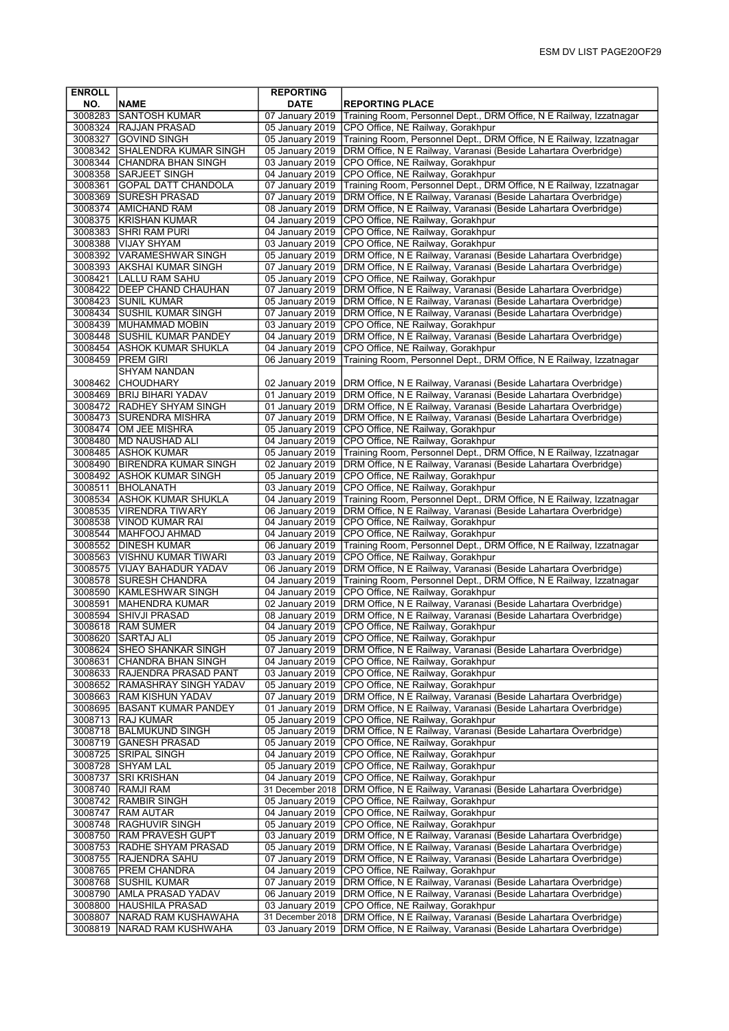| <b>ENROLL</b>      |                                                       | <b>REPORTING</b>                   |                                                                                                                                        |
|--------------------|-------------------------------------------------------|------------------------------------|----------------------------------------------------------------------------------------------------------------------------------------|
| NO.                | <b>NAME</b>                                           | <b>DATE</b>                        | <b>REPORTING PLACE</b>                                                                                                                 |
| 3008283            | <b>SANTOSH KUMAR</b>                                  | 07 January 2019                    | Training Room, Personnel Dept., DRM Office, N E Railway, Izzatnagar                                                                    |
|                    | 3008324 RAJJAN PRASAD                                 | 05 January 2019                    | CPO Office, NE Railway, Gorakhpur                                                                                                      |
| 3008327            | <b>GOVIND SINGH</b>                                   | 05 January 2019                    | Training Room, Personnel Dept., DRM Office, N E Railway, Izzatnagar                                                                    |
| 3008342            | İSHALENDRA KUMAR SINGH                                | 05 January 2019                    | DRM Office, N E Railway, Varanasi (Beside Lahartara Overbridge)                                                                        |
| 3008344            | CHANDRA BHAN SINGH                                    | 03 January 2019                    | CPO Office, NE Railway, Gorakhpur                                                                                                      |
| 3008358            | <b>SARJEET SINGH</b>                                  | 04 January 2019                    | CPO Office, NE Railway, Gorakhpur                                                                                                      |
| 3008361<br>3008369 | <b>GOPAL DATT CHANDOLA</b>                            | 07 January 2019<br>07 January 2019 | Training Room, Personnel Dept., DRM Office, N E Railway, Izzatnagar                                                                    |
| 3008374            | <b>SURESH PRASAD</b><br><b>AMICHAND RAM</b>           | 08 January 2019                    | DRM Office, N E Railway, Varanasi (Beside Lahartara Overbridge)<br>DRM Office, N E Railway, Varanasi (Beside Lahartara Overbridge)     |
|                    | 3008375 KRISHAN KUMAR                                 | 04 January 2019                    | CPO Office, NE Railway, Gorakhpur                                                                                                      |
| 3008383            | <b>SHRI RAM PURI</b>                                  | 04 January 2019                    | CPO Office, NE Railway, Gorakhpur                                                                                                      |
| 3008388            | <b>VIJAY SHYAM</b>                                    | 03 January 2019                    | CPO Office, NE Railway, Gorakhpur                                                                                                      |
|                    | 3008392 VARAMESHWAR SINGH                             | 05 January 2019                    | DRM Office, N E Railway, Varanasi (Beside Lahartara Overbridge)                                                                        |
|                    | 3008393 AKSHAI KUMAR SINGH                            | 07 January 2019                    | DRM Office, N E Railway, Varanasi (Beside Lahartara Overbridge)                                                                        |
|                    | 3008421 LALLU RAM SAHU                                | 05 January 2019                    | CPO Office, NE Railway, Gorakhpur                                                                                                      |
|                    | 3008422 DEEP CHAND CHAUHAN                            | 07 January 2019                    | DRM Office, N E Railway, Varanasi (Beside Lahartara Overbridge)                                                                        |
|                    | 3008423 SUNIL KUMAR                                   | 05 January 2019                    | DRM Office, N E Railway, Varanasi (Beside Lahartara Overbridge)                                                                        |
| 3008434            | <b>SUSHIL KUMAR SINGH</b>                             | 07 January 2019                    | DRM Office, N E Railway, Varanasi (Beside Lahartara Overbridge)                                                                        |
| 3008439            | <b>MUHAMMAD MOBIN</b>                                 | 03 January 2019                    | CPO Office, NE Railway, Gorakhpur                                                                                                      |
|                    | 3008448 SUSHIL KUMAR PANDEY                           | 04 January 2019                    | DRM Office, N E Railway, Varanasi (Beside Lahartara Overbridge)                                                                        |
|                    | 3008454 ASHOK KUMAR SHUKLA                            | 04 January 2019                    | CPO Office, NE Railway, Gorakhpur                                                                                                      |
| 3008459            | PREM GIRI<br><b>SHYAM NANDAN</b>                      | 06 January 2019                    | Training Room, Personnel Dept., DRM Office, N E Railway, Izzatnagar                                                                    |
|                    | 3008462 CHOUDHARY                                     | 02 January 2019                    | DRM Office, N E Railway, Varanasi (Beside Lahartara Overbridge)                                                                        |
|                    | 3008469   BRIJ BIHARI YADAV                           | 01 January 2019                    | DRM Office, N E Railway, Varanasi (Beside Lahartara Overbridge)                                                                        |
|                    | 3008472 RADHEY SHYAM SINGH                            | 01 January 2019                    | DRM Office, N E Railway, Varanasi (Beside Lahartara Overbridge)                                                                        |
| 3008473            | <b>SURENDRA MISHRA</b>                                | 07 January 2019                    | DRM Office, N E Railway, Varanasi (Beside Lahartara Overbridge)                                                                        |
| 3008474            | OM JEE MISHRA                                         | 05 January 2019                    | CPO Office, NE Railway, Gorakhpur                                                                                                      |
|                    | 3008480   MD NAUSHAD ALI                              | 04 January 2019                    | CPO Office, NE Railway, Gorakhpur                                                                                                      |
|                    | 3008485 ASHOK KUMAR                                   | 05 January 2019                    | Training Room, Personnel Dept., DRM Office, N E Railway, Izzatnagar                                                                    |
| 3008490            | <b>BIRENDRA KUMAR SINGH</b>                           | 02 January 2019                    | DRM Office, N E Railway, Varanasi (Beside Lahartara Overbridge)                                                                        |
|                    | 3008492 ASHOK KUMAR SINGH                             | 05 January 2019                    | CPO Office, NE Railway, Gorakhpur                                                                                                      |
| 3008511            | BHOLANATH                                             | 03 January 2019                    | CPO Office, NE Railway, Gorakhpur                                                                                                      |
| 3008534            | <b>JASHOK KUMAR SHUKLA</b><br>3008535 VIRENDRA TIWARY | 04 January 2019<br>06 January 2019 | Training Room, Personnel Dept., DRM Office, N E Railway, Izzatnagar<br>DRM Office, N E Railway, Varanasi (Beside Lahartara Overbridge) |
| 3008538            | <b>VINOD KUMAR RAI</b>                                | 04 January 2019                    | CPO Office, NE Railway, Gorakhpur                                                                                                      |
| 3008544            | MAHFOOJ AHMAD                                         | 04 January 2019                    | CPO Office, NE Railway, Gorakhpur                                                                                                      |
|                    | 3008552 DINESH KUMAR                                  | 06 January 2019                    | Training Room, Personnel Dept., DRM Office, N E Railway, Izzatnagar                                                                    |
|                    | 3008563 VISHNU KUMAR TIWARI                           | 03 January 2019                    | CPO Office, NE Railway, Gorakhpur                                                                                                      |
|                    | 3008575   VIJAY BAHADUR YADAV                         | 06 January 2019                    | DRM Office, N E Railway, Varanasi (Beside Lahartara Overbridge)                                                                        |
| 3008578            | <b>SURESH CHANDRA</b>                                 | 04 January 2019                    | Training Room, Personnel Dept., DRM Office, N E Railway, Izzatnagar                                                                    |
|                    | 3008590 KAMLESHWAR SINGH                              | 04 January 2019                    | CPO Office, NE Railway, Gorakhpur                                                                                                      |
| 3008591<br>3008594 | MAHENDRA KUMAR<br> SHIVJI PRASAD                      | 02 January 2019<br>08 January 2019 | DRM Office, N E Railway, Varanasi (Beside Lahartara Overbridge)<br>DRM Office, N E Railway, Varanasi (Beside Lahartara Overbridge)     |
| 3008618            | <b>RAM SUMER</b>                                      | 04 January 2019                    | CPO Office, NE Railway, Gorakhpur                                                                                                      |
|                    | 3008620  SARTAJ ALI                                   |                                    | 05 January 2019   CPO Office, NE Railway, Gorakhpur                                                                                    |
| 3008624            | <b>SHEO SHANKAR SINGH</b>                             | 07 January 2019                    | DRM Office, N E Railway, Varanasi (Beside Lahartara Overbridge)                                                                        |
| 3008631            | <b>CHANDRA BHAN SINGH</b>                             | 04 January 2019                    | CPO Office, NE Railway, Gorakhpur                                                                                                      |
|                    | 3008633 RAJENDRA PRASAD PANT                          | 03 January 2019                    | CPO Office, NE Railway, Gorakhpur                                                                                                      |
|                    | 3008652 RAMASHRAY SINGH YADAV                         | 05 January 2019                    | CPO Office, NE Railway, Gorakhpur                                                                                                      |
|                    | 3008663 RAM KISHUN YADAV                              | 07 January 2019                    | DRM Office, N E Railway, Varanasi (Beside Lahartara Overbridge)                                                                        |
| 3008695            | <b>BASANT KUMAR PANDEY</b>                            | 01 January 2019                    | DRM Office, N E Railway, Varanasi (Beside Lahartara Overbridge)                                                                        |
| 3008718            | 3008713   RAJ KUMAR<br><b>BALMUKUND SINGH</b>         | 05 January 2019<br>05 January 2019 | CPO Office, NE Railway, Gorakhpur<br>DRM Office, N E Railway, Varanasi (Beside Lahartara Overbridge)                                   |
| 3008719            | <b>GANESH PRASAD</b>                                  | 05 January 2019                    | CPO Office, NE Railway, Gorakhpur                                                                                                      |
| 3008725            | <b>SRIPAL SINGH</b>                                   | 04 January 2019                    | CPO Office, NE Railway, Gorakhpur                                                                                                      |
|                    | 3008728 SHYAM LAL                                     | 05 January 2019                    | CPO Office, NE Railway, Gorakhpur                                                                                                      |
| 3008737            | <b>SRI KRISHAN</b>                                    | 04 January 2019                    | CPO Office, NE Railway, Gorakhpur                                                                                                      |
| 3008740            | RAMJI RAM                                             | 31 December 2018                   | DRM Office, N E Railway, Varanasi (Beside Lahartara Overbridge)                                                                        |
| 3008742            | <b>RAMBIR SINGH</b>                                   | 05 January 2019                    | CPO Office, NE Railway, Gorakhpur                                                                                                      |
| 3008747            | <b>RAM AUTAR</b>                                      | 04 January 2019                    | CPO Office, NE Railway, Gorakhpur                                                                                                      |
| 3008748            | <b>RAGHUVIR SINGH</b>                                 | 05 January 2019                    | CPO Office, NE Railway, Gorakhpur                                                                                                      |
| 3008750<br>3008753 | <b>RAM PRAVESH GUPT</b><br><b>RADHE SHYAM PRASAD</b>  | 03 January 2019<br>05 January 2019 | DRM Office, N E Railway, Varanasi (Beside Lahartara Overbridge)<br>DRM Office, N E Railway, Varanasi (Beside Lahartara Overbridge)     |
| 3008755            | <b>RAJENDRA SAHU</b>                                  | 07 January 2019                    | DRM Office, N E Railway, Varanasi (Beside Lahartara Overbridge)                                                                        |
|                    | 3008765   PREM CHANDRA                                | 04 January 2019                    | CPO Office, NE Railway, Gorakhpur                                                                                                      |
| 3008768            | <b>SUSHIL KUMAR</b>                                   | 07 January 2019                    | DRM Office, N E Railway, Varanasi (Beside Lahartara Overbridge)                                                                        |
| 3008790            | <b>AMLA PRASAD YADAV</b>                              | 06 January 2019                    | DRM Office, N E Railway, Varanasi (Beside Lahartara Overbridge)                                                                        |
| 3008800            | HAUSHILA PRASAD                                       | 03 January 2019                    | CPO Office, NE Railway, Gorakhpur                                                                                                      |
| 3008807            | NARAD RAM KUSHAWAHA                                   | 31 December 2018                   | DRM Office, N E Railway, Varanasi (Beside Lahartara Overbridge)                                                                        |
| 3008819            | NARAD RAM KUSHWAHA                                    | 03 January 2019                    | DRM Office, N E Railway, Varanasi (Beside Lahartara Overbridge)                                                                        |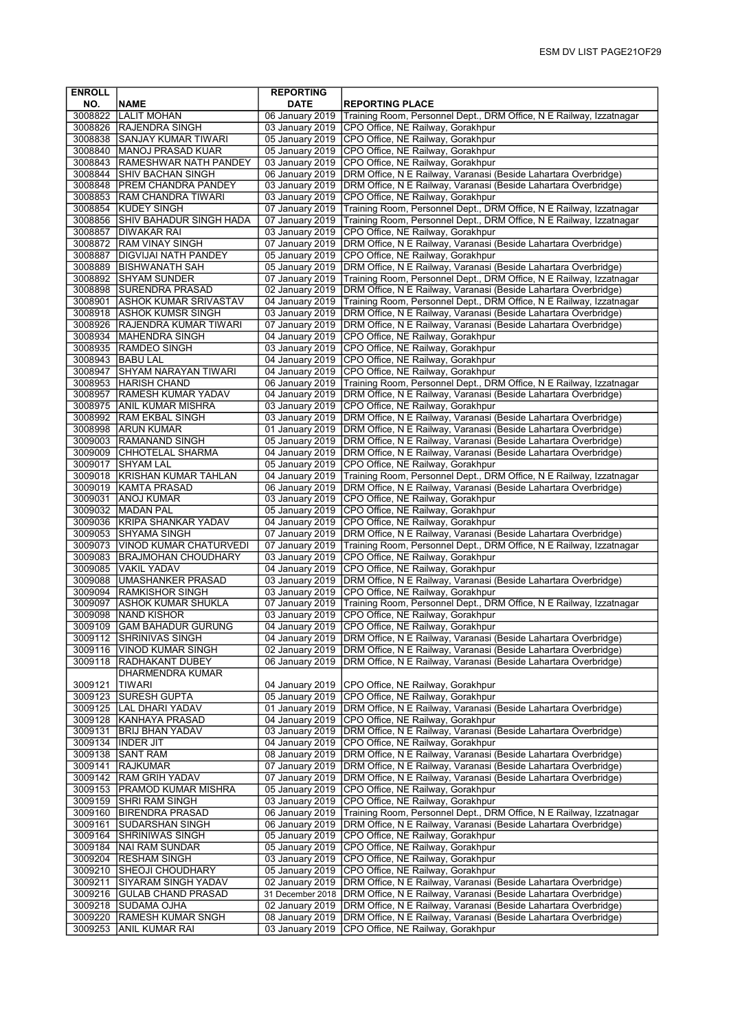| <b>ENROLL</b>      |                                                          | <b>REPORTING</b>                   |                                                                                                                                    |
|--------------------|----------------------------------------------------------|------------------------------------|------------------------------------------------------------------------------------------------------------------------------------|
| NO.                | <b>NAME</b>                                              | <b>DATE</b>                        | <b>REPORTING PLACE</b>                                                                                                             |
| 3008822            | <b>LALIT MOHAN</b>                                       | 06 January 2019                    | Training Room, Personnel Dept., DRM Office, N E Railway, Izzatnagar                                                                |
|                    | 3008826 RAJENDRA SINGH                                   | 03 January 2019                    | CPO Office, NE Railway, Gorakhpur                                                                                                  |
| 3008840            | 3008838 SANJAY KUMAR TIWARI<br><b>IMANOJ PRASAD KUAR</b> | 05 January 2019<br>05 January 2019 | CPO Office, NE Railway, Gorakhpur<br>CPO Office, NE Railway, Gorakhpur                                                             |
|                    | 3008843 RAMESHWAR NATH PANDEY                            | 03 January 2019                    | CPO Office, NE Railway, Gorakhpur                                                                                                  |
| 3008844            | <b>SHIV BACHAN SINGH</b>                                 | 06 January 2019                    | DRM Office, N E Railway, Varanasi (Beside Lahartara Overbridge)                                                                    |
|                    | 3008848   PREM CHANDRA PANDEY                            | 03 January 2019                    | DRM Office, N E Railway, Varanasi (Beside Lahartara Overbridge)                                                                    |
|                    | 3008853 RAM CHANDRA TIWARI                               | 03 January 2019                    | CPO Office, NE Railway, Gorakhpur                                                                                                  |
|                    | 3008854 KUDEY SINGH                                      |                                    | 07 January 2019 Training Room, Personnel Dept., DRM Office, N E Railway, Izzatnagar                                                |
|                    | 3008856 SHIV BAHADUR SINGH HADA                          | 07 January 2019                    | Training Room, Personnel Dept., DRM Office, N E Railway, Izzatnagar                                                                |
|                    | 3008857 DIWAKAR RAI<br>3008872 RAM VINAY SINGH           | 03 January 2019<br>07 January 2019 | CPO Office, NE Railway, Gorakhpur<br>DRM Office, N E Railway, Varanasi (Beside Lahartara Overbridge)                               |
| 3008887            | <b>DIGVIJAI NATH PANDEY</b>                              | 05 January 2019                    | CPO Office, NE Railway, Gorakhpur                                                                                                  |
|                    | 3008889 BISHWANATH SAH                                   | 05 January 2019                    | DRM Office, N E Railway, Varanasi (Beside Lahartara Overbridge)                                                                    |
|                    | 3008892 SHYAM SUNDER                                     | 07 January 2019                    | Training Room, Personnel Dept., DRM Office, N E Railway, Izzatnagar                                                                |
|                    | 3008898 SURENDRA PRASAD                                  | 02 January 2019                    | DRM Office, N E Railway, Varanasi (Beside Lahartara Overbridge)                                                                    |
|                    | 3008901 ASHOK KUMAR SRIVASTAV                            |                                    | 04 January 2019   Training Room, Personnel Dept., DRM Office, N E Railway, Izzatnagar                                              |
| 3008918            | <b>ASHOK KUMSR SINGH</b>                                 | 03 January 2019                    | DRM Office, N E Railway, Varanasi (Beside Lahartara Overbridge)                                                                    |
|                    | 3008926 RAJENDRA KUMAR TIWARI<br>3008934 MAHENDRA SINGH  | 07 January 2019<br>04 January 2019 | DRM Office, N E Railway, Varanasi (Beside Lahartara Overbridge)<br>CPO Office, NE Railway, Gorakhpur                               |
|                    | 3008935 RAMDEO SINGH                                     | 03 January 2019                    | CPO Office, NE Railway, Gorakhpur                                                                                                  |
|                    | 3008943 BABU LAL                                         | 04 January 2019                    | CPO Office, NE Railway, Gorakhpur                                                                                                  |
| 3008947            | <b>SHYAM NARAYAN TIWARI</b>                              | 04 January 2019                    | CPO Office, NE Railway, Gorakhpur                                                                                                  |
|                    | 3008953 HARISH CHAND                                     | 06 January 2019                    | Training Room, Personnel Dept., DRM Office, N E Railway, Izzatnagar                                                                |
| 3008957            | <b>RAMESH KUMAR YADAV</b>                                | 04 January 2019                    | DRM Office, N E Railway, Varanasi (Beside Lahartara Overbridge)                                                                    |
| 3008975            | <b>ANIL KUMAR MISHRA</b>                                 | 03 January 2019                    | CPO Office, NE Railway, Gorakhpur                                                                                                  |
|                    | 3008992 RAM EKBAL SINGH<br>3008998 ARUN KUMAR            | 03 January 2019<br>01 January 2019 | DRM Office, N E Railway, Varanasi (Beside Lahartara Overbridge)<br>DRM Office, N E Railway, Varanasi (Beside Lahartara Overbridge) |
|                    | 3009003 RAMANAND SINGH                                   | 05 January 2019                    | DRM Office, N E Railway, Varanasi (Beside Lahartara Overbridge)                                                                    |
|                    | 3009009 CHHOTELAL SHARMA                                 |                                    | 04 January 2019   DRM Office, N E Railway, Varanasi (Beside Lahartara Overbridge)                                                  |
| 3009017            | <b>SHYAM LAL</b>                                         | 05 January 2019                    | CPO Office, NE Railway, Gorakhpur                                                                                                  |
| 3009018            | KRISHAN KUMAR TAHLAN                                     | 04 January 2019                    | Training Room, Personnel Dept., DRM Office, N E Railway, Izzatnagar                                                                |
|                    | 3009019 KAMTA PRASAD                                     | 06 January 2019                    | DRM Office, N E Railway, Varanasi (Beside Lahartara Overbridge)                                                                    |
| 3009031            | <b>ANOJ KUMAR</b><br>3009032   MADAN PAL                 | 03 January 2019<br>05 January 2019 | CPO Office, NE Railway, Gorakhpur<br>CPO Office, NE Railway, Gorakhpur                                                             |
|                    | 3009036 KRIPA SHANKAR YADAV                              | 04 January 2019                    | CPO Office, NE Railway, Gorakhpur                                                                                                  |
| 3009053            | <b>SHYAMA SINGH</b>                                      | 07 January 2019                    | DRM Office, N E Railway, Varanasi (Beside Lahartara Overbridge)                                                                    |
|                    | 3009073 VINOD KUMAR CHATURVEDI                           | 07 January 2019                    | Training Room, Personnel Dept., DRM Office, N E Railway, Izzatnagar                                                                |
|                    | 3009083 BRAJMOHAN CHOUDHARY                              | 03 January 2019                    | CPO Office, NE Railway, Gorakhpur                                                                                                  |
|                    | 3009085 VAKIL YADAV                                      | 04 January 2019                    | CPO Office, NE Railway, Gorakhpur                                                                                                  |
|                    | 3009088   UMASHANKER PRASAD<br>3009094 RAMKISHOR SINGH   | 03 January 2019<br>03 January 2019 | DRM Office, N E Railway, Varanasi (Beside Lahartara Overbridge)<br>CPO Office, NE Railway, Gorakhpur                               |
| 3009097            | <b>JASHOK KUMAR SHUKLA</b>                               | 07 January 2019                    | Training Room, Personnel Dept., DRM Office, N E Railway, Izzatnagar                                                                |
| 3009098            | <b>NAND KISHOR</b>                                       | 03 January 2019                    | CPO Office, NE Railway, Gorakhpur                                                                                                  |
| 3009109            | <b>GAM BAHADUR GURUNG</b>                                |                                    | 04 January 2019 CPO Office, NE Railway, Gorakhpur                                                                                  |
|                    | 3009112 SHRINIVAS SINGH                                  |                                    | 04 January 2019   DRM Office, N E Railway, Varanasi (Beside Lahartara Overbridge)                                                  |
|                    | 3009116   VINOD KUMAR SINGH                              | 02 January 2019                    | DRM Office, N E Railway, Varanasi (Beside Lahartara Overbridge)                                                                    |
|                    | 3009118  RADHAKANT DUBEY                                 | 06 January 2019                    | DRM Office, N E Railway, Varanasi (Beside Lahartara Overbridge)                                                                    |
| 3009121            | DHARMENDRA KUMAR<br> TIWARI                              | 04 January 2019                    | CPO Office, NE Railway, Gorakhpur                                                                                                  |
| 3009123            | <b>SURESH GUPTA</b>                                      | 05 January 2019                    | CPO Office, NE Railway, Gorakhpur                                                                                                  |
|                    | 3009125  LAL DHARI YADAV                                 | 01 January 2019                    | DRM Office, N E Railway, Varanasi (Beside Lahartara Overbridge)                                                                    |
|                    | 3009128 KANHAYA PRASAD                                   | 04 January 2019                    | CPO Office, NE Railway, Gorakhpur                                                                                                  |
| 3009131            | <b>BRIJ BHAN YADAV</b>                                   | 03 January 2019                    | DRM Office, N E Railway, Varanasi (Beside Lahartara Overbridge)                                                                    |
| 3009134            | <b>INDER JIT</b>                                         | 04 January 2019                    | CPO Office, NE Railway, Gorakhpur                                                                                                  |
| 3009138<br>3009141 | <b>SANT RAM</b><br><b>RAJKUMAR</b>                       | 08 January 2019<br>07 January 2019 | DRM Office, N E Railway, Varanasi (Beside Lahartara Overbridge)<br>DRM Office, N E Railway, Varanasi (Beside Lahartara Overbridge) |
|                    | 3009142  RAM GRIH YADAV                                  | 07 January 2019                    | DRM Office, N E Railway, Varanasi (Beside Lahartara Overbridge)                                                                    |
|                    | 3009153   PRAMOD KUMAR MISHRA                            | 05 January 2019                    | CPO Office, NE Railway, Gorakhpur                                                                                                  |
|                    | 3009159 SHRI RAM SINGH                                   | 03 January 2019                    | CPO Office, NE Railway, Gorakhpur                                                                                                  |
|                    | 3009160 BIRENDRA PRASAD                                  | 06 January 2019                    | Training Room, Personnel Dept., DRM Office, N E Railway, Izzatnagar                                                                |
| 3009161            | <b>SUDARSHAN SINGH</b>                                   | 06 January 2019                    | DRM Office, N E Railway, Varanasi (Beside Lahartara Overbridge)                                                                    |
| 3009164            | SHRINIWAS SINGH                                          | 05 January 2019                    | CPO Office, NE Railway, Gorakhpur                                                                                                  |
| 3009184            | NAI RAM SUNDAR<br>3009204 RESHAM SINGH                   | 05 January 2019<br>03 January 2019 | CPO Office, NE Railway, Gorakhpur<br>CPO Office, NE Railway, Gorakhpur                                                             |
| 3009210            | <b>SHEOJI CHOUDHARY</b>                                  | 05 January 2019                    | CPO Office, NE Railway, Gorakhpur                                                                                                  |
| 3009211            | SIYARAM SINGH YADAV                                      | 02 January 2019                    | DRM Office, N E Railway, Varanasi (Beside Lahartara Overbridge)                                                                    |
| 3009216            | <b>GULAB CHAND PRASAD</b>                                | 31 December 2018                   | DRM Office, N E Railway, Varanasi (Beside Lahartara Overbridge)                                                                    |
| 3009218            | <b>SUDAMA OJHA</b>                                       | 02 January 2019                    | DRM Office, N E Railway, Varanasi (Beside Lahartara Overbridge)                                                                    |
| 3009220            | <b>RAMESH KUMAR SNGH</b>                                 | 08 January 2019                    | DRM Office, N E Railway, Varanasi (Beside Lahartara Overbridge)                                                                    |
| 3009253            | <b>ANIL KUMAR RAI</b>                                    | 03 January 2019                    | CPO Office, NE Railway, Gorakhpur                                                                                                  |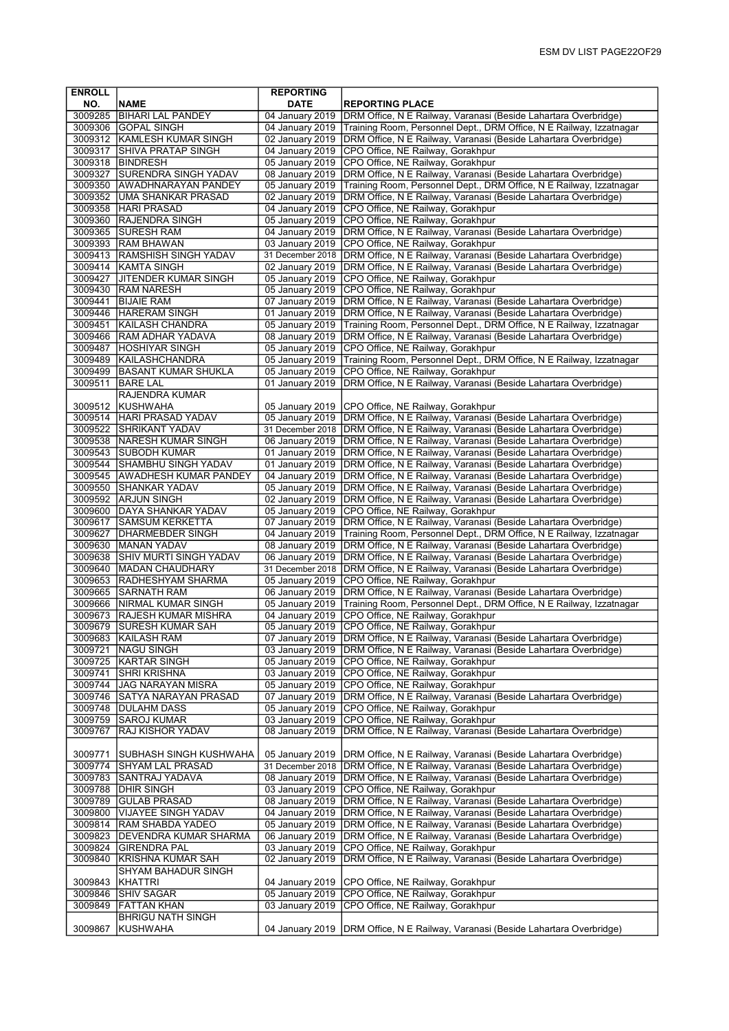| <b>ENROLL</b>      |                                                          | <b>REPORTING</b>                    |                                                                                                                                        |
|--------------------|----------------------------------------------------------|-------------------------------------|----------------------------------------------------------------------------------------------------------------------------------------|
| NO.                | <b>NAME</b>                                              | <b>DATE</b>                         | <b>REPORTING PLACE</b>                                                                                                                 |
|                    | 3009285   BIHARI LAL PANDEY                              | 04 January 2019                     | DRM Office, N E Railway, Varanasi (Beside Lahartara Overbridge)                                                                        |
|                    | 3009306 GOPAL SINGH                                      | 04 January 2019                     | Training Room, Personnel Dept., DRM Office, N E Railway, Izzatnagar                                                                    |
| 3009317            | 3009312 KAMLESH KUMAR SINGH<br><b>SHIVA PRATAP SINGH</b> | 02 January 2019<br>04 January 2019  | DRM Office, N E Railway, Varanasi (Beside Lahartara Overbridge)<br>CPO Office, NE Railway, Gorakhpur                                   |
|                    | 3009318 BINDRESH                                         | 05 January 2019                     | CPO Office, NE Railway, Gorakhpur                                                                                                      |
| 3009327            | <b>SURENDRA SINGH YADAV</b>                              | 08 January 2019                     | DRM Office, N E Railway, Varanasi (Beside Lahartara Overbridge)                                                                        |
|                    | 3009350 AWADHNARAYAN PANDEY                              | 05 January 2019                     | Training Room, Personnel Dept., DRM Office, N E Railway, Izzatnagar                                                                    |
|                    | 3009352 UMA SHANKAR PRASAD                               | 02 January 2019                     | DRM Office, N E Railway, Varanasi (Beside Lahartara Overbridge)                                                                        |
|                    | 3009358 HARI PRASAD                                      | 04 January 2019                     | CPO Office, NE Railway, Gorakhpur                                                                                                      |
| 3009365            | 3009360 RAJENDRA SINGH<br><b>SURESH RAM</b>              | 05 January 2019<br>04 January 2019  | CPO Office, NE Railway, Gorakhpur<br>DRM Office, N E Railway, Varanasi (Beside Lahartara Overbridge)                                   |
|                    | 3009393 RAM BHAWAN                                       | 03 January 2019                     | CPO Office, NE Railway, Gorakhpur                                                                                                      |
|                    | 3009413 RAMSHISH SINGH YADAV                             | 31 December 2018                    | DRM Office, N E Railway, Varanasi (Beside Lahartara Overbridge)                                                                        |
|                    | 3009414 KAMTA SINGH                                      | 02 January 2019                     | DRM Office, N E Railway, Varanasi (Beside Lahartara Overbridge)                                                                        |
| 3009427            | <b>JITENDER KUMAR SINGH</b>                              | 05 January 2019                     | CPO Office, NE Railway, Gorakhpur                                                                                                      |
| 3009441            | 3009430 RAM NARESH<br><b>BIJAIE RAM</b>                  | 05 January 2019<br>07 January 2019  | CPO Office, NE Railway, Gorakhpur<br>DRM Office, N E Railway, Varanasi (Beside Lahartara Overbridge)                                   |
| 3009446            | <b>HARERAM SINGH</b>                                     | 01 January 2019                     | DRM Office, N E Railway, Varanasi (Beside Lahartara Overbridge)                                                                        |
| 3009451            | KAILASH CHANDRA                                          | 05 January 2019                     | Training Room, Personnel Dept., DRM Office, N E Railway, Izzatnagar                                                                    |
|                    | 3009466 RAM ADHAR YADAVA                                 | 08 January 2019                     | DRM Office, N E Railway, Varanasi (Beside Lahartara Overbridge)                                                                        |
|                    | 3009487  HOSHIYAR SINGH                                  | 05 January 2019                     | CPO Office, NE Railway, Gorakhpur                                                                                                      |
|                    | 3009489 KAILASHCHANDRA                                   | 05 January 2019                     | Training Room, Personnel Dept., DRM Office, N E Railway, Izzatnagar                                                                    |
| 3009511            | 3009499 BASANT KUMAR SHUKLA<br><b>BARE LAL</b>           | 05 January 2019<br>01 January 2019  | CPO Office, NE Railway, Gorakhpur<br>DRM Office, N E Railway, Varanasi (Beside Lahartara Overbridge)                                   |
|                    | RAJENDRA KUMAR                                           |                                     |                                                                                                                                        |
| 3009512            | <b>KUSHWAHA</b>                                          | 05 January 2019                     | CPO Office, NE Railway, Gorakhpur                                                                                                      |
| 3009514            | <b>HARI PRASAD YADAV</b>                                 | 05 January 2019                     | DRM Office, N E Railway, Varanasi (Beside Lahartara Overbridge)                                                                        |
|                    | 3009522 SHRIKANT YADAV                                   | 31 December 2018                    | DRM Office, N E Railway, Varanasi (Beside Lahartara Overbridge)                                                                        |
|                    | 3009538 NARESH KUMAR SINGH                               | 06 January 2019                     | DRM Office, N E Railway, Varanasi (Beside Lahartara Overbridge)                                                                        |
|                    | 3009543 SUBODH KUMAR<br>3009544 SHAMBHU SINGH YADAV      | 01 January 2019<br>01 January 2019  | DRM Office, N E Railway, Varanasi (Beside Lahartara Overbridge)<br>DRM Office, N E Railway, Varanasi (Beside Lahartara Overbridge)     |
|                    | 3009545 AWADHESH KUMAR PANDEY                            | 04 January 2019                     | DRM Office, N E Railway, Varanasi (Beside Lahartara Overbridge)                                                                        |
| 3009550            | <b>SHANKAR YADAV</b>                                     | 05 January 2019                     | DRM Office, N E Railway, Varanasi (Beside Lahartara Overbridge)                                                                        |
| 3009592            | <b>ARJUN SINGH</b>                                       | 02 January 2019                     | DRM Office, N E Railway, Varanasi (Beside Lahartara Overbridge)                                                                        |
|                    | 3009600 DAYA SHANKAR YADAV                               | 05 January 2019                     | CPO Office, NE Railway, Gorakhpur                                                                                                      |
| 3009617            | SAMSUM KERKETTA                                          | 07 January 2019                     | DRM Office, N E Railway, Varanasi (Beside Lahartara Overbridge)                                                                        |
| 3009627            | <b>IDHARMEBDER SINGH</b><br>3009630 MANAN YADAV          | 04 January 2019<br>08 January 2019  | Training Room, Personnel Dept., DRM Office, N E Railway, Izzatnagar<br>DRM Office, N E Railway, Varanasi (Beside Lahartara Overbridge) |
| 3009638            | <b>SHIV MURTI SINGH YADAV</b>                            | 06 January 2019                     | DRM Office, N E Railway, Varanasi (Beside Lahartara Overbridge)                                                                        |
|                    | 3009640   MADAN CHAUDHARY                                | 31 December 2018                    | DRM Office, N E Railway, Varanasi (Beside Lahartara Overbridge)                                                                        |
| 3009653            | <b>RADHESHYAM SHARMA</b>                                 | 05 January 2019                     | CPO Office, NE Railway, Gorakhpur                                                                                                      |
| 3009665            | <b>SARNATH RAM</b>                                       | 06 January 2019                     | DRM Office, N E Railway, Varanasi (Beside Lahartara Overbridge)                                                                        |
| 3009666<br>3009673 | <b>NIRMAL KUMAR SINGH</b><br><b>RAJESH KUMAR MISHRA</b>  | 05 January 2019<br>04 January 2019  | Training Room, Personnel Dept., DRM Office, N E Railway, Izzatnagar<br>CPO Office, NE Railway, Gorakhpur                               |
| 3009679            | <b>SURESH KUMAR SAH</b>                                  | 05 January 2019                     | CPO Office, NE Railway, Gorakhpur                                                                                                      |
|                    | 3009683  KAILASH RAM                                     | 07 January 2019                     | DRM Office, N E Railway, Varanasi (Beside Lahartara Overbridge)                                                                        |
| 3009721            | <b>NAGU SINGH</b>                                        | 03 January 2019                     | DRM Office, N E Railway, Varanasi (Beside Lahartara Overbridge)                                                                        |
| 3009725            | KARTAR SINGH                                             | 05 January 2019                     | CPO Office, NE Railway, Gorakhpur                                                                                                      |
| 3009741            | SHRI KRISHNA                                             | 03 January 2019                     | CPO Office, NE Railway, Gorakhpur                                                                                                      |
| 3009746            | 3009744 JJAG NARAYAN MISRA<br> SATYA NARAYAN PRASAD      | 05 January 2019<br>07 January 2019  | CPO Office, NE Railway, Gorakhpur<br>DRM Office, N E Railway, Varanasi (Beside Lahartara Overbridge)                                   |
| 3009748            | DULAHM DASS                                              | 05 January 2019                     | CPO Office, NE Railway, Gorakhpur                                                                                                      |
| 3009759            | <b>SAROJ KUMAR</b>                                       | 03 January 2019                     | CPO Office, NE Railway, Gorakhpur                                                                                                      |
| 3009767            | RAJ KISHOR YADAV                                         | 08 January 2019                     | DRM Office, N E Railway, Varanasi (Beside Lahartara Overbridge)                                                                        |
|                    |                                                          |                                     |                                                                                                                                        |
| 3009771            | SUBHASH SINGH KUSHWAHA<br>3009774 SHYAM LAL PRASAD       | 05 January 2019<br>31 December 2018 | DRM Office, N E Railway, Varanasi (Beside Lahartara Overbridge)<br>DRM Office, N E Railway, Varanasi (Beside Lahartara Overbridge)     |
| 3009783            | <b>SANTRAJ YADAVA</b>                                    | 08 January 2019                     | DRM Office, N E Railway, Varanasi (Beside Lahartara Overbridge)                                                                        |
| 3009788            | <b>DHIR SINGH</b>                                        | 03 January 2019                     | CPO Office, NE Railway, Gorakhpur                                                                                                      |
| 3009789            | <b>GULAB PRASAD</b>                                      | 08 January 2019                     | DRM Office, N E Railway, Varanasi (Beside Lahartara Overbridge)                                                                        |
| 3009800            | VIJAYEE SINGH YADAV                                      | 04 January 2019                     | DRM Office, N E Railway, Varanasi (Beside Lahartara Overbridge)                                                                        |
|                    | 3009814  RAM SHABDA YADEO                                | 05 January 2019                     | DRM Office, N E Railway, Varanasi (Beside Lahartara Overbridge)                                                                        |
| 3009823<br>3009824 | <b>DEVENDRA KUMAR SHARMA</b><br> GIRENDRA PAL            | 06 January 2019<br>03 January 2019  | DRM Office, N E Railway, Varanasi (Beside Lahartara Overbridge)<br>CPO Office, NE Railway, Gorakhpur                                   |
| 3009840            | KRISHNA KUMAR SAH                                        | 02 January 2019                     | DRM Office, N E Railway, Varanasi (Beside Lahartara Overbridge)                                                                        |
|                    | SHYAM BAHADUR SINGH                                      |                                     |                                                                                                                                        |
| 3009843            | KHATTRI                                                  | 04 January 2019                     | CPO Office, NE Railway, Gorakhpur                                                                                                      |
| 3009846            | SHIV SAGAR                                               | 05 January 2019                     | CPO Office, NE Railway, Gorakhpur                                                                                                      |
| 3009849            | <b>FATTAN KHAN</b>                                       | 03 January 2019                     | CPO Office, NE Railway, Gorakhpur                                                                                                      |
| 3009867            | <b>BHRIGU NATH SINGH</b><br>KUSHWAHA                     | 04 January 2019                     | DRM Office, N E Railway, Varanasi (Beside Lahartara Overbridge)                                                                        |
|                    |                                                          |                                     |                                                                                                                                        |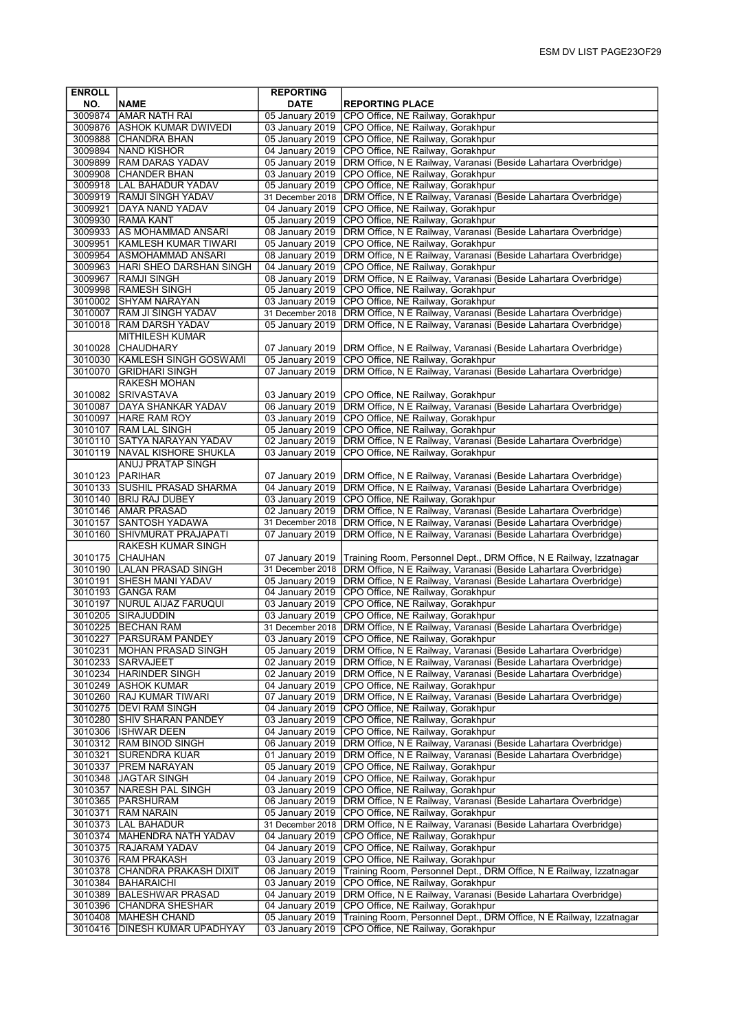| <b>ENROLL</b>      |                                                 | <b>REPORTING</b>                    |                                                                                                                                        |
|--------------------|-------------------------------------------------|-------------------------------------|----------------------------------------------------------------------------------------------------------------------------------------|
| NO.                | <b>NAME</b>                                     | <b>DATE</b>                         | <b>REPORTING PLACE</b>                                                                                                                 |
|                    | 3009874 AMAR NATH RAI                           | 05 January 2019                     | CPO Office, NE Railway, Gorakhpur                                                                                                      |
|                    | 3009876 ASHOK KUMAR DWIVEDI                     |                                     | 03 January 2019 CPO Office, NE Railway, Gorakhpur                                                                                      |
|                    | 3009888 CHANDRA BHAN                            |                                     | 05 January 2019 CPO Office, NE Railway, Gorakhpur                                                                                      |
|                    | 3009894 NAND KISHOR                             | 04 January 2019                     | CPO Office, NE Railway, Gorakhpur                                                                                                      |
|                    | 3009899 RAM DARAS YADAV<br>3009908 CHANDER BHAN | 05 January 2019<br>03 January 2019  | DRM Office, N E Railway, Varanasi (Beside Lahartara Overbridge)                                                                        |
|                    | 3009918  LAL BAHADUR YADAV                      | 05 January 2019                     | CPO Office, NE Railway, Gorakhpur<br>CPO Office, NE Railway, Gorakhpur                                                                 |
|                    | 3009919 RAMJI SINGH YADAV                       | 31 December 2018                    | DRM Office, N E Railway, Varanasi (Beside Lahartara Overbridge)                                                                        |
| 3009921            | <b>DAYA NAND YADAV</b>                          | 04 January 2019                     | CPO Office, NE Railway, Gorakhpur                                                                                                      |
|                    | 3009930 RAMA KANT                               | 05 January 2019                     | CPO Office, NE Railway, Gorakhpur                                                                                                      |
|                    | 3009933 AS MOHAMMAD ANSARI                      | 08 January 2019                     | DRM Office, N E Railway, Varanasi (Beside Lahartara Overbridge)                                                                        |
| 3009951            | <b>KAMLESH KUMAR TIWARI</b>                     | 05 January 2019                     | CPO Office, NE Railway, Gorakhpur                                                                                                      |
|                    | 3009954 ASMOHAMMAD ANSARI                       | 08 January 2019                     | DRM Office, N E Railway, Varanasi (Beside Lahartara Overbridge)                                                                        |
|                    | 3009963   HARI SHEO DARSHAN SINGH               | 04 January 2019                     | CPO Office, NE Railway, Gorakhpur                                                                                                      |
| 3009967            | <b>RAMJI SINGH</b>                              | 08 January 2019                     | DRM Office, N E Railway, Varanasi (Beside Lahartara Overbridge)                                                                        |
|                    | 3009998 RAMESH SINGH                            | 05 January 2019                     | CPO Office, NE Railway, Gorakhpur                                                                                                      |
|                    | 3010002 SHYAM NARAYAN                           | 03 January 2019                     | CPO Office, NE Railway, Gorakhpur                                                                                                      |
|                    | 3010007 RAM JI SINGH YADAV                      | 31 December 2018                    | DRM Office, N E Railway, Varanasi (Beside Lahartara Overbridge)                                                                        |
| 3010018            | <b>RAM DARSH YADAV</b>                          | 05 January 2019                     | DRM Office, N E Railway, Varanasi (Beside Lahartara Overbridge)                                                                        |
|                    | <b>MITHILESH KUMAR</b>                          |                                     |                                                                                                                                        |
| 3010028            | CHAUDHARY                                       | 07 January 2019                     | DRM Office, N E Railway, Varanasi (Beside Lahartara Overbridge)                                                                        |
| 3010030            | KAMLESH SINGH GOSWAMI                           | 05 January 2019                     | CPO Office, NE Railway, Gorakhpur                                                                                                      |
| 3010070            | <b>GRIDHARI SINGH</b><br><b>RAKESH MOHAN</b>    | 07 January 2019                     | DRM Office, N E Railway, Varanasi (Beside Lahartara Overbridge)                                                                        |
|                    | 3010082 SRIVASTAVA                              |                                     | CPO Office, NE Railway, Gorakhpur                                                                                                      |
| 3010087            | <b>IDAYA SHANKAR YADAV</b>                      | 03 January 2019<br>06 January 2019  | DRM Office, N E Railway, Varanasi (Beside Lahartara Overbridge)                                                                        |
| 3010097            | <b>HARE RAM ROY</b>                             | 03 January 2019                     | CPO Office, NE Railway, Gorakhpur                                                                                                      |
| 3010107            | <b>RAM LAL SINGH</b>                            | 05 January 2019                     | CPO Office, NE Railway, Gorakhpur                                                                                                      |
|                    | 3010110 SATYA NARAYAN YADAV                     | 02 January 2019                     | DRM Office, N E Railway, Varanasi (Beside Lahartara Overbridge)                                                                        |
| 3010119            | <b>NAVAL KISHORE SHUKLA</b>                     | 03 January 2019                     | CPO Office, NE Railway, Gorakhpur                                                                                                      |
|                    | <b>ANUJ PRATAP SINGH</b>                        |                                     |                                                                                                                                        |
| 3010123            | PARIHAR                                         | 07 January 2019                     | DRM Office, N E Railway, Varanasi (Beside Lahartara Overbridge)                                                                        |
| 3010133            | <b>SUSHIL PRASAD SHARMA</b>                     | 04 January 2019                     | DRM Office, N E Railway, Varanasi (Beside Lahartara Overbridge)                                                                        |
|                    | 3010140 BRIJ RAJ DUBEY                          | 03 January 2019                     | CPO Office, NE Railway, Gorakhpur                                                                                                      |
|                    | 3010146 AMAR PRASAD                             | 02 January 2019                     | DRM Office, N E Railway, Varanasi (Beside Lahartara Overbridge)                                                                        |
|                    | 3010157 SANTOSH YADAWA                          | 31 December 2018                    | DRM Office, N E Railway, Varanasi (Beside Lahartara Overbridge)                                                                        |
| 3010160            | <b>SHIVMURAT PRAJAPATI</b>                      | 07 January 2019                     | DRM Office, N E Railway, Varanasi (Beside Lahartara Overbridge)                                                                        |
|                    | RAKESH KUMAR SINGH<br>3010175 CHAUHAN           |                                     |                                                                                                                                        |
|                    | 3010190 LALAN PRASAD SINGH                      | 07 January 2019<br>31 December 2018 | Training Room, Personnel Dept., DRM Office, N E Railway, Izzatnagar<br>DRM Office, N E Railway, Varanasi (Beside Lahartara Overbridge) |
| 3010191            | <b>SHESH MANI YADAV</b>                         | 05 January 2019                     | DRM Office, N E Railway, Varanasi (Beside Lahartara Overbridge)                                                                        |
|                    | 3010193 GANGA RAM                               | 04 January 2019                     | CPO Office, NE Railway, Gorakhpur                                                                                                      |
| 3010197            | NURUL AIJAZ FARUQUI                             | 03 January 2019                     | CPO Office, NE Railway, Gorakhpur                                                                                                      |
| 3010205            | <b>SIRAJUDDIN</b>                               | 03 January 2019                     | CPO Office, NE Railway, Gorakhpur                                                                                                      |
| 3010225            | <b>BECHAN RAM</b>                               | 31 December 2018                    | DRM Office, N E Railway, Varanasi (Beside Lahartara Overbridge)                                                                        |
| 3010227            | <b>PARSURAM PANDEY</b>                          | 03 January 2019                     | CPO Office, NE Railway, Gorakhpur                                                                                                      |
| 3010231            | MOHAN PRASAD SINGH                              | 05 January 2019                     | DRM Office, N E Railway, Varanasi (Beside Lahartara Overbridge)                                                                        |
|                    | 3010233 SARVAJEET                               | 02 January 2019                     | DRM Office, N E Railway, Varanasi (Beside Lahartara Overbridge)                                                                        |
|                    | 3010234 HARINDER SINGH                          | 02 January 2019                     | DRM Office, N E Railway, Varanasi (Beside Lahartara Overbridge)                                                                        |
|                    | 3010249  ASHOK KUMAR                            | 04 January 2019                     | CPO Office, NE Railway, Gorakhpur                                                                                                      |
| 3010260            | <b>RAJ KUMAR TIWARI</b>                         | 07 January 2019                     | DRM Office, N E Railway, Varanasi (Beside Lahartara Overbridge)                                                                        |
| 3010275            | <b>IDEVI RAM SINGH</b>                          | 04 January 2019                     | CPO Office, NE Railway, Gorakhpur                                                                                                      |
|                    | 3010280 SHIV SHARAN PANDEY                      | 03 January 2019<br>04 January 2019  | CPO Office, NE Railway, Gorakhpur<br>CPO Office, NE Railway, Gorakhpur                                                                 |
| 3010312            | 3010306  ISHWAR DEEN<br><b>RAM BINOD SINGH</b>  | 06 January 2019                     | DRM Office, N E Railway, Varanasi (Beside Lahartara Overbridge)                                                                        |
| 3010321            | <b>SURENDRA KUAR</b>                            | 01 January 2019                     | DRM Office, N E Railway, Varanasi (Beside Lahartara Overbridge)                                                                        |
| 3010337            | <b>PREM NARAYAN</b>                             | 05 January 2019                     | CPO Office, NE Railway, Gorakhpur                                                                                                      |
| 3010348            | <b>JAGTAR SINGH</b>                             | 04 January 2019                     | CPO Office, NE Railway, Gorakhpur                                                                                                      |
| 3010357            | NARESH PAL SINGH                                | 03 January 2019                     | CPO Office, NE Railway, Gorakhpur                                                                                                      |
|                    | 3010365   PARSHURAM                             | 06 January 2019                     | DRM Office, N E Railway, Varanasi (Beside Lahartara Overbridge)                                                                        |
| 3010371            | <b>RAM NARAIN</b>                               | 05 January 2019                     | CPO Office, NE Railway, Gorakhpur                                                                                                      |
|                    | 3010373  LAL BAHADUR                            | 31 December 2018                    | DRM Office, N E Railway, Varanasi (Beside Lahartara Overbridge)                                                                        |
| 3010374            | <b>MAHENDRA NATH YADAV</b>                      | 04 January 2019                     | CPO Office, NE Railway, Gorakhpur                                                                                                      |
|                    | 3010375   RAJARAM YADAV                         | 04 January 2019                     | CPO Office, NE Railway, Gorakhpur                                                                                                      |
|                    | 3010376 RAM PRAKASH                             | 03 January 2019                     | CPO Office, NE Railway, Gorakhpur                                                                                                      |
|                    | 3010378 CHANDRA PRAKASH DIXIT                   | 06 January 2019                     | Training Room, Personnel Dept., DRM Office, N E Railway, Izzatnagar                                                                    |
|                    | 3010384 BAHARAICHI                              | 03 January 2019                     | CPO Office, NE Railway, Gorakhpur                                                                                                      |
| 3010389<br>3010396 | <b>BALESHWAR PRASAD</b><br> CHANDRA SHESHAR     | 04 January 2019<br>04 January 2019  | DRM Office, N E Railway, Varanasi (Beside Lahartara Overbridge)<br>CPO Office, NE Railway, Gorakhpur                                   |
| 3010408            | MAHESH CHAND                                    | 05 January 2019                     | Training Room, Personnel Dept., DRM Office, N E Railway, Izzatnagar                                                                    |
| 3010416            | DINESH KUMAR UPADHYAY                           | 03 January 2019                     | CPO Office, NE Railway, Gorakhpur                                                                                                      |
|                    |                                                 |                                     |                                                                                                                                        |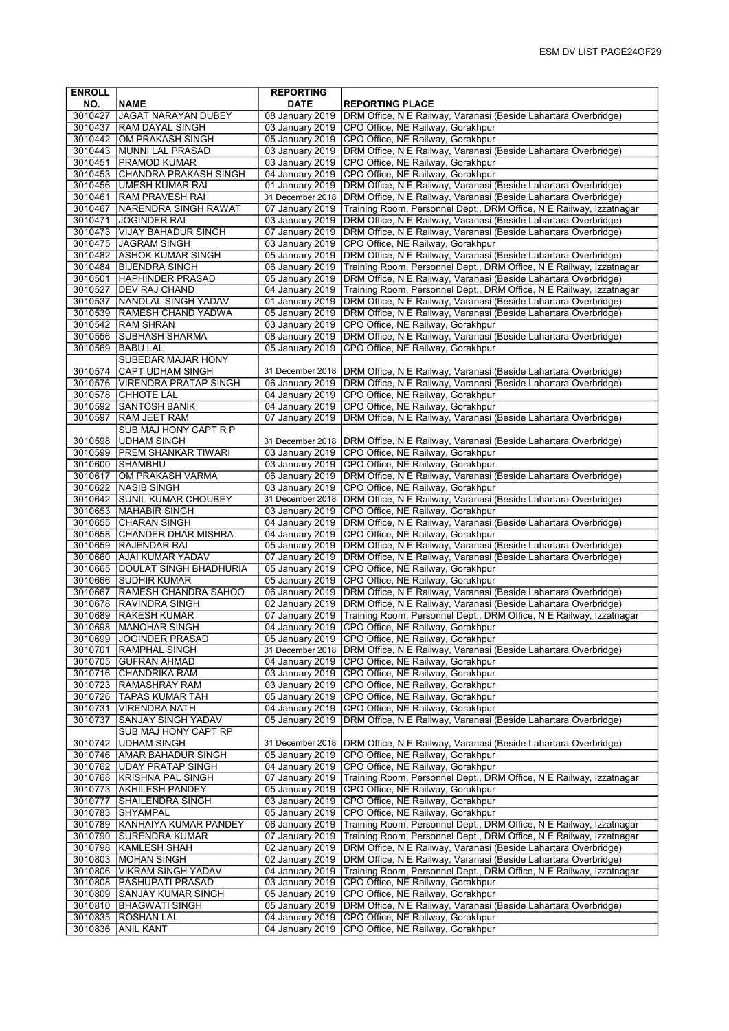| <b>ENROLL</b> |                                                        | <b>REPORTING</b>                   |                                                                                                                                    |
|---------------|--------------------------------------------------------|------------------------------------|------------------------------------------------------------------------------------------------------------------------------------|
| NO.           | <b>NAME</b>                                            | <b>DATE</b>                        | <b>REPORTING PLACE</b>                                                                                                             |
| 3010427       | <b>JAGAT NARAYAN DUBEY</b>                             | 08 January 2019                    | DRM Office, N E Railway, Varanasi (Beside Lahartara Overbridge)                                                                    |
|               | 3010437 RAM DAYAL SINGH                                |                                    | 03 January 2019 CPO Office, NE Railway, Gorakhpur                                                                                  |
|               | 3010442 OM PRAKASH SINGH<br>3010443   MUNNI LAL PRASAD | 03 January 2019                    | 05 January 2019 CPO Office, NE Railway, Gorakhpur<br>DRM Office, N E Railway, Varanasi (Beside Lahartara Overbridge)               |
| 3010451       | <b>PRAMOD KUMAR</b>                                    | 03 January 2019                    | CPO Office, NE Railway, Gorakhpur                                                                                                  |
|               | 3010453 CHANDRA PRAKASH SINGH                          | 04 January 2019                    | CPO Office, NE Railway, Gorakhpur                                                                                                  |
|               | 3010456 UMESH KUMAR RAI                                | 01 January 2019                    | DRM Office, N E Railway, Varanasi (Beside Lahartara Overbridge)                                                                    |
| 3010461       | <b>RAM PRAVESH RAI</b>                                 | 31 December 2018                   | DRM Office, N E Railway, Varanasi (Beside Lahartara Overbridge)                                                                    |
|               | 3010467 NARENDRA SINGH RAWAT                           | 07 January 2019                    | Training Room, Personnel Dept., DRM Office, N E Railway, Izzatnagar                                                                |
|               | 3010471 JOGINDER RAI                                   | 03 January 2019                    | DRM Office, N E Railway, Varanasi (Beside Lahartara Overbridge)                                                                    |
|               | 3010473 VIJAY BAHADUR SINGH                            | 07 January 2019                    | DRM Office, N E Railway, Varanasi (Beside Lahartara Overbridge)                                                                    |
|               | 3010475 JAGRAM SINGH                                   | 03 January 2019                    | CPO Office, NE Railway, Gorakhpur                                                                                                  |
|               | 3010482 ASHOK KUMAR SINGH                              | 05 January 2019                    | DRM Office, N E Railway, Varanasi (Beside Lahartara Overbridge)                                                                    |
|               | 3010484 BIJENDRA SINGH                                 | 06 January 2019                    | Training Room, Personnel Dept., DRM Office, N E Railway, Izzatnagar                                                                |
|               | 3010501 HAPHINDER PRASAD                               | 05 January 2019                    | DRM Office, N E Railway, Varanasi (Beside Lahartara Overbridge)                                                                    |
|               | 3010527   DEV RAJ CHAND                                | 04 January 2019                    | Training Room, Personnel Dept., DRM Office, N E Railway, Izzatnagar                                                                |
| 3010537       | <b>NANDLAL SINGH YADAV</b>                             | 01 January 2019                    | DRM Office, N E Railway, Varanasi (Beside Lahartara Overbridge)<br>DRM Office, N E Railway, Varanasi (Beside Lahartara Overbridge) |
|               | 3010539 RAMESH CHAND YADWA<br>3010542 RAM SHRAN        | 05 January 2019<br>03 January 2019 | CPO Office, NE Railway, Gorakhpur                                                                                                  |
|               | 3010556 SUBHASH SHARMA                                 | 08 January 2019                    | DRM Office, N E Railway, Varanasi (Beside Lahartara Overbridge)                                                                    |
| 3010569       | <b>BABU LAL</b>                                        | 05 January 2019                    | CPO Office, NE Railway, Gorakhpur                                                                                                  |
|               | <b>SUBEDAR MAJAR HONY</b>                              |                                    |                                                                                                                                    |
| 3010574       | <b>CAPT UDHAM SINGH</b>                                | 31 December 2018                   | DRM Office, N E Railway, Varanasi (Beside Lahartara Overbridge)                                                                    |
|               | 3010576   VIRENDRA PRATAP SINGH                        | 06 January 2019                    | DRM Office, N E Railway, Varanasi (Beside Lahartara Overbridge)                                                                    |
|               | 3010578 CHHOTE LAL                                     |                                    | 04 January 2019 CPO Office, NE Railway, Gorakhpur                                                                                  |
|               | 3010592 SANTOSH BANIK                                  | 04 January 2019                    | CPO Office, NE Railway, Gorakhpur                                                                                                  |
| 3010597       | <b>RAM JEET RAM</b>                                    | 07 January 2019                    | DRM Office, N E Railway, Varanasi (Beside Lahartara Overbridge)                                                                    |
|               | SUB MAJ HONY CAPT R P                                  |                                    |                                                                                                                                    |
|               | 3010598 UDHAM SINGH                                    | 31 December 2018                   | DRM Office, N E Railway, Varanasi (Beside Lahartara Overbridge)                                                                    |
|               | 3010599   PREM SHANKAR TIWARI                          | 03 January 2019                    | CPO Office, NE Railway, Gorakhpur                                                                                                  |
|               | 3010600 SHAMBHU                                        | 03 January 2019                    | CPO Office, NE Railway, Gorakhpur                                                                                                  |
|               | 3010617 OM PRAKASH VARMA                               |                                    | 06 January 2019   DRM Office, N E Railway, Varanasi (Beside Lahartara Overbridge)                                                  |
| 3010622       | <b>NASIB SINGH</b>                                     | 03 January 2019                    | CPO Office, NE Railway, Gorakhpur                                                                                                  |
|               | 3010642 SUNIL KUMAR CHOUBEY                            | 31 December 2018                   | DRM Office, N E Railway, Varanasi (Beside Lahartara Overbridge)                                                                    |
|               | 3010653   MAHABIR SINGH                                | 03 January 2019                    | CPO Office, NE Railway, Gorakhpur                                                                                                  |
|               | 3010655 CHARAN SINGH<br>3010658 CHANDER DHAR MISHRA    | 04 January 2019<br>04 January 2019 | DRM Office, N E Railway, Varanasi (Beside Lahartara Overbridge)<br>CPO Office, NE Railway, Gorakhpur                               |
|               | 3010659 RAJENDAR RAI                                   | 05 January 2019                    | DRM Office, N E Railway, Varanasi (Beside Lahartara Overbridge)                                                                    |
|               | 3010660 AJAI KUMAR YADAV                               | 07 January 2019                    | DRM Office, N E Railway, Varanasi (Beside Lahartara Overbridge)                                                                    |
|               | 3010665   DOULAT SINGH BHADHURIA                       | 05 January 2019                    | CPO Office, NE Railway, Gorakhpur                                                                                                  |
| 3010666       | <b>SUDHIR KUMAR</b>                                    | 05 January 2019                    | CPO Office, NE Railway, Gorakhpur                                                                                                  |
| 3010667       | <b>RAMESH CHANDRA SAHOO</b>                            | 06 January 2019                    | DRM Office, N E Railway, Varanasi (Beside Lahartara Overbridge)                                                                    |
|               | 3010678 RAVINDRA SINGH                                 | 02 January 2019                    | DRM Office, N E Railway, Varanasi (Beside Lahartara Overbridge)                                                                    |
| 3010689       | <b>RAKESH KUMAR</b>                                    | 07 January 2019                    | Training Room, Personnel Dept., DRM Office, N E Railway, Izzatnagar                                                                |
| 3010698       | <b>MANOHAR SINGH</b>                                   | 04 January 2019                    | CPO Office, NE Railway, Gorakhpur                                                                                                  |
|               | 3010699  JOGINDER PRASAD                               |                                    | 05 January 2019   CPO Office, NE Railway, Gorakhpur                                                                                |
| 3010701       | <b>RAMPHAL SINGH</b>                                   |                                    | 31 December 2018   DRM Office, N E Railway, Varanasi (Beside Lahartara Overbridge)                                                 |
|               | 3010705 GUFRAN AHMAD                                   | 04 January 2019                    | CPO Office, NE Railway, Gorakhpur                                                                                                  |
|               | 3010716 CHANDRIKA RAM                                  |                                    | 03 January 2019 CPO Office, NE Railway, Gorakhpur                                                                                  |
|               | 3010723 RAMASHRAY RAM                                  | 03 January 2019                    | CPO Office, NE Railway, Gorakhpur                                                                                                  |
|               | 3010726 TAPAS KUMAR TAH                                | 05 January 2019                    | CPO Office, NE Railway, Gorakhpur                                                                                                  |
| 3010731       | <b>VIRENDRA NATH</b><br><b>SANJAY SINGH YADAV</b>      | 04 January 2019<br>05 January 2019 | CPO Office, NE Railway, Gorakhpur<br>DRM Office, N E Railway, Varanasi (Beside Lahartara Overbridge)                               |
| 3010737       | SUB MAJ HONY CAPT RP                                   |                                    |                                                                                                                                    |
| 3010742       | <b>JUDHAM SINGH</b>                                    | 31 December 2018                   | DRM Office, N E Railway, Varanasi (Beside Lahartara Overbridge)                                                                    |
|               | 3010746 AMAR BAHADUR SINGH                             | 05 January 2019                    | CPO Office, NE Railway, Gorakhpur                                                                                                  |
|               | 3010762 UDAY PRATAP SINGH                              | 04 January 2019                    | CPO Office, NE Railway, Gorakhpur                                                                                                  |
|               | 3010768 KRISHNA PAL SINGH                              | 07 January 2019                    | Training Room, Personnel Dept., DRM Office, N E Railway, Izzatnagar                                                                |
| 3010773       | <b>AKHILESH PANDEY</b>                                 | 05 January 2019                    | CPO Office, NE Railway, Gorakhpur                                                                                                  |
| 3010777       | SHAILENDRA SINGH                                       | 03 January 2019                    | CPO Office, NE Railway, Gorakhpur                                                                                                  |
|               | 3010783 SHYAMPAL                                       | 05 January 2019                    | CPO Office, NE Railway, Gorakhpur                                                                                                  |
|               | 3010789 KANHAIYA KUMAR PANDEY                          | 06 January 2019                    | Training Room, Personnel Dept., DRM Office, N E Railway, Izzatnagar                                                                |
| 3010790       | <b>SURENDRA KUMAR</b>                                  | 07 January 2019                    | Training Room, Personnel Dept., DRM Office, N E Railway, Izzatnagar                                                                |
| 3010798       | <b>KAMLESH SHAH</b>                                    | 02 January 2019                    | DRM Office, N E Railway, Varanasi (Beside Lahartara Overbridge)                                                                    |
|               | 3010803   MOHAN SINGH                                  | 02 January 2019                    | DRM Office, N E Railway, Varanasi (Beside Lahartara Overbridge)                                                                    |
| 3010806       | VIKRAM SINGH YADAV                                     | 04 January 2019                    | Training Room, Personnel Dept., DRM Office, N E Railway, Izzatnagar                                                                |
| 3010808       | <b>PASHUPATI PRASAD</b>                                | 03 January 2019                    | CPO Office, NE Railway, Gorakhpur                                                                                                  |
| 3010809       | <b>SANJAY KUMAR SINGH</b>                              | 05 January 2019                    | CPO Office, NE Railway, Gorakhpur                                                                                                  |
|               | 3010810   BHAGWATI SINGH                               | 05 January 2019                    | DRM Office, N E Railway, Varanasi (Beside Lahartara Overbridge)                                                                    |
| 3010835       | <b>ROSHAN LAL</b>                                      | 04 January 2019                    | CPO Office, NE Railway, Gorakhpur                                                                                                  |
| 3010836       | <b>ANIL KANT</b>                                       | 04 January 2019                    | CPO Office, NE Railway, Gorakhpur                                                                                                  |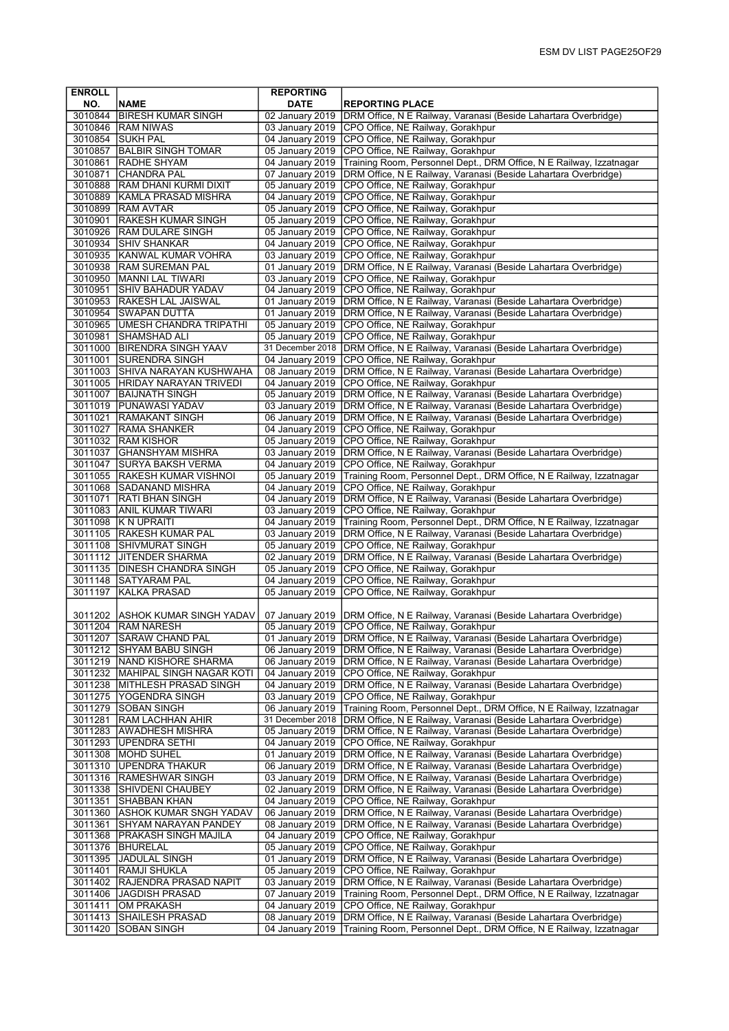| <b>ENROLL</b>      |                                                        | <b>REPORTING</b>                   |                                                                                                          |
|--------------------|--------------------------------------------------------|------------------------------------|----------------------------------------------------------------------------------------------------------|
| NO.                | <b>NAME</b>                                            | <b>DATE</b>                        | <b>REPORTING PLACE</b>                                                                                   |
|                    | 3010844 BIRESH KUMAR SINGH                             |                                    | 02 January 2019   DRM Office, N E Railway, Varanasi (Beside Lahartara Overbridge)                        |
|                    | 3010846 RAM NIWAS                                      |                                    | 03 January 2019 CPO Office, NE Railway, Gorakhpur                                                        |
|                    | 3010854 SUKH PAL                                       |                                    | 04 January 2019 CPO Office, NE Railway, Gorakhpur                                                        |
| 3010857            | <b>BALBIR SINGH TOMAR</b>                              | 05 January 2019                    | CPO Office, NE Railway, Gorakhpur                                                                        |
| 3010861            | <b>RADHE SHYAM</b>                                     | 04 January 2019                    | Training Room, Personnel Dept., DRM Office, N E Railway, Izzatnagar                                      |
| 3010871            | <b>CHANDRA PAL</b>                                     | 07 January 2019                    | DRM Office, N E Railway, Varanasi (Beside Lahartara Overbridge)                                          |
|                    | 3010888 RAM DHANI KURMI DIXIT                          | 05 January 2019                    | CPO Office, NE Railway, Gorakhpur                                                                        |
| 3010889            | KAMLA PRASAD MISHRA                                    | 04 January 2019                    | CPO Office, NE Railway, Gorakhpur                                                                        |
| 3010899            | <b>RAM AVTAR</b><br>İRAKESH KUMAR SINGH                | 05 January 2019<br>05 January 2019 | CPO Office, NE Railway, Gorakhpur                                                                        |
| 3010901<br>3010926 | <b>RAM DULARE SINGH</b>                                | 05 January 2019                    | CPO Office, NE Railway, Gorakhpur<br>CPO Office, NE Railway, Gorakhpur                                   |
| 3010934            | <b>SHIV SHANKAR</b>                                    | 04 January 2019                    | CPO Office, NE Railway, Gorakhpur                                                                        |
| 3010935            | <b>KANWAL KUMAR VOHRA</b>                              | 03 January 2019                    | CPO Office, NE Railway, Gorakhpur                                                                        |
|                    | 3010938  RAM SUREMAN PAL                               | 01 January 2019                    | DRM Office, N E Railway, Varanasi (Beside Lahartara Overbridge)                                          |
| 3010950            | <b>MANNI LAL TIWARI</b>                                |                                    | 03 January 2019 CPO Office, NE Railway, Gorakhpur                                                        |
| 3010951            | <b>SHIV BAHADUR YADAV</b>                              | 04 January 2019                    | CPO Office, NE Railway, Gorakhpur                                                                        |
| 3010953            | <b>RAKESH LAL JAISWAL</b>                              | 01 January 2019                    | DRM Office, N E Railway, Varanasi (Beside Lahartara Overbridge)                                          |
| 3010954            | SWAPAN DUTTA                                           | 01 January 2019                    | DRM Office, N E Railway, Varanasi (Beside Lahartara Overbridge)                                          |
| 3010965            | UMESH CHANDRA TRIPATHI                                 | 05 January 2019                    | CPO Office, NE Railway, Gorakhpur                                                                        |
| 3010981            | <b>SHAMSHAD ALI</b>                                    | 05 January 2019                    | CPO Office, NE Railway, Gorakhpur                                                                        |
|                    | 3011000 BIRENDRA SINGH YAAV                            | 31 December 2018                   | DRM Office, N E Railway, Varanasi (Beside Lahartara Overbridge)                                          |
| 3011001            | <b>SURENDRA SINGH</b>                                  | 04 January 2019                    | CPO Office, NE Railway, Gorakhpur                                                                        |
|                    | 3011003 SHIVA NARAYAN KUSHWAHA                         | 08 January 2019                    | DRM Office, N E Railway, Varanasi (Beside Lahartara Overbridge)                                          |
| 3011005            | HRIDAY NARAYAN TRIVEDI                                 | 04 January 2019                    | CPO Office, NE Railway, Gorakhpur                                                                        |
| 3011007            | BAIJNATH SINGH                                         | 05 January 2019                    | DRM Office, N E Railway, Varanasi (Beside Lahartara Overbridge)                                          |
|                    | 3011019 PUNAWASI YADAV                                 | 03 January 2019                    | DRM Office, N E Railway, Varanasi (Beside Lahartara Overbridge)                                          |
| 3011021            | <b>RAMAKANT SINGH</b>                                  | 06 January 2019                    | DRM Office, N E Railway, Varanasi (Beside Lahartara Overbridge)                                          |
| 3011027            | <b>RAMA SHANKER</b>                                    | 04 January 2019                    | CPO Office, NE Railway, Gorakhpur                                                                        |
| 3011032            | <b>RAM KISHOR</b>                                      | 05 January 2019                    | CPO Office, NE Railway, Gorakhpur                                                                        |
| 3011037            | <b>GHANSHYAM MISHRA</b>                                |                                    | 03 January 2019   DRM Office, N E Railway, Varanasi (Beside Lahartara Overbridge)                        |
| 3011047<br>3011055 | SURYA BAKSH VERMA                                      | 04 January 2019<br>05 January 2019 | CPO Office, NE Railway, Gorakhpur                                                                        |
|                    | <b>RAKESH KUMAR VISHNOI</b><br>3011068 SADANAND MISHRA | 04 January 2019                    | Training Room, Personnel Dept., DRM Office, N E Railway, Izzatnagar<br>CPO Office, NE Railway, Gorakhpur |
| 3011071            | RATI BHAN SINGH                                        | 04 January 2019                    | DRM Office, N E Railway, Varanasi (Beside Lahartara Overbridge)                                          |
|                    | 3011083 ANIL KUMAR TIWARI                              | 03 January 2019                    | CPO Office, NE Railway, Gorakhpur                                                                        |
| 3011098            | K N UPRAITI                                            | 04 January 2019                    | Training Room, Personnel Dept., DRM Office, N E Railway, Izzatnagar                                      |
| 3011105            | <b>RAKESH KUMAR PAL</b>                                | 03 January 2019                    | DRM Office, N E Railway, Varanasi (Beside Lahartara Overbridge)                                          |
|                    | 3011108 SHIVMURAT SINGH                                | 05 January 2019                    | CPO Office, NE Railway, Gorakhpur                                                                        |
|                    | 3011112 JITENDER SHARMA                                | 02 January 2019                    | DRM Office, N E Railway, Varanasi (Beside Lahartara Overbridge)                                          |
|                    | 3011135 DINESH CHANDRA SINGH                           | 05 January 2019                    | CPO Office, NE Railway, Gorakhpur                                                                        |
| 3011148            | <b>SATYARAM PAL</b>                                    | 04 January 2019                    | CPO Office, NE Railway, Gorakhpur                                                                        |
| 3011197            | KALKA PRASAD                                           | 05 January 2019                    | CPO Office, NE Railway, Gorakhpur                                                                        |
|                    |                                                        |                                    |                                                                                                          |
|                    | 3011202 ASHOK KUMAR SINGH YADAV                        | 07 January 2019                    | DRM Office, N E Railway, Varanasi (Beside Lahartara Overbridge)                                          |
|                    | 3011204 RAM NARESH                                     | 05 January 2019                    | CPO Office, NE Railway, Gorakhpur                                                                        |
|                    | 3011207   ISARAW CHAND PAL                             | 01 January 2019                    | DRM Office, N E Railway, Varanasi (Beside Lahartara Overbridge)                                          |
| 3011212            | <b>SHYAM BABU SINGH</b>                                | 06 January 2019                    | DRM Office, N E Railway, Varanasi (Beside Lahartara Overbridge)                                          |
|                    | 3011219   NAND KISHORE SHARMA                          | 06 January 2019                    | DRM Office, N E Railway, Varanasi (Beside Lahartara Overbridge)                                          |
| 3011232            | MAHIPAL SINGH NAGAR KOTI                               | 04 January 2019                    | CPO Office, NE Railway, Gorakhpur                                                                        |
|                    | 3011238 MITHLESH PRASAD SINGH                          | 04 January 2019                    | DRM Office, N E Railway, Varanasi (Beside Lahartara Overbridge)                                          |
| 3011279            | 3011275 YOGENDRA SINGH<br><b>SOBAN SINGH</b>           | 03 January 2019<br>06 January 2019 | CPO Office, NE Railway, Gorakhpur<br>Training Room, Personnel Dept., DRM Office, N E Railway, Izzatnagar |
| 3011281            | <b>RAM LACHHAN AHIR</b>                                | 31 December 2018                   | DRM Office, N E Railway, Varanasi (Beside Lahartara Overbridge)                                          |
| 3011283            | <b>AWADHESH MISHRA</b>                                 | 05 January 2019                    | DRM Office, N E Railway, Varanasi (Beside Lahartara Overbridge)                                          |
| 3011293            | UPENDRA SETHI                                          | 04 January 2019                    | CPO Office, NE Railway, Gorakhpur                                                                        |
| 3011308            | <b>MOHD SUHEL</b>                                      | 01 January 2019                    | DRM Office, N E Railway, Varanasi (Beside Lahartara Overbridge)                                          |
| 3011310            | UPENDRA THAKUR                                         | 06 January 2019                    | DRM Office, N E Railway, Varanasi (Beside Lahartara Overbridge)                                          |
| 3011316            | <b>RAMESHWAR SINGH</b>                                 | 03 January 2019                    | DRM Office, N E Railway, Varanasi (Beside Lahartara Overbridge)                                          |
| 3011338            | SHIVDENI CHAUBEY                                       | 02 January 2019                    | DRM Office, N E Railway, Varanasi (Beside Lahartara Overbridge)                                          |
| 3011351            | SHABBAN KHAN                                           | 04 January 2019                    | CPO Office, NE Railway, Gorakhpur                                                                        |
| 3011360            | ASHOK KUMAR SNGH YADAV                                 | 06 January 2019                    | DRM Office, N E Railway, Varanasi (Beside Lahartara Overbridge)                                          |
| 3011361            | SHYAM NARAYAN PANDEY                                   | 08 January 2019                    | DRM Office, N E Railway, Varanasi (Beside Lahartara Overbridge)                                          |
| 3011368            | <b>PRAKASH SINGH MAJILA</b>                            | 04 January 2019                    | CPO Office, NE Railway, Gorakhpur                                                                        |
| 3011376            | <b>BHURELAL</b>                                        | 05 January 2019                    | CPO Office, NE Railway, Gorakhpur                                                                        |
| 3011395            | <b>JADULAL SINGH</b>                                   | 01 January 2019                    | DRM Office, N E Railway, Varanasi (Beside Lahartara Overbridge)                                          |
| 3011401            | RAMJI SHUKLA                                           | 05 January 2019                    | CPO Office, NE Railway, Gorakhpur                                                                        |
| 3011402            | RAJENDRA PRASAD NAPIT                                  | 03 January 2019                    | DRM Office, N E Railway, Varanasi (Beside Lahartara Overbridge)                                          |
| 3011406            | <b>JAGDISH PRASAD</b>                                  | 07 January 2019<br>04 January 2019 | Training Room, Personnel Dept., DRM Office, N E Railway, Izzatnagar<br>CPO Office, NE Railway, Gorakhpur |
| 3011411<br>3011413 | OM PRAKASH<br>SHAILESH PRASAD                          | 08 January 2019                    | DRM Office, N E Railway, Varanasi (Beside Lahartara Overbridge)                                          |
| 3011420            | <b>SOBAN SINGH</b>                                     | 04 January 2019                    | Training Room, Personnel Dept., DRM Office, N E Railway, Izzatnagar                                      |
|                    |                                                        |                                    |                                                                                                          |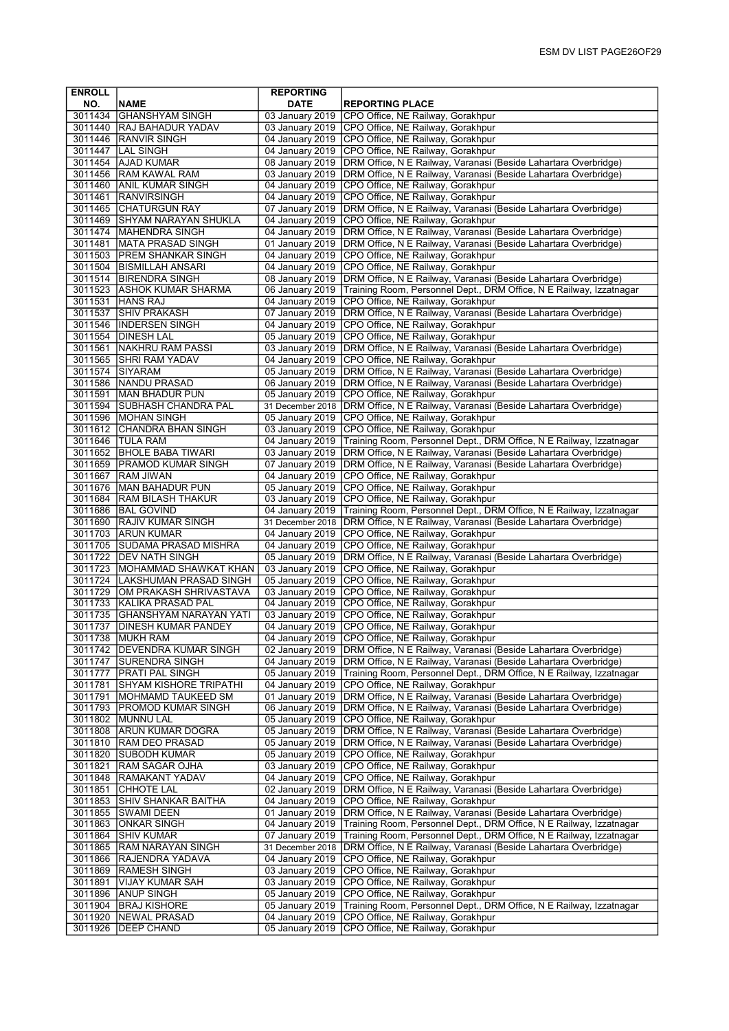| <b>ENROLL</b>      |                                                       | <b>REPORTING</b>                    |                                                                                                      |
|--------------------|-------------------------------------------------------|-------------------------------------|------------------------------------------------------------------------------------------------------|
| NO.                | <b>NAME</b>                                           | <b>DATE</b>                         | <b>REPORTING PLACE</b>                                                                               |
|                    | 3011434 GHANSHYAM SINGH                               | 03 January 2019                     | CPO Office, NE Railway, Gorakhpur                                                                    |
| 3011440            | <b>RAJ BAHADUR YADAV</b>                              | 03 January 2019                     | CPO Office, NE Railway, Gorakhpur                                                                    |
| 3011446            | RANVIR SINGH                                          |                                     | 04 January 2019 CPO Office, NE Railway, Gorakhpur                                                    |
| 3011447            | <b>LAL SINGH</b>                                      | 04 January 2019                     | CPO Office, NE Railway, Gorakhpur                                                                    |
| 3011454            | <b>AJAD KUMAR</b>                                     | 08 January 2019                     | DRM Office, N E Railway, Varanasi (Beside Lahartara Overbridge)                                      |
| 3011456            | <b>RAM KAWAL RAM</b>                                  | 03 January 2019                     | DRM Office, N E Railway, Varanasi (Beside Lahartara Overbridge)                                      |
| 3011460            | <b>JANIL KUMAR SINGH</b>                              | 04 January 2019                     | CPO Office, NE Railway, Gorakhpur                                                                    |
| 3011461            | <b>RANVIRSINGH</b>                                    | 04 January 2019                     | CPO Office, NE Railway, Gorakhpur                                                                    |
|                    | 3011465 CHATURGUN RAY                                 | 07 January 2019                     | DRM Office, N E Railway, Varanasi (Beside Lahartara Overbridge)                                      |
| 3011469            | SHYAM NARAYAN SHUKLA                                  | 04 January 2019                     | CPO Office, NE Railway, Gorakhpur                                                                    |
| 3011481            | 3011474   MAHENDRA SINGH<br><b>IMATA PRASAD SINGH</b> | 04 January 2019<br>01 January 2019  | DRM Office, N E Railway, Varanasi (Beside Lahartara Overbridge)                                      |
|                    | 3011503 PREM SHANKAR SINGH                            | 04 January 2019                     | DRM Office, N E Railway, Varanasi (Beside Lahartara Overbridge)<br>CPO Office, NE Railway, Gorakhpur |
|                    | 3011504   BISMILLAH ANSARI                            | 04 January 2019                     | CPO Office, NE Railway, Gorakhpur                                                                    |
|                    | 3011514 BIRENDRA SINGH                                | 08 January 2019                     | DRM Office, N E Railway, Varanasi (Beside Lahartara Overbridge)                                      |
|                    | 3011523 ASHOK KUMAR SHARMA                            | 06 January 2019                     | Training Room, Personnel Dept., DRM Office, N E Railway, Izzatnagar                                  |
| 3011531            | HANS RAJ                                              | 04 January 2019                     | CPO Office, NE Railway, Gorakhpur                                                                    |
| 3011537            | <b>SHIV PRAKASH</b>                                   | 07 January 2019                     | DRM Office, N E Railway, Varanasi (Beside Lahartara Overbridge)                                      |
| 3011546            | <b>INDERSEN SINGH</b>                                 | 04 January 2019                     | CPO Office, NE Railway, Gorakhpur                                                                    |
|                    | 3011554 DINESH LAL                                    | 05 January 2019                     | CPO Office, NE Railway, Gorakhpur                                                                    |
|                    | 3011561 NAKHRU RAM PASSI                              | 03 January 2019                     | DRM Office, N E Railway, Varanasi (Beside Lahartara Overbridge)                                      |
| 3011565            | <b>SHRI RAM YADAV</b>                                 | 04 January 2019                     | CPO Office, NE Railway, Gorakhpur                                                                    |
| 3011574            | SIYARAM                                               | 05 January 2019                     | DRM Office, N E Railway, Varanasi (Beside Lahartara Overbridge)                                      |
| 3011586            | <b>NANDU PRASAD</b>                                   | 06 January 2019                     | DRM Office, N E Railway, Varanasi (Beside Lahartara Overbridge)                                      |
| 3011591            | IMAN BHADUR PUN                                       | 05 January 2019                     | CPO Office, NE Railway, Gorakhpur                                                                    |
|                    | 3011594 SUBHASH CHANDRA PAL                           | 31 December 2018                    | DRM Office, N E Railway, Varanasi (Beside Lahartara Overbridge)                                      |
| 3011596            | <b>MOHAN SINGH</b>                                    | 05 January 2019                     | CPO Office, NE Railway, Gorakhpur                                                                    |
|                    | 3011612 CHANDRA BHAN SINGH                            | 03 January 2019                     | CPO Office, NE Railway, Gorakhpur                                                                    |
| 3011646            | <b>TULA RAM</b>                                       | 04 January 2019                     | Training Room, Personnel Dept., DRM Office, N E Railway, Izzatnagar                                  |
| 3011652            | <b>BHOLE BABA TIWARI</b>                              | 03 January 2019                     | DRM Office, N E Railway, Varanasi (Beside Lahartara Overbridge)                                      |
|                    | 3011659   PRAMOD KUMAR SINGH                          | 07 January 2019                     | DRM Office, N E Railway, Varanasi (Beside Lahartara Overbridge)                                      |
| 3011667            | <b>RAM JIWAN</b>                                      | 04 January 2019                     | CPO Office, NE Railway, Gorakhpur                                                                    |
| 3011676            | MAN BAHADUR PUN                                       | 05 January 2019                     | CPO Office, NE Railway, Gorakhpur                                                                    |
| 3011684            | RAM BILASH THAKUR                                     | 03 January 2019                     | CPO Office, NE Railway, Gorakhpur                                                                    |
|                    | 3011686   BAL GOVIND                                  | 04 January 2019                     | Training Room, Personnel Dept., DRM Office, N E Railway, Izzatnagar                                  |
| 3011690            | <b>RAJIV KUMAR SINGH</b><br>3011703 ARUN KUMAR        | 31 December 2018<br>04 January 2019 | DRM Office, N E Railway, Varanasi (Beside Lahartara Overbridge)                                      |
|                    | 3011705 SUDAMA PRASAD MISHRA                          | 04 January 2019                     | CPO Office, NE Railway, Gorakhpur<br>CPO Office, NE Railway, Gorakhpur                               |
| 3011722            | <b>IDEV NATH SINGH</b>                                | 05 January 2019                     | DRM Office, N E Railway, Varanasi (Beside Lahartara Overbridge)                                      |
|                    | 3011723 MOHAMMAD SHAWKAT KHAN                         | 03 January 2019                     | CPO Office, NE Railway, Gorakhpur                                                                    |
| 3011724            | LAKSHUMAN PRASAD SINGH                                | 05 January 2019                     | CPO Office, NE Railway, Gorakhpur                                                                    |
| 3011729            | OM PRAKASH SHRIVASTAVA                                | 03 January 2019                     | CPO Office, NE Railway, Gorakhpur                                                                    |
| 3011733            | KALIKA PRASAD PAL                                     | 04 January 2019                     | CPO Office, NE Railway, Gorakhpur                                                                    |
| 3011735            | GHANSHYAM NARAYAN YATI                                | 03 January 2019                     | CPO Office, NE Railway, Gorakhpur                                                                    |
| 3011737            | <b>DINESH KUMAR PANDEY</b>                            | 04 January 2019                     | CPO Office, NE Railway, Gorakhpur                                                                    |
| 3011738            | <b>IMUKH RAM</b>                                      | 04 January 2019                     | CPO Office, NE Railway, Gorakhpur                                                                    |
| 3011742            | <b>IDEVENDRA KUMAR SINGH</b>                          |                                     | 02 January 2019   DRM Office, N E Railway, Varanasi (Beside Lahartara Overbridge)                    |
| 3011747            | SURENDRA SINGH                                        | 04 January 2019                     | DRM Office, N E Railway, Varanasi (Beside Lahartara Overbridge)                                      |
| 3011777            | <b>PRATI PAL SINGH</b>                                |                                     | 05 January 2019   Training Room, Personnel Dept., DRM Office, N E Railway, Izzatnagar                |
| 3011781            | <b>SHYAM KISHORE TRIPATHI</b>                         | 04 January 2019                     | CPO Office, NE Railway, Gorakhpur                                                                    |
| 3011791            | MOHMAMD TAUKEED SM                                    | 01 January 2019                     | DRM Office, N E Railway, Varanasi (Beside Lahartara Overbridge)                                      |
|                    | 3011793 PROMOD KUMAR SINGH                            | 06 January 2019                     | DRM Office, N E Railway, Varanasi (Beside Lahartara Overbridge)                                      |
| 3011802            | MUNNU LAL                                             | 05 January 2019                     | CPO Office, NE Railway, Gorakhpur                                                                    |
| 3011808            | <b>ARUN KUMAR DOGRA</b>                               | 05 January 2019                     | DRM Office, N E Railway, Varanasi (Beside Lahartara Overbridge)                                      |
| 3011810            | <b>RAM DEO PRASAD</b>                                 | 05 January 2019                     | DRM Office, N E Railway, Varanasi (Beside Lahartara Overbridge)                                      |
| 3011820            | <b>SUBODH KUMAR</b>                                   | 05 January 2019                     | CPO Office, NE Railway, Gorakhpur                                                                    |
| 3011821            | RAM SAGAR OJHA                                        | 03 January 2019                     | CPO Office, NE Railway, Gorakhpur                                                                    |
| 3011848            | <b>RAMAKANT YADAV</b>                                 | 04 January 2019                     | CPO Office, NE Railway, Gorakhpur                                                                    |
| 3011851            | CHHOTE LAL                                            | 02 January 2019                     | DRM Office, N E Railway, Varanasi (Beside Lahartara Overbridge)                                      |
| 3011853            | SHIV SHANKAR BAITHA                                   | 04 January 2019<br>01 January 2019  | CPO Office, NE Railway, Gorakhpur<br>DRM Office, N E Railway, Varanasi (Beside Lahartara Overbridge) |
| 3011855<br>3011863 | SWAMI DEEN <br>ONKAR SINGH                            | 04 January 2019                     | Training Room, Personnel Dept., DRM Office, N E Railway, Izzatnagar                                  |
| 3011864            | SHIV KUMAR                                            | 07 January 2019                     | Training Room, Personnel Dept., DRM Office, N E Railway, Izzatnagar                                  |
| 3011865            | RAM NARAYAN SINGH                                     | 31 December 2018                    | DRM Office, N E Railway, Varanasi (Beside Lahartara Overbridge)                                      |
| 3011866            | RAJENDRA YADAVA                                       | 04 January 2019                     | CPO Office, NE Railway, Gorakhpur                                                                    |
| 3011869            | <b>RAMESH SINGH</b>                                   | 03 January 2019                     | CPO Office, NE Railway, Gorakhpur                                                                    |
| 3011891            | <b>VIJAY KUMAR SAH</b>                                | 03 January 2019                     | CPO Office, NE Railway, Gorakhpur                                                                    |
| 3011896            | <b>ANUP SINGH</b>                                     | 05 January 2019                     | CPO Office, NE Railway, Gorakhpur                                                                    |
| 3011904            | <b>BRAJ KISHORE</b>                                   | 05 January 2019                     | Training Room, Personnel Dept., DRM Office, N E Railway, Izzatnagar                                  |
| 3011920            | NEWAL PRASAD                                          | 04 January 2019                     | CPO Office, NE Railway, Gorakhpur                                                                    |
| 3011926            | <b>DEEP CHAND</b>                                     | 05 January 2019                     | CPO Office, NE Railway, Gorakhpur                                                                    |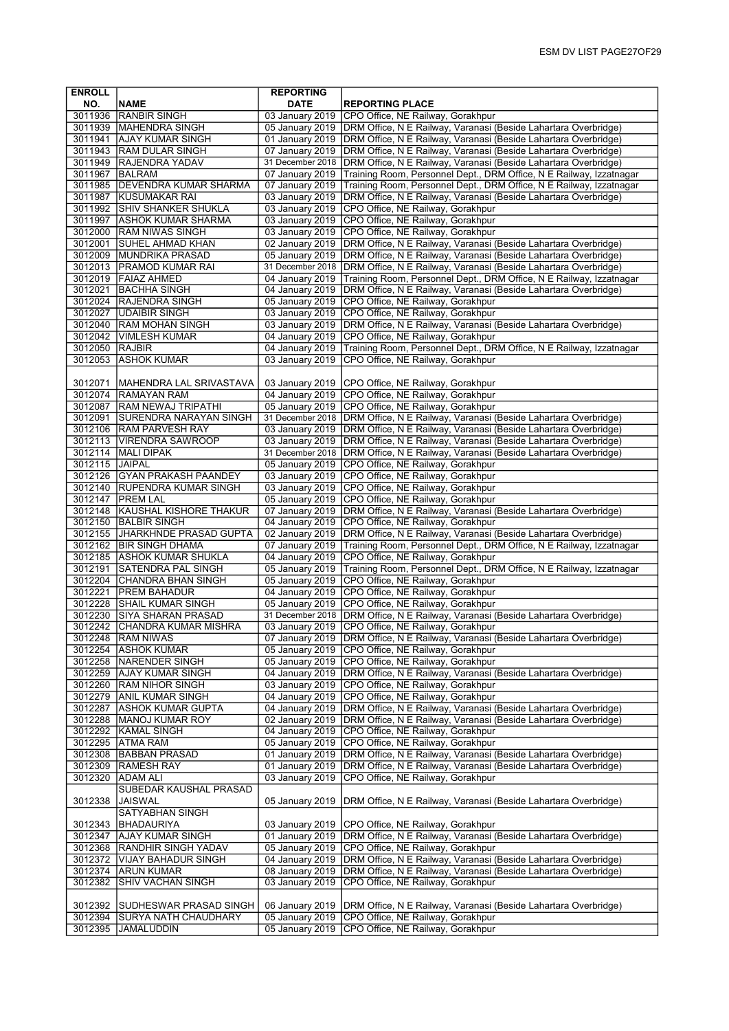| <b>ENROLL</b>      |                                                    | <b>REPORTING</b>                    |                                                                                                                                    |
|--------------------|----------------------------------------------------|-------------------------------------|------------------------------------------------------------------------------------------------------------------------------------|
| NO.                | <b>NAME</b>                                        | <b>DATE</b>                         | <b>REPORTING PLACE</b>                                                                                                             |
| 3011936            | <b>RANBIR SINGH</b>                                | 03 January 2019                     | CPO Office, NE Railway, Gorakhpur                                                                                                  |
|                    | 3011939   MAHENDRA SINGH                           | 05 January 2019                     | DRM Office, N E Railway, Varanasi (Beside Lahartara Overbridge)                                                                    |
| 3011941            | <b>AJAY KUMAR SINGH</b><br>3011943 RAM DULAR SINGH | 01 January 2019<br>07 January 2019  | DRM Office, N E Railway, Varanasi (Beside Lahartara Overbridge)<br>DRM Office, N E Railway, Varanasi (Beside Lahartara Overbridge) |
|                    | 3011949 RAJENDRA YADAV                             | 31 December 2018                    | DRM Office, N E Railway, Varanasi (Beside Lahartara Overbridge)                                                                    |
| 3011967            | <b>BALRAM</b>                                      | 07 January 2019                     | Training Room, Personnel Dept., DRM Office, N E Railway, Izzatnagar                                                                |
|                    | 3011985   DEVENDRA KUMAR SHARMA                    | 07 January 2019                     | Training Room, Personnel Dept., DRM Office, N E Railway, Izzatnagar                                                                |
| 3011987            | <b>KUSUMAKAR RAI</b>                               | 03 January 2019                     | DRM Office, N E Railway, Varanasi (Beside Lahartara Overbridge)                                                                    |
|                    | 3011992 SHIV SHANKER SHUKLA                        | 03 January 2019                     | CPO Office, NE Railway, Gorakhpur                                                                                                  |
| 3011997            | <b>ASHOK KUMAR SHARMA</b>                          | 03 January 2019                     | CPO Office, NE Railway, Gorakhpur                                                                                                  |
|                    | 3012000 RAM NIWAS SINGH                            | 03 January 2019                     | CPO Office, NE Railway, Gorakhpur                                                                                                  |
| 3012001            | SUHEL AHMAD KHAN                                   | 02 January 2019                     | DRM Office, N E Railway, Varanasi (Beside Lahartara Overbridge)                                                                    |
| 3012009            | <b>MUNDRIKA PRASAD</b>                             | 05 January 2019                     | DRM Office, N E Railway, Varanasi (Beside Lahartara Overbridge)                                                                    |
|                    | 3012013   PRAMOD KUMAR RAI                         | 31 December 2018                    | DRM Office, N E Railway, Varanasi (Beside Lahartara Overbridge)                                                                    |
|                    | 3012019   FAIAZ AHMED                              | 04 January 2019                     | Training Room, Personnel Dept., DRM Office, N E Railway, Izzatnagar                                                                |
| 3012021            | <b>BACHHA SINGH</b><br>3012024 RAJENDRA SINGH      | 04 January 2019<br>05 January 2019  | DRM Office, N E Railway, Varanasi (Beside Lahartara Overbridge)<br>CPO Office, NE Railway, Gorakhpur                               |
| 3012027            | <b>JUDAIBIR SINGH</b>                              | 03 January 2019                     | CPO Office, NE Railway, Gorakhpur                                                                                                  |
|                    | 3012040 RAM MOHAN SINGH                            | 03 January 2019                     | DRM Office, N E Railway, Varanasi (Beside Lahartara Overbridge)                                                                    |
|                    | 3012042   VIMLESH KUMAR                            | 04 January 2019                     | CPO Office, NE Railway, Gorakhpur                                                                                                  |
| 3012050 RAJBIR     |                                                    | 04 January 2019                     | Training Room, Personnel Dept., DRM Office, N E Railway, Izzatnagar                                                                |
| 3012053            | <b>ASHOK KUMAR</b>                                 | 03 January 2019                     | CPO Office, NE Railway, Gorakhpur                                                                                                  |
|                    |                                                    |                                     |                                                                                                                                    |
| 3012071            | <b>MAHENDRA LAL SRIVASTAVA</b>                     | 03 January 2019                     | CPO Office, NE Railway, Gorakhpur                                                                                                  |
|                    | 3012074 RAMAYAN RAM                                | 04 January 2019                     | CPO Office, NE Railway, Gorakhpur                                                                                                  |
| 3012087            | <b>RAM NEWAJ TRIPATHI</b>                          | 05 January 2019                     | CPO Office, NE Railway, Gorakhpur                                                                                                  |
| 3012091            | <b>SURENDRA NARAYAN SINGH</b>                      | 31 December 2018                    | DRM Office, N E Railway, Varanasi (Beside Lahartara Overbridge)                                                                    |
|                    | 3012106 RAM PARVESH RAY                            | 03 January 2019                     | DRM Office, N E Railway, Varanasi (Beside Lahartara Overbridge)                                                                    |
|                    | 3012113   VIRENDRA SAWROOP                         | 03 January 2019                     | DRM Office, N E Railway, Varanasi (Beside Lahartara Overbridge)                                                                    |
| 3012115 JAIPAL     | 3012114   MALI DIPAK                               | 31 December 2018<br>05 January 2019 | DRM Office, N E Railway, Varanasi (Beside Lahartara Overbridge)<br>CPO Office, NE Railway, Gorakhpur                               |
| 3012126            | <b>GYAN PRAKASH PAANDEY</b>                        | 03 January 2019                     | CPO Office, NE Railway, Gorakhpur                                                                                                  |
|                    | 3012140 RUPENDRA KUMAR SINGH                       | 03 January 2019                     | CPO Office, NE Railway, Gorakhpur                                                                                                  |
|                    | 3012147   PREM LAL                                 | 05 January 2019                     | CPO Office, NE Railway, Gorakhpur                                                                                                  |
|                    | 3012148 KAUSHAL KISHORE THAKUR                     | 07 January 2019                     | DRM Office, N E Railway, Varanasi (Beside Lahartara Overbridge)                                                                    |
|                    | 3012150 BALBIR SINGH                               | 04 January 2019                     | CPO Office, NE Railway, Gorakhpur                                                                                                  |
|                    | 3012155 JHARKHNDE PRASAD GUPTA                     | 02 January 2019                     | DRM Office, N E Railway, Varanasi (Beside Lahartara Overbridge)                                                                    |
| 3012162            | <b>BIR SINGH DHAMA</b>                             | 07 January 2019                     | Training Room, Personnel Dept., DRM Office, N E Railway, Izzatnagar                                                                |
|                    | 3012185 ASHOK KUMAR SHUKLA                         | 04 January 2019                     | CPO Office, NE Railway, Gorakhpur                                                                                                  |
| 3012191            | <b>SATENDRA PAL SINGH</b>                          |                                     | 05 January 2019 Training Room, Personnel Dept., DRM Office, N E Railway, Izzatnagar                                                |
|                    | 3012204 CHANDRA BHAN SINGH                         | 05 January 2019                     | CPO Office, NE Railway, Gorakhpur                                                                                                  |
| 3012221<br>3012228 | <b>PREM BAHADUR</b><br><b>SHAIL KUMAR SINGH</b>    | 04 January 2019                     | CPO Office, NE Railway, Gorakhpur                                                                                                  |
| 3012230            | <b>SIYA SHARAN PRASAD</b>                          | 05 January 2019<br>31 December 2018 | CPO Office, NE Railway, Gorakhpur<br>DRM Office, N E Railway, Varanasi (Beside Lahartara Overbridge)                               |
| 3012242            | <b>CHANDRA KUMAR MISHRA</b>                        | 03 January 2019                     | CPO Office, NE Railway, Gorakhpur                                                                                                  |
|                    | 3012248 RAM NIWAS                                  |                                     | 07 January 2019   DRM Office, N E Railway, Varanasi (Beside Lahartara Overbridge)                                                  |
|                    | 3012254 ASHOK KUMAR                                |                                     | 05 January 2019 CPO Office, NE Railway, Gorakhpur                                                                                  |
|                    | 3012258 NARENDER SINGH                             |                                     | 05 January 2019 CPO Office, NE Railway, Gorakhpur                                                                                  |
|                    | 3012259 AJAY KUMAR SINGH                           |                                     | 04 January 2019   DRM Office, N E Railway, Varanasi (Beside Lahartara Overbridge)                                                  |
|                    | 3012260 RAM NIHOR SINGH                            | 03 January 2019                     | CPO Office, NE Railway, Gorakhpur                                                                                                  |
|                    | 3012279 ANIL KUMAR SINGH                           | 04 January 2019                     | CPO Office, NE Railway, Gorakhpur                                                                                                  |
|                    | 3012287 ASHOK KUMAR GUPTA                          | 04 January 2019                     | DRM Office, N E Railway, Varanasi (Beside Lahartara Overbridge)                                                                    |
|                    | 3012288   MANOJ KUMAR ROY                          | 02 January 2019                     | DRM Office, N E Railway, Varanasi (Beside Lahartara Overbridge)                                                                    |
|                    | 3012292 KAMAL SINGH                                | 04 January 2019                     | CPO Office, NE Railway, Gorakhpur                                                                                                  |
|                    | 3012295 ATMA RAM                                   | 05 January 2019                     | CPO Office, NE Railway, Gorakhpur                                                                                                  |
|                    | 3012308 BABBAN PRASAD                              | 01 January 2019                     | DRM Office, N E Railway, Varanasi (Beside Lahartara Overbridge)                                                                    |
|                    | 3012309 RAMESH RAY                                 | 01 January 2019<br>03 January 2019  | DRM Office, N E Railway, Varanasi (Beside Lahartara Overbridge)<br>CPO Office, NE Railway, Gorakhpur                               |
|                    | 3012320 ADAM ALI<br>SUBEDAR KAUSHAL PRASAD         |                                     |                                                                                                                                    |
| 3012338            | <b>JAISWAL</b>                                     | 05 January 2019                     | DRM Office, N E Railway, Varanasi (Beside Lahartara Overbridge)                                                                    |
|                    | <b>SATYABHAN SINGH</b>                             |                                     |                                                                                                                                    |
| 3012343            | <b>BHADAURIYA</b>                                  | 03 January 2019                     | CPO Office, NE Railway, Gorakhpur                                                                                                  |
| 3012347            | <b>AJAY KUMAR SINGH</b>                            | 01 January 2019                     | DRM Office, N E Railway, Varanasi (Beside Lahartara Overbridge)                                                                    |
|                    | 3012368 RANDHIR SINGH YADAV                        | 05 January 2019                     | CPO Office, NE Railway, Gorakhpur                                                                                                  |
|                    | 3012372 VIJAY BAHADUR SINGH                        | 04 January 2019                     | DRM Office, N E Railway, Varanasi (Beside Lahartara Overbridge)                                                                    |
|                    | 3012374 ARUN KUMAR                                 | 08 January 2019                     | DRM Office, N E Railway, Varanasi (Beside Lahartara Overbridge)                                                                    |
| 3012382            | <b>SHIV VACHAN SINGH</b>                           | 03 January 2019                     | CPO Office, NE Railway, Gorakhpur                                                                                                  |
|                    |                                                    |                                     |                                                                                                                                    |
| 3012392            | <b>SUDHESWAR PRASAD SINGH</b>                      | 06 January 2019                     | DRM Office, N E Railway, Varanasi (Beside Lahartara Overbridge)                                                                    |
| 3012394            | <b>SURYA NATH CHAUDHARY</b>                        | 05 January 2019                     | CPO Office, NE Railway, Gorakhpur                                                                                                  |
| 3012395            | <b>JAMALUDDIN</b>                                  | 05 January 2019                     | CPO Office, NE Railway, Gorakhpur                                                                                                  |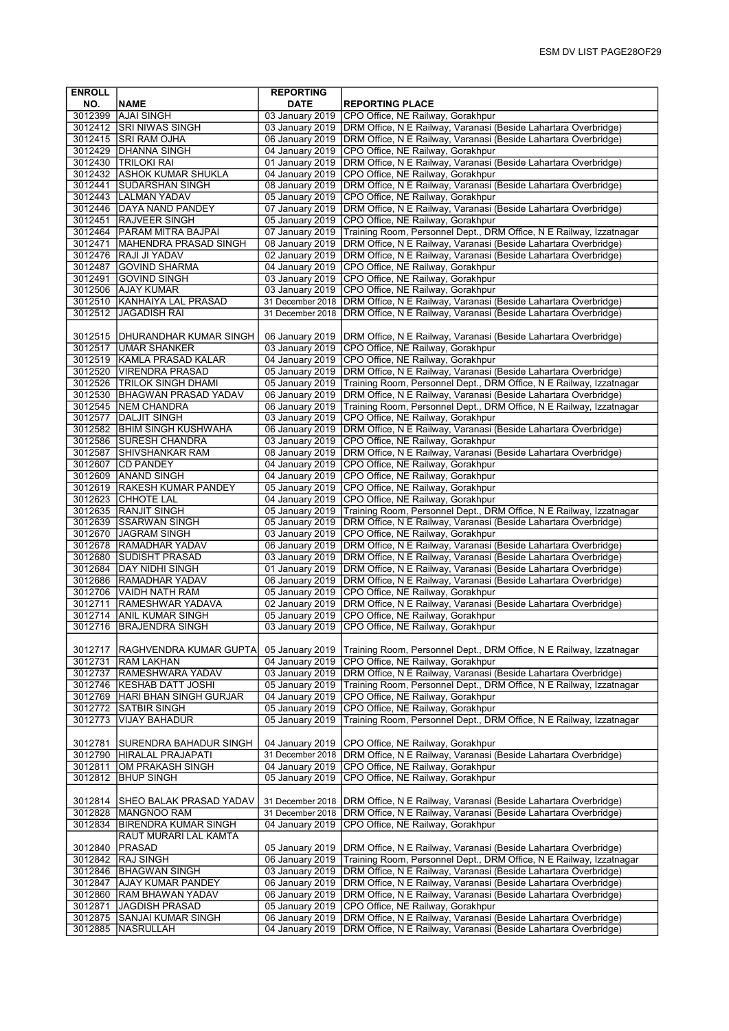| NO.<br><b>NAME</b><br><b>DATE</b><br><b>REPORTING PLACE</b><br>3012399 AJAI SINGH<br>03 January 2019<br>CPO Office, NE Railway, Gorakhpur<br>DRM Office, N E Railway, Varanasi (Beside Lahartara Overbridge)<br>3012412 SRI NIWAS SINGH<br>03 January 2019<br>DRM Office, N E Railway, Varanasi (Beside Lahartara Overbridge)<br>3012415 SRI RAM OJHA<br>06 January 2019<br>3012429 DHANNA SINGH<br>04 January 2019<br>CPO Office, NE Railway, Gorakhpur<br>3012430 TRILOKI RAI<br>01 January 2019<br>DRM Office, N E Railway, Varanasi (Beside Lahartara Overbridge)<br>3012432 ASHOK KUMAR SHUKLA<br>04 January 2019<br>CPO Office, NE Railway, Gorakhpur<br>3012441<br><b>SUDARSHAN SINGH</b><br>08 January 2019<br>DRM Office, N E Railway, Varanasi (Beside Lahartara Overbridge)<br>3012443  LALMAN YADAV<br>05 January 2019<br>CPO Office, NE Railway, Gorakhpur<br>3012446 DAYA NAND PANDEY<br>DRM Office, N E Railway, Varanasi (Beside Lahartara Overbridge)<br>07 January 2019<br>3012451 RAJVEER SINGH<br>05 January 2019<br>CPO Office, NE Railway, Gorakhpur<br>3012464<br><b>PARAM MITRA BAJPAI</b><br>07 January 2019<br>Training Room, Personnel Dept., DRM Office, N E Railway, Izzatnagar<br>3012471<br>MAHENDRA PRASAD SINGH<br>08 January 2019<br>DRM Office, N E Railway, Varanasi (Beside Lahartara Overbridge)<br>3012476 RAJI JI YADAV<br>02 January 2019<br>DRM Office, N E Railway, Varanasi (Beside Lahartara Overbridge)<br>3012487<br><b>GOVIND SHARMA</b><br>04 January 2019<br>CPO Office, NE Railway, Gorakhpur<br><b>GOVIND SINGH</b><br>03 January 2019<br>3012491<br>CPO Office, NE Railway, Gorakhpur<br>3012506 AJAY KUMAR<br>03 January 2019<br>CPO Office, NE Railway, Gorakhpur<br>3012510   KANHAIYA LAL PRASAD<br>31 December 2018<br>DRM Office, N E Railway, Varanasi (Beside Lahartara Overbridge)<br>3012512<br>JAGADISH RAI<br>31 December 2018<br>DRM Office, N E Railway, Varanasi (Beside Lahartara Overbridge)<br>DRM Office, N E Railway, Varanasi (Beside Lahartara Overbridge)<br>3012515   DHURANDHAR KUMAR SINGH<br>06 January 2019<br>03 January 2019<br>CPO Office, NE Railway, Gorakhpur<br>3012517 JUMAR SHANKER<br>CPO Office, NE Railway, Gorakhpur<br>3012519 KAMLA PRASAD KALAR<br>04 January 2019<br>3012520 VIRENDRA PRASAD<br>05 January 2019<br>DRM Office, N E Railway, Varanasi (Beside Lahartara Overbridge)<br>3012526   TRILOK SINGH DHAMI<br>05 January 2019<br>Training Room, Personnel Dept., DRM Office, N E Railway, Izzatnagar<br>3012530 BHAGWAN PRASAD YADAV<br>06 January 2019<br>DRM Office, N E Railway, Varanasi (Beside Lahartara Overbridge)<br>3012545 NEM CHANDRA<br>06 January 2019<br>Training Room, Personnel Dept., DRM Office, N E Railway, Izzatnagar<br><b>DALJIT SINGH</b><br>03 January 2019<br>CPO Office, NE Railway, Gorakhpur<br>3012577<br>3012582 BHIM SINGH KUSHWAHA<br>06 January 2019<br>DRM Office, N E Railway, Varanasi (Beside Lahartara Overbridge)<br>3012586<br><b>SURESH CHANDRA</b><br>03 January 2019<br>CPO Office, NE Railway, Gorakhpur<br>3012587<br>SHIVSHANKAR RAM<br>08 January 2019<br>DRM Office, N E Railway, Varanasi (Beside Lahartara Overbridge)<br>3012607<br><b>CD PANDEY</b><br>04 January 2019<br>CPO Office, NE Railway, Gorakhpur<br>3012609 ANAND SINGH<br>04 January 2019<br>CPO Office, NE Railway, Gorakhpur<br>3012619 RAKESH KUMAR PANDEY<br>05 January 2019<br>CPO Office, NE Railway, Gorakhpur<br>3012623 CHHOTE LAL<br>04 January 2019<br>CPO Office, NE Railway, Gorakhpur<br>3012635 RANJIT SINGH<br>05 January 2019<br>Training Room, Personnel Dept., DRM Office, N E Railway, Izzatnagar<br>3012639 SSARWAN SINGH<br>05 January 2019<br>DRM Office, N E Railway, Varanasi (Beside Lahartara Overbridge)<br>3012670 JAGRAM SINGH<br>03 January 2019<br>CPO Office, NE Railway, Gorakhpur<br>3012678 RAMADHAR YADAV<br>06 January 2019<br>DRM Office, N E Railway, Varanasi (Beside Lahartara Overbridge)<br>3012680<br>DRM Office, N E Railway, Varanasi (Beside Lahartara Overbridge)<br><b>SUDISHT PRASAD</b><br>03 January 2019<br>3012684 DAY NIDHI SINGH<br>01 January 2019<br>DRM Office, N E Railway, Varanasi (Beside Lahartara Overbridge)<br>3012686  RAMADHAR YADAV<br>06 January 2019<br>DRM Office, N E Railway, Varanasi (Beside Lahartara Overbridge)<br>3012706 VAIDH NATH RAM<br>05 January 2019<br>CPO Office, NE Railway, Gorakhpur<br>3012711<br>02 January 2019<br><b>RAMESHWAR YADAVA</b><br>DRM Office, N E Railway, Varanasi (Beside Lahartara Overbridge)<br>3012714<br><b>ANIL KUMAR SINGH</b><br>05 January 2019<br>CPO Office, NE Railway, Gorakhpur<br>3012716<br><b>BRAJENDRA SINGH</b><br>03 January 2019<br>CPO Office, NE Railway, Gorakhpur<br>3012717<br>RAGHVENDRA KUMAR GUPTA<br>05 January 2019<br>Training Room, Personnel Dept., DRM Office, N E Railway, Izzatnagar<br>04 January 2019<br>CPO Office, NE Railway, Gorakhpur<br>3012731<br> RAM LAKHAN<br>3012737<br>03 January 2019<br>DRM Office, N E Railway, Varanasi (Beside Lahartara Overbridge)<br><b>RAMESHWARA YADAV</b><br>3012746<br><b>KESHAB DATT JOSHI</b><br>05 January 2019<br>Training Room, Personnel Dept., DRM Office, N E Railway, Izzatnagar<br>CPO Office, NE Railway, Gorakhpur<br>3012769<br>HARI BHAN SINGH GURJAR<br>04 January 2019<br>3012772<br>SATBIR SINGH<br>05 January 2019<br>CPO Office, NE Railway, Gorakhpur<br>3012773<br><b>VIJAY BAHADUR</b><br>05 January 2019<br>Training Room, Personnel Dept., DRM Office, N E Railway, Izzatnagar<br>04 January 2019<br>3012781<br> SURENDRA BAHADUR SINGH<br>CPO Office, NE Railway, Gorakhpur<br>3012790<br>31 December 2018<br>DRM Office, N E Railway, Varanasi (Beside Lahartara Overbridge)<br>HIRALAL PRAJAPATI<br>3012811<br> OM PRAKASH SINGH<br>04 January 2019<br>CPO Office, NE Railway, Gorakhpur<br>3012812<br><b>BHUP SINGH</b><br>05 January 2019<br>CPO Office, NE Railway, Gorakhpur<br>3012814<br>31 December 2018<br>DRM Office, N E Railway, Varanasi (Beside Lahartara Overbridge)<br> SHEO BALAK PRASAD YADAV<br>DRM Office, N E Railway, Varanasi (Beside Lahartara Overbridge)<br>31 December 2018<br>3012828<br>MANGNOO RAM<br>3012834<br>04 January 2019<br>CPO Office, NE Railway, Gorakhpur<br><b>BIRENDRA KUMAR SINGH</b><br>RAUT MURARI LAL KAMTA<br>3012840<br> PRASAD<br>05 January 2019<br>DRM Office, N E Railway, Varanasi (Beside Lahartara Overbridge)<br>06 January 2019<br>Training Room, Personnel Dept., DRM Office, N E Railway, Izzatnagar<br>3012842<br><b>RAJ SINGH</b><br>03 January 2019<br>DRM Office, N E Railway, Varanasi (Beside Lahartara Overbridge)<br>3012846<br><b>BHAGWAN SINGH</b><br>3012847<br>06 January 2019<br>DRM Office, N E Railway, Varanasi (Beside Lahartara Overbridge)<br> AJAY KUMAR PANDEY<br>3012860<br>06 January 2019<br><b>RAM BHAWAN YADAV</b><br>DRM Office, N E Railway, Varanasi (Beside Lahartara Overbridge)<br>3012871<br> JAGDISH PRASAD<br>05 January 2019<br>CPO Office, NE Railway, Gorakhpur<br>06 January 2019<br>DRM Office, N E Railway, Varanasi (Beside Lahartara Overbridge)<br>3012875<br> SANJAI KUMAR SINGH<br>3012885<br>04 January 2019<br>DRM Office, N E Railway, Varanasi (Beside Lahartara Overbridge)<br> NASRULLAH | <b>ENROLL</b> | <b>REPORTING</b> |  |
|---------------------------------------------------------------------------------------------------------------------------------------------------------------------------------------------------------------------------------------------------------------------------------------------------------------------------------------------------------------------------------------------------------------------------------------------------------------------------------------------------------------------------------------------------------------------------------------------------------------------------------------------------------------------------------------------------------------------------------------------------------------------------------------------------------------------------------------------------------------------------------------------------------------------------------------------------------------------------------------------------------------------------------------------------------------------------------------------------------------------------------------------------------------------------------------------------------------------------------------------------------------------------------------------------------------------------------------------------------------------------------------------------------------------------------------------------------------------------------------------------------------------------------------------------------------------------------------------------------------------------------------------------------------------------------------------------------------------------------------------------------------------------------------------------------------------------------------------------------------------------------------------------------------------------------------------------------------------------------------------------------------------------------------------------------------------------------------------------------------------------------------------------------------------------------------------------------------------------------------------------------------------------------------------------------------------------------------------------------------------------------------------------------------------------------------------------------------------------------------------------------------------------------------------------------------------------------------------------------------------------------------------------------------------------------------------------------------------------------------------------------------------------------------------------------------------------------------------------------------------------------------------------------------------------------------------------------------------------------------------------------------------------------------------------------------------------------------------------------------------------------------------------------------------------------------------------------------------------------------------------------------------------------------------------------------------------------------------------------------------------------------------------------------------------------------------------------------------------------------------------------------------------------------------------------------------------------------------------------------------------------------------------------------------------------------------------------------------------------------------------------------------------------------------------------------------------------------------------------------------------------------------------------------------------------------------------------------------------------------------------------------------------------------------------------------------------------------------------------------------------------------------------------------------------------------------------------------------------------------------------------------------------------------------------------------------------------------------------------------------------------------------------------------------------------------------------------------------------------------------------------------------------------------------------------------------------------------------------------------------------------------------------------------------------------------------------------------------------------------------------------------------------------------------------------------------------------------------------------------------------------------------------------------------------------------------------------------------------------------------------------------------------------------------------------------------------------------------------------------------------------------------------------------------------------------------------------------------------------------------------------------------------------------------------------------------------------------------------------------------------------------------------------------------------------------------------------------------------------------------------------------------------------------------------------------------------------------------------------------------------------------------------------------------------------------------------------------------------------------------------------------------------------------------------------------------------------------------------------------------------------------------------------------------------------------------------------------------------------------------------------------------------------------------------------------------------------------------------------------------------------------------------------------------------------------------------------------------------------------------------------------------------------------------------------------------------------------------------------------------------------------------------------------------------------------------------------------------------------------------------------------------------------------------------------------------------------------------------------------------------------------------------------------------------------------------------------------------------------------------------------------------------------------------------------------------------------------------------------------------------------------------------------------------------------------------------------------------------------------------------------------------------------------------------------------------------------------------------------------------------------------------------------------------------------------------------------------------------------------------------------------|---------------|------------------|--|
|                                                                                                                                                                                                                                                                                                                                                                                                                                                                                                                                                                                                                                                                                                                                                                                                                                                                                                                                                                                                                                                                                                                                                                                                                                                                                                                                                                                                                                                                                                                                                                                                                                                                                                                                                                                                                                                                                                                                                                                                                                                                                                                                                                                                                                                                                                                                                                                                                                                                                                                                                                                                                                                                                                                                                                                                                                                                                                                                                                                                                                                                                                                                                                                                                                                                                                                                                                                                                                                                                                                                                                                                                                                                                                                                                                                                                                                                                                                                                                                                                                                                                                                                                                                                                                                                                                                                                                                                                                                                                                                                                                                                                                                                                                                                                                                                                                                                                                                                                                                                                                                                                                                                                                                                                                                                                                                                                                                                                                                                                                                                                                                                                                                                                                                                                                                                                                                                                                                                                                                                                                                                                                                                                                                                                                                                                                                                                                                                                                                                                                                                                                                                                                                                                                                                                                                                                                                                                                                                                                                                                                                                                                                                                                                                                                                               |               |                  |  |
|                                                                                                                                                                                                                                                                                                                                                                                                                                                                                                                                                                                                                                                                                                                                                                                                                                                                                                                                                                                                                                                                                                                                                                                                                                                                                                                                                                                                                                                                                                                                                                                                                                                                                                                                                                                                                                                                                                                                                                                                                                                                                                                                                                                                                                                                                                                                                                                                                                                                                                                                                                                                                                                                                                                                                                                                                                                                                                                                                                                                                                                                                                                                                                                                                                                                                                                                                                                                                                                                                                                                                                                                                                                                                                                                                                                                                                                                                                                                                                                                                                                                                                                                                                                                                                                                                                                                                                                                                                                                                                                                                                                                                                                                                                                                                                                                                                                                                                                                                                                                                                                                                                                                                                                                                                                                                                                                                                                                                                                                                                                                                                                                                                                                                                                                                                                                                                                                                                                                                                                                                                                                                                                                                                                                                                                                                                                                                                                                                                                                                                                                                                                                                                                                                                                                                                                                                                                                                                                                                                                                                                                                                                                                                                                                                                                               |               |                  |  |
|                                                                                                                                                                                                                                                                                                                                                                                                                                                                                                                                                                                                                                                                                                                                                                                                                                                                                                                                                                                                                                                                                                                                                                                                                                                                                                                                                                                                                                                                                                                                                                                                                                                                                                                                                                                                                                                                                                                                                                                                                                                                                                                                                                                                                                                                                                                                                                                                                                                                                                                                                                                                                                                                                                                                                                                                                                                                                                                                                                                                                                                                                                                                                                                                                                                                                                                                                                                                                                                                                                                                                                                                                                                                                                                                                                                                                                                                                                                                                                                                                                                                                                                                                                                                                                                                                                                                                                                                                                                                                                                                                                                                                                                                                                                                                                                                                                                                                                                                                                                                                                                                                                                                                                                                                                                                                                                                                                                                                                                                                                                                                                                                                                                                                                                                                                                                                                                                                                                                                                                                                                                                                                                                                                                                                                                                                                                                                                                                                                                                                                                                                                                                                                                                                                                                                                                                                                                                                                                                                                                                                                                                                                                                                                                                                                                               |               |                  |  |
|                                                                                                                                                                                                                                                                                                                                                                                                                                                                                                                                                                                                                                                                                                                                                                                                                                                                                                                                                                                                                                                                                                                                                                                                                                                                                                                                                                                                                                                                                                                                                                                                                                                                                                                                                                                                                                                                                                                                                                                                                                                                                                                                                                                                                                                                                                                                                                                                                                                                                                                                                                                                                                                                                                                                                                                                                                                                                                                                                                                                                                                                                                                                                                                                                                                                                                                                                                                                                                                                                                                                                                                                                                                                                                                                                                                                                                                                                                                                                                                                                                                                                                                                                                                                                                                                                                                                                                                                                                                                                                                                                                                                                                                                                                                                                                                                                                                                                                                                                                                                                                                                                                                                                                                                                                                                                                                                                                                                                                                                                                                                                                                                                                                                                                                                                                                                                                                                                                                                                                                                                                                                                                                                                                                                                                                                                                                                                                                                                                                                                                                                                                                                                                                                                                                                                                                                                                                                                                                                                                                                                                                                                                                                                                                                                                                               |               |                  |  |
|                                                                                                                                                                                                                                                                                                                                                                                                                                                                                                                                                                                                                                                                                                                                                                                                                                                                                                                                                                                                                                                                                                                                                                                                                                                                                                                                                                                                                                                                                                                                                                                                                                                                                                                                                                                                                                                                                                                                                                                                                                                                                                                                                                                                                                                                                                                                                                                                                                                                                                                                                                                                                                                                                                                                                                                                                                                                                                                                                                                                                                                                                                                                                                                                                                                                                                                                                                                                                                                                                                                                                                                                                                                                                                                                                                                                                                                                                                                                                                                                                                                                                                                                                                                                                                                                                                                                                                                                                                                                                                                                                                                                                                                                                                                                                                                                                                                                                                                                                                                                                                                                                                                                                                                                                                                                                                                                                                                                                                                                                                                                                                                                                                                                                                                                                                                                                                                                                                                                                                                                                                                                                                                                                                                                                                                                                                                                                                                                                                                                                                                                                                                                                                                                                                                                                                                                                                                                                                                                                                                                                                                                                                                                                                                                                                                               |               |                  |  |
|                                                                                                                                                                                                                                                                                                                                                                                                                                                                                                                                                                                                                                                                                                                                                                                                                                                                                                                                                                                                                                                                                                                                                                                                                                                                                                                                                                                                                                                                                                                                                                                                                                                                                                                                                                                                                                                                                                                                                                                                                                                                                                                                                                                                                                                                                                                                                                                                                                                                                                                                                                                                                                                                                                                                                                                                                                                                                                                                                                                                                                                                                                                                                                                                                                                                                                                                                                                                                                                                                                                                                                                                                                                                                                                                                                                                                                                                                                                                                                                                                                                                                                                                                                                                                                                                                                                                                                                                                                                                                                                                                                                                                                                                                                                                                                                                                                                                                                                                                                                                                                                                                                                                                                                                                                                                                                                                                                                                                                                                                                                                                                                                                                                                                                                                                                                                                                                                                                                                                                                                                                                                                                                                                                                                                                                                                                                                                                                                                                                                                                                                                                                                                                                                                                                                                                                                                                                                                                                                                                                                                                                                                                                                                                                                                                                               |               |                  |  |
|                                                                                                                                                                                                                                                                                                                                                                                                                                                                                                                                                                                                                                                                                                                                                                                                                                                                                                                                                                                                                                                                                                                                                                                                                                                                                                                                                                                                                                                                                                                                                                                                                                                                                                                                                                                                                                                                                                                                                                                                                                                                                                                                                                                                                                                                                                                                                                                                                                                                                                                                                                                                                                                                                                                                                                                                                                                                                                                                                                                                                                                                                                                                                                                                                                                                                                                                                                                                                                                                                                                                                                                                                                                                                                                                                                                                                                                                                                                                                                                                                                                                                                                                                                                                                                                                                                                                                                                                                                                                                                                                                                                                                                                                                                                                                                                                                                                                                                                                                                                                                                                                                                                                                                                                                                                                                                                                                                                                                                                                                                                                                                                                                                                                                                                                                                                                                                                                                                                                                                                                                                                                                                                                                                                                                                                                                                                                                                                                                                                                                                                                                                                                                                                                                                                                                                                                                                                                                                                                                                                                                                                                                                                                                                                                                                                               |               |                  |  |
|                                                                                                                                                                                                                                                                                                                                                                                                                                                                                                                                                                                                                                                                                                                                                                                                                                                                                                                                                                                                                                                                                                                                                                                                                                                                                                                                                                                                                                                                                                                                                                                                                                                                                                                                                                                                                                                                                                                                                                                                                                                                                                                                                                                                                                                                                                                                                                                                                                                                                                                                                                                                                                                                                                                                                                                                                                                                                                                                                                                                                                                                                                                                                                                                                                                                                                                                                                                                                                                                                                                                                                                                                                                                                                                                                                                                                                                                                                                                                                                                                                                                                                                                                                                                                                                                                                                                                                                                                                                                                                                                                                                                                                                                                                                                                                                                                                                                                                                                                                                                                                                                                                                                                                                                                                                                                                                                                                                                                                                                                                                                                                                                                                                                                                                                                                                                                                                                                                                                                                                                                                                                                                                                                                                                                                                                                                                                                                                                                                                                                                                                                                                                                                                                                                                                                                                                                                                                                                                                                                                                                                                                                                                                                                                                                                                               |               |                  |  |
|                                                                                                                                                                                                                                                                                                                                                                                                                                                                                                                                                                                                                                                                                                                                                                                                                                                                                                                                                                                                                                                                                                                                                                                                                                                                                                                                                                                                                                                                                                                                                                                                                                                                                                                                                                                                                                                                                                                                                                                                                                                                                                                                                                                                                                                                                                                                                                                                                                                                                                                                                                                                                                                                                                                                                                                                                                                                                                                                                                                                                                                                                                                                                                                                                                                                                                                                                                                                                                                                                                                                                                                                                                                                                                                                                                                                                                                                                                                                                                                                                                                                                                                                                                                                                                                                                                                                                                                                                                                                                                                                                                                                                                                                                                                                                                                                                                                                                                                                                                                                                                                                                                                                                                                                                                                                                                                                                                                                                                                                                                                                                                                                                                                                                                                                                                                                                                                                                                                                                                                                                                                                                                                                                                                                                                                                                                                                                                                                                                                                                                                                                                                                                                                                                                                                                                                                                                                                                                                                                                                                                                                                                                                                                                                                                                                               |               |                  |  |
|                                                                                                                                                                                                                                                                                                                                                                                                                                                                                                                                                                                                                                                                                                                                                                                                                                                                                                                                                                                                                                                                                                                                                                                                                                                                                                                                                                                                                                                                                                                                                                                                                                                                                                                                                                                                                                                                                                                                                                                                                                                                                                                                                                                                                                                                                                                                                                                                                                                                                                                                                                                                                                                                                                                                                                                                                                                                                                                                                                                                                                                                                                                                                                                                                                                                                                                                                                                                                                                                                                                                                                                                                                                                                                                                                                                                                                                                                                                                                                                                                                                                                                                                                                                                                                                                                                                                                                                                                                                                                                                                                                                                                                                                                                                                                                                                                                                                                                                                                                                                                                                                                                                                                                                                                                                                                                                                                                                                                                                                                                                                                                                                                                                                                                                                                                                                                                                                                                                                                                                                                                                                                                                                                                                                                                                                                                                                                                                                                                                                                                                                                                                                                                                                                                                                                                                                                                                                                                                                                                                                                                                                                                                                                                                                                                                               |               |                  |  |
|                                                                                                                                                                                                                                                                                                                                                                                                                                                                                                                                                                                                                                                                                                                                                                                                                                                                                                                                                                                                                                                                                                                                                                                                                                                                                                                                                                                                                                                                                                                                                                                                                                                                                                                                                                                                                                                                                                                                                                                                                                                                                                                                                                                                                                                                                                                                                                                                                                                                                                                                                                                                                                                                                                                                                                                                                                                                                                                                                                                                                                                                                                                                                                                                                                                                                                                                                                                                                                                                                                                                                                                                                                                                                                                                                                                                                                                                                                                                                                                                                                                                                                                                                                                                                                                                                                                                                                                                                                                                                                                                                                                                                                                                                                                                                                                                                                                                                                                                                                                                                                                                                                                                                                                                                                                                                                                                                                                                                                                                                                                                                                                                                                                                                                                                                                                                                                                                                                                                                                                                                                                                                                                                                                                                                                                                                                                                                                                                                                                                                                                                                                                                                                                                                                                                                                                                                                                                                                                                                                                                                                                                                                                                                                                                                                                               |               |                  |  |
|                                                                                                                                                                                                                                                                                                                                                                                                                                                                                                                                                                                                                                                                                                                                                                                                                                                                                                                                                                                                                                                                                                                                                                                                                                                                                                                                                                                                                                                                                                                                                                                                                                                                                                                                                                                                                                                                                                                                                                                                                                                                                                                                                                                                                                                                                                                                                                                                                                                                                                                                                                                                                                                                                                                                                                                                                                                                                                                                                                                                                                                                                                                                                                                                                                                                                                                                                                                                                                                                                                                                                                                                                                                                                                                                                                                                                                                                                                                                                                                                                                                                                                                                                                                                                                                                                                                                                                                                                                                                                                                                                                                                                                                                                                                                                                                                                                                                                                                                                                                                                                                                                                                                                                                                                                                                                                                                                                                                                                                                                                                                                                                                                                                                                                                                                                                                                                                                                                                                                                                                                                                                                                                                                                                                                                                                                                                                                                                                                                                                                                                                                                                                                                                                                                                                                                                                                                                                                                                                                                                                                                                                                                                                                                                                                                                               |               |                  |  |
|                                                                                                                                                                                                                                                                                                                                                                                                                                                                                                                                                                                                                                                                                                                                                                                                                                                                                                                                                                                                                                                                                                                                                                                                                                                                                                                                                                                                                                                                                                                                                                                                                                                                                                                                                                                                                                                                                                                                                                                                                                                                                                                                                                                                                                                                                                                                                                                                                                                                                                                                                                                                                                                                                                                                                                                                                                                                                                                                                                                                                                                                                                                                                                                                                                                                                                                                                                                                                                                                                                                                                                                                                                                                                                                                                                                                                                                                                                                                                                                                                                                                                                                                                                                                                                                                                                                                                                                                                                                                                                                                                                                                                                                                                                                                                                                                                                                                                                                                                                                                                                                                                                                                                                                                                                                                                                                                                                                                                                                                                                                                                                                                                                                                                                                                                                                                                                                                                                                                                                                                                                                                                                                                                                                                                                                                                                                                                                                                                                                                                                                                                                                                                                                                                                                                                                                                                                                                                                                                                                                                                                                                                                                                                                                                                                                               |               |                  |  |
|                                                                                                                                                                                                                                                                                                                                                                                                                                                                                                                                                                                                                                                                                                                                                                                                                                                                                                                                                                                                                                                                                                                                                                                                                                                                                                                                                                                                                                                                                                                                                                                                                                                                                                                                                                                                                                                                                                                                                                                                                                                                                                                                                                                                                                                                                                                                                                                                                                                                                                                                                                                                                                                                                                                                                                                                                                                                                                                                                                                                                                                                                                                                                                                                                                                                                                                                                                                                                                                                                                                                                                                                                                                                                                                                                                                                                                                                                                                                                                                                                                                                                                                                                                                                                                                                                                                                                                                                                                                                                                                                                                                                                                                                                                                                                                                                                                                                                                                                                                                                                                                                                                                                                                                                                                                                                                                                                                                                                                                                                                                                                                                                                                                                                                                                                                                                                                                                                                                                                                                                                                                                                                                                                                                                                                                                                                                                                                                                                                                                                                                                                                                                                                                                                                                                                                                                                                                                                                                                                                                                                                                                                                                                                                                                                                                               |               |                  |  |
|                                                                                                                                                                                                                                                                                                                                                                                                                                                                                                                                                                                                                                                                                                                                                                                                                                                                                                                                                                                                                                                                                                                                                                                                                                                                                                                                                                                                                                                                                                                                                                                                                                                                                                                                                                                                                                                                                                                                                                                                                                                                                                                                                                                                                                                                                                                                                                                                                                                                                                                                                                                                                                                                                                                                                                                                                                                                                                                                                                                                                                                                                                                                                                                                                                                                                                                                                                                                                                                                                                                                                                                                                                                                                                                                                                                                                                                                                                                                                                                                                                                                                                                                                                                                                                                                                                                                                                                                                                                                                                                                                                                                                                                                                                                                                                                                                                                                                                                                                                                                                                                                                                                                                                                                                                                                                                                                                                                                                                                                                                                                                                                                                                                                                                                                                                                                                                                                                                                                                                                                                                                                                                                                                                                                                                                                                                                                                                                                                                                                                                                                                                                                                                                                                                                                                                                                                                                                                                                                                                                                                                                                                                                                                                                                                                                               |               |                  |  |
|                                                                                                                                                                                                                                                                                                                                                                                                                                                                                                                                                                                                                                                                                                                                                                                                                                                                                                                                                                                                                                                                                                                                                                                                                                                                                                                                                                                                                                                                                                                                                                                                                                                                                                                                                                                                                                                                                                                                                                                                                                                                                                                                                                                                                                                                                                                                                                                                                                                                                                                                                                                                                                                                                                                                                                                                                                                                                                                                                                                                                                                                                                                                                                                                                                                                                                                                                                                                                                                                                                                                                                                                                                                                                                                                                                                                                                                                                                                                                                                                                                                                                                                                                                                                                                                                                                                                                                                                                                                                                                                                                                                                                                                                                                                                                                                                                                                                                                                                                                                                                                                                                                                                                                                                                                                                                                                                                                                                                                                                                                                                                                                                                                                                                                                                                                                                                                                                                                                                                                                                                                                                                                                                                                                                                                                                                                                                                                                                                                                                                                                                                                                                                                                                                                                                                                                                                                                                                                                                                                                                                                                                                                                                                                                                                                                               |               |                  |  |
|                                                                                                                                                                                                                                                                                                                                                                                                                                                                                                                                                                                                                                                                                                                                                                                                                                                                                                                                                                                                                                                                                                                                                                                                                                                                                                                                                                                                                                                                                                                                                                                                                                                                                                                                                                                                                                                                                                                                                                                                                                                                                                                                                                                                                                                                                                                                                                                                                                                                                                                                                                                                                                                                                                                                                                                                                                                                                                                                                                                                                                                                                                                                                                                                                                                                                                                                                                                                                                                                                                                                                                                                                                                                                                                                                                                                                                                                                                                                                                                                                                                                                                                                                                                                                                                                                                                                                                                                                                                                                                                                                                                                                                                                                                                                                                                                                                                                                                                                                                                                                                                                                                                                                                                                                                                                                                                                                                                                                                                                                                                                                                                                                                                                                                                                                                                                                                                                                                                                                                                                                                                                                                                                                                                                                                                                                                                                                                                                                                                                                                                                                                                                                                                                                                                                                                                                                                                                                                                                                                                                                                                                                                                                                                                                                                                               |               |                  |  |
|                                                                                                                                                                                                                                                                                                                                                                                                                                                                                                                                                                                                                                                                                                                                                                                                                                                                                                                                                                                                                                                                                                                                                                                                                                                                                                                                                                                                                                                                                                                                                                                                                                                                                                                                                                                                                                                                                                                                                                                                                                                                                                                                                                                                                                                                                                                                                                                                                                                                                                                                                                                                                                                                                                                                                                                                                                                                                                                                                                                                                                                                                                                                                                                                                                                                                                                                                                                                                                                                                                                                                                                                                                                                                                                                                                                                                                                                                                                                                                                                                                                                                                                                                                                                                                                                                                                                                                                                                                                                                                                                                                                                                                                                                                                                                                                                                                                                                                                                                                                                                                                                                                                                                                                                                                                                                                                                                                                                                                                                                                                                                                                                                                                                                                                                                                                                                                                                                                                                                                                                                                                                                                                                                                                                                                                                                                                                                                                                                                                                                                                                                                                                                                                                                                                                                                                                                                                                                                                                                                                                                                                                                                                                                                                                                                                               |               |                  |  |
|                                                                                                                                                                                                                                                                                                                                                                                                                                                                                                                                                                                                                                                                                                                                                                                                                                                                                                                                                                                                                                                                                                                                                                                                                                                                                                                                                                                                                                                                                                                                                                                                                                                                                                                                                                                                                                                                                                                                                                                                                                                                                                                                                                                                                                                                                                                                                                                                                                                                                                                                                                                                                                                                                                                                                                                                                                                                                                                                                                                                                                                                                                                                                                                                                                                                                                                                                                                                                                                                                                                                                                                                                                                                                                                                                                                                                                                                                                                                                                                                                                                                                                                                                                                                                                                                                                                                                                                                                                                                                                                                                                                                                                                                                                                                                                                                                                                                                                                                                                                                                                                                                                                                                                                                                                                                                                                                                                                                                                                                                                                                                                                                                                                                                                                                                                                                                                                                                                                                                                                                                                                                                                                                                                                                                                                                                                                                                                                                                                                                                                                                                                                                                                                                                                                                                                                                                                                                                                                                                                                                                                                                                                                                                                                                                                                               |               |                  |  |
|                                                                                                                                                                                                                                                                                                                                                                                                                                                                                                                                                                                                                                                                                                                                                                                                                                                                                                                                                                                                                                                                                                                                                                                                                                                                                                                                                                                                                                                                                                                                                                                                                                                                                                                                                                                                                                                                                                                                                                                                                                                                                                                                                                                                                                                                                                                                                                                                                                                                                                                                                                                                                                                                                                                                                                                                                                                                                                                                                                                                                                                                                                                                                                                                                                                                                                                                                                                                                                                                                                                                                                                                                                                                                                                                                                                                                                                                                                                                                                                                                                                                                                                                                                                                                                                                                                                                                                                                                                                                                                                                                                                                                                                                                                                                                                                                                                                                                                                                                                                                                                                                                                                                                                                                                                                                                                                                                                                                                                                                                                                                                                                                                                                                                                                                                                                                                                                                                                                                                                                                                                                                                                                                                                                                                                                                                                                                                                                                                                                                                                                                                                                                                                                                                                                                                                                                                                                                                                                                                                                                                                                                                                                                                                                                                                                               |               |                  |  |
|                                                                                                                                                                                                                                                                                                                                                                                                                                                                                                                                                                                                                                                                                                                                                                                                                                                                                                                                                                                                                                                                                                                                                                                                                                                                                                                                                                                                                                                                                                                                                                                                                                                                                                                                                                                                                                                                                                                                                                                                                                                                                                                                                                                                                                                                                                                                                                                                                                                                                                                                                                                                                                                                                                                                                                                                                                                                                                                                                                                                                                                                                                                                                                                                                                                                                                                                                                                                                                                                                                                                                                                                                                                                                                                                                                                                                                                                                                                                                                                                                                                                                                                                                                                                                                                                                                                                                                                                                                                                                                                                                                                                                                                                                                                                                                                                                                                                                                                                                                                                                                                                                                                                                                                                                                                                                                                                                                                                                                                                                                                                                                                                                                                                                                                                                                                                                                                                                                                                                                                                                                                                                                                                                                                                                                                                                                                                                                                                                                                                                                                                                                                                                                                                                                                                                                                                                                                                                                                                                                                                                                                                                                                                                                                                                                                               |               |                  |  |
|                                                                                                                                                                                                                                                                                                                                                                                                                                                                                                                                                                                                                                                                                                                                                                                                                                                                                                                                                                                                                                                                                                                                                                                                                                                                                                                                                                                                                                                                                                                                                                                                                                                                                                                                                                                                                                                                                                                                                                                                                                                                                                                                                                                                                                                                                                                                                                                                                                                                                                                                                                                                                                                                                                                                                                                                                                                                                                                                                                                                                                                                                                                                                                                                                                                                                                                                                                                                                                                                                                                                                                                                                                                                                                                                                                                                                                                                                                                                                                                                                                                                                                                                                                                                                                                                                                                                                                                                                                                                                                                                                                                                                                                                                                                                                                                                                                                                                                                                                                                                                                                                                                                                                                                                                                                                                                                                                                                                                                                                                                                                                                                                                                                                                                                                                                                                                                                                                                                                                                                                                                                                                                                                                                                                                                                                                                                                                                                                                                                                                                                                                                                                                                                                                                                                                                                                                                                                                                                                                                                                                                                                                                                                                                                                                                                               |               |                  |  |
|                                                                                                                                                                                                                                                                                                                                                                                                                                                                                                                                                                                                                                                                                                                                                                                                                                                                                                                                                                                                                                                                                                                                                                                                                                                                                                                                                                                                                                                                                                                                                                                                                                                                                                                                                                                                                                                                                                                                                                                                                                                                                                                                                                                                                                                                                                                                                                                                                                                                                                                                                                                                                                                                                                                                                                                                                                                                                                                                                                                                                                                                                                                                                                                                                                                                                                                                                                                                                                                                                                                                                                                                                                                                                                                                                                                                                                                                                                                                                                                                                                                                                                                                                                                                                                                                                                                                                                                                                                                                                                                                                                                                                                                                                                                                                                                                                                                                                                                                                                                                                                                                                                                                                                                                                                                                                                                                                                                                                                                                                                                                                                                                                                                                                                                                                                                                                                                                                                                                                                                                                                                                                                                                                                                                                                                                                                                                                                                                                                                                                                                                                                                                                                                                                                                                                                                                                                                                                                                                                                                                                                                                                                                                                                                                                                                               |               |                  |  |
|                                                                                                                                                                                                                                                                                                                                                                                                                                                                                                                                                                                                                                                                                                                                                                                                                                                                                                                                                                                                                                                                                                                                                                                                                                                                                                                                                                                                                                                                                                                                                                                                                                                                                                                                                                                                                                                                                                                                                                                                                                                                                                                                                                                                                                                                                                                                                                                                                                                                                                                                                                                                                                                                                                                                                                                                                                                                                                                                                                                                                                                                                                                                                                                                                                                                                                                                                                                                                                                                                                                                                                                                                                                                                                                                                                                                                                                                                                                                                                                                                                                                                                                                                                                                                                                                                                                                                                                                                                                                                                                                                                                                                                                                                                                                                                                                                                                                                                                                                                                                                                                                                                                                                                                                                                                                                                                                                                                                                                                                                                                                                                                                                                                                                                                                                                                                                                                                                                                                                                                                                                                                                                                                                                                                                                                                                                                                                                                                                                                                                                                                                                                                                                                                                                                                                                                                                                                                                                                                                                                                                                                                                                                                                                                                                                                               |               |                  |  |
|                                                                                                                                                                                                                                                                                                                                                                                                                                                                                                                                                                                                                                                                                                                                                                                                                                                                                                                                                                                                                                                                                                                                                                                                                                                                                                                                                                                                                                                                                                                                                                                                                                                                                                                                                                                                                                                                                                                                                                                                                                                                                                                                                                                                                                                                                                                                                                                                                                                                                                                                                                                                                                                                                                                                                                                                                                                                                                                                                                                                                                                                                                                                                                                                                                                                                                                                                                                                                                                                                                                                                                                                                                                                                                                                                                                                                                                                                                                                                                                                                                                                                                                                                                                                                                                                                                                                                                                                                                                                                                                                                                                                                                                                                                                                                                                                                                                                                                                                                                                                                                                                                                                                                                                                                                                                                                                                                                                                                                                                                                                                                                                                                                                                                                                                                                                                                                                                                                                                                                                                                                                                                                                                                                                                                                                                                                                                                                                                                                                                                                                                                                                                                                                                                                                                                                                                                                                                                                                                                                                                                                                                                                                                                                                                                                                               |               |                  |  |
|                                                                                                                                                                                                                                                                                                                                                                                                                                                                                                                                                                                                                                                                                                                                                                                                                                                                                                                                                                                                                                                                                                                                                                                                                                                                                                                                                                                                                                                                                                                                                                                                                                                                                                                                                                                                                                                                                                                                                                                                                                                                                                                                                                                                                                                                                                                                                                                                                                                                                                                                                                                                                                                                                                                                                                                                                                                                                                                                                                                                                                                                                                                                                                                                                                                                                                                                                                                                                                                                                                                                                                                                                                                                                                                                                                                                                                                                                                                                                                                                                                                                                                                                                                                                                                                                                                                                                                                                                                                                                                                                                                                                                                                                                                                                                                                                                                                                                                                                                                                                                                                                                                                                                                                                                                                                                                                                                                                                                                                                                                                                                                                                                                                                                                                                                                                                                                                                                                                                                                                                                                                                                                                                                                                                                                                                                                                                                                                                                                                                                                                                                                                                                                                                                                                                                                                                                                                                                                                                                                                                                                                                                                                                                                                                                                                               |               |                  |  |
|                                                                                                                                                                                                                                                                                                                                                                                                                                                                                                                                                                                                                                                                                                                                                                                                                                                                                                                                                                                                                                                                                                                                                                                                                                                                                                                                                                                                                                                                                                                                                                                                                                                                                                                                                                                                                                                                                                                                                                                                                                                                                                                                                                                                                                                                                                                                                                                                                                                                                                                                                                                                                                                                                                                                                                                                                                                                                                                                                                                                                                                                                                                                                                                                                                                                                                                                                                                                                                                                                                                                                                                                                                                                                                                                                                                                                                                                                                                                                                                                                                                                                                                                                                                                                                                                                                                                                                                                                                                                                                                                                                                                                                                                                                                                                                                                                                                                                                                                                                                                                                                                                                                                                                                                                                                                                                                                                                                                                                                                                                                                                                                                                                                                                                                                                                                                                                                                                                                                                                                                                                                                                                                                                                                                                                                                                                                                                                                                                                                                                                                                                                                                                                                                                                                                                                                                                                                                                                                                                                                                                                                                                                                                                                                                                                                               |               |                  |  |
|                                                                                                                                                                                                                                                                                                                                                                                                                                                                                                                                                                                                                                                                                                                                                                                                                                                                                                                                                                                                                                                                                                                                                                                                                                                                                                                                                                                                                                                                                                                                                                                                                                                                                                                                                                                                                                                                                                                                                                                                                                                                                                                                                                                                                                                                                                                                                                                                                                                                                                                                                                                                                                                                                                                                                                                                                                                                                                                                                                                                                                                                                                                                                                                                                                                                                                                                                                                                                                                                                                                                                                                                                                                                                                                                                                                                                                                                                                                                                                                                                                                                                                                                                                                                                                                                                                                                                                                                                                                                                                                                                                                                                                                                                                                                                                                                                                                                                                                                                                                                                                                                                                                                                                                                                                                                                                                                                                                                                                                                                                                                                                                                                                                                                                                                                                                                                                                                                                                                                                                                                                                                                                                                                                                                                                                                                                                                                                                                                                                                                                                                                                                                                                                                                                                                                                                                                                                                                                                                                                                                                                                                                                                                                                                                                                                               |               |                  |  |
|                                                                                                                                                                                                                                                                                                                                                                                                                                                                                                                                                                                                                                                                                                                                                                                                                                                                                                                                                                                                                                                                                                                                                                                                                                                                                                                                                                                                                                                                                                                                                                                                                                                                                                                                                                                                                                                                                                                                                                                                                                                                                                                                                                                                                                                                                                                                                                                                                                                                                                                                                                                                                                                                                                                                                                                                                                                                                                                                                                                                                                                                                                                                                                                                                                                                                                                                                                                                                                                                                                                                                                                                                                                                                                                                                                                                                                                                                                                                                                                                                                                                                                                                                                                                                                                                                                                                                                                                                                                                                                                                                                                                                                                                                                                                                                                                                                                                                                                                                                                                                                                                                                                                                                                                                                                                                                                                                                                                                                                                                                                                                                                                                                                                                                                                                                                                                                                                                                                                                                                                                                                                                                                                                                                                                                                                                                                                                                                                                                                                                                                                                                                                                                                                                                                                                                                                                                                                                                                                                                                                                                                                                                                                                                                                                                                               |               |                  |  |
|                                                                                                                                                                                                                                                                                                                                                                                                                                                                                                                                                                                                                                                                                                                                                                                                                                                                                                                                                                                                                                                                                                                                                                                                                                                                                                                                                                                                                                                                                                                                                                                                                                                                                                                                                                                                                                                                                                                                                                                                                                                                                                                                                                                                                                                                                                                                                                                                                                                                                                                                                                                                                                                                                                                                                                                                                                                                                                                                                                                                                                                                                                                                                                                                                                                                                                                                                                                                                                                                                                                                                                                                                                                                                                                                                                                                                                                                                                                                                                                                                                                                                                                                                                                                                                                                                                                                                                                                                                                                                                                                                                                                                                                                                                                                                                                                                                                                                                                                                                                                                                                                                                                                                                                                                                                                                                                                                                                                                                                                                                                                                                                                                                                                                                                                                                                                                                                                                                                                                                                                                                                                                                                                                                                                                                                                                                                                                                                                                                                                                                                                                                                                                                                                                                                                                                                                                                                                                                                                                                                                                                                                                                                                                                                                                                                               |               |                  |  |
|                                                                                                                                                                                                                                                                                                                                                                                                                                                                                                                                                                                                                                                                                                                                                                                                                                                                                                                                                                                                                                                                                                                                                                                                                                                                                                                                                                                                                                                                                                                                                                                                                                                                                                                                                                                                                                                                                                                                                                                                                                                                                                                                                                                                                                                                                                                                                                                                                                                                                                                                                                                                                                                                                                                                                                                                                                                                                                                                                                                                                                                                                                                                                                                                                                                                                                                                                                                                                                                                                                                                                                                                                                                                                                                                                                                                                                                                                                                                                                                                                                                                                                                                                                                                                                                                                                                                                                                                                                                                                                                                                                                                                                                                                                                                                                                                                                                                                                                                                                                                                                                                                                                                                                                                                                                                                                                                                                                                                                                                                                                                                                                                                                                                                                                                                                                                                                                                                                                                                                                                                                                                                                                                                                                                                                                                                                                                                                                                                                                                                                                                                                                                                                                                                                                                                                                                                                                                                                                                                                                                                                                                                                                                                                                                                                                               |               |                  |  |
|                                                                                                                                                                                                                                                                                                                                                                                                                                                                                                                                                                                                                                                                                                                                                                                                                                                                                                                                                                                                                                                                                                                                                                                                                                                                                                                                                                                                                                                                                                                                                                                                                                                                                                                                                                                                                                                                                                                                                                                                                                                                                                                                                                                                                                                                                                                                                                                                                                                                                                                                                                                                                                                                                                                                                                                                                                                                                                                                                                                                                                                                                                                                                                                                                                                                                                                                                                                                                                                                                                                                                                                                                                                                                                                                                                                                                                                                                                                                                                                                                                                                                                                                                                                                                                                                                                                                                                                                                                                                                                                                                                                                                                                                                                                                                                                                                                                                                                                                                                                                                                                                                                                                                                                                                                                                                                                                                                                                                                                                                                                                                                                                                                                                                                                                                                                                                                                                                                                                                                                                                                                                                                                                                                                                                                                                                                                                                                                                                                                                                                                                                                                                                                                                                                                                                                                                                                                                                                                                                                                                                                                                                                                                                                                                                                                               |               |                  |  |
|                                                                                                                                                                                                                                                                                                                                                                                                                                                                                                                                                                                                                                                                                                                                                                                                                                                                                                                                                                                                                                                                                                                                                                                                                                                                                                                                                                                                                                                                                                                                                                                                                                                                                                                                                                                                                                                                                                                                                                                                                                                                                                                                                                                                                                                                                                                                                                                                                                                                                                                                                                                                                                                                                                                                                                                                                                                                                                                                                                                                                                                                                                                                                                                                                                                                                                                                                                                                                                                                                                                                                                                                                                                                                                                                                                                                                                                                                                                                                                                                                                                                                                                                                                                                                                                                                                                                                                                                                                                                                                                                                                                                                                                                                                                                                                                                                                                                                                                                                                                                                                                                                                                                                                                                                                                                                                                                                                                                                                                                                                                                                                                                                                                                                                                                                                                                                                                                                                                                                                                                                                                                                                                                                                                                                                                                                                                                                                                                                                                                                                                                                                                                                                                                                                                                                                                                                                                                                                                                                                                                                                                                                                                                                                                                                                                               |               |                  |  |
|                                                                                                                                                                                                                                                                                                                                                                                                                                                                                                                                                                                                                                                                                                                                                                                                                                                                                                                                                                                                                                                                                                                                                                                                                                                                                                                                                                                                                                                                                                                                                                                                                                                                                                                                                                                                                                                                                                                                                                                                                                                                                                                                                                                                                                                                                                                                                                                                                                                                                                                                                                                                                                                                                                                                                                                                                                                                                                                                                                                                                                                                                                                                                                                                                                                                                                                                                                                                                                                                                                                                                                                                                                                                                                                                                                                                                                                                                                                                                                                                                                                                                                                                                                                                                                                                                                                                                                                                                                                                                                                                                                                                                                                                                                                                                                                                                                                                                                                                                                                                                                                                                                                                                                                                                                                                                                                                                                                                                                                                                                                                                                                                                                                                                                                                                                                                                                                                                                                                                                                                                                                                                                                                                                                                                                                                                                                                                                                                                                                                                                                                                                                                                                                                                                                                                                                                                                                                                                                                                                                                                                                                                                                                                                                                                                                               |               |                  |  |
|                                                                                                                                                                                                                                                                                                                                                                                                                                                                                                                                                                                                                                                                                                                                                                                                                                                                                                                                                                                                                                                                                                                                                                                                                                                                                                                                                                                                                                                                                                                                                                                                                                                                                                                                                                                                                                                                                                                                                                                                                                                                                                                                                                                                                                                                                                                                                                                                                                                                                                                                                                                                                                                                                                                                                                                                                                                                                                                                                                                                                                                                                                                                                                                                                                                                                                                                                                                                                                                                                                                                                                                                                                                                                                                                                                                                                                                                                                                                                                                                                                                                                                                                                                                                                                                                                                                                                                                                                                                                                                                                                                                                                                                                                                                                                                                                                                                                                                                                                                                                                                                                                                                                                                                                                                                                                                                                                                                                                                                                                                                                                                                                                                                                                                                                                                                                                                                                                                                                                                                                                                                                                                                                                                                                                                                                                                                                                                                                                                                                                                                                                                                                                                                                                                                                                                                                                                                                                                                                                                                                                                                                                                                                                                                                                                                               |               |                  |  |
|                                                                                                                                                                                                                                                                                                                                                                                                                                                                                                                                                                                                                                                                                                                                                                                                                                                                                                                                                                                                                                                                                                                                                                                                                                                                                                                                                                                                                                                                                                                                                                                                                                                                                                                                                                                                                                                                                                                                                                                                                                                                                                                                                                                                                                                                                                                                                                                                                                                                                                                                                                                                                                                                                                                                                                                                                                                                                                                                                                                                                                                                                                                                                                                                                                                                                                                                                                                                                                                                                                                                                                                                                                                                                                                                                                                                                                                                                                                                                                                                                                                                                                                                                                                                                                                                                                                                                                                                                                                                                                                                                                                                                                                                                                                                                                                                                                                                                                                                                                                                                                                                                                                                                                                                                                                                                                                                                                                                                                                                                                                                                                                                                                                                                                                                                                                                                                                                                                                                                                                                                                                                                                                                                                                                                                                                                                                                                                                                                                                                                                                                                                                                                                                                                                                                                                                                                                                                                                                                                                                                                                                                                                                                                                                                                                                               |               |                  |  |
|                                                                                                                                                                                                                                                                                                                                                                                                                                                                                                                                                                                                                                                                                                                                                                                                                                                                                                                                                                                                                                                                                                                                                                                                                                                                                                                                                                                                                                                                                                                                                                                                                                                                                                                                                                                                                                                                                                                                                                                                                                                                                                                                                                                                                                                                                                                                                                                                                                                                                                                                                                                                                                                                                                                                                                                                                                                                                                                                                                                                                                                                                                                                                                                                                                                                                                                                                                                                                                                                                                                                                                                                                                                                                                                                                                                                                                                                                                                                                                                                                                                                                                                                                                                                                                                                                                                                                                                                                                                                                                                                                                                                                                                                                                                                                                                                                                                                                                                                                                                                                                                                                                                                                                                                                                                                                                                                                                                                                                                                                                                                                                                                                                                                                                                                                                                                                                                                                                                                                                                                                                                                                                                                                                                                                                                                                                                                                                                                                                                                                                                                                                                                                                                                                                                                                                                                                                                                                                                                                                                                                                                                                                                                                                                                                                                               |               |                  |  |
|                                                                                                                                                                                                                                                                                                                                                                                                                                                                                                                                                                                                                                                                                                                                                                                                                                                                                                                                                                                                                                                                                                                                                                                                                                                                                                                                                                                                                                                                                                                                                                                                                                                                                                                                                                                                                                                                                                                                                                                                                                                                                                                                                                                                                                                                                                                                                                                                                                                                                                                                                                                                                                                                                                                                                                                                                                                                                                                                                                                                                                                                                                                                                                                                                                                                                                                                                                                                                                                                                                                                                                                                                                                                                                                                                                                                                                                                                                                                                                                                                                                                                                                                                                                                                                                                                                                                                                                                                                                                                                                                                                                                                                                                                                                                                                                                                                                                                                                                                                                                                                                                                                                                                                                                                                                                                                                                                                                                                                                                                                                                                                                                                                                                                                                                                                                                                                                                                                                                                                                                                                                                                                                                                                                                                                                                                                                                                                                                                                                                                                                                                                                                                                                                                                                                                                                                                                                                                                                                                                                                                                                                                                                                                                                                                                                               |               |                  |  |
|                                                                                                                                                                                                                                                                                                                                                                                                                                                                                                                                                                                                                                                                                                                                                                                                                                                                                                                                                                                                                                                                                                                                                                                                                                                                                                                                                                                                                                                                                                                                                                                                                                                                                                                                                                                                                                                                                                                                                                                                                                                                                                                                                                                                                                                                                                                                                                                                                                                                                                                                                                                                                                                                                                                                                                                                                                                                                                                                                                                                                                                                                                                                                                                                                                                                                                                                                                                                                                                                                                                                                                                                                                                                                                                                                                                                                                                                                                                                                                                                                                                                                                                                                                                                                                                                                                                                                                                                                                                                                                                                                                                                                                                                                                                                                                                                                                                                                                                                                                                                                                                                                                                                                                                                                                                                                                                                                                                                                                                                                                                                                                                                                                                                                                                                                                                                                                                                                                                                                                                                                                                                                                                                                                                                                                                                                                                                                                                                                                                                                                                                                                                                                                                                                                                                                                                                                                                                                                                                                                                                                                                                                                                                                                                                                                                               |               |                  |  |
|                                                                                                                                                                                                                                                                                                                                                                                                                                                                                                                                                                                                                                                                                                                                                                                                                                                                                                                                                                                                                                                                                                                                                                                                                                                                                                                                                                                                                                                                                                                                                                                                                                                                                                                                                                                                                                                                                                                                                                                                                                                                                                                                                                                                                                                                                                                                                                                                                                                                                                                                                                                                                                                                                                                                                                                                                                                                                                                                                                                                                                                                                                                                                                                                                                                                                                                                                                                                                                                                                                                                                                                                                                                                                                                                                                                                                                                                                                                                                                                                                                                                                                                                                                                                                                                                                                                                                                                                                                                                                                                                                                                                                                                                                                                                                                                                                                                                                                                                                                                                                                                                                                                                                                                                                                                                                                                                                                                                                                                                                                                                                                                                                                                                                                                                                                                                                                                                                                                                                                                                                                                                                                                                                                                                                                                                                                                                                                                                                                                                                                                                                                                                                                                                                                                                                                                                                                                                                                                                                                                                                                                                                                                                                                                                                                                               |               |                  |  |
|                                                                                                                                                                                                                                                                                                                                                                                                                                                                                                                                                                                                                                                                                                                                                                                                                                                                                                                                                                                                                                                                                                                                                                                                                                                                                                                                                                                                                                                                                                                                                                                                                                                                                                                                                                                                                                                                                                                                                                                                                                                                                                                                                                                                                                                                                                                                                                                                                                                                                                                                                                                                                                                                                                                                                                                                                                                                                                                                                                                                                                                                                                                                                                                                                                                                                                                                                                                                                                                                                                                                                                                                                                                                                                                                                                                                                                                                                                                                                                                                                                                                                                                                                                                                                                                                                                                                                                                                                                                                                                                                                                                                                                                                                                                                                                                                                                                                                                                                                                                                                                                                                                                                                                                                                                                                                                                                                                                                                                                                                                                                                                                                                                                                                                                                                                                                                                                                                                                                                                                                                                                                                                                                                                                                                                                                                                                                                                                                                                                                                                                                                                                                                                                                                                                                                                                                                                                                                                                                                                                                                                                                                                                                                                                                                                                               |               |                  |  |
|                                                                                                                                                                                                                                                                                                                                                                                                                                                                                                                                                                                                                                                                                                                                                                                                                                                                                                                                                                                                                                                                                                                                                                                                                                                                                                                                                                                                                                                                                                                                                                                                                                                                                                                                                                                                                                                                                                                                                                                                                                                                                                                                                                                                                                                                                                                                                                                                                                                                                                                                                                                                                                                                                                                                                                                                                                                                                                                                                                                                                                                                                                                                                                                                                                                                                                                                                                                                                                                                                                                                                                                                                                                                                                                                                                                                                                                                                                                                                                                                                                                                                                                                                                                                                                                                                                                                                                                                                                                                                                                                                                                                                                                                                                                                                                                                                                                                                                                                                                                                                                                                                                                                                                                                                                                                                                                                                                                                                                                                                                                                                                                                                                                                                                                                                                                                                                                                                                                                                                                                                                                                                                                                                                                                                                                                                                                                                                                                                                                                                                                                                                                                                                                                                                                                                                                                                                                                                                                                                                                                                                                                                                                                                                                                                                                               |               |                  |  |
|                                                                                                                                                                                                                                                                                                                                                                                                                                                                                                                                                                                                                                                                                                                                                                                                                                                                                                                                                                                                                                                                                                                                                                                                                                                                                                                                                                                                                                                                                                                                                                                                                                                                                                                                                                                                                                                                                                                                                                                                                                                                                                                                                                                                                                                                                                                                                                                                                                                                                                                                                                                                                                                                                                                                                                                                                                                                                                                                                                                                                                                                                                                                                                                                                                                                                                                                                                                                                                                                                                                                                                                                                                                                                                                                                                                                                                                                                                                                                                                                                                                                                                                                                                                                                                                                                                                                                                                                                                                                                                                                                                                                                                                                                                                                                                                                                                                                                                                                                                                                                                                                                                                                                                                                                                                                                                                                                                                                                                                                                                                                                                                                                                                                                                                                                                                                                                                                                                                                                                                                                                                                                                                                                                                                                                                                                                                                                                                                                                                                                                                                                                                                                                                                                                                                                                                                                                                                                                                                                                                                                                                                                                                                                                                                                                                               |               |                  |  |
|                                                                                                                                                                                                                                                                                                                                                                                                                                                                                                                                                                                                                                                                                                                                                                                                                                                                                                                                                                                                                                                                                                                                                                                                                                                                                                                                                                                                                                                                                                                                                                                                                                                                                                                                                                                                                                                                                                                                                                                                                                                                                                                                                                                                                                                                                                                                                                                                                                                                                                                                                                                                                                                                                                                                                                                                                                                                                                                                                                                                                                                                                                                                                                                                                                                                                                                                                                                                                                                                                                                                                                                                                                                                                                                                                                                                                                                                                                                                                                                                                                                                                                                                                                                                                                                                                                                                                                                                                                                                                                                                                                                                                                                                                                                                                                                                                                                                                                                                                                                                                                                                                                                                                                                                                                                                                                                                                                                                                                                                                                                                                                                                                                                                                                                                                                                                                                                                                                                                                                                                                                                                                                                                                                                                                                                                                                                                                                                                                                                                                                                                                                                                                                                                                                                                                                                                                                                                                                                                                                                                                                                                                                                                                                                                                                                               |               |                  |  |
|                                                                                                                                                                                                                                                                                                                                                                                                                                                                                                                                                                                                                                                                                                                                                                                                                                                                                                                                                                                                                                                                                                                                                                                                                                                                                                                                                                                                                                                                                                                                                                                                                                                                                                                                                                                                                                                                                                                                                                                                                                                                                                                                                                                                                                                                                                                                                                                                                                                                                                                                                                                                                                                                                                                                                                                                                                                                                                                                                                                                                                                                                                                                                                                                                                                                                                                                                                                                                                                                                                                                                                                                                                                                                                                                                                                                                                                                                                                                                                                                                                                                                                                                                                                                                                                                                                                                                                                                                                                                                                                                                                                                                                                                                                                                                                                                                                                                                                                                                                                                                                                                                                                                                                                                                                                                                                                                                                                                                                                                                                                                                                                                                                                                                                                                                                                                                                                                                                                                                                                                                                                                                                                                                                                                                                                                                                                                                                                                                                                                                                                                                                                                                                                                                                                                                                                                                                                                                                                                                                                                                                                                                                                                                                                                                                                               |               |                  |  |
|                                                                                                                                                                                                                                                                                                                                                                                                                                                                                                                                                                                                                                                                                                                                                                                                                                                                                                                                                                                                                                                                                                                                                                                                                                                                                                                                                                                                                                                                                                                                                                                                                                                                                                                                                                                                                                                                                                                                                                                                                                                                                                                                                                                                                                                                                                                                                                                                                                                                                                                                                                                                                                                                                                                                                                                                                                                                                                                                                                                                                                                                                                                                                                                                                                                                                                                                                                                                                                                                                                                                                                                                                                                                                                                                                                                                                                                                                                                                                                                                                                                                                                                                                                                                                                                                                                                                                                                                                                                                                                                                                                                                                                                                                                                                                                                                                                                                                                                                                                                                                                                                                                                                                                                                                                                                                                                                                                                                                                                                                                                                                                                                                                                                                                                                                                                                                                                                                                                                                                                                                                                                                                                                                                                                                                                                                                                                                                                                                                                                                                                                                                                                                                                                                                                                                                                                                                                                                                                                                                                                                                                                                                                                                                                                                                                               |               |                  |  |
|                                                                                                                                                                                                                                                                                                                                                                                                                                                                                                                                                                                                                                                                                                                                                                                                                                                                                                                                                                                                                                                                                                                                                                                                                                                                                                                                                                                                                                                                                                                                                                                                                                                                                                                                                                                                                                                                                                                                                                                                                                                                                                                                                                                                                                                                                                                                                                                                                                                                                                                                                                                                                                                                                                                                                                                                                                                                                                                                                                                                                                                                                                                                                                                                                                                                                                                                                                                                                                                                                                                                                                                                                                                                                                                                                                                                                                                                                                                                                                                                                                                                                                                                                                                                                                                                                                                                                                                                                                                                                                                                                                                                                                                                                                                                                                                                                                                                                                                                                                                                                                                                                                                                                                                                                                                                                                                                                                                                                                                                                                                                                                                                                                                                                                                                                                                                                                                                                                                                                                                                                                                                                                                                                                                                                                                                                                                                                                                                                                                                                                                                                                                                                                                                                                                                                                                                                                                                                                                                                                                                                                                                                                                                                                                                                                                               |               |                  |  |
|                                                                                                                                                                                                                                                                                                                                                                                                                                                                                                                                                                                                                                                                                                                                                                                                                                                                                                                                                                                                                                                                                                                                                                                                                                                                                                                                                                                                                                                                                                                                                                                                                                                                                                                                                                                                                                                                                                                                                                                                                                                                                                                                                                                                                                                                                                                                                                                                                                                                                                                                                                                                                                                                                                                                                                                                                                                                                                                                                                                                                                                                                                                                                                                                                                                                                                                                                                                                                                                                                                                                                                                                                                                                                                                                                                                                                                                                                                                                                                                                                                                                                                                                                                                                                                                                                                                                                                                                                                                                                                                                                                                                                                                                                                                                                                                                                                                                                                                                                                                                                                                                                                                                                                                                                                                                                                                                                                                                                                                                                                                                                                                                                                                                                                                                                                                                                                                                                                                                                                                                                                                                                                                                                                                                                                                                                                                                                                                                                                                                                                                                                                                                                                                                                                                                                                                                                                                                                                                                                                                                                                                                                                                                                                                                                                                               |               |                  |  |
|                                                                                                                                                                                                                                                                                                                                                                                                                                                                                                                                                                                                                                                                                                                                                                                                                                                                                                                                                                                                                                                                                                                                                                                                                                                                                                                                                                                                                                                                                                                                                                                                                                                                                                                                                                                                                                                                                                                                                                                                                                                                                                                                                                                                                                                                                                                                                                                                                                                                                                                                                                                                                                                                                                                                                                                                                                                                                                                                                                                                                                                                                                                                                                                                                                                                                                                                                                                                                                                                                                                                                                                                                                                                                                                                                                                                                                                                                                                                                                                                                                                                                                                                                                                                                                                                                                                                                                                                                                                                                                                                                                                                                                                                                                                                                                                                                                                                                                                                                                                                                                                                                                                                                                                                                                                                                                                                                                                                                                                                                                                                                                                                                                                                                                                                                                                                                                                                                                                                                                                                                                                                                                                                                                                                                                                                                                                                                                                                                                                                                                                                                                                                                                                                                                                                                                                                                                                                                                                                                                                                                                                                                                                                                                                                                                                               |               |                  |  |
|                                                                                                                                                                                                                                                                                                                                                                                                                                                                                                                                                                                                                                                                                                                                                                                                                                                                                                                                                                                                                                                                                                                                                                                                                                                                                                                                                                                                                                                                                                                                                                                                                                                                                                                                                                                                                                                                                                                                                                                                                                                                                                                                                                                                                                                                                                                                                                                                                                                                                                                                                                                                                                                                                                                                                                                                                                                                                                                                                                                                                                                                                                                                                                                                                                                                                                                                                                                                                                                                                                                                                                                                                                                                                                                                                                                                                                                                                                                                                                                                                                                                                                                                                                                                                                                                                                                                                                                                                                                                                                                                                                                                                                                                                                                                                                                                                                                                                                                                                                                                                                                                                                                                                                                                                                                                                                                                                                                                                                                                                                                                                                                                                                                                                                                                                                                                                                                                                                                                                                                                                                                                                                                                                                                                                                                                                                                                                                                                                                                                                                                                                                                                                                                                                                                                                                                                                                                                                                                                                                                                                                                                                                                                                                                                                                                               |               |                  |  |
|                                                                                                                                                                                                                                                                                                                                                                                                                                                                                                                                                                                                                                                                                                                                                                                                                                                                                                                                                                                                                                                                                                                                                                                                                                                                                                                                                                                                                                                                                                                                                                                                                                                                                                                                                                                                                                                                                                                                                                                                                                                                                                                                                                                                                                                                                                                                                                                                                                                                                                                                                                                                                                                                                                                                                                                                                                                                                                                                                                                                                                                                                                                                                                                                                                                                                                                                                                                                                                                                                                                                                                                                                                                                                                                                                                                                                                                                                                                                                                                                                                                                                                                                                                                                                                                                                                                                                                                                                                                                                                                                                                                                                                                                                                                                                                                                                                                                                                                                                                                                                                                                                                                                                                                                                                                                                                                                                                                                                                                                                                                                                                                                                                                                                                                                                                                                                                                                                                                                                                                                                                                                                                                                                                                                                                                                                                                                                                                                                                                                                                                                                                                                                                                                                                                                                                                                                                                                                                                                                                                                                                                                                                                                                                                                                                                               |               |                  |  |
|                                                                                                                                                                                                                                                                                                                                                                                                                                                                                                                                                                                                                                                                                                                                                                                                                                                                                                                                                                                                                                                                                                                                                                                                                                                                                                                                                                                                                                                                                                                                                                                                                                                                                                                                                                                                                                                                                                                                                                                                                                                                                                                                                                                                                                                                                                                                                                                                                                                                                                                                                                                                                                                                                                                                                                                                                                                                                                                                                                                                                                                                                                                                                                                                                                                                                                                                                                                                                                                                                                                                                                                                                                                                                                                                                                                                                                                                                                                                                                                                                                                                                                                                                                                                                                                                                                                                                                                                                                                                                                                                                                                                                                                                                                                                                                                                                                                                                                                                                                                                                                                                                                                                                                                                                                                                                                                                                                                                                                                                                                                                                                                                                                                                                                                                                                                                                                                                                                                                                                                                                                                                                                                                                                                                                                                                                                                                                                                                                                                                                                                                                                                                                                                                                                                                                                                                                                                                                                                                                                                                                                                                                                                                                                                                                                                               |               |                  |  |
|                                                                                                                                                                                                                                                                                                                                                                                                                                                                                                                                                                                                                                                                                                                                                                                                                                                                                                                                                                                                                                                                                                                                                                                                                                                                                                                                                                                                                                                                                                                                                                                                                                                                                                                                                                                                                                                                                                                                                                                                                                                                                                                                                                                                                                                                                                                                                                                                                                                                                                                                                                                                                                                                                                                                                                                                                                                                                                                                                                                                                                                                                                                                                                                                                                                                                                                                                                                                                                                                                                                                                                                                                                                                                                                                                                                                                                                                                                                                                                                                                                                                                                                                                                                                                                                                                                                                                                                                                                                                                                                                                                                                                                                                                                                                                                                                                                                                                                                                                                                                                                                                                                                                                                                                                                                                                                                                                                                                                                                                                                                                                                                                                                                                                                                                                                                                                                                                                                                                                                                                                                                                                                                                                                                                                                                                                                                                                                                                                                                                                                                                                                                                                                                                                                                                                                                                                                                                                                                                                                                                                                                                                                                                                                                                                                                               |               |                  |  |
|                                                                                                                                                                                                                                                                                                                                                                                                                                                                                                                                                                                                                                                                                                                                                                                                                                                                                                                                                                                                                                                                                                                                                                                                                                                                                                                                                                                                                                                                                                                                                                                                                                                                                                                                                                                                                                                                                                                                                                                                                                                                                                                                                                                                                                                                                                                                                                                                                                                                                                                                                                                                                                                                                                                                                                                                                                                                                                                                                                                                                                                                                                                                                                                                                                                                                                                                                                                                                                                                                                                                                                                                                                                                                                                                                                                                                                                                                                                                                                                                                                                                                                                                                                                                                                                                                                                                                                                                                                                                                                                                                                                                                                                                                                                                                                                                                                                                                                                                                                                                                                                                                                                                                                                                                                                                                                                                                                                                                                                                                                                                                                                                                                                                                                                                                                                                                                                                                                                                                                                                                                                                                                                                                                                                                                                                                                                                                                                                                                                                                                                                                                                                                                                                                                                                                                                                                                                                                                                                                                                                                                                                                                                                                                                                                                                               |               |                  |  |
|                                                                                                                                                                                                                                                                                                                                                                                                                                                                                                                                                                                                                                                                                                                                                                                                                                                                                                                                                                                                                                                                                                                                                                                                                                                                                                                                                                                                                                                                                                                                                                                                                                                                                                                                                                                                                                                                                                                                                                                                                                                                                                                                                                                                                                                                                                                                                                                                                                                                                                                                                                                                                                                                                                                                                                                                                                                                                                                                                                                                                                                                                                                                                                                                                                                                                                                                                                                                                                                                                                                                                                                                                                                                                                                                                                                                                                                                                                                                                                                                                                                                                                                                                                                                                                                                                                                                                                                                                                                                                                                                                                                                                                                                                                                                                                                                                                                                                                                                                                                                                                                                                                                                                                                                                                                                                                                                                                                                                                                                                                                                                                                                                                                                                                                                                                                                                                                                                                                                                                                                                                                                                                                                                                                                                                                                                                                                                                                                                                                                                                                                                                                                                                                                                                                                                                                                                                                                                                                                                                                                                                                                                                                                                                                                                                                               |               |                  |  |
|                                                                                                                                                                                                                                                                                                                                                                                                                                                                                                                                                                                                                                                                                                                                                                                                                                                                                                                                                                                                                                                                                                                                                                                                                                                                                                                                                                                                                                                                                                                                                                                                                                                                                                                                                                                                                                                                                                                                                                                                                                                                                                                                                                                                                                                                                                                                                                                                                                                                                                                                                                                                                                                                                                                                                                                                                                                                                                                                                                                                                                                                                                                                                                                                                                                                                                                                                                                                                                                                                                                                                                                                                                                                                                                                                                                                                                                                                                                                                                                                                                                                                                                                                                                                                                                                                                                                                                                                                                                                                                                                                                                                                                                                                                                                                                                                                                                                                                                                                                                                                                                                                                                                                                                                                                                                                                                                                                                                                                                                                                                                                                                                                                                                                                                                                                                                                                                                                                                                                                                                                                                                                                                                                                                                                                                                                                                                                                                                                                                                                                                                                                                                                                                                                                                                                                                                                                                                                                                                                                                                                                                                                                                                                                                                                                                               |               |                  |  |
|                                                                                                                                                                                                                                                                                                                                                                                                                                                                                                                                                                                                                                                                                                                                                                                                                                                                                                                                                                                                                                                                                                                                                                                                                                                                                                                                                                                                                                                                                                                                                                                                                                                                                                                                                                                                                                                                                                                                                                                                                                                                                                                                                                                                                                                                                                                                                                                                                                                                                                                                                                                                                                                                                                                                                                                                                                                                                                                                                                                                                                                                                                                                                                                                                                                                                                                                                                                                                                                                                                                                                                                                                                                                                                                                                                                                                                                                                                                                                                                                                                                                                                                                                                                                                                                                                                                                                                                                                                                                                                                                                                                                                                                                                                                                                                                                                                                                                                                                                                                                                                                                                                                                                                                                                                                                                                                                                                                                                                                                                                                                                                                                                                                                                                                                                                                                                                                                                                                                                                                                                                                                                                                                                                                                                                                                                                                                                                                                                                                                                                                                                                                                                                                                                                                                                                                                                                                                                                                                                                                                                                                                                                                                                                                                                                                               |               |                  |  |
|                                                                                                                                                                                                                                                                                                                                                                                                                                                                                                                                                                                                                                                                                                                                                                                                                                                                                                                                                                                                                                                                                                                                                                                                                                                                                                                                                                                                                                                                                                                                                                                                                                                                                                                                                                                                                                                                                                                                                                                                                                                                                                                                                                                                                                                                                                                                                                                                                                                                                                                                                                                                                                                                                                                                                                                                                                                                                                                                                                                                                                                                                                                                                                                                                                                                                                                                                                                                                                                                                                                                                                                                                                                                                                                                                                                                                                                                                                                                                                                                                                                                                                                                                                                                                                                                                                                                                                                                                                                                                                                                                                                                                                                                                                                                                                                                                                                                                                                                                                                                                                                                                                                                                                                                                                                                                                                                                                                                                                                                                                                                                                                                                                                                                                                                                                                                                                                                                                                                                                                                                                                                                                                                                                                                                                                                                                                                                                                                                                                                                                                                                                                                                                                                                                                                                                                                                                                                                                                                                                                                                                                                                                                                                                                                                                                               |               |                  |  |
|                                                                                                                                                                                                                                                                                                                                                                                                                                                                                                                                                                                                                                                                                                                                                                                                                                                                                                                                                                                                                                                                                                                                                                                                                                                                                                                                                                                                                                                                                                                                                                                                                                                                                                                                                                                                                                                                                                                                                                                                                                                                                                                                                                                                                                                                                                                                                                                                                                                                                                                                                                                                                                                                                                                                                                                                                                                                                                                                                                                                                                                                                                                                                                                                                                                                                                                                                                                                                                                                                                                                                                                                                                                                                                                                                                                                                                                                                                                                                                                                                                                                                                                                                                                                                                                                                                                                                                                                                                                                                                                                                                                                                                                                                                                                                                                                                                                                                                                                                                                                                                                                                                                                                                                                                                                                                                                                                                                                                                                                                                                                                                                                                                                                                                                                                                                                                                                                                                                                                                                                                                                                                                                                                                                                                                                                                                                                                                                                                                                                                                                                                                                                                                                                                                                                                                                                                                                                                                                                                                                                                                                                                                                                                                                                                                                               |               |                  |  |
|                                                                                                                                                                                                                                                                                                                                                                                                                                                                                                                                                                                                                                                                                                                                                                                                                                                                                                                                                                                                                                                                                                                                                                                                                                                                                                                                                                                                                                                                                                                                                                                                                                                                                                                                                                                                                                                                                                                                                                                                                                                                                                                                                                                                                                                                                                                                                                                                                                                                                                                                                                                                                                                                                                                                                                                                                                                                                                                                                                                                                                                                                                                                                                                                                                                                                                                                                                                                                                                                                                                                                                                                                                                                                                                                                                                                                                                                                                                                                                                                                                                                                                                                                                                                                                                                                                                                                                                                                                                                                                                                                                                                                                                                                                                                                                                                                                                                                                                                                                                                                                                                                                                                                                                                                                                                                                                                                                                                                                                                                                                                                                                                                                                                                                                                                                                                                                                                                                                                                                                                                                                                                                                                                                                                                                                                                                                                                                                                                                                                                                                                                                                                                                                                                                                                                                                                                                                                                                                                                                                                                                                                                                                                                                                                                                                               |               |                  |  |
|                                                                                                                                                                                                                                                                                                                                                                                                                                                                                                                                                                                                                                                                                                                                                                                                                                                                                                                                                                                                                                                                                                                                                                                                                                                                                                                                                                                                                                                                                                                                                                                                                                                                                                                                                                                                                                                                                                                                                                                                                                                                                                                                                                                                                                                                                                                                                                                                                                                                                                                                                                                                                                                                                                                                                                                                                                                                                                                                                                                                                                                                                                                                                                                                                                                                                                                                                                                                                                                                                                                                                                                                                                                                                                                                                                                                                                                                                                                                                                                                                                                                                                                                                                                                                                                                                                                                                                                                                                                                                                                                                                                                                                                                                                                                                                                                                                                                                                                                                                                                                                                                                                                                                                                                                                                                                                                                                                                                                                                                                                                                                                                                                                                                                                                                                                                                                                                                                                                                                                                                                                                                                                                                                                                                                                                                                                                                                                                                                                                                                                                                                                                                                                                                                                                                                                                                                                                                                                                                                                                                                                                                                                                                                                                                                                                               |               |                  |  |
|                                                                                                                                                                                                                                                                                                                                                                                                                                                                                                                                                                                                                                                                                                                                                                                                                                                                                                                                                                                                                                                                                                                                                                                                                                                                                                                                                                                                                                                                                                                                                                                                                                                                                                                                                                                                                                                                                                                                                                                                                                                                                                                                                                                                                                                                                                                                                                                                                                                                                                                                                                                                                                                                                                                                                                                                                                                                                                                                                                                                                                                                                                                                                                                                                                                                                                                                                                                                                                                                                                                                                                                                                                                                                                                                                                                                                                                                                                                                                                                                                                                                                                                                                                                                                                                                                                                                                                                                                                                                                                                                                                                                                                                                                                                                                                                                                                                                                                                                                                                                                                                                                                                                                                                                                                                                                                                                                                                                                                                                                                                                                                                                                                                                                                                                                                                                                                                                                                                                                                                                                                                                                                                                                                                                                                                                                                                                                                                                                                                                                                                                                                                                                                                                                                                                                                                                                                                                                                                                                                                                                                                                                                                                                                                                                                                               |               |                  |  |
|                                                                                                                                                                                                                                                                                                                                                                                                                                                                                                                                                                                                                                                                                                                                                                                                                                                                                                                                                                                                                                                                                                                                                                                                                                                                                                                                                                                                                                                                                                                                                                                                                                                                                                                                                                                                                                                                                                                                                                                                                                                                                                                                                                                                                                                                                                                                                                                                                                                                                                                                                                                                                                                                                                                                                                                                                                                                                                                                                                                                                                                                                                                                                                                                                                                                                                                                                                                                                                                                                                                                                                                                                                                                                                                                                                                                                                                                                                                                                                                                                                                                                                                                                                                                                                                                                                                                                                                                                                                                                                                                                                                                                                                                                                                                                                                                                                                                                                                                                                                                                                                                                                                                                                                                                                                                                                                                                                                                                                                                                                                                                                                                                                                                                                                                                                                                                                                                                                                                                                                                                                                                                                                                                                                                                                                                                                                                                                                                                                                                                                                                                                                                                                                                                                                                                                                                                                                                                                                                                                                                                                                                                                                                                                                                                                                               |               |                  |  |
|                                                                                                                                                                                                                                                                                                                                                                                                                                                                                                                                                                                                                                                                                                                                                                                                                                                                                                                                                                                                                                                                                                                                                                                                                                                                                                                                                                                                                                                                                                                                                                                                                                                                                                                                                                                                                                                                                                                                                                                                                                                                                                                                                                                                                                                                                                                                                                                                                                                                                                                                                                                                                                                                                                                                                                                                                                                                                                                                                                                                                                                                                                                                                                                                                                                                                                                                                                                                                                                                                                                                                                                                                                                                                                                                                                                                                                                                                                                                                                                                                                                                                                                                                                                                                                                                                                                                                                                                                                                                                                                                                                                                                                                                                                                                                                                                                                                                                                                                                                                                                                                                                                                                                                                                                                                                                                                                                                                                                                                                                                                                                                                                                                                                                                                                                                                                                                                                                                                                                                                                                                                                                                                                                                                                                                                                                                                                                                                                                                                                                                                                                                                                                                                                                                                                                                                                                                                                                                                                                                                                                                                                                                                                                                                                                                                               |               |                  |  |
|                                                                                                                                                                                                                                                                                                                                                                                                                                                                                                                                                                                                                                                                                                                                                                                                                                                                                                                                                                                                                                                                                                                                                                                                                                                                                                                                                                                                                                                                                                                                                                                                                                                                                                                                                                                                                                                                                                                                                                                                                                                                                                                                                                                                                                                                                                                                                                                                                                                                                                                                                                                                                                                                                                                                                                                                                                                                                                                                                                                                                                                                                                                                                                                                                                                                                                                                                                                                                                                                                                                                                                                                                                                                                                                                                                                                                                                                                                                                                                                                                                                                                                                                                                                                                                                                                                                                                                                                                                                                                                                                                                                                                                                                                                                                                                                                                                                                                                                                                                                                                                                                                                                                                                                                                                                                                                                                                                                                                                                                                                                                                                                                                                                                                                                                                                                                                                                                                                                                                                                                                                                                                                                                                                                                                                                                                                                                                                                                                                                                                                                                                                                                                                                                                                                                                                                                                                                                                                                                                                                                                                                                                                                                                                                                                                                               |               |                  |  |
|                                                                                                                                                                                                                                                                                                                                                                                                                                                                                                                                                                                                                                                                                                                                                                                                                                                                                                                                                                                                                                                                                                                                                                                                                                                                                                                                                                                                                                                                                                                                                                                                                                                                                                                                                                                                                                                                                                                                                                                                                                                                                                                                                                                                                                                                                                                                                                                                                                                                                                                                                                                                                                                                                                                                                                                                                                                                                                                                                                                                                                                                                                                                                                                                                                                                                                                                                                                                                                                                                                                                                                                                                                                                                                                                                                                                                                                                                                                                                                                                                                                                                                                                                                                                                                                                                                                                                                                                                                                                                                                                                                                                                                                                                                                                                                                                                                                                                                                                                                                                                                                                                                                                                                                                                                                                                                                                                                                                                                                                                                                                                                                                                                                                                                                                                                                                                                                                                                                                                                                                                                                                                                                                                                                                                                                                                                                                                                                                                                                                                                                                                                                                                                                                                                                                                                                                                                                                                                                                                                                                                                                                                                                                                                                                                                                               |               |                  |  |
|                                                                                                                                                                                                                                                                                                                                                                                                                                                                                                                                                                                                                                                                                                                                                                                                                                                                                                                                                                                                                                                                                                                                                                                                                                                                                                                                                                                                                                                                                                                                                                                                                                                                                                                                                                                                                                                                                                                                                                                                                                                                                                                                                                                                                                                                                                                                                                                                                                                                                                                                                                                                                                                                                                                                                                                                                                                                                                                                                                                                                                                                                                                                                                                                                                                                                                                                                                                                                                                                                                                                                                                                                                                                                                                                                                                                                                                                                                                                                                                                                                                                                                                                                                                                                                                                                                                                                                                                                                                                                                                                                                                                                                                                                                                                                                                                                                                                                                                                                                                                                                                                                                                                                                                                                                                                                                                                                                                                                                                                                                                                                                                                                                                                                                                                                                                                                                                                                                                                                                                                                                                                                                                                                                                                                                                                                                                                                                                                                                                                                                                                                                                                                                                                                                                                                                                                                                                                                                                                                                                                                                                                                                                                                                                                                                                               |               |                  |  |
|                                                                                                                                                                                                                                                                                                                                                                                                                                                                                                                                                                                                                                                                                                                                                                                                                                                                                                                                                                                                                                                                                                                                                                                                                                                                                                                                                                                                                                                                                                                                                                                                                                                                                                                                                                                                                                                                                                                                                                                                                                                                                                                                                                                                                                                                                                                                                                                                                                                                                                                                                                                                                                                                                                                                                                                                                                                                                                                                                                                                                                                                                                                                                                                                                                                                                                                                                                                                                                                                                                                                                                                                                                                                                                                                                                                                                                                                                                                                                                                                                                                                                                                                                                                                                                                                                                                                                                                                                                                                                                                                                                                                                                                                                                                                                                                                                                                                                                                                                                                                                                                                                                                                                                                                                                                                                                                                                                                                                                                                                                                                                                                                                                                                                                                                                                                                                                                                                                                                                                                                                                                                                                                                                                                                                                                                                                                                                                                                                                                                                                                                                                                                                                                                                                                                                                                                                                                                                                                                                                                                                                                                                                                                                                                                                                                               |               |                  |  |
|                                                                                                                                                                                                                                                                                                                                                                                                                                                                                                                                                                                                                                                                                                                                                                                                                                                                                                                                                                                                                                                                                                                                                                                                                                                                                                                                                                                                                                                                                                                                                                                                                                                                                                                                                                                                                                                                                                                                                                                                                                                                                                                                                                                                                                                                                                                                                                                                                                                                                                                                                                                                                                                                                                                                                                                                                                                                                                                                                                                                                                                                                                                                                                                                                                                                                                                                                                                                                                                                                                                                                                                                                                                                                                                                                                                                                                                                                                                                                                                                                                                                                                                                                                                                                                                                                                                                                                                                                                                                                                                                                                                                                                                                                                                                                                                                                                                                                                                                                                                                                                                                                                                                                                                                                                                                                                                                                                                                                                                                                                                                                                                                                                                                                                                                                                                                                                                                                                                                                                                                                                                                                                                                                                                                                                                                                                                                                                                                                                                                                                                                                                                                                                                                                                                                                                                                                                                                                                                                                                                                                                                                                                                                                                                                                                                               |               |                  |  |